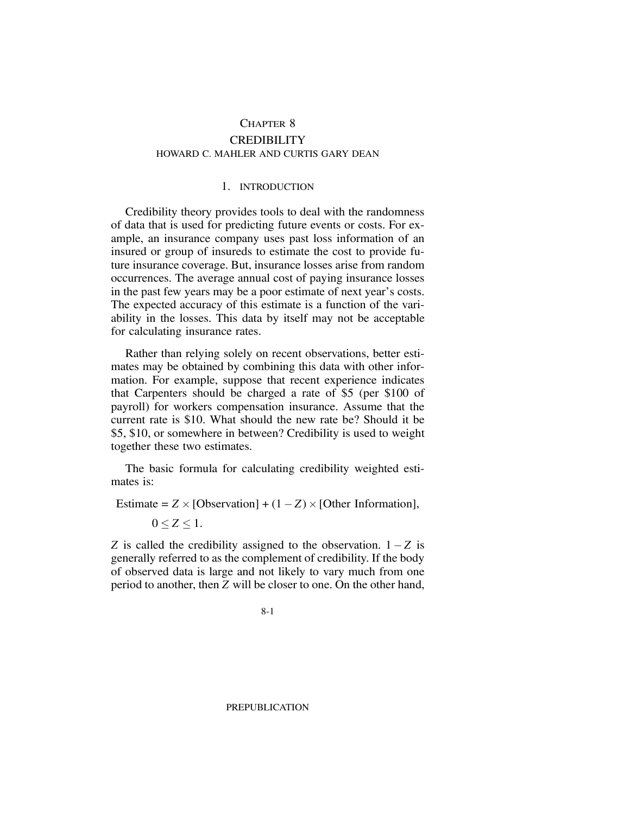# CHAPTER 8 **CREDIBILITY** HOWARD C. MAHLER AND CURTIS GARY DEAN

# 1. INTRODUCTION

Credibility theory provides tools to deal with the randomness of data that is used for predicting future events or costs. For example, an insurance company uses past loss information of an insured or group of insureds to estimate the cost to provide future insurance coverage. But, insurance losses arise from random occurrences. The average annual cost of paying insurance losses in the past few years may be a poor estimate of next year's costs. The expected accuracy of this estimate is a function of the variability in the losses. This data by itself may not be acceptable for calculating insurance rates.

Rather than relying solely on recent observations, better estimates may be obtained by combining this data with other information. For example, suppose that recent experience indicates that Carpenters should be charged a rate of \$5 (per \$100 of payroll) for workers compensation insurance. Assume that the current rate is \$10. What should the new rate be? Should it be \$5, \$10, or somewhere in between? Credibility is used to weight together these two estimates.

The basic formula for calculating credibility weighted estimates is:

Estimate =  $Z \times$  [Observation] +  $(1 – Z) \times$  [Other Information],

 $0 < Z < 1.$ 

Z is called the credibility assigned to the observation.  $1 - Z$  is generally referred to as the complement of credibility. If the body of observed data is large and not likely to vary much from one period to another, then Z will be closer to one. On the other hand,

8-1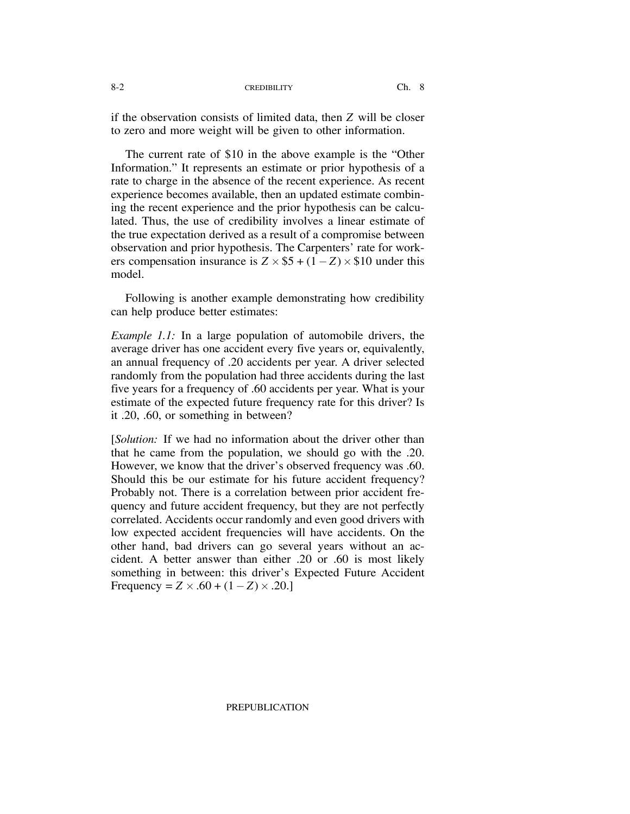if the observation consists of limited data, then Z will be closer to zero and more weight will be given to other information.

The current rate of \$10 in the above example is the "Other Information." It represents an estimate or prior hypothesis of a rate to charge in the absence of the recent experience. As recent experience becomes available, then an updated estimate combining the recent experience and the prior hypothesis can be calculated. Thus, the use of credibility involves a linear estimate of the true expectation derived as a result of a compromise between observation and prior hypothesis. The Carpenters' rate for workers compensation insurance is  $Z \times $5 + (1 - Z) \times $10$  under this model.

Following is another example demonstrating how credibility can help produce better estimates:

*Example 1.1:* In a large population of automobile drivers, the average driver has one accident every five years or, equivalently, an annual frequency of .20 accidents per year. A driver selected randomly from the population had three accidents during the last five years for a frequency of .60 accidents per year. What is your estimate of the expected future frequency rate for this driver? Is it .20, .60, or something in between?

[*Solution:* If we had no information about the driver other than that he came from the population, we should go with the .20. However, we know that the driver's observed frequency was .60. Should this be our estimate for his future accident frequency? Probably not. There is a correlation between prior accident frequency and future accident frequency, but they are not perfectly correlated. Accidents occur randomly and even good drivers with low expected accident frequencies will have accidents. On the other hand, bad drivers can go several years without an accident. A better answer than either .20 or .60 is most likely something in between: this driver's Expected Future Accident Frequency =  $Z \times .60 + (1 - Z) \times .20$ .]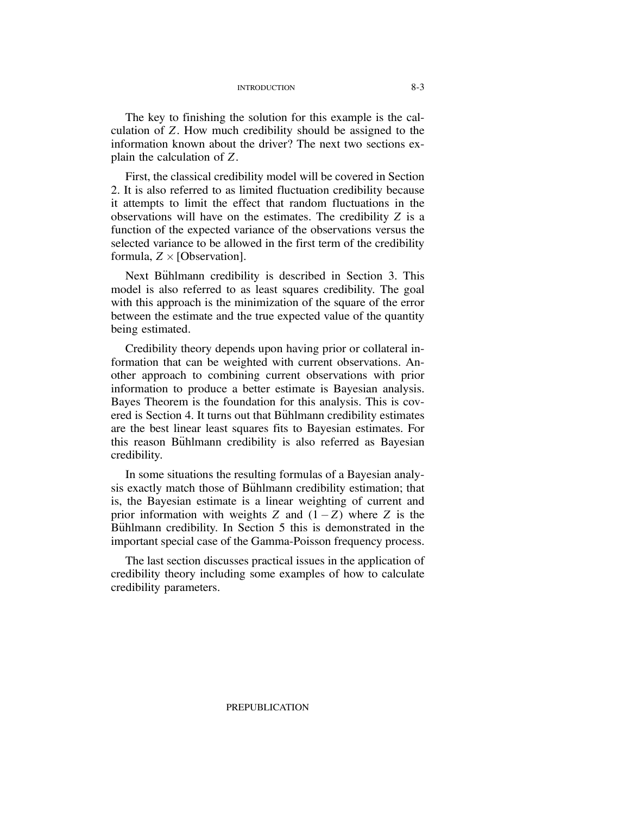The key to finishing the solution for this example is the calculation of Z. How much credibility should be assigned to the information known about the driver? The next two sections explain the calculation of Z.

First, the classical credibility model will be covered in Section 2. It is also referred to as limited fluctuation credibility because it attempts to limit the effect that random fluctuations in the observations will have on the estimates. The credibility Z is a function of the expected variance of the observations versus the selected variance to be allowed in the first term of the credibility formula,  $Z \times$  [Observation].

Next Buhlmann credibility is described in Section 3. This model is also referred to as least squares credibility. The goal with this approach is the minimization of the square of the error between the estimate and the true expected value of the quantity being estimated.

Credibility theory depends upon having prior or collateral information that can be weighted with current observations. Another approach to combining current observations with prior information to produce a better estimate is Bayesian analysis. Bayes Theorem is the foundation for this analysis. This is covered is Section 4. It turns out that Bühlmann credibility estimates are the best linear least squares fits to Bayesian estimates. For this reason Bühlmann credibility is also referred as Bayesian credibility.

In some situations the resulting formulas of a Bayesian analysis exactly match those of Bühlmann credibility estimation; that is, the Bayesian estimate is a linear weighting of current and prior information with weights Z and  $(1 - Z)$  where Z is the Bühlmann credibility. In Section 5 this is demonstrated in the important special case of the Gamma-Poisson frequency process.

The last section discusses practical issues in the application of credibility theory including some examples of how to calculate credibility parameters.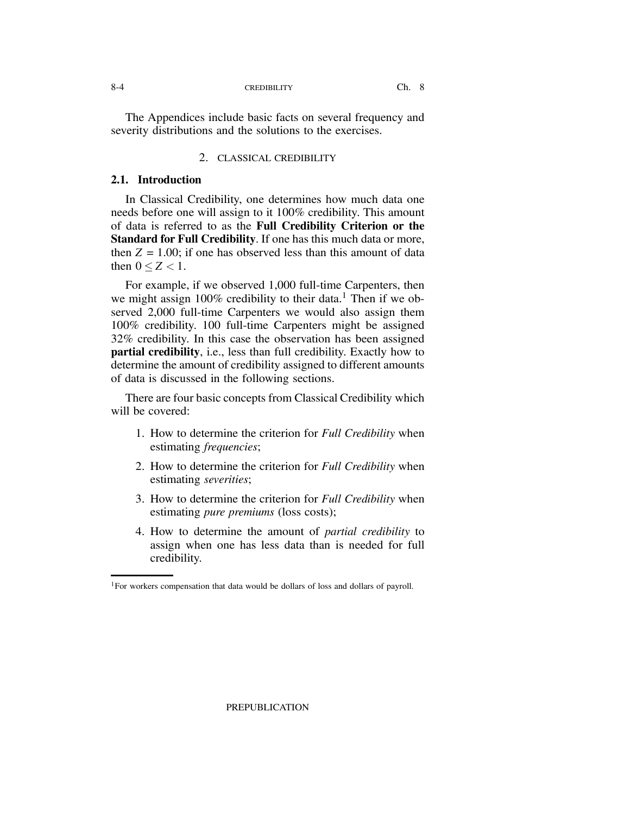The Appendices include basic facts on several frequency and severity distributions and the solutions to the exercises.

# 2. CLASSICAL CREDIBILITY

## **2.1. Introduction**

In Classical Credibility, one determines how much data one needs before one will assign to it 100% credibility. This amount of data is referred to as the **Full Credibility Criterion or the Standard for Full Credibility**. If one has this much data or more, then  $Z = 1.00$ ; if one has observed less than this amount of data then  $0 < Z < 1$ .

For example, if we observed 1,000 full-time Carpenters, then we might assign  $100\%$  credibility to their data.<sup>1</sup> Then if we observed 2,000 full-time Carpenters we would also assign them 100% credibility. 100 full-time Carpenters might be assigned 32% credibility. In this case the observation has been assigned **partial credibility**, i.e., less than full credibility. Exactly how to determine the amount of credibility assigned to different amounts of data is discussed in the following sections.

There are four basic concepts from Classical Credibility which will be covered:

- 1. How to determine the criterion for *Full Credibility* when estimating *frequencies*;
- 2. How to determine the criterion for *Full Credibility* when estimating *severities*;
- 3. How to determine the criterion for *Full Credibility* when estimating *pure premiums* (loss costs);
- 4. How to determine the amount of *partial credibility* to assign when one has less data than is needed for full credibility.

<sup>1</sup>For workers compensation that data would be dollars of loss and dollars of payroll.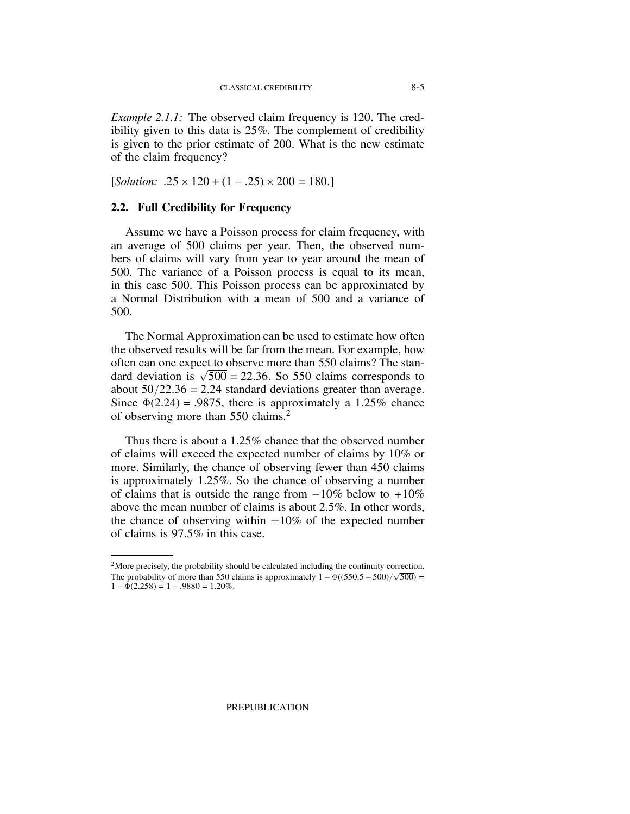*Example 2.1.1:* The observed claim frequency is 120. The credibility given to this data is 25%. The complement of credibility is given to the prior estimate of 200. What is the new estimate of the claim frequency?

 $[Solution: .25 \times 120 + (1 - .25) \times 200 = 180.]$ 

## **2.2. Full Credibility for Frequency**

Assume we have a Poisson process for claim frequency, with an average of 500 claims per year. Then, the observed numbers of claims will vary from year to year around the mean of 500. The variance of a Poisson process is equal to its mean, in this case 500. This Poisson process can be approximated by a Normal Distribution with a mean of 500 and a variance of 500.

The Normal Approximation can be used to estimate how often the observed results will be far from the mean. For example, how often can one expect to observe more than 550 claims? The standard deviation is  $\sqrt{500}$  = 22.36. So 550 claims corresponds to about  $50/22.36 = 2.24$  standard deviations greater than average. Since  $\Phi(2.24) = .9875$ , there is approximately a 1.25% chance of observing more than 550 claims.2

Thus there is about a 1.25% chance that the observed number of claims will exceed the expected number of claims by 10% or more. Similarly, the chance of observing fewer than 450 claims is approximately 1.25%. So the chance of observing a number of claims that is outside the range from  $-10\%$  below to  $+10\%$ above the mean number of claims is about 2.5%. In other words, the chance of observing within  $\pm 10\%$  of the expected number of claims is 97.5% in this case.

<sup>&</sup>lt;sup>2</sup>More precisely, the probability should be calculated including the continuity correction. The probability of more than 550 claims is approximately  $1 - \Phi((550.5 - 500)/\sqrt{500}) =$  $1 - \Phi(2.258) = 1 - .9880 = 1.20\%$ .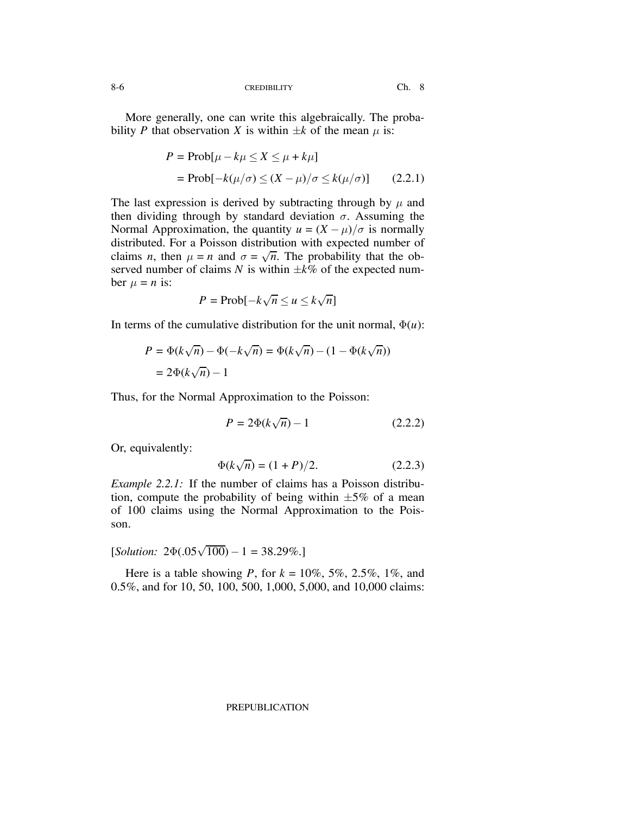8-6 CREDIBILITY Ch. 8

More generally, one can write this algebraically. The probability P that observation X is within  $\pm k$  of the mean  $\mu$  is:

$$
P = \text{Prob}[\mu - k\mu \le X \le \mu + k\mu]
$$
  
=  $\text{Prob}[-k(\mu/\sigma) \le (X - \mu)/\sigma \le k(\mu/\sigma)]$  (2.2.1)

The last expression is derived by subtracting through by  $\mu$  and then dividing through by standard deviation  $\sigma$ . Assuming the Normal Approximation, the quantity  $u = (X - \mu)/\sigma$  is normally distributed. For a Poisson distribution with expected number of claims *n*, then  $\mu = n$  and  $\sigma = \sqrt{n}$ . The probability that the observed number of claims N is within  $\pm k\%$  of the expected number  $\mu = n$  is:

$$
P = \text{Prob}[-k\sqrt{n} \le u \le k\sqrt{n}]
$$

In terms of the cumulative distribution for the unit normal,  $\Phi(u)$ :

$$
P = \Phi(k\sqrt{n}) - \Phi(-k\sqrt{n}) = \Phi(k\sqrt{n}) - (1 - \Phi(k\sqrt{n}))
$$

$$
= 2\Phi(k\sqrt{n}) - 1
$$

Thus, for the Normal Approximation to the Poisson:

$$
P = 2\Phi(k\sqrt{n}) - 1\tag{2.2.2}
$$

Or, equivalently:

$$
\Phi(k\sqrt{n}) = (1+P)/2.
$$
 (2.2.3)

*Example 2.2.1:* If the number of claims has a Poisson distribution, compute the probability of being within  $\pm 5\%$  of a mean of 100 claims using the Normal Approximation to the Poisson.

# $[Solution: 2\Phi(.05\sqrt{100}) - 1 = 38.29\%$ .

Here is a table showing *P*, for  $k = 10\%$ , 5%, 2.5%, 1%, and 0.5%, and for 10, 50, 100, 500, 1,000, 5,000, and 10,000 claims: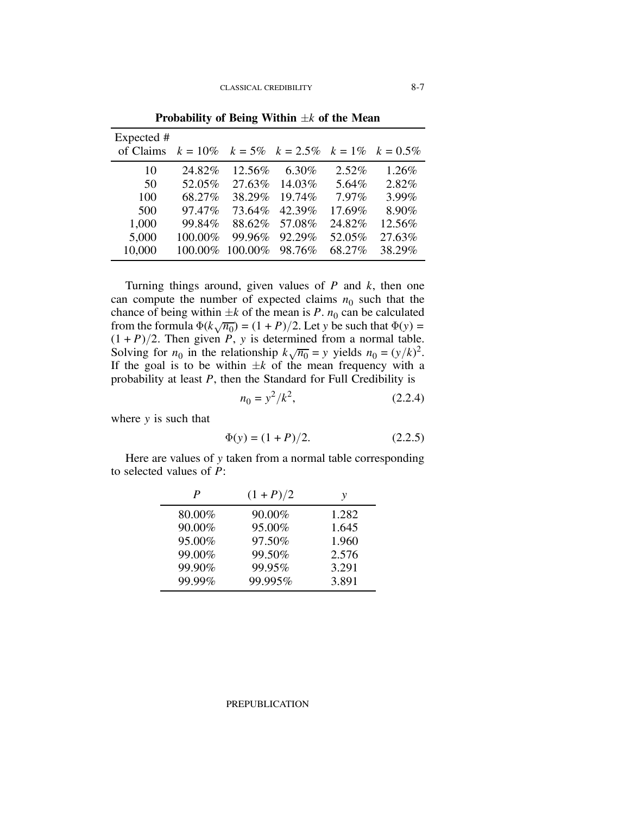| Expected #<br>of Claims | $k = 10\%$ |         | $k = 5\%$ $k = 2.5\%$ $k = 1\%$ $k = 0.5\%$ |          |        |
|-------------------------|------------|---------|---------------------------------------------|----------|--------|
| 10                      | 24.82%     | 12.56%  | $6.30\%$                                    | $2.52\%$ | 1.26%  |
| 50                      | 52.05%     | 27.63%  | 14.03%                                      | 5.64%    | 2.82%  |
| 100                     | 68.27%     | 38.29%  | 19.74%                                      | 7.97%    | 3.99%  |
| 500                     | 97.47%     | 73.64%  | $42.39\%$                                   | 17.69%   | 8.90%  |
| 1,000                   | 99.84%     | 88.62%  | 57.08%                                      | 24.82%   | 12.56% |
| 5,000                   | 100.00%    | 99.96%  | 92.29%                                      | 52.05%   | 27.63% |
| 10,000                  | $100.00\%$ | 100.00% | 98.76%                                      | 68.27%   | 38.29% |

Probability of Being Within  $\pm k$  of the Mean

Turning things around, given values of  $P$  and  $k$ , then one can compute the number of expected claims  $n_0$  such that the chance of being within  $\pm k$  of the mean is P.  $n_0$  can be calculated from the formula  $\Phi(k\sqrt{n_0}) = (1+P)/2$ . Let y be such that  $\Phi(y) =$  $(1 + P)/2$ . Then given P, y is determined from a normal table. Solving for  $n_0$  in the relationship  $k\sqrt{n_0} = y$  yields  $n_0 = (y/k)^2$ . If the goal is to be within  $\pm k$  of the mean frequency with a probability at least  $P$ , then the Standard for Full Credibility is

$$
n_0 = y^2/k^2, \tag{2.2.4}
$$

where y is such that

$$
\Phi(y) = (1 + P)/2. \tag{2.2.5}
$$

Here are values of y taken from a normal table corresponding to selected values of  $P$ :

| $(1+P)/2$ | ν     |
|-----------|-------|
| 90.00%    | 1.282 |
| 95.00%    | 1.645 |
| 97.50%    | 1.960 |
| 99.50%    | 2.576 |
| 99.95%    | 3.291 |
| 99.995%   | 3.891 |
|           |       |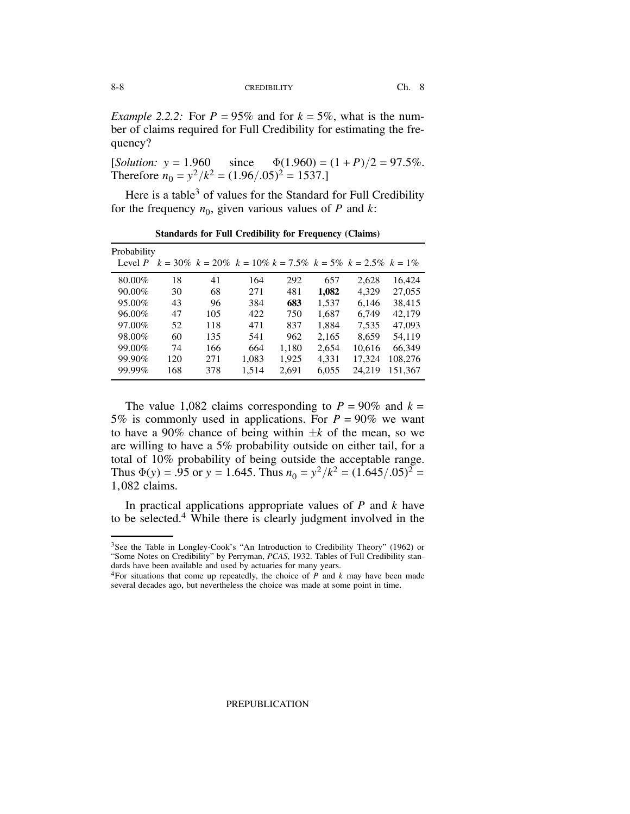*Example 2.2.2:* For  $P = 95\%$  and for  $k = 5\%$ , what is the number of claims required for Full Credibility for estimating the frequency?

[*Solution:*  $y = 1.960$  since  $\Phi(1.960) = (1 + P)/2 = 97.5\%$ . Therefore  $n_0 = y^2/k^2 = (1.96/.05)^2 = 1537$ .]

Here is a table<sup>3</sup> of values for the Standard for Full Credibility for the frequency  $n_0$ , given various values of P and k:

| Probability |     |     |       |       |       |                                                                              |         |
|-------------|-----|-----|-------|-------|-------|------------------------------------------------------------------------------|---------|
| Level $P$   |     |     |       |       |       | $k = 30\%$ $k = 20\%$ $k = 10\%$ $k = 7.5\%$ $k = 5\%$ $k = 2.5\%$ $k = 1\%$ |         |
| 80.00%      | 18  | 41  | 164   | 292   | 657   | 2,628                                                                        | 16,424  |
| 90.00%      | 30  | 68  | 271   | 481   | 1,082 | 4,329                                                                        | 27,055  |
| 95.00%      | 43  | 96  | 384   | 683   | 1.537 | 6.146                                                                        | 38,415  |
| 96.00%      | 47  | 105 | 422   | 750   | 1,687 | 6.749                                                                        | 42,179  |
| 97.00%      | 52  | 118 | 471   | 837   | 1,884 | 7.535                                                                        | 47,093  |
| 98.00%      | 60  | 135 | 541   | 962   | 2.165 | 8.659                                                                        | 54.119  |
| 99.00%      | 74  | 166 | 664   | 1.180 | 2.654 | 10,616                                                                       | 66,349  |
| 99.90%      | 120 | 271 | 1,083 | 1,925 | 4,331 | 17,324                                                                       | 108,276 |
| 99.99%      | 168 | 378 | 1,514 | 2,691 | 6,055 | 24.219                                                                       | 151.367 |

**Standards for Full Credibility for Frequency (Claims)**

The value 1,082 claims corresponding to  $P = 90\%$  and  $k =$ 5% is commonly used in applications. For  $P = 90\%$  we want to have a 90% chance of being within  $\pm k$  of the mean, so we are willing to have a 5% probability outside on either tail, for a total of 10% probability of being outside the acceptable range. Thus  $\Phi(y) = .95$  or  $y = 1.645$ . Thus  $n_0 = y^2/k^2 = (1.645/.05)^2 =$ 1, 082 claims.

In practical applications appropriate values of  $P$  and  $k$  have to be selected.4 While there is clearly judgment involved in the

<sup>&</sup>lt;sup>3</sup>See the Table in Longley-Cook's "An Introduction to Credibility Theory" (1962) or "Some Notes on Credibility" by Perryman, *PCAS*, 1932. Tables of Full Credibility standards have been available and used by actuaries for many years.

<sup>&</sup>lt;sup>4</sup>For situations that come up repeatedly, the choice of P and k may have been made several decades ago, but nevertheless the choice was made at some point in time.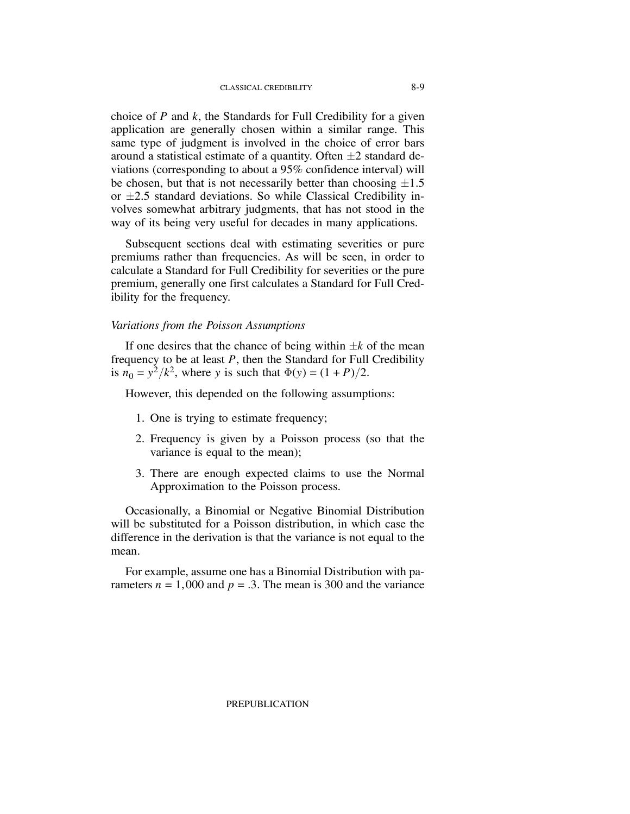choice of  $P$  and  $k$ , the Standards for Full Credibility for a given application are generally chosen within a similar range. This same type of judgment is involved in the choice of error bars around a statistical estimate of a quantity. Often  $\pm 2$  standard deviations (corresponding to about a 95% confidence interval) will be chosen, but that is not necessarily better than choosing  $\pm 1.5$ or  $\pm 2.5$  standard deviations. So while Classical Credibility involves somewhat arbitrary judgments, that has not stood in the way of its being very useful for decades in many applications.

Subsequent sections deal with estimating severities or pure premiums rather than frequencies. As will be seen, in order to calculate a Standard for Full Credibility for severities or the pure premium, generally one first calculates a Standard for Full Credibility for the frequency.

# *Variations from the Poisson Assumptions*

If one desires that the chance of being within  $\pm k$  of the mean frequency to be at least  $P$ , then the Standard for Full Credibility is  $n_0 = y^2/k^2$ , where y is such that  $\Phi(y) = (1 + P)/2$ .

However, this depended on the following assumptions:

- 1. One is trying to estimate frequency;
- 2. Frequency is given by a Poisson process (so that the variance is equal to the mean);
- 3. There are enough expected claims to use the Normal Approximation to the Poisson process.

Occasionally, a Binomial or Negative Binomial Distribution will be substituted for a Poisson distribution, in which case the difference in the derivation is that the variance is not equal to the mean.

For example, assume one has a Binomial Distribution with parameters  $n = 1,000$  and  $p = 0.3$ . The mean is 300 and the variance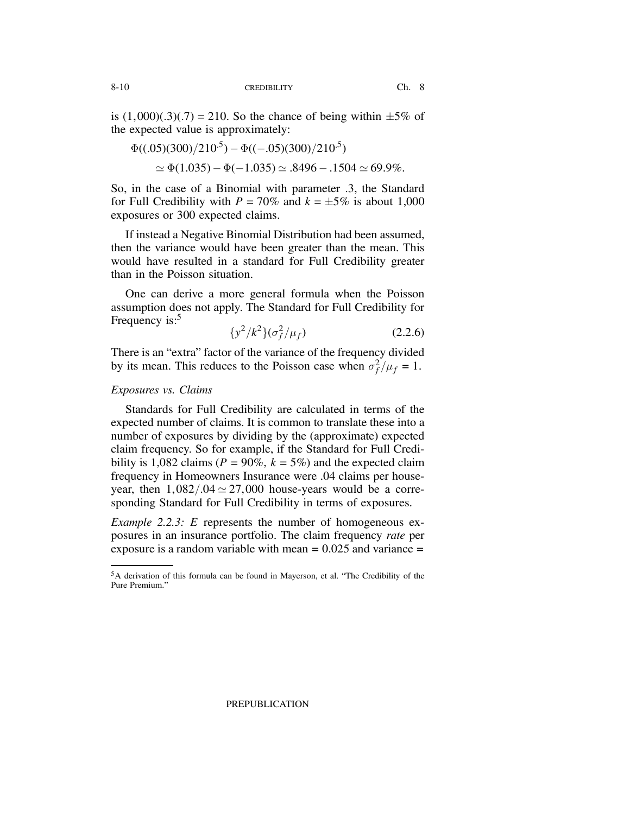is  $(1,000)(.3)(.7) = 210$ . So the chance of being within  $\pm 5\%$  of the expected value is approximately:

$$
\Phi((.05)(300)/210^{.5}) - \Phi((-.05)(300)/210^{.5})
$$
  
\n
$$
\simeq \Phi(1.035) - \Phi(-1.035) \simeq .8496 - .1504 \simeq 69.9\%.
$$

So, in the case of a Binomial with parameter .3, the Standard for Full Credibility with  $P = 70\%$  and  $k = \pm 5\%$  is about 1,000 exposures or 300 expected claims.

If instead a Negative Binomial Distribution had been assumed, then the variance would have been greater than the mean. This would have resulted in a standard for Full Credibility greater than in the Poisson situation.

One can derive a more general formula when the Poisson assumption does not apply. The Standard for Full Credibility for Frequency is:<sup>5</sup>

$$
{y^2}/{k^2}\left(\frac{\sigma_f^2}{\mu_f}\right) \tag{2.2.6}
$$

There is an "extra" factor of the variance of the frequency divided by its mean. This reduces to the Poisson case when  $\sigma_f^2/\mu_f = 1$ .

## *Exposures vs. Claims*

Standards for Full Credibility are calculated in terms of the expected number of claims. It is common to translate these into a number of exposures by dividing by the (approximate) expected claim frequency. So for example, if the Standard for Full Credibility is 1,082 claims ( $P = 90\%$ ,  $k = 5\%$ ) and the expected claim frequency in Homeowners Insurance were .04 claims per houseyear, then  $1,082/.04 \simeq 27,000$  house-years would be a corresponding Standard for Full Credibility in terms of exposures.

*Example 2.2.3:* E represents the number of homogeneous exposures in an insurance portfolio. The claim frequency *rate* per exposure is a random variable with mean  $= 0.025$  and variance  $=$ 

<sup>5</sup>A derivation of this formula can be found in Mayerson, et al. "The Credibility of the Pure Premium."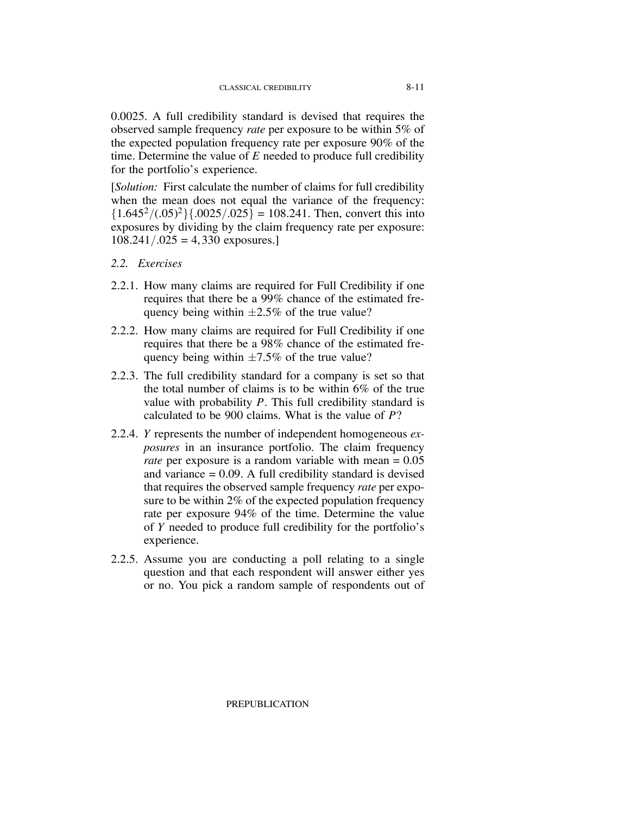0:0025. A full credibility standard is devised that requires the observed sample frequency *rate* per exposure to be within 5% of the expected population frequency rate per exposure 90% of the time. Determine the value of  $E$  needed to produce full credibility for the portfolio's experience.

[*Solution:* First calculate the number of claims for full credibility when the mean does not equal the variance of the frequency:  $\{1.645^2/(0.05)^2\}\{.0025/0.025\} = 108.241$ . Then, convert this into exposures by dividing by the claim frequency rate per exposure:  $108.241/.025 = 4,330$  exposures.]

# *2.2. Exercises*

- 2.2.1. How many claims are required for Full Credibility if one requires that there be a 99% chance of the estimated frequency being within  $\pm 2.5\%$  of the true value?
- 2.2.2. How many claims are required for Full Credibility if one requires that there be a 98% chance of the estimated frequency being within  $\pm 7.5\%$  of the true value?
- 2.2.3. The full credibility standard for a company is set so that the total number of claims is to be within 6% of the true value with probability  $P$ . This full credibility standard is calculated to be 900 claims. What is the value of  $P$ ?
- 2.2.4. Y represents the number of independent homogeneous *exposures* in an insurance portfolio. The claim frequency *rate* per exposure is a random variable with mean =  $0.05$ and variance  $= 0.09$ . A full credibility standard is devised that requires the observed sample frequency *rate* per exposure to be within 2% of the expected population frequency rate per exposure 94% of the time. Determine the value of Y needed to produce full credibility for the portfolio's experience.
- 2.2.5. Assume you are conducting a poll relating to a single question and that each respondent will answer either yes or no. You pick a random sample of respondents out of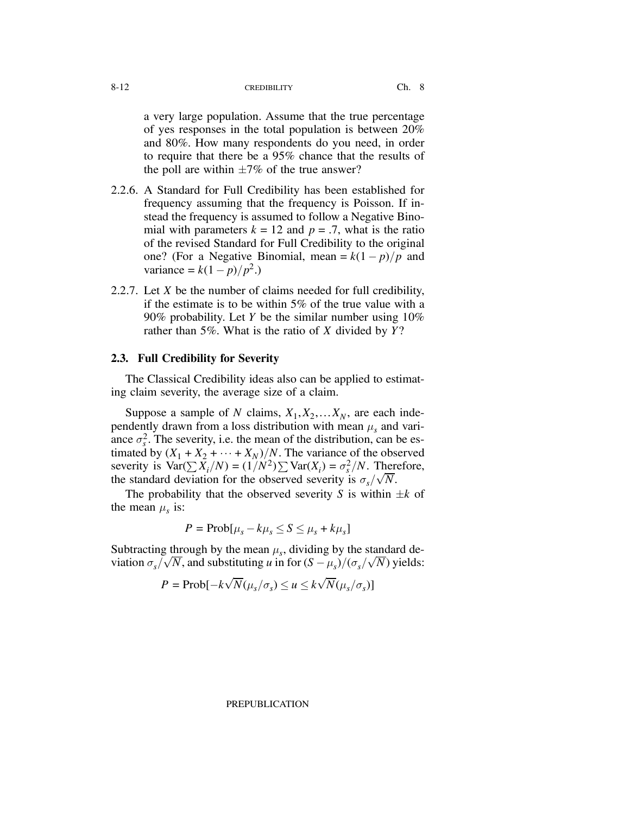a very large population. Assume that the true percentage of yes responses in the total population is between 20% and 80%. How many respondents do you need, in order to require that there be a 95% chance that the results of the poll are within  $\pm 7\%$  of the true answer?

- 2.2.6. A Standard for Full Credibility has been established for frequency assuming that the frequency is Poisson. If instead the frequency is assumed to follow a Negative Binomial with parameters  $k = 12$  and  $p = .7$ , what is the ratio of the revised Standard for Full Credibility to the original one? (For a Negative Binomial, mean =  $k(1-p)/p$  and variance =  $k(1-p)/p^2$ .)
- 2.2.7. Let  $X$  be the number of claims needed for full credibility, if the estimate is to be within 5% of the true value with a 90% probability. Let Y be the similar number using  $10\%$ rather than 5%. What is the ratio of  $X$  divided by  $Y$ ?

# **2.3. Full Credibility for Severity**

The Classical Credibility ideas also can be applied to estimating claim severity, the average size of a claim.

Suppose a sample of N claims,  $X_1, X_2,...X_N$ , are each independently drawn from a loss distribution with mean  $\mu_s$  and variance  $\sigma_s^2$ . The severity, i.e. the mean of the distribution, can be estimated by  $(X_1 + X_2 + \cdots + X_N)/N$ . The variance of the observed severity is  $\text{Var}(\sum \overline{X}_i/N) = (1/N^2) \sum \text{Var}(X_i) = \sigma_s^2/N$ . Therefore, the standard deviation for the observed severity is  $\sigma_s/\sqrt{N}$ .

The probability that the observed severity S is within  $\pm k$  of the mean  $\mu_s$  is:

$$
P = \text{Prob}[\mu_s - k\mu_s \le S \le \mu_s + k\mu_s]
$$

Subtracting through by the mean  $\mu_s$ , dividing by the standard deviation  $\sigma_s/\sqrt{N}$ , and substituting u in for  $(S - \mu_s)/(\sigma_s/\sqrt{N})$  yields:

$$
P = \text{Prob}[-k\sqrt{N}(\mu_s/\sigma_s) \le u \le k\sqrt{N}(\mu_s/\sigma_s)]
$$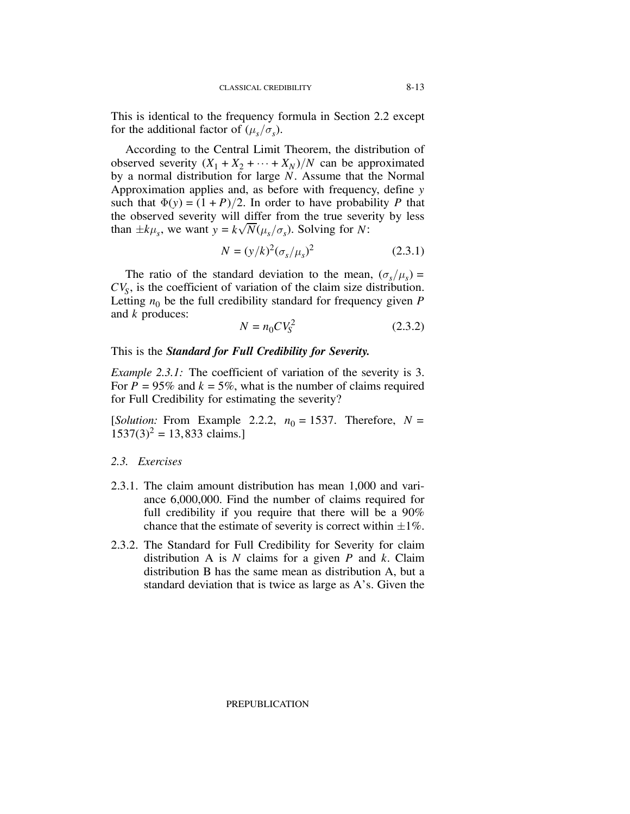This is identical to the frequency formula in Section 2.2 except for the additional factor of  $(\mu_s/\sigma_s)$ .

According to the Central Limit Theorem, the distribution of observed severity  $(X_1 + X_2 + \cdots + X_N)/N$  can be approximated by a normal distribution for large N. Assume that the Normal Approximation applies and, as before with frequency, define y such that  $\Phi(y) = (1 + P)/2$ . In order to have probability P that the observed severity will differ from the true severity by less than  $\pm k\mu_s$ , we want  $y = k\sqrt{N}(\mu_s/\sigma_s)$ . Solving for N:

$$
N = (y/k)^2 (\sigma_s/\mu_s)^2
$$
 (2.3.1)

The ratio of the standard deviation to the mean,  $(\sigma_s/\mu_s)$  =  $CV<sub>S</sub>$ , is the coefficient of variation of the claim size distribution. Letting  $n_0$  be the full credibility standard for frequency given P and k produces:

$$
N = n_0 C V_S^2 \tag{2.3.2}
$$

This is the *Standard for Full Credibility for Severity.*

*Example 2.3.1:* The coefficient of variation of the severity is 3. For  $P = 95\%$  and  $k = 5\%$ , what is the number of claims required for Full Credibility for estimating the severity?

[*Solution:* From Example 2.2.2,  $n_0 = 1537$ . Therefore,  $N =$  $1537(3)^2 = 13,833$  claims.]

## *2.3. Exercises*

- 2.3.1. The claim amount distribution has mean 1,000 and variance 6,000,000. Find the number of claims required for full credibility if you require that there will be a 90% chance that the estimate of severity is correct within  $\pm 1\%$ .
- 2.3.2. The Standard for Full Credibility for Severity for claim distribution A is N claims for a given P and k. Claim distribution B has the same mean as distribution A, but a standard deviation that is twice as large as A's. Given the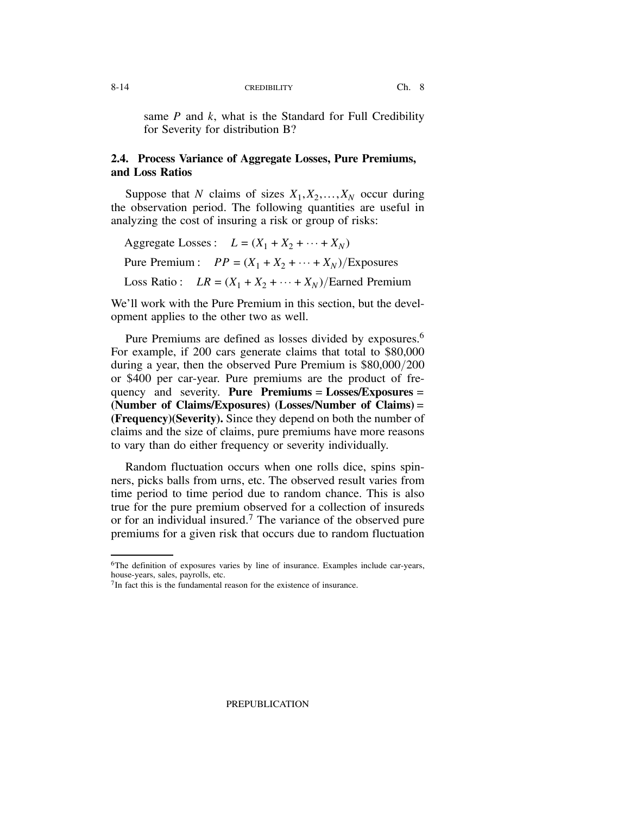same  $P$  and  $k$ , what is the Standard for Full Credibility for Severity for distribution B?

# **2.4. Process Variance of Aggregate Losses, Pure Premiums, and Loss Ratios**

Suppose that N claims of sizes  $X_1, X_2, \ldots, X_N$  occur during the observation period. The following quantities are useful in analyzing the cost of insuring a risk or group of risks:

Aggregate Losses :  $L = (X_1 + X_2 + \cdots + X_N)$ Pure Premium :  $PP = (X_1 + X_2 + \cdots + X_N)/\text{Exposures}$ Loss Ratio :  $LR = (X_1 + X_2 + \cdots + X_N)/\text{Earned Premium}$ 

We'll work with the Pure Premium in this section, but the development applies to the other two as well.

Pure Premiums are defined as losses divided by exposures.<sup>6</sup> For example, if 200 cars generate claims that total to \$80,000 during a year, then the observed Pure Premium is  $$80,000/200$ or \$400 per car-year. Pure premiums are the product of frequency and severity. **Pure Premiums** = **Losses/Exposures** = **(Number of Claims/Exposures) (Losses/Number of Claims)**= **(Frequency)(Severity).** Since they depend on both the number of claims and the size of claims, pure premiums have more reasons to vary than do either frequency or severity individually.

Random fluctuation occurs when one rolls dice, spins spinners, picks balls from urns, etc. The observed result varies from time period to time period due to random chance. This is also true for the pure premium observed for a collection of insureds or for an individual insured.<sup>7</sup> The variance of the observed pure premiums for a given risk that occurs due to random fluctuation

<sup>6</sup>The definition of exposures varies by line of insurance. Examples include car-years, house-years, sales, payrolls, etc.

 $<sup>7</sup>$ In fact this is the fundamental reason for the existence of insurance.</sup>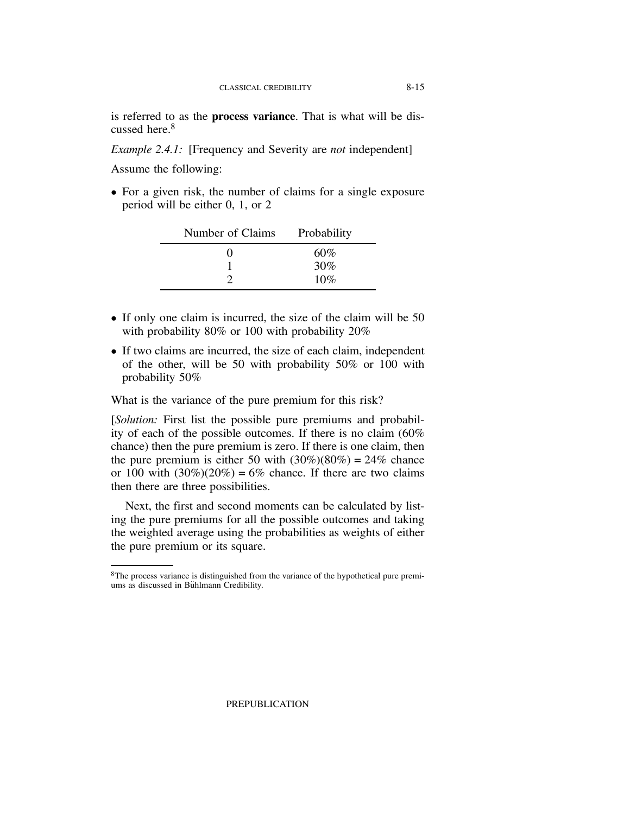is referred to as the **process variance**. That is what will be discussed here.8

*Example 2.4.1:* [Frequency and Severity are *not* independent]

Assume the following:

 For a given risk, the number of claims for a single exposure period will be either 0, 1, or 2

| Number of Claims | Probability |
|------------------|-------------|
|                  | 60%         |
|                  | 30%         |
|                  | 10%         |

- If only one claim is incurred, the size of the claim will be 50 with probability 80% or 100 with probability 20%
- If two claims are incurred, the size of each claim, independent of the other, will be 50 with probability 50% or 100 with probability 50%

What is the variance of the pure premium for this risk?

[*Solution:* First list the possible pure premiums and probability of each of the possible outcomes. If there is no claim (60% chance) then the pure premium is zero. If there is one claim, then the pure premium is either 50 with  $(30\%) (80\%) = 24\%$  chance or 100 with  $(30\%)$ (20%) = 6% chance. If there are two claims then there are three possibilities.

Next, the first and second moments can be calculated by listing the pure premiums for all the possible outcomes and taking the weighted average using the probabilities as weights of either the pure premium or its square.

<sup>&</sup>lt;sup>8</sup>The process variance is distinguished from the variance of the hypothetical pure premiums as discussed in Bühlmann Credibility.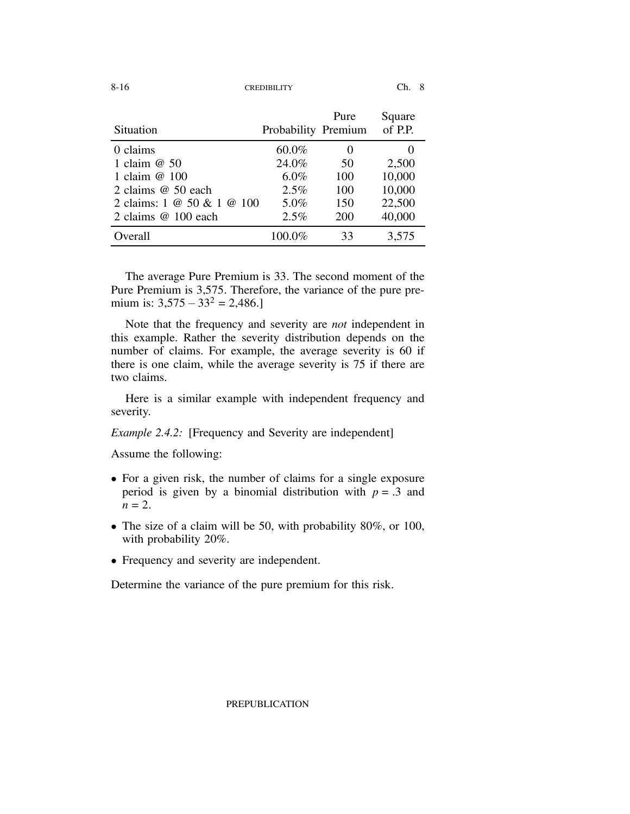| <b>Situation</b>           | Probability Premium | Pure       | Square<br>of P.P. |
|----------------------------|---------------------|------------|-------------------|
| 0 claims                   | $60.0\%$            | $\theta$   |                   |
| 1 claim $\omega$ 50        | 24.0%               | 50         | 2,500             |
| 1 claim @ 100              | $6.0\%$             | 100        | 10,000            |
| 2 claims @ 50 each         | $2.5\%$             | 100        | 10,000            |
| 2 claims: 1 @ 50 & 1 @ 100 | 5.0%                | 150        | 22,500            |
| 2 claims $@$ 100 each      | 2.5%                | <b>200</b> | 40,000            |
| Overall                    | 100.0%              | 33         | 3,575             |

8-16 CREDIBILITY Ch. 8

The average Pure Premium is 33. The second moment of the Pure Premium is 3,575. Therefore, the variance of the pure premium is:  $3,575 - 33^2 = 2,486$ .

Note that the frequency and severity are *not* independent in this example. Rather the severity distribution depends on the number of claims. For example, the average severity is 60 if there is one claim, while the average severity is 75 if there are two claims.

Here is a similar example with independent frequency and severity.

*Example 2.4.2:* [Frequency and Severity are independent]

Assume the following:

- For a given risk, the number of claims for a single exposure period is given by a binomial distribution with  $p = .3$  and  $n = 2$ .
- The size of a claim will be 50, with probability 80%, or 100, with probability 20%.
- Frequency and severity are independent.

Determine the variance of the pure premium for this risk.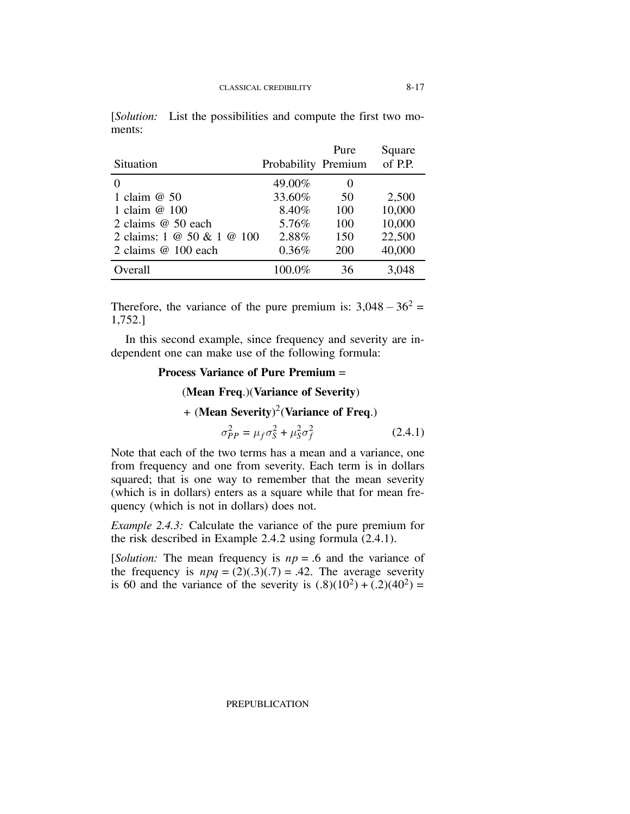| <b>Situation</b>                                                  | Probability Premium                | Pure                         | Square<br>of P.P.         |
|-------------------------------------------------------------------|------------------------------------|------------------------------|---------------------------|
| $\theta$<br>1 claim $@$ 50<br>1 claim @ 100<br>2 claims @ 50 each | 49.00%<br>33.60%<br>8.40%<br>5.76% | $\theta$<br>50<br>100<br>100 | 2,500<br>10,000<br>10,000 |
| 2 claims: 1 @ 50 & 1 @ 100<br>2 claims @ 100 each                 | 2.88%<br>$0.36\%$                  | 150<br>200                   | 22,500<br>40,000          |
| Overall                                                           | 100.0%                             | 36                           | 3,048                     |

[*Solution:* List the possibilities and compute the first two moments:

Therefore, the variance of the pure premium is:  $3,048 - 36^2 =$ 1,752.]

In this second example, since frequency and severity are independent one can make use of the following formula:

# **Process Variance of Pure Premium** =

(**Mean Freq**:)(**Variance of Severity**)

+ (**Mean Severity**) 2(**Variance of Freq**:)

$$
\sigma_{PP}^2 = \mu_f \sigma_S^2 + \mu_S^2 \sigma_f^2 \tag{2.4.1}
$$

Note that each of the two terms has a mean and a variance, one from frequency and one from severity. Each term is in dollars squared; that is one way to remember that the mean severity (which is in dollars) enters as a square while that for mean frequency (which is not in dollars) does not.

*Example 2.4.3:* Calculate the variance of the pure premium for the risk described in Example 2.4.2 using formula (2.4.1).

[*Solution:* The mean frequency is  $np = .6$  and the variance of the frequency is  $npq = (2)(.3)(.7) = .42$ . The average severity is 60 and the variance of the severity is  $(.8)(10^2) + (.2)(40^2) =$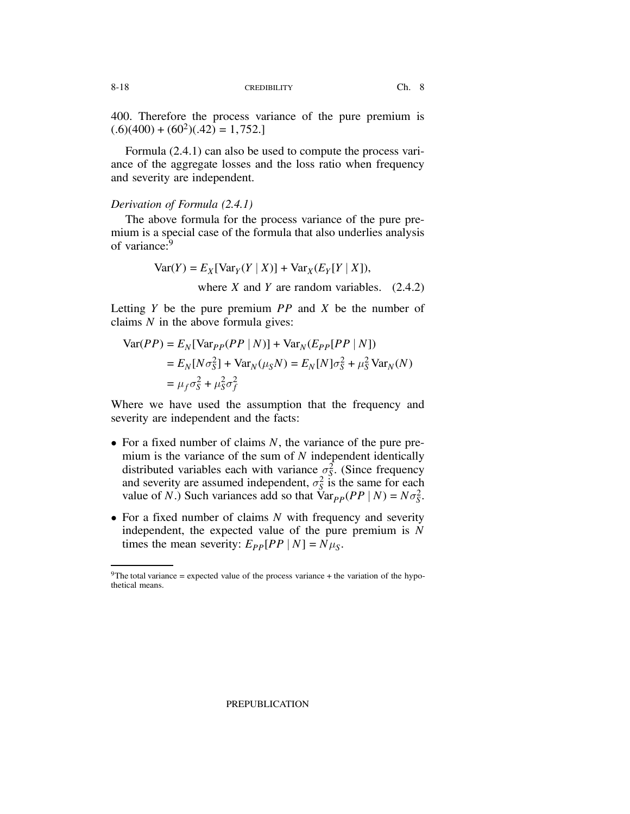400. Therefore the process variance of the pure premium is  $(.6)(400) + (60^2)(.42) = 1,752.$ 

Formula (2.4.1) can also be used to compute the process variance of the aggregate losses and the loss ratio when frequency and severity are independent.

# *Derivation of Formula (2.4.1)*

The above formula for the process variance of the pure premium is a special case of the formula that also underlies analysis of variance:<sup>9</sup>

Var(Y) = 
$$
E_X
$$
[Var<sub>Y</sub>(Y | X)] + Var<sub>X</sub>( $E_Y$ [Y | X]),  
where X and Y are random variables. (2.4.2)

Letting  $Y$  be the pure premium  $PP$  and  $X$  be the number of claims  $N$  in the above formula gives:

$$
\begin{aligned} \text{Var}(PP) &= E_N[\text{Var}_{PP}(PP \mid N)] + \text{Var}_N(E_{PP}[PP \mid N]) \\ &= E_N[N\sigma_S^2] + \text{Var}_N(\mu_S N) = E_N[N]\sigma_S^2 + \mu_S^2 \text{Var}_N(N) \\ &= \mu_f \sigma_S^2 + \mu_S^2 \sigma_f^2 \end{aligned}
$$

Where we have used the assumption that the frequency and severity are independent and the facts:

- $\bullet$  For a fixed number of claims N, the variance of the pure premium is the variance of the sum of  $N$  independent identically distributed variables each with variance  $\sigma_S^2$ . (Since frequency and severity are assumed independent,  $\sigma_S^2$  is the same for each value of N.) Such variances add so that  $\text{Var}_{PP}(PP \mid N) = N\sigma_S^2$ .
- $\bullet$  For a fixed number of claims N with frequency and severity independent, the expected value of the pure premium is  $N$ times the mean severity:  $E_{PP}[PP | N] = N\mu_S$ .

 $9$ The total variance = expected value of the process variance + the variation of the hypothetical means.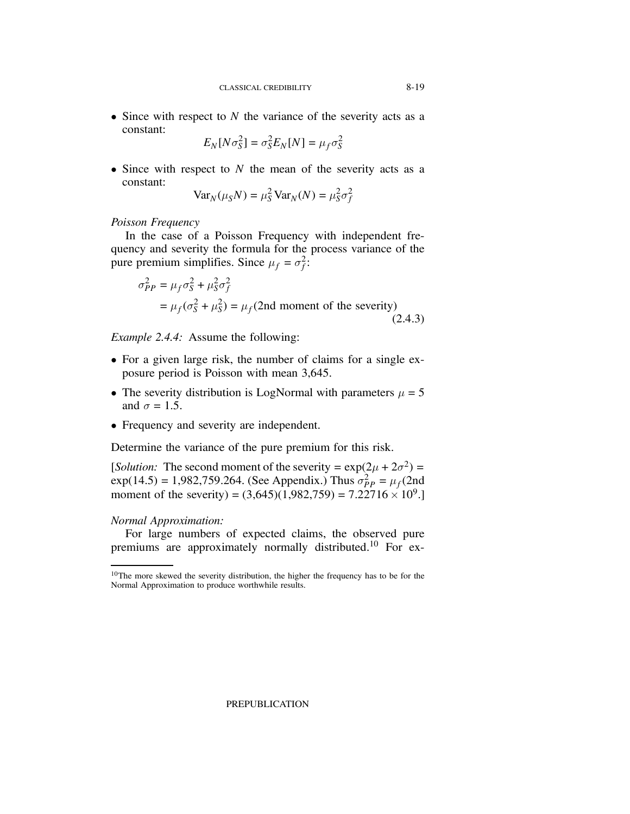$\bullet$  Since with respect to N the variance of the severity acts as a constant:

$$
E_N[N\sigma_S^2] = \sigma_S^2 E_N[N] = \mu_f \sigma_S^2
$$

 $\bullet$  Since with respect to  $N$  the mean of the severity acts as a constant:

$$
\text{Var}_N(\mu_S N) = \mu_S^2 \text{Var}_N(N) = \mu_S^2 \sigma_f^2
$$

*Poisson Frequency*

In the case of a Poisson Frequency with independent frequency and severity the formula for the process variance of the pure premium simplifies. Since  $\mu_f = \sigma_f^2$ :

$$
\sigma_{PP}^2 = \mu_f \sigma_S^2 + \mu_S^2 \sigma_f^2
$$
  
=  $\mu_f (\sigma_S^2 + \mu_S^2) = \mu_f (2nd \text{ moment of the severity})$  (2.4.3)

*Example 2.4.4:* Assume the following:

- For a given large risk, the number of claims for a single exposure period is Poisson with mean 3,645.
- The severity distribution is LogNormal with parameters  $\mu = 5$ and  $\sigma = 1.5$ .
- Frequency and severity are independent.

Determine the variance of the pure premium for this risk.

[*Solution:* The second moment of the severity =  $\exp(2\mu + 2\sigma^2)$  =  $exp(14.5) = 1,982,759.264$ . (See Appendix.) Thus  $\sigma_{PP}^2 = \mu_f(2nd)$ moment of the severity) =  $(3,645)(1,982,759) = 7.22716 \times 10^{9}$ .

# *Normal Approximation:*

For large numbers of expected claims, the observed pure premiums are approximately normally distributed.<sup>10</sup> For ex-

<sup>&</sup>lt;sup>10</sup>The more skewed the severity distribution, the higher the frequency has to be for the Normal Approximation to produce worthwhile results.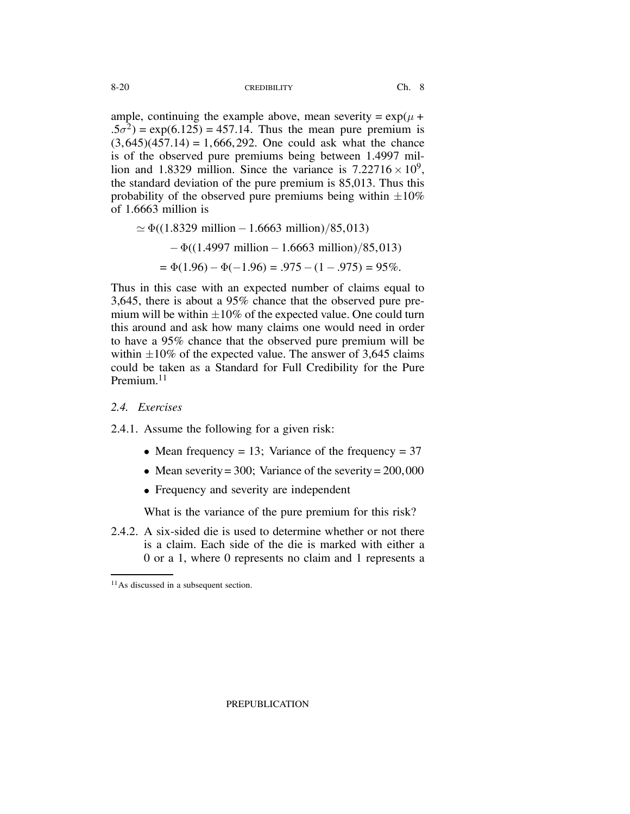ample, continuing the example above, mean severity =  $\exp(\mu +$  $.5\sigma^2$ ) = exp(6.125) = 457.14. Thus the mean pure premium is  $(3, 645)(457.14) = 1,666,292$ . One could ask what the chance is of the observed pure premiums being between 1.4997 million and 1.8329 million. Since the variance is  $7.22716 \times 10^9$ , the standard deviation of the pure premium is 85,013. Thus this probability of the observed pure premiums being within  $\pm 10\%$ of 1.6663 million is

$$
\approx \Phi((1.8329 \text{ million} - 1.6663 \text{ million})/85,013)
$$

$$
-\Phi((1.4997 \text{ million} - 1.6663 \text{ million})/85,013)
$$

$$
=\Phi(1.96) - \Phi(-1.96) = .975 - (1 - .975) = 95\%.
$$

Thus in this case with an expected number of claims equal to 3,645, there is about a 95% chance that the observed pure premium will be within  $\pm 10\%$  of the expected value. One could turn this around and ask how many claims one would need in order to have a 95% chance that the observed pure premium will be within  $\pm 10\%$  of the expected value. The answer of 3,645 claims could be taken as a Standard for Full Credibility for the Pure Premium.<sup>11</sup>

# *2.4. Exercises*

2.4.1. Assume the following for a given risk:

- Mean frequency = 13; Variance of the frequency =  $37$
- Mean severity = 300; Variance of the severity =  $200,000$
- Frequency and severity are independent

What is the variance of the pure premium for this risk?

2.4.2. A six-sided die is used to determine whether or not there is a claim. Each side of the die is marked with either a 0 or a 1, where 0 represents no claim and 1 represents a

<sup>11</sup>As discussed in a subsequent section.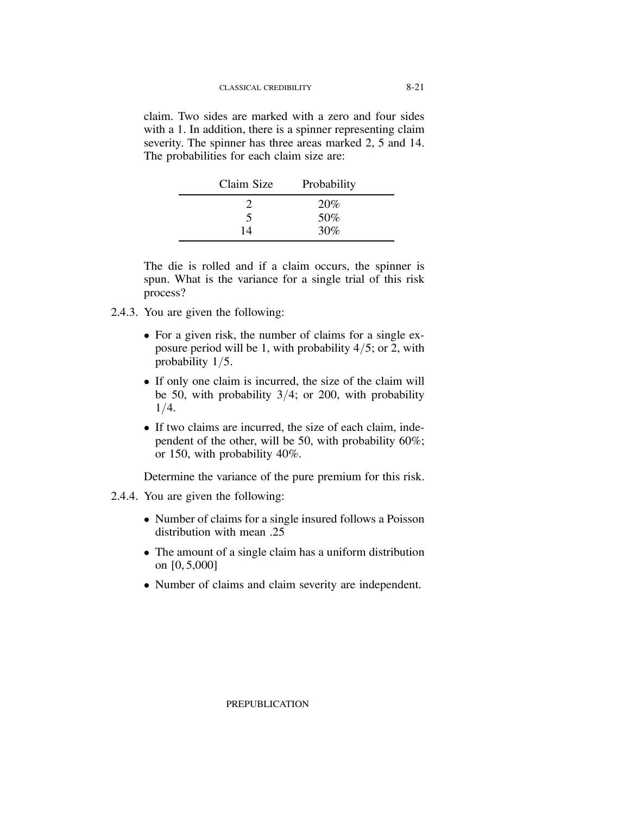claim. Two sides are marked with a zero and four sides with a 1. In addition, there is a spinner representing claim severity. The spinner has three areas marked 2, 5 and 14. The probabilities for each claim size are:

| Claim Size | Probability |
|------------|-------------|
|            | 20%         |
|            | 50%         |
| 14         | 30%         |

The die is rolled and if a claim occurs, the spinner is spun. What is the variance for a single trial of this risk process?

- 2.4.3. You are given the following:
	- For a given risk, the number of claims for a single exposure period will be 1, with probability  $4/5$ ; or 2, with probability  $1/5$ .
	- If only one claim is incurred, the size of the claim will be 50, with probability  $3/4$ ; or 200, with probability  $1/4.$
	- If two claims are incurred, the size of each claim, independent of the other, will be 50, with probability 60%; or 150, with probability 40%.

Determine the variance of the pure premium for this risk.

- 2.4.4. You are given the following:
	- Number of claims for a single insured follows a Poisson distribution with mean .25
	- The amount of a single claim has a uniform distribution on [0, 5,000]
	- Number of claims and claim severity are independent.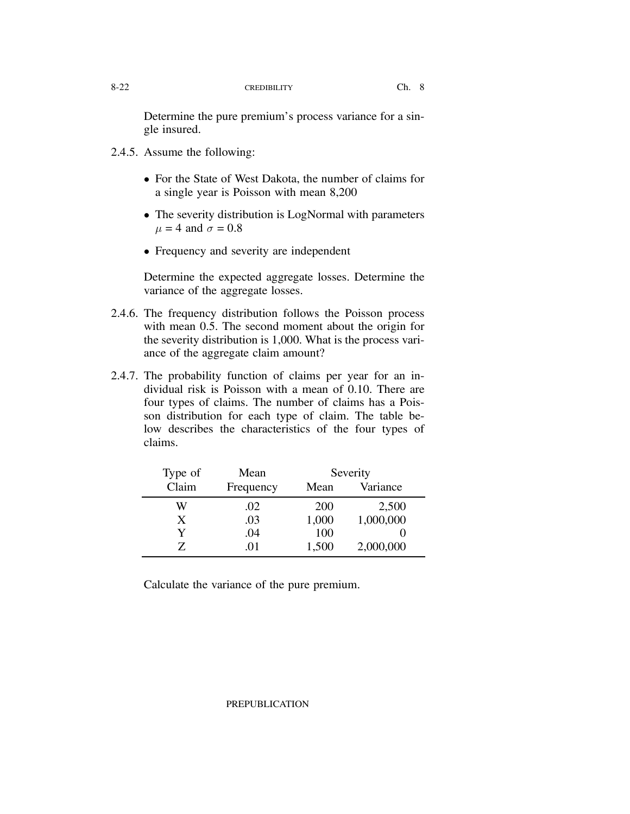Determine the pure premium's process variance for a single insured.

- 2.4.5. Assume the following:
	- For the State of West Dakota, the number of claims for a single year is Poisson with mean 8,200
	- The severity distribution is LogNormal with parameters  $\mu = 4$  and  $\sigma = 0.8$
	- Frequency and severity are independent

Determine the expected aggregate losses. Determine the variance of the aggregate losses.

- 2.4.6. The frequency distribution follows the Poisson process with mean 0.5. The second moment about the origin for the severity distribution is 1,000. What is the process variance of the aggregate claim amount?
- 2.4.7. The probability function of claims per year for an individual risk is Poisson with a mean of 0.10. There are four types of claims. The number of claims has a Poisson distribution for each type of claim. The table below describes the characteristics of the four types of claims.

| Type of | Mean      |            | Severity  |
|---------|-----------|------------|-----------|
| Claim   | Frequency | Mean       | Variance  |
| W       | .02       | <b>200</b> | 2,500     |
| X       | .03       | 1,000      | 1,000,000 |
| Y       | .04       | 100        |           |
| 7       | .01       | 1,500      | 2,000,000 |

Calculate the variance of the pure premium.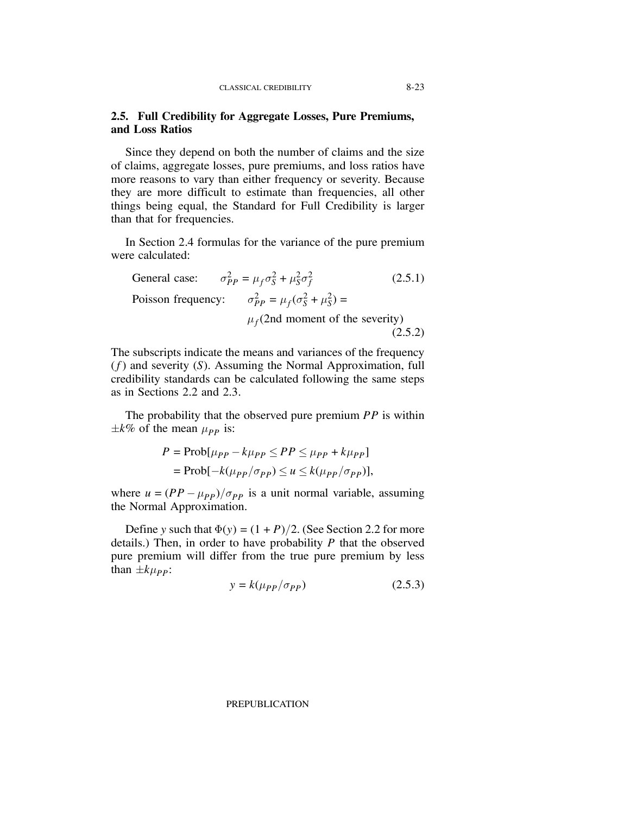# **2.5. Full Credibility for Aggregate Losses, Pure Premiums, and Loss Ratios**

Since they depend on both the number of claims and the size of claims, aggregate losses, pure premiums, and loss ratios have more reasons to vary than either frequency or severity. Because they are more difficult to estimate than frequencies, all other things being equal, the Standard for Full Credibility is larger than that for frequencies.

In Section 2.4 formulas for the variance of the pure premium were calculated:

General case: 
$$
\sigma_{PP}^2 = \mu_f \sigma_S^2 + \mu_S^2 \sigma_f^2
$$
 (2.5.1)  
Poisson frequency:  $\sigma_{PP}^2 = \mu_f (\sigma_S^2 + \mu_S^2) =$   
 $\mu_f$  (2nd moment of the severity) (2.5.2)

The subscripts indicate the means and variances of the frequency  $(f)$  and severity  $(S)$ . Assuming the Normal Approximation, full credibility standards can be calculated following the same steps as in Sections 2.2 and 2.3.

The probability that the observed pure premium  $PP$  is within  $\pm k\%$  of the mean  $\mu_{PP}$  is:

$$
P = \text{Prob}[\mu_{PP} - k\mu_{PP} \le PP \le \mu_{PP} + k\mu_{PP}]
$$
  
=  $\text{Prob}[-k(\mu_{PP}/\sigma_{PP}) \le u \le k(\mu_{PP}/\sigma_{PP})],$ 

where  $u = (PP - \mu_{PP})/\sigma_{PP}$  is a unit normal variable, assuming the Normal Approximation.

Define y such that  $\Phi(y) = (1 + P)/2$ . (See Section 2.2 for more details.) Then, in order to have probability  $P$  that the observed pure premium will differ from the true pure premium by less than  $\pm k\mu_{PP}$ :

$$
y = k(\mu_{PP}/\sigma_{PP})
$$
 (2.5.3)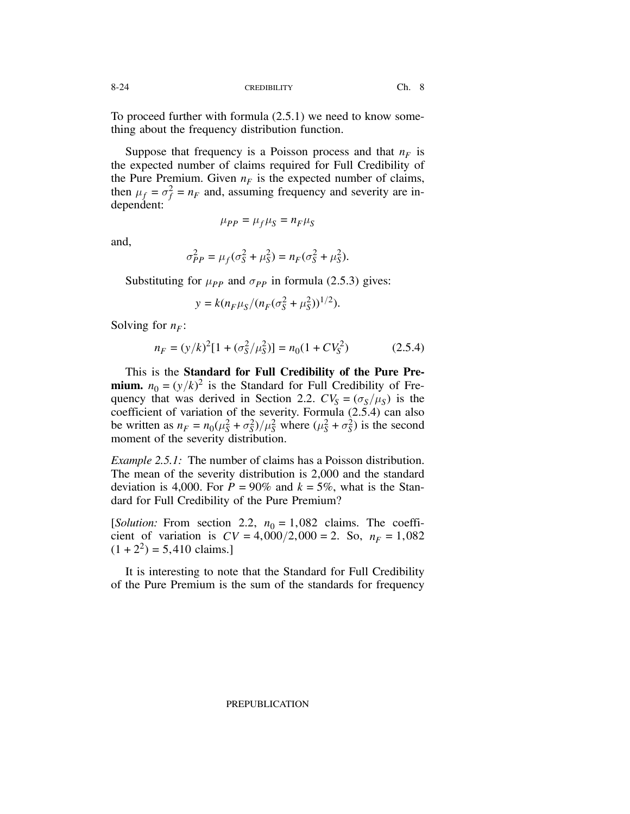To proceed further with formula (2.5.1) we need to know something about the frequency distribution function.

Suppose that frequency is a Poisson process and that  $n_F$  is the expected number of claims required for Full Credibility of the Pure Premium. Given  $n_F$  is the expected number of claims, then  $\mu_f = \sigma_f^2 = n_F$  and, assuming frequency and severity are independent:

$$
\mu_{PP} = \mu_f \mu_S = n_F \mu_S
$$

and,

$$
\sigma_{PP}^2 = \mu_f (\sigma_S^2 + \mu_S^2) = n_F (\sigma_S^2 + \mu_S^2).
$$

Substituting for  $\mu_{PP}$  and  $\sigma_{PP}$  in formula (2.5.3) gives:

$$
y = k(n_F \mu_S/(n_F(\sigma_S^2 + \mu_S^2))^{1/2}).
$$

Solving for  $n_F$ :

$$
n_F = (y/k)^2 [1 + (\sigma_S^2/\mu_S^2)] = n_0 (1 + CV_S^2)
$$
 (2.5.4)

This is the **Standard for Full Credibility of the Pure Premium.**  $n_0 = (y/k)^2$  is the Standard for Full Credibility of Frequency that was derived in Section 2.2.  $CV_s = (\sigma_s/\mu_s)$  is the coefficient of variation of the severity. Formula  $(2.5.4)$  can also be written as  $n_F = n_0(\mu_S^2 + \sigma_S^2)/\mu_S^2$  where  $(\mu_S^2 + \sigma_S^2)$  is the second moment of the severity distribution.

*Example 2.5.1:* The number of claims has a Poisson distribution. The mean of the severity distribution is 2,000 and the standard deviation is 4,000. For  $P = 90\%$  and  $k = 5\%$ , what is the Standard for Full Credibility of the Pure Premium?

[*Solution:* From section 2.2,  $n_0 = 1,082$  claims. The coefficient of variation is  $CV = 4,000/2,000 = 2$ . So,  $n_F = 1,082$  $(1 + 2^2) = 5,410$  claims.]

It is interesting to note that the Standard for Full Credibility of the Pure Premium is the sum of the standards for frequency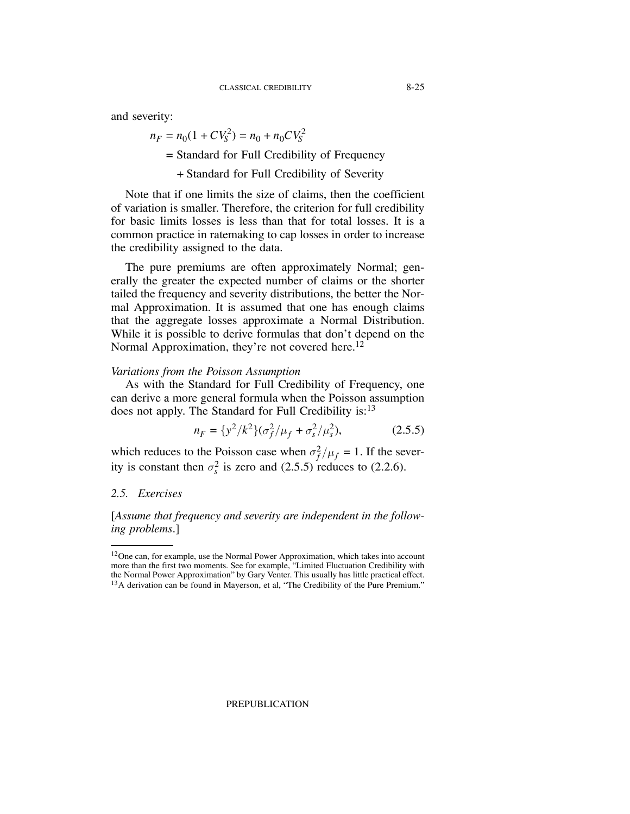and severity:

 $n_F = n_0(1 + CV_S^2) = n_0 + n_0CV_S^2$ 

= Standard for Full Credibility of Frequency

+ Standard for Full Credibility of Severity

Note that if one limits the size of claims, then the coefficient of variation is smaller. Therefore, the criterion for full credibility for basic limits losses is less than that for total losses. It is a common practice in ratemaking to cap losses in order to increase the credibility assigned to the data.

The pure premiums are often approximately Normal; generally the greater the expected number of claims or the shorter tailed the frequency and severity distributions, the better the Normal Approximation. It is assumed that one has enough claims that the aggregate losses approximate a Normal Distribution. While it is possible to derive formulas that don't depend on the Normal Approximation, they're not covered here.<sup>12</sup>

## *Variations from the Poisson Assumption*

As with the Standard for Full Credibility of Frequency, one can derive a more general formula when the Poisson assumption does not apply. The Standard for Full Credibility is:<sup>13</sup>

$$
n_F = \{y^2/k^2\}(\sigma_f^2/\mu_f + \sigma_s^2/\mu_s^2),\tag{2.5.5}
$$

which reduces to the Poisson case when  $\sigma_f^2/\mu_f = 1$ . If the severity is constant then  $\sigma_s^2$  is zero and (2.5.5) reduces to (2.2.6).

## *2.5. Exercises*

[*Assume that frequency and severity are independent in the following problems*.]

<sup>12</sup>One can, for example, use the Normal Power Approximation, which takes into account more than the first two moments. See for example, "Limited Fluctuation Credibility with the Normal Power Approximation" by Gary Venter. This usually has little practical effect. <sup>13</sup>A derivation can be found in Mayerson, et al, "The Credibility of the Pure Premium."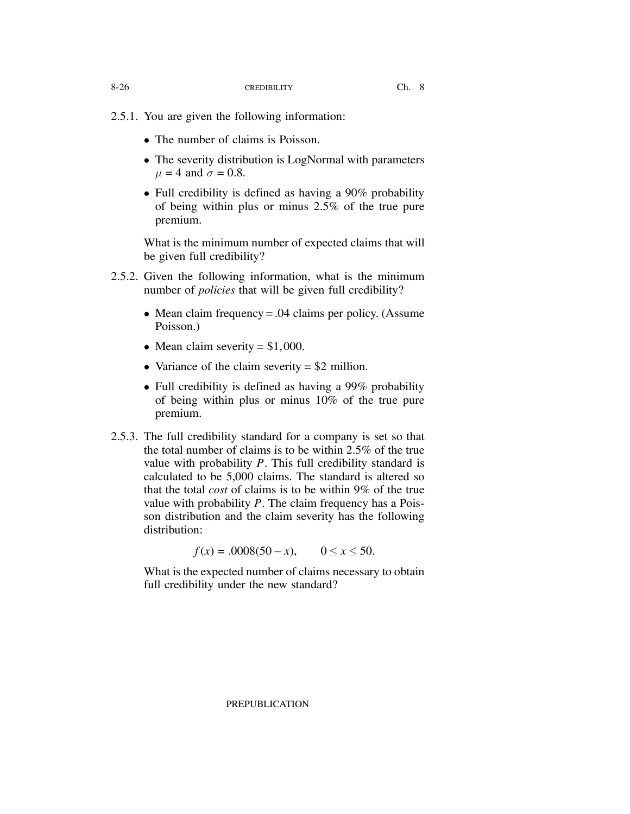2.5.1. You are given the following information:

- The number of claims is Poisson.
- The severity distribution is LogNormal with parameters  $\mu = 4$  and  $\sigma = 0.8$ .
- Full credibility is defined as having a 90% probability of being within plus or minus 2.5% of the true pure premium.

What is the minimum number of expected claims that will be given full credibility?

- 2.5.2. Given the following information, what is the minimum number of *policies* that will be given full credibility?
	- $\bullet$  Mean claim frequency = .04 claims per policy. (Assume Poisson.)
	- Mean claim severity  $= $1,000$ .
	- Variance of the claim severity  $= $2$  million.
	- Full credibility is defined as having a 99% probability of being within plus or minus 10% of the true pure premium.
- 2.5.3. The full credibility standard for a company is set so that the total number of claims is to be within 2.5% of the true value with probability  $P$ . This full credibility standard is calculated to be 5,000 claims. The standard is altered so that the total *cost* of claims is to be within 9% of the true value with probability  $P$ . The claim frequency has a Poisson distribution and the claim severity has the following distribution:

$$
f(x) = .0008(50 - x), \qquad 0 \le x \le 50.
$$

What is the expected number of claims necessary to obtain full credibility under the new standard?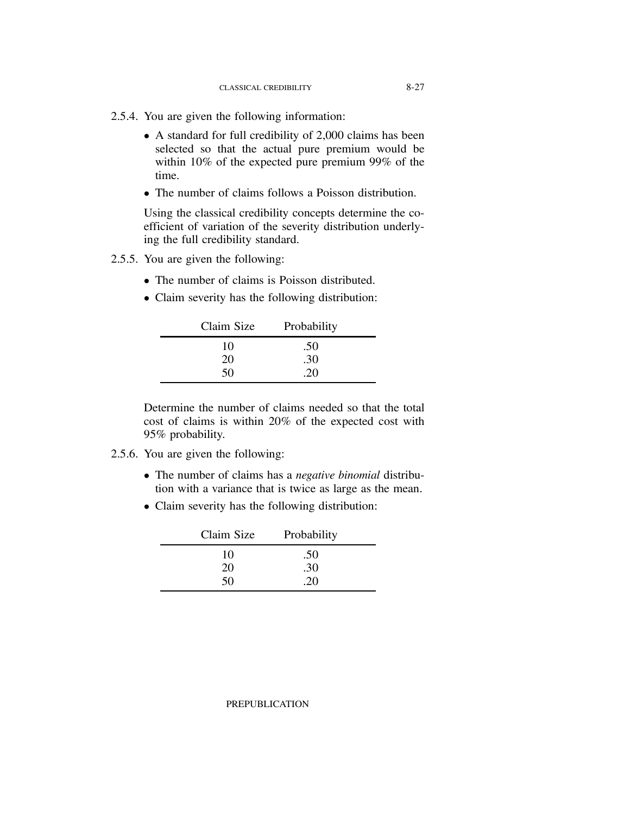2.5.4. You are given the following information:

- A standard for full credibility of 2,000 claims has been selected so that the actual pure premium would be within 10% of the expected pure premium 99% of the time.
- The number of claims follows a Poisson distribution.

Using the classical credibility concepts determine the coefficient of variation of the severity distribution underlying the full credibility standard.

- 2.5.5. You are given the following:
	- The number of claims is Poisson distributed.
	- Claim severity has the following distribution:

| Claim Size | Probability |  |
|------------|-------------|--|
| 10         | .50         |  |
| 20         | .30         |  |
| 50         | 20          |  |

Determine the number of claims needed so that the total cost of claims is within 20% of the expected cost with 95% probability.

- 2.5.6. You are given the following:
	- The number of claims has a *negative binomial* distribution with a variance that is twice as large as the mean.
	- Claim severity has the following distribution:

| Claim Size | Probability   |  |
|------------|---------------|--|
| 10         | .50           |  |
| 20         | .30           |  |
| 50         | $.20^{\circ}$ |  |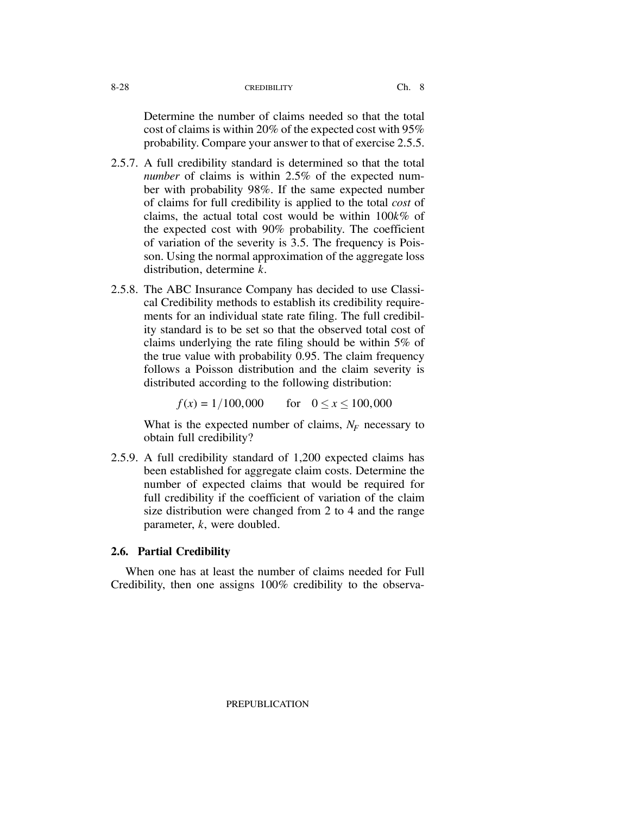Determine the number of claims needed so that the total cost of claims is within 20% of the expected cost with 95% probability. Compare your answer to that of exercise 2.5.5.

- 2.5.7. A full credibility standard is determined so that the total *number* of claims is within 2.5% of the expected number with probability 98%. If the same expected number of claims for full credibility is applied to the total *cost* of claims, the actual total cost would be within  $100k\%$  of the expected cost with 90% probability. The coefficient of variation of the severity is 3.5. The frequency is Poisson. Using the normal approximation of the aggregate loss distribution, determine k.
- 2.5.8. The ABC Insurance Company has decided to use Classical Credibility methods to establish its credibility requirements for an individual state rate filing. The full credibility standard is to be set so that the observed total cost of claims underlying the rate filing should be within 5% of the true value with probability 0.95. The claim frequency follows a Poisson distribution and the claim severity is distributed according to the following distribution:

 $f(x) = 1/100,000$  for  $0 < x < 100,000$ 

What is the expected number of claims,  $N_F$  necessary to obtain full credibility?

2.5.9. A full credibility standard of 1,200 expected claims has been established for aggregate claim costs. Determine the number of expected claims that would be required for full credibility if the coefficient of variation of the claim size distribution were changed from 2 to 4 and the range parameter, k, were doubled.

# **2.6. Partial Credibility**

When one has at least the number of claims needed for Full Credibility, then one assigns 100% credibility to the observa-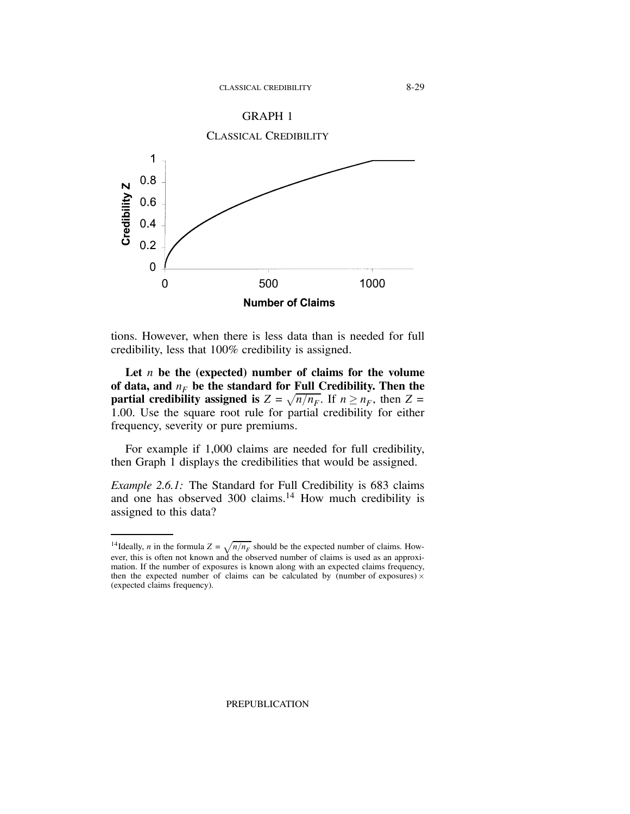

tions. However, when there is less data than is needed for full credibility, less that 100% credibility is assigned.

**Let** n **be the (expected) number of claims for the volume** of data, and  $n_F$  be the standard for Full Credibility. Then the **partial credibility assigned is**  $Z = \sqrt{n/n_F}$ . If  $n \ge n_F$ , then  $Z =$ 1:00. Use the square root rule for partial credibility for either frequency, severity or pure premiums.

For example if 1,000 claims are needed for full credibility, then Graph 1 displays the credibilities that would be assigned.

*Example 2.6.1:* The Standard for Full Credibility is 683 claims and one has observed  $300 \text{ claims.}^{14}$  How much credibility is assigned to this data?

<sup>&</sup>lt;sup>14</sup>Ideally, *n* in the formula  $Z = \sqrt{n/n_F}$  should be the expected number of claims. However, this is often not known and the observed number of claims is used as an approximation. If the number of exposures is known along with an expected claims frequency, then the expected number of claims can be calculated by (number of exposures)  $\times$ (expected claims frequency).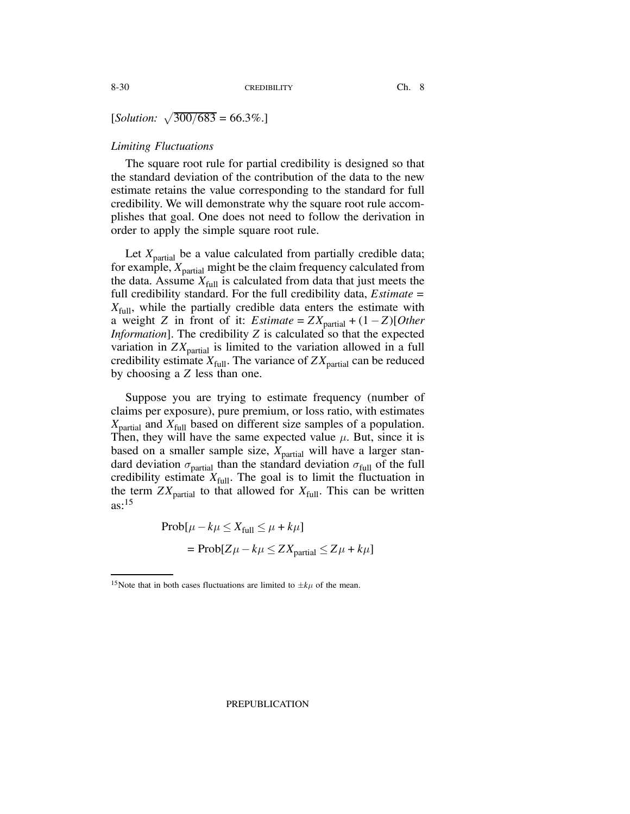[*Solution:*  $\sqrt{300/683} = 66.3\%$ .]

# *Limiting Fluctuations*

The square root rule for partial credibility is designed so that the standard deviation of the contribution of the data to the new estimate retains the value corresponding to the standard for full credibility. We will demonstrate why the square root rule accomplishes that goal. One does not need to follow the derivation in order to apply the simple square root rule.

Let  $X_{\text{partial}}$  be a value calculated from partially credible data; for example,  $X_{\text{partial}}$  might be the claim frequency calculated from the data. Assume  $X_{\text{full}}$  is calculated from data that just meets the full credibility standard. For the full credibility data,  $Estimate =$  $X_{\text{full}}$ , while the partially credible data enters the estimate with a weight Z in front of it: *Estimate* =  $ZX_{\text{partial}} + (1 - Z)[Other$ *Information*]. The credibility Z is calculated so that the expected variation in  $ZX_{\text{partial}}$  is limited to the variation allowed in a full credibility estimate  $X_{full}$ . The variance of  $ZX_{partial}$  can be reduced by choosing a Z less than one.

Suppose you are trying to estimate frequency (number of claims per exposure), pure premium, or loss ratio, with estimates  $X_{\text{partial}}$  and  $X_{\text{full}}$  based on different size samples of a population. Then, they will have the same expected value  $\mu$ . But, since it is based on a smaller sample size,  $X_{partial}$  will have a larger standard deviation  $\sigma_{\text{partial}}$  than the standard deviation  $\sigma_{\text{full}}$  of the full credibility estimate  $X_{\text{full}}$ . The goal is to limit the fluctuation in the term  $ZX_{partial}$  to that allowed for  $X_{full}$ . This can be written  $as:$ <sup>15</sup>

$$
\begin{aligned} \text{Prob}[\mu - k\mu \le X_{\text{full}} \le \mu + k\mu] \\ &= \text{Prob}[Z\mu - k\mu \le ZX_{\text{partial}} \le Z\mu + k\mu] \end{aligned}
$$

<sup>&</sup>lt;sup>15</sup>Note that in both cases fluctuations are limited to  $\pm k\mu$  of the mean.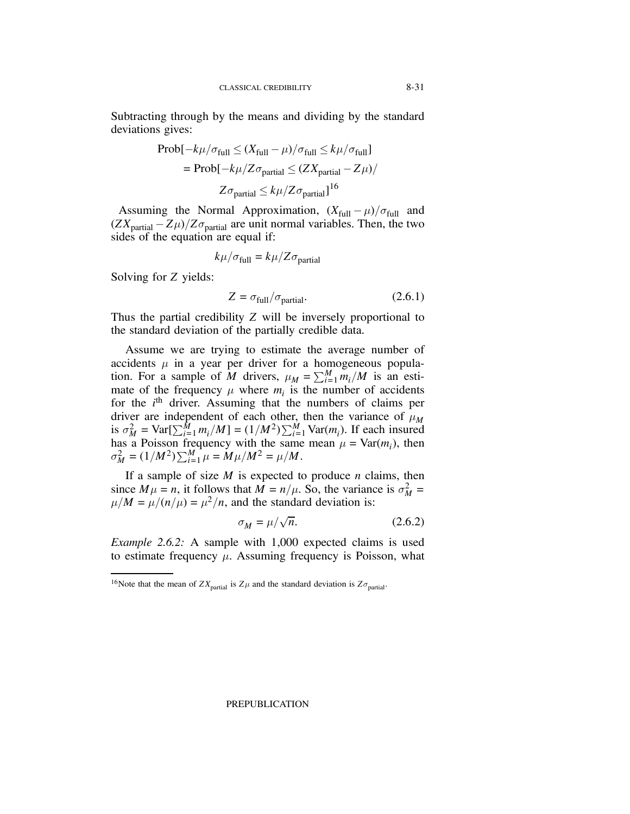Subtracting through by the means and dividing by the standard deviations gives:

$$
\text{Prob}[-k\mu/\sigma_{\text{full}} \le (X_{\text{full}} - \mu)/\sigma_{\text{full}} \le k\mu/\sigma_{\text{full}}]
$$
\n
$$
= \text{Prob}[-k\mu/Z\sigma_{\text{partial}} \le (ZX_{\text{partial}} - Z\mu)/
$$
\n
$$
Z\sigma_{\text{partial}} \le k\mu/Z\sigma_{\text{partial}}]^{16}
$$

Assuming the Normal Approximation,  $(X_{\text{full}} - \mu)/\sigma_{\text{full}}$  and  $(ZX<sub>partial</sub>-Z\mu)/Z\sigma<sub>partial</sub>$  are unit normal variables. Then, the two sides of the equation are equal if:

$$
k\mu/\sigma_{\text{full}} = k\mu/Z\sigma_{\text{partial}}
$$

Solving for Z yields:

$$
Z = \sigma_{\text{full}} / \sigma_{\text{partial}}.\tag{2.6.1}
$$

Thus the partial credibility Z will be inversely proportional to the standard deviation of the partially credible data.

Assume we are trying to estimate the average number of accidents  $\mu$  in a year per driver for a homogeneous population. For a sample of M drivers,  $\mu_M = \sum_{i=1}^M m_i/M$  is an estimate of the frequency  $\mu$  where  $m_i$  is the number of accidents for the  $i<sup>th</sup>$  driver. Assuming that the numbers of claims per driver are independent of each other, then the variance of  $\mu_M$ is  $\sigma_M^2 = \text{Var}[\sum_{i=1}^M m_i/M] = (1/M^2) \sum_{i=1}^M \text{Var}(m_i)$ . If each insured has a Poisson frequency with the same mean  $\mu = \text{Var}(m_i)$ , then  $\sigma_M^2 = (1/M^2) \sum_{i=1}^M \mu = M \mu/M^2 = \mu/M.$ 

If a sample of size  $M$  is expected to produce  $n$  claims, then since  $M\mu = n$ , it follows that  $M = n/\mu$ . So, the variance is  $\sigma_M^2 =$  $\mu/M = \mu/(n/\mu) = \mu^2/n$ , and the standard deviation is:

$$
\sigma_M = \mu / \sqrt{n}.\tag{2.6.2}
$$

*Example 2.6.2:* A sample with 1,000 expected claims is used to estimate frequency  $\mu$ . Assuming frequency is Poisson, what

<sup>&</sup>lt;sup>16</sup>Note that the mean of  $ZX_{\text{partial}}$  is  $Z\mu$  and the standard deviation is  $Z\sigma_{\text{partial}}$ .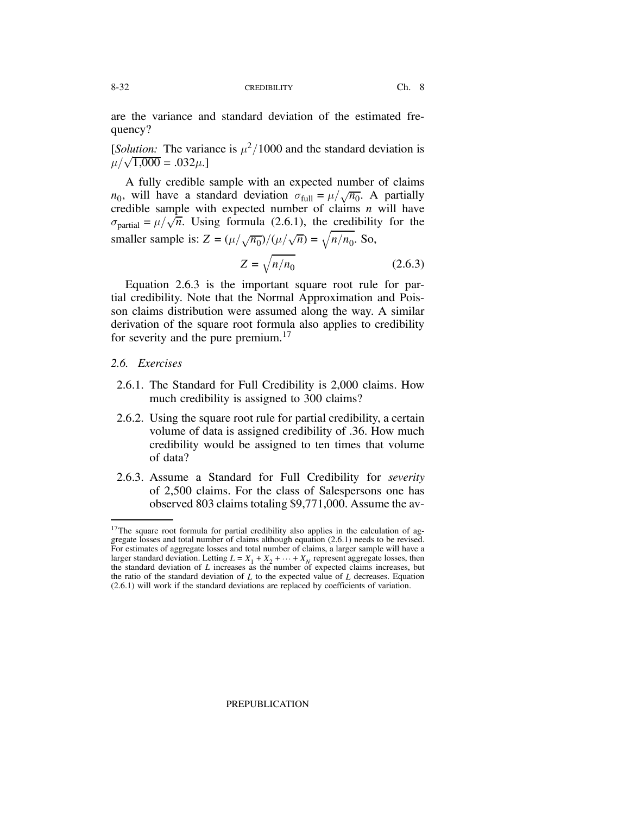are the variance and standard deviation of the estimated frequency?

[*Solution:* The variance is  $\mu^2/1000$  and the standard deviation is  $\mu/\sqrt{1,000} = .032\mu.$ ]

A fully credible sample with an expected number of claims  $n_0$ , will have a standard deviation  $\sigma_{\text{full}} = \mu / \sqrt{n_0}$ . A partially credible sample with expected number of claims  $n$  will have  $\sigma_{\text{partial}} = \mu / \sqrt{n}$ . Using formula (2.6.1), the credibility for the smaller sample is:  $Z = (\mu/\sqrt{n_0})/(\mu/\sqrt{n}) = \sqrt{n/n_0}$ . So,

$$
Z = \sqrt{n/n_0} \tag{2.6.3}
$$

Equation 2.6.3 is the important square root rule for partial credibility. Note that the Normal Approximation and Poisson claims distribution were assumed along the way. A similar derivation of the square root formula also applies to credibility for severity and the pure premium.<sup>17</sup>

## *2.6. Exercises*

- 2.6.1. The Standard for Full Credibility is 2,000 claims. How much credibility is assigned to 300 claims?
- 2.6.2. Using the square root rule for partial credibility, a certain volume of data is assigned credibility of .36. How much credibility would be assigned to ten times that volume of data?
- 2.6.3. Assume a Standard for Full Credibility for *severity* of 2,500 claims. For the class of Salespersons one has observed 803 claims totaling \$9,771,000. Assume the av-

<sup>&</sup>lt;sup>17</sup>The square root formula for partial credibility also applies in the calculation of aggregate losses and total number of claims although equation (2.6.1) needs to be revised. For estimates of aggregate losses and total number of claims, a larger sample will have a larger standard deviation. Letting  $L = X_1 + X_2 + \cdots + X_N$  represent aggregate losses, then the standard deviation of L increases as the number of expected claims increases, but the ratio of the standard deviation of  $L$  to the expected value of  $L$  decreases. Equation (2.6.1) will work if the standard deviations are replaced by coefficients of variation.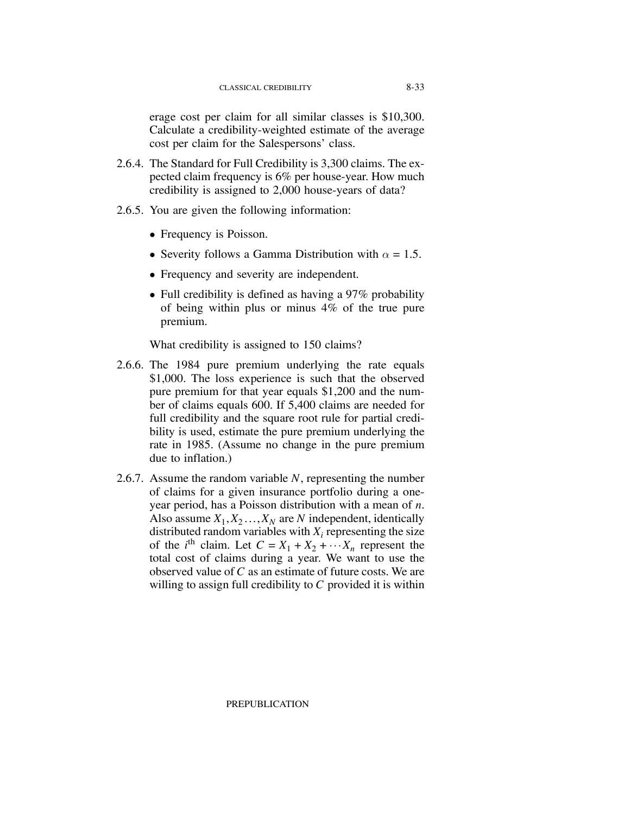erage cost per claim for all similar classes is \$10,300. Calculate a credibility-weighted estimate of the average cost per claim for the Salespersons' class.

- 2.6.4. The Standard for Full Credibility is 3,300 claims. The expected claim frequency is 6% per house-year. How much credibility is assigned to 2,000 house-years of data?
- 2.6.5. You are given the following information:
	- Frequency is Poisson.
	- Severity follows a Gamma Distribution with  $\alpha = 1.5$ .
	- Frequency and severity are independent.
	- Full credibility is defined as having a 97% probability of being within plus or minus 4% of the true pure premium.

What credibility is assigned to 150 claims?

- 2.6.6. The 1984 pure premium underlying the rate equals \$1,000. The loss experience is such that the observed pure premium for that year equals \$1,200 and the number of claims equals 600. If 5,400 claims are needed for full credibility and the square root rule for partial credibility is used, estimate the pure premium underlying the rate in 1985. (Assume no change in the pure premium due to inflation.)
- 2.6.7. Assume the random variable  $N$ , representing the number of claims for a given insurance portfolio during a oneyear period, has a Poisson distribution with a mean of  $n$ . Also assume  $X_1, X_2, \ldots, X_N$  are N independent, identically distributed random variables with  $X_i$  representing the size of the i<sup>th</sup> claim. Let  $C = X_1 + X_2 + \cdots + X_n$  represent the total cost of claims during a year. We want to use the observed value of  $C$  as an estimate of future costs. We are willing to assign full credibility to  $C$  provided it is within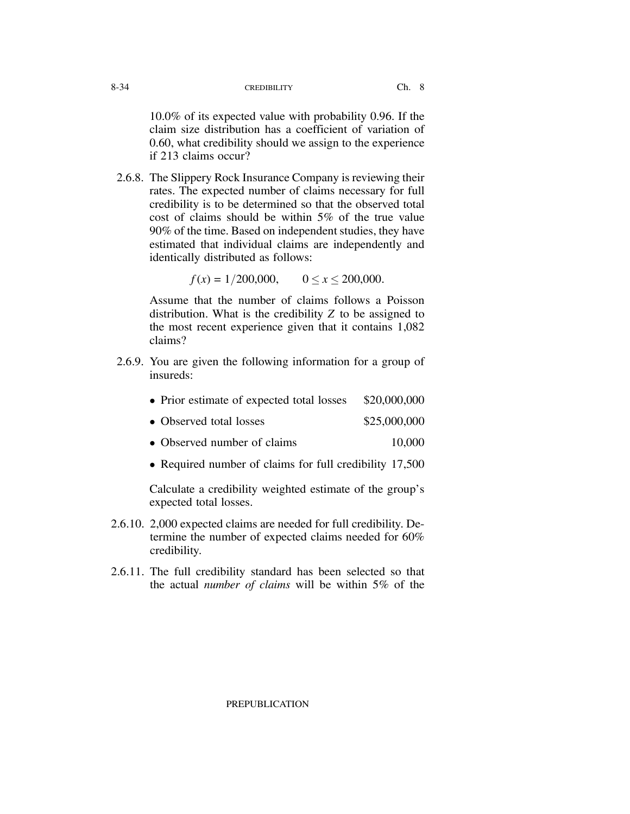10.0% of its expected value with probability 0.96. If the claim size distribution has a coefficient of variation of 0.60, what credibility should we assign to the experience if 213 claims occur?

2.6.8. The Slippery Rock Insurance Company is reviewing their rates. The expected number of claims necessary for full credibility is to be determined so that the observed total cost of claims should be within 5% of the true value 90% of the time. Based on independent studies, they have estimated that individual claims are independently and identically distributed as follows:

 $f(x) = 1/200,000,$   $0 \le x \le 200,000.$ 

Assume that the number of claims follows a Poisson distribution. What is the credibility Z to be assigned to the most recent experience given that it contains 1,082 claims?

- 2.6.9. You are given the following information for a group of insureds:
	- Prior estimate of expected total losses \$20,000,000
	- Observed total losses  $$25,000,000$
	- Observed number of claims 10,000
	- Required number of claims for full credibility 17,500

Calculate a credibility weighted estimate of the group's expected total losses.

- 2.6.10. 2,000 expected claims are needed for full credibility. Determine the number of expected claims needed for 60% credibility.
- 2.6.11. The full credibility standard has been selected so that the actual *number of claims* will be within 5% of the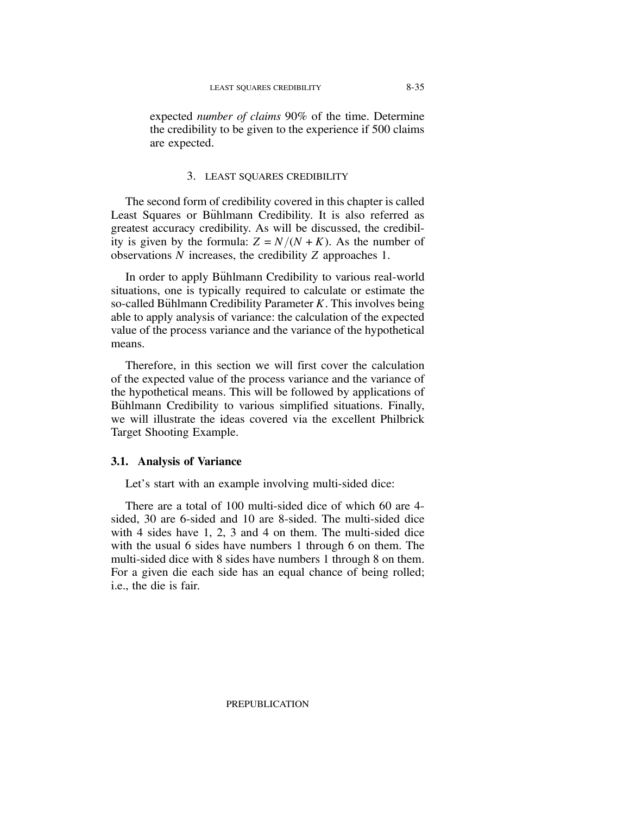expected *number of claims* 90% of the time. Determine the credibility to be given to the experience if 500 claims are expected.

#### 3. LEAST SQUARES CREDIBILITY

The second form of credibility covered in this chapter is called Least Squares or Bühlmann Credibility. It is also referred as greatest accuracy credibility. As will be discussed, the credibility is given by the formula:  $Z = N/(N + K)$ . As the number of observations N increases, the credibility Z approaches 1.

In order to apply Bühlmann Credibility to various real-world situations, one is typically required to calculate or estimate the so-called Bühlmann Credibility Parameter  $K$ . This involves being able to apply analysis of variance: the calculation of the expected value of the process variance and the variance of the hypothetical means.

Therefore, in this section we will first cover the calculation of the expected value of the process variance and the variance of the hypothetical means. This will be followed by applications of Bühlmann Credibility to various simplified situations. Finally, we will illustrate the ideas covered via the excellent Philbrick Target Shooting Example.

## **3.1. Analysis of Variance**

Let's start with an example involving multi-sided dice:

There are a total of 100 multi-sided dice of which 60 are 4 sided, 30 are 6-sided and 10 are 8-sided. The multi-sided dice with 4 sides have 1, 2, 3 and 4 on them. The multi-sided dice with the usual 6 sides have numbers 1 through 6 on them. The multi-sided dice with 8 sides have numbers 1 through 8 on them. For a given die each side has an equal chance of being rolled; i.e., the die is fair.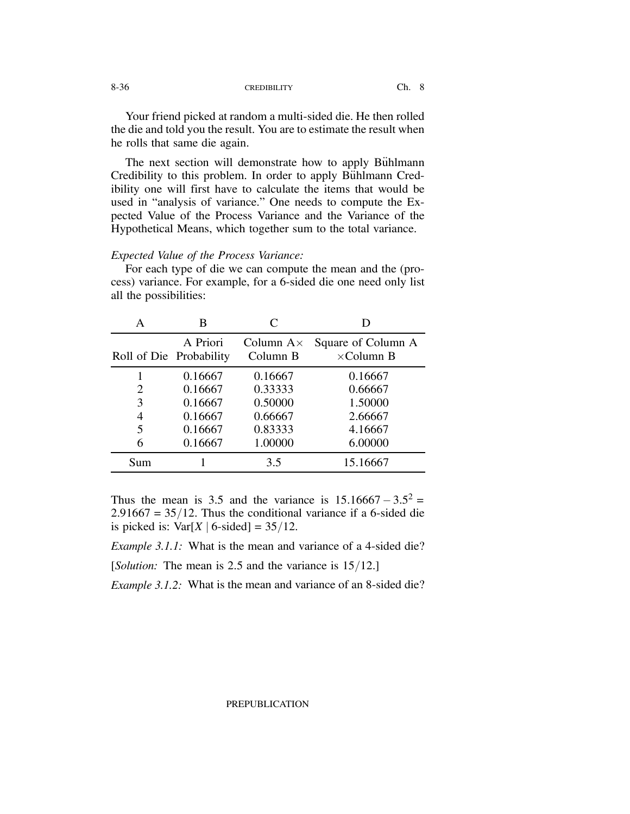| 8-36 | <b>CREDIBILITY</b> | Ch. |  |
|------|--------------------|-----|--|
|      |                    |     |  |

Your friend picked at random a multi-sided die. He then rolled the die and told you the result. You are to estimate the result when he rolls that same die again.

The next section will demonstrate how to apply Bühlmann Credibility to this problem. In order to apply Bühlmann Credibility one will first have to calculate the items that would be used in "analysis of variance." One needs to compute the Expected Value of the Process Variance and the Variance of the Hypothetical Means, which together sum to the total variance.

## *Expected Value of the Process Variance:*

For each type of die we can compute the mean and the (process) variance. For example, for a 6-sided die one need only list all the possibilities:

|                             | B        |                               |                                         |
|-----------------------------|----------|-------------------------------|-----------------------------------------|
| Roll of Die Probability     | A Priori | Column $A \times$<br>Column B | Square of Column A<br>$\times$ Column B |
|                             | 0.16667  | 0.16667                       | 0.16667                                 |
| $\mathcal{D}_{\mathcal{L}}$ | 0.16667  | 0.33333                       | 0.66667                                 |
| 3                           | 0.16667  | 0.50000                       | 1.50000                                 |
| 4                           | 0.16667  | 0.66667                       | 2.66667                                 |
| 5                           | 0.16667  | 0.83333                       | 4.16667                                 |
|                             | 0.16667  | 1.00000                       | 6.00000                                 |
| Sum                         |          | 3.5                           | 15.16667                                |

Thus the mean is 3.5 and the variance is  $15.16667 - 3.5^2 =$  $2.91667 = 35/12$ . Thus the conditional variance if a 6-sided die is picked is:  $Var[X | 6\text{-sided}] = 35/12$ .

*Example 3.1.1:* What is the mean and variance of a 4-sided die?

[*Solution:* The mean is 2.5 and the variance is 15/12.]

*Example 3.1.2:* What is the mean and variance of an 8-sided die?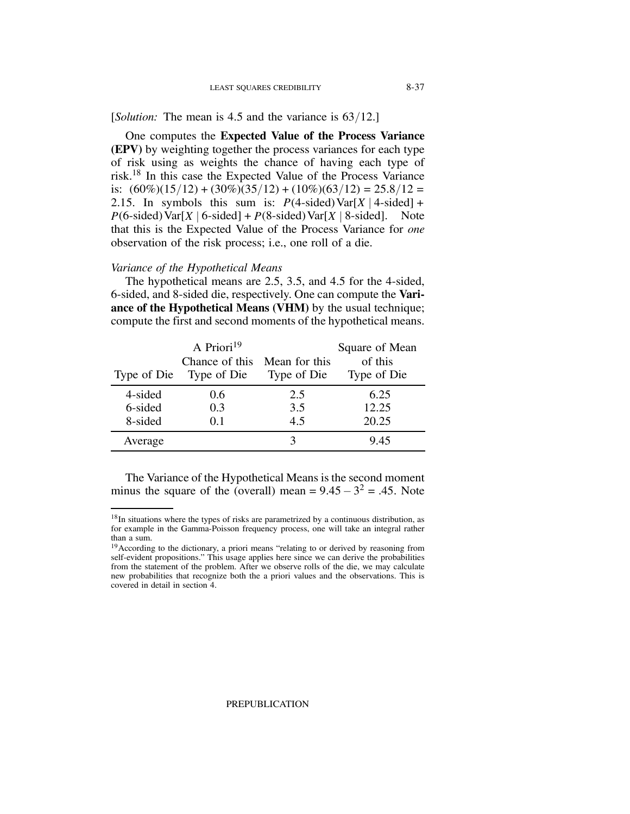[*Solution:* The mean is 4.5 and the variance is 63/12.]

One computes the **Expected Value of the Process Variance (EPV)** by weighting together the process variances for each type of risk using as weights the chance of having each type of risk.18 In this case the Expected Value of the Process Variance is:  $(60\%)(15/12) + (30\%)(35/12) + (10\%)(63/12) = 25.8/12 =$ 2.15. In symbols this sum is:  $P(4\text{-sided})\text{Var}[X \mid 4\text{-sided}] +$  $P(6\text{-sided})\text{Var}[X \mid 6\text{-sided}] + P(8\text{-sided})\text{Var}[X \mid 8\text{-sided}].$  Note that this is the Expected Value of the Process Variance for *one* observation of the risk process; i.e., one roll of a die.

#### *Variance of the Hypothetical Means*

The hypothetical means are 2.5, 3.5, and 4.5 for the 4-sided, 6-sided, and 8-sided die, respectively. One can compute the **Variance of the Hypothetical Means (VHM)** by the usual technique; compute the first and second moments of the hypothetical means.

|             | A Priori $^{19}$ |               | Square of Mean |
|-------------|------------------|---------------|----------------|
|             | Chance of this   | Mean for this | of this        |
| Type of Die | Type of Die      | Type of Die   | Type of Die    |
| 4-sided     | 0.6              | 2.5           | 6.25           |
| 6-sided     | 0.3              | 3.5           | 12.25          |
| 8-sided     | 0 <sub>1</sub>   | 4.5           | 20.25          |
| Average     |                  | 3             | 945            |

The Variance of the Hypothetical Means is the second moment minus the square of the (overall) mean =  $9.45 - 3^2 = .45$ . Note

<sup>&</sup>lt;sup>18</sup>In situations where the types of risks are parametrized by a continuous distribution, as for example in the Gamma-Poisson frequency process, one will take an integral rather than a sum.

<sup>&</sup>lt;sup>19</sup> According to the dictionary, a priori means "relating to or derived by reasoning from self-evident propositions." This usage applies here since we can derive the probabilities from the statement of the problem. After we observe rolls of the die, we may calculate new probabilities that recognize both the a priori values and the observations. This is covered in detail in section 4.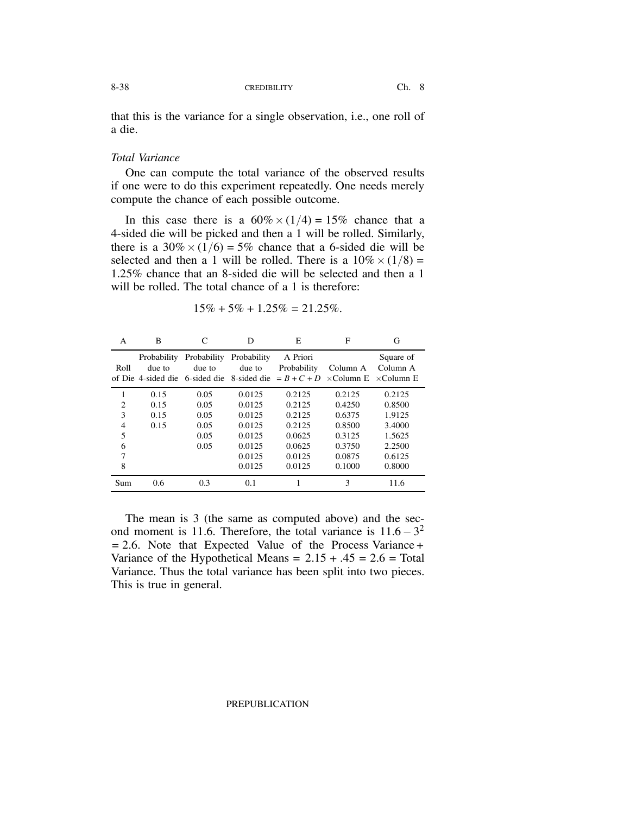that this is the variance for a single observation, i.e., one roll of a die.

# *Total Variance*

One can compute the total variance of the observed results if one were to do this experiment repeatedly. One needs merely compute the chance of each possible outcome.

In this case there is a  $60\% \times (1/4) = 15\%$  chance that a 4-sided die will be picked and then a 1 will be rolled. Similarly, there is a  $30\% \times (1/6) = 5\%$  chance that a 6-sided die will be selected and then a 1 will be rolled. There is a  $10\% \times (1/8) =$ 1:25% chance that an 8-sided die will be selected and then a 1 will be rolled. The total chance of a 1 is therefore:

$$
15\% + 5\% + 1.25\% = 21.25\%.
$$

| A    | B                     |                       | D                     | E                                                                                                   | F        | G                                          |
|------|-----------------------|-----------------------|-----------------------|-----------------------------------------------------------------------------------------------------|----------|--------------------------------------------|
| Roll | Probability<br>due to | Probability<br>due to | Probability<br>due to | A Priori<br>Probability<br>of Die 4-sided die 6-sided die 8-sided die = $B + C + D \times$ Column E | Column A | Square of<br>Column A<br>$\times$ Column E |
|      | 0.15                  | 0.05                  | 0.0125                | 0.2125                                                                                              | 0.2125   | 0.2125                                     |
| 2    | 0.15                  | 0.05                  | 0.0125                | 0.2125                                                                                              | 0.4250   | 0.8500                                     |
| 3    | 0.15                  | 0.05                  | 0.0125                | 0.2125                                                                                              | 0.6375   | 1.9125                                     |
| 4    | 0.15                  | 0.05                  | 0.0125                | 0.2125                                                                                              | 0.8500   | 3.4000                                     |
| 5    |                       | 0.05                  | 0.0125                | 0.0625                                                                                              | 0.3125   | 1.5625                                     |
| 6    |                       | 0.05                  | 0.0125                | 0.0625                                                                                              | 0.3750   | 2.2500                                     |
| 7    |                       |                       | 0.0125                | 0.0125                                                                                              | 0.0875   | 0.6125                                     |
| 8    |                       |                       | 0.0125                | 0.0125                                                                                              | 0.1000   | 0.8000                                     |
| Sum  | 0.6                   | 0.3                   | 0.1                   |                                                                                                     | 3        | 11.6                                       |

The mean is 3 (the same as computed above) and the second moment is 11.6. Therefore, the total variance is  $11.6 - 3^2$  $= 2.6$ . Note that Expected Value of the Process Variance + Variance of the Hypothetical Means =  $2.15 + .45 = 2.6$  = Total Variance. Thus the total variance has been split into two pieces. This is true in general.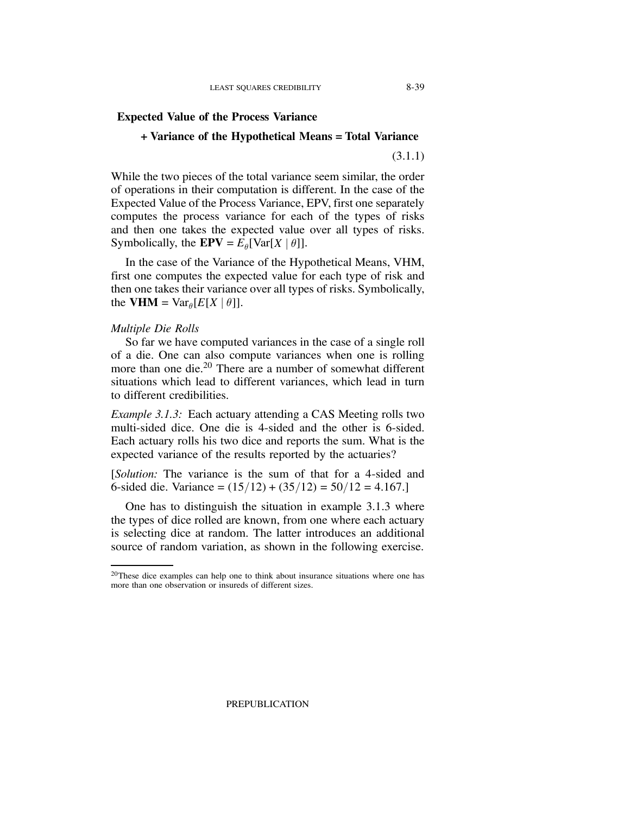### **Expected Value of the Process Variance**

# **+ Variance of the Hypothetical Means = Total Variance**

(3.1.1)

While the two pieces of the total variance seem similar, the order of operations in their computation is different. In the case of the Expected Value of the Process Variance, EPV, first one separately computes the process variance for each of the types of risks and then one takes the expected value over all types of risks. Symbolically, the **EPV** =  $E_{\theta}$ [Var[X |  $\theta$ ]].

In the case of the Variance of the Hypothetical Means, VHM, first one computes the expected value for each type of risk and then one takes their variance over all types of risks. Symbolically, the **VHM** =  $Var_{\theta}[E[X | \theta]].$ 

### *Multiple Die Rolls*

So far we have computed variances in the case of a single roll of a die. One can also compute variances when one is rolling more than one die.<sup>20</sup> There are a number of somewhat different situations which lead to different variances, which lead in turn to different credibilities.

*Example 3.1.3:* Each actuary attending a CAS Meeting rolls two multi-sided dice. One die is 4-sided and the other is 6-sided. Each actuary rolls his two dice and reports the sum. What is the expected variance of the results reported by the actuaries?

[*Solution:* The variance is the sum of that for a 4-sided and 6-sided die. Variance =  $(15/12) + (35/12) = 50/12 = 4.167$ .]

One has to distinguish the situation in example 3.1.3 where the types of dice rolled are known, from one where each actuary is selecting dice at random. The latter introduces an additional source of random variation, as shown in the following exercise.

<sup>20</sup>These dice examples can help one to think about insurance situations where one has more than one observation or insureds of different sizes.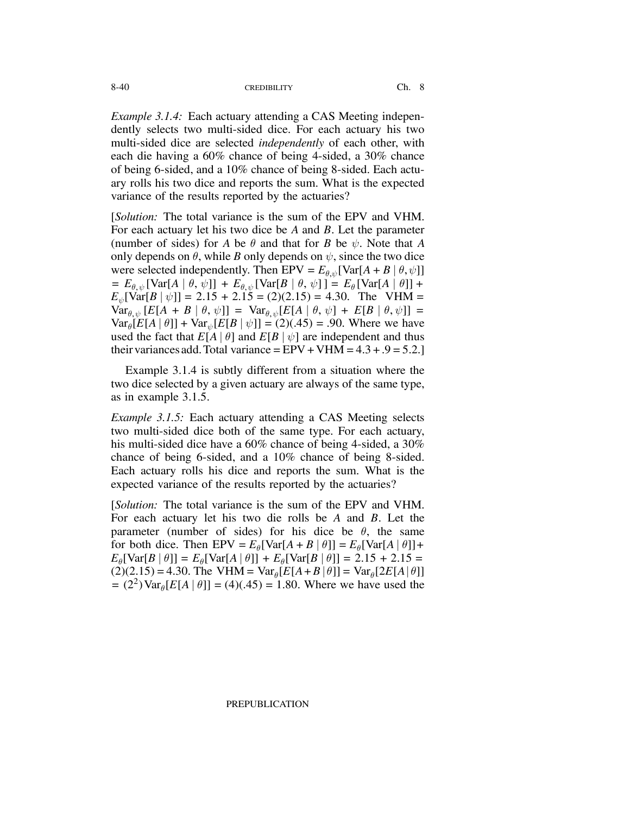*Example 3.1.4:* Each actuary attending a CAS Meeting independently selects two multi-sided dice. For each actuary his two multi-sided dice are selected *independently* of each other, with each die having a 60% chance of being 4-sided, a 30% chance of being 6-sided, and a 10% chance of being 8-sided. Each actuary rolls his two dice and reports the sum. What is the expected variance of the results reported by the actuaries?

[*Solution:* The total variance is the sum of the EPV and VHM. For each actuary let his two dice be A and B. Let the parameter (number of sides) for A be  $\theta$  and that for B be  $\psi$ . Note that A only depends on  $\theta$ , while B only depends on  $\psi$ , since the two dice were selected independently. Then EPV =  $E_{\theta,\psi}$ [Var[A + B |  $\theta,\psi$ ]]  $= E_{\theta, \psi}[\text{Var}[A \mid \theta, \psi]] + E_{\theta, \psi}[\text{Var}[B \mid \theta, \psi]] = E_{\theta}[\text{Var}[A \mid \theta]] +$  $E_{\psi}$ [Var[*B* |  $\psi$ ]] = 2.15 + 2.15 = (2)(2.15) = 4.30. The VHM =  $Var_{\theta, \psi} [E[A + B | \theta, \psi]] = Var_{\theta, \psi} [E[A | \theta, \psi] + E[B | \theta, \psi]]$  =  $Var_{\theta}[E[A | \theta]] + Var_{\psi}[E[B | \psi]] = (2)(.45) = .90$ . Where we have used the fact that  $E[A | \theta]$  and  $E[B | \psi]$  are independent and thus their variances add. Total variance =  $EPV + VHM = 4.3 + .9 = 5.2$ .

Example 3.1.4 is subtly different from a situation where the two dice selected by a given actuary are always of the same type, as in example 3.1.5.

*Example 3.1.5:* Each actuary attending a CAS Meeting selects two multi-sided dice both of the same type. For each actuary, his multi-sided dice have a 60% chance of being 4-sided, a 30% chance of being 6-sided, and a 10% chance of being 8-sided. Each actuary rolls his dice and reports the sum. What is the expected variance of the results reported by the actuaries?

[*Solution:* The total variance is the sum of the EPV and VHM. For each actuary let his two die rolls be A and B. Let the parameter (number of sides) for his dice be  $\theta$ , the same for both dice. Then EPV =  $E_{\theta}[\text{Var}[A + B | \theta]] = E_{\theta}[\text{Var}[A | \theta]] +$  $E_{\theta}[\text{Var}[B | \theta]] = E_{\theta}[\text{Var}[A | \theta]] + E_{\theta}[\text{Var}[B | \theta]] = 2.15 + 2.15 =$  $(2)(2.15) = 4.30$ . The VHM = Var<sub> $\rho$ </sub>[ $E[A + B | \theta]$ ] = Var $_{\rho}$ [2 $E[A | \theta]$ ]  $= (2^2) \text{Var}_{\theta}[E[A | \theta]] = (4)(.45) = 1.80$ . Where we have used the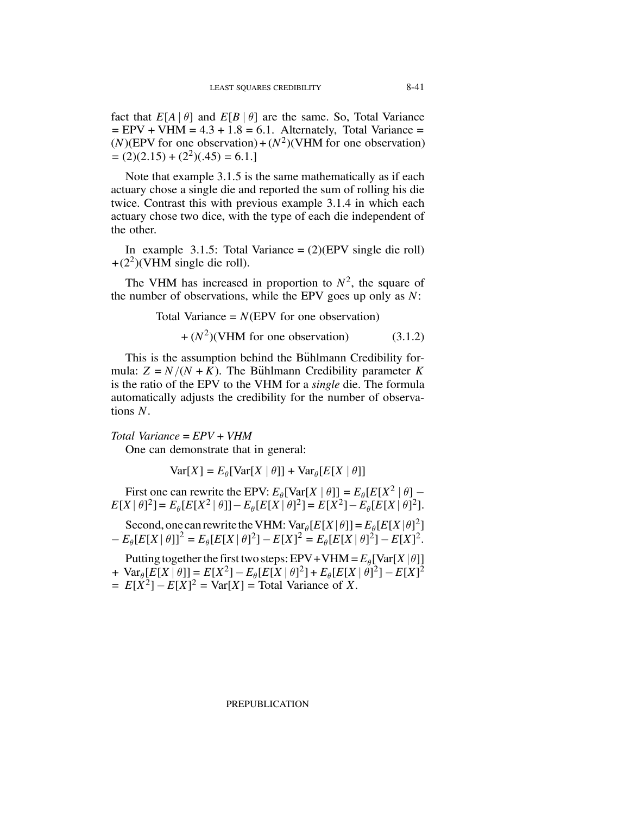fact that  $E[A | \theta]$  and  $E[B | \theta]$  are the same. So, Total Variance  $=$  EPV + VHM =  $4.3 + 1.8 = 6.1$ . Alternately, Total Variance =  $(N)(EPV)$  for one observation) +  $(N^2)(VHM)$  for one observation)  $= (2)(2.15) + (2<sup>2</sup>)(.45) = 6.1.$ 

Note that example 3.1.5 is the same mathematically as if each actuary chose a single die and reported the sum of rolling his die twice. Contrast this with previous example 3.1.4 in which each actuary chose two dice, with the type of each die independent of the other.

In example 3.1.5: Total Variance  $= (2)(EPV \sin \theta)$  die roll)  $+(2^2)$ (VHM single die roll).

The VHM has increased in proportion to  $N^2$ , the square of the number of observations, while the EPV goes up only as  $N$ :

Total Variance =  $N(EPV)$  for one observation)

 $+(N^2)(VHM$  for one observation) (3.1.2)

This is the assumption behind the Buhlmann Credibility formula:  $Z = N/(N + K)$ . The Buhlmann Credibility parameter K is the ratio of the EPV to the VHM for a *single* die. The formula automatically adjusts the credibility for the number of observations N.

*Total Variance = EPV + VHM*

One can demonstrate that in general:

 $Var[X] = E_{\theta} [Var[X | \theta]] + Var_{\theta} [E[X | \theta]]$ 

First one can rewrite the EPV:  $E_{\theta}$ [Var[X |  $\theta$ ]] =  $E_{\theta}$ [E[X<sup>2</sup> |  $\theta$ ] –  $E[X | \theta]^2] = E_{\theta}[E[X^2 | \theta]] - E_{\theta}[E[X | \theta]^2] = E[X^2] - E_{\theta}[E[X | \theta]^2].$ 

Second, one can rewrite the VHM:  $Var_{\theta}[E[X|\theta]] = E_{\theta}[E[X|\theta]^2]$  $-E_{\theta}[E[X | \theta]]^2 = E_{\theta}[E[X | \theta]^2] - E[X]^2 = E_{\theta}[E[X | \theta]^2] - E[X]^2$ .

Putting together the first two steps: EPV + VHM =  $E_{\theta}$ [Var[X  $|\theta$ ]] + Var<sub> $\theta$ </sub> $[E[X | \theta]] = E[X^2] - E_{\theta} [E[X | \theta]^2] + E_{\theta} [E[X | \theta]^2] - E[X]^2$  $= E[X^2] - E[X]^2 = \text{Var}[X] = \text{Total Variance of } X.$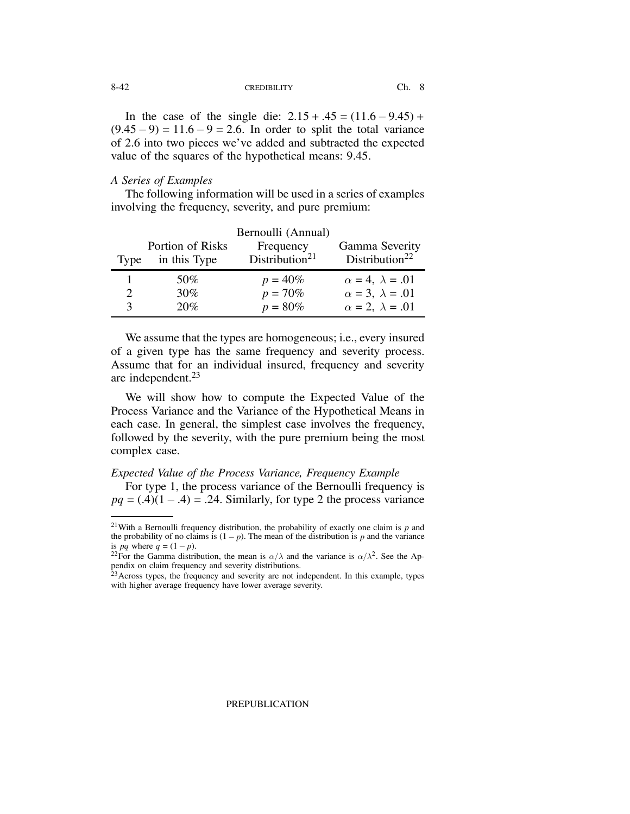In the case of the single die:  $2.15 + .45 = (11.6 - 9.45) +$  $(9.45 - 9) = 11.6 - 9 = 2.6$ . In order to split the total variance of 2.6 into two pieces we've added and subtracted the expected value of the squares of the hypothetical means: 9.45.

# *A Series of Examples*

The following information will be used in a series of examples involving the frequency, severity, and pure premium:

|                             |                  | Bernoulli (Annual)         |                                |
|-----------------------------|------------------|----------------------------|--------------------------------|
|                             | Portion of Risks | Frequency                  | Gamma Severity                 |
| Type                        | in this Type     | Distribution <sup>21</sup> | Distribution <sup>22</sup>     |
|                             | 50%              | $p = 40\%$                 | $\alpha = 4$ , $\lambda = .01$ |
| $\mathcal{D}_{\mathcal{L}}$ | $30\%$           | $p = 70\%$                 | $\alpha = 3$ , $\lambda = .01$ |
| 3                           | 20%              | $p = 80\%$                 | $\alpha = 2$ , $\lambda = .01$ |

We assume that the types are homogeneous; i.e., every insured of a given type has the same frequency and severity process. Assume that for an individual insured, frequency and severity are independent.<sup>23</sup>

We will show how to compute the Expected Value of the Process Variance and the Variance of the Hypothetical Means in each case. In general, the simplest case involves the frequency, followed by the severity, with the pure premium being the most complex case.

# *Expected Value of the Process Variance, Frequency Example*

For type 1, the process variance of the Bernoulli frequency is  $pq = (.4)(1 - .4) = .24$ . Similarly, for type 2 the process variance

<sup>&</sup>lt;sup>21</sup>With a Bernoulli frequency distribution, the probability of exactly one claim is  $p$  and the probability of no claims is  $(1 - p)$ . The mean of the distribution is p and the variance is pq where  $q = (1 - p)$ .

<sup>&</sup>lt;sup>22</sup>For the Gamma distribution, the mean is  $\alpha/\lambda$  and the variance is  $\alpha/\lambda^2$ . See the Appendix on claim frequency and severity distributions.

 $2<sup>23</sup>$  Across types, the frequency and severity are not independent. In this example, types with higher average frequency have lower average severity.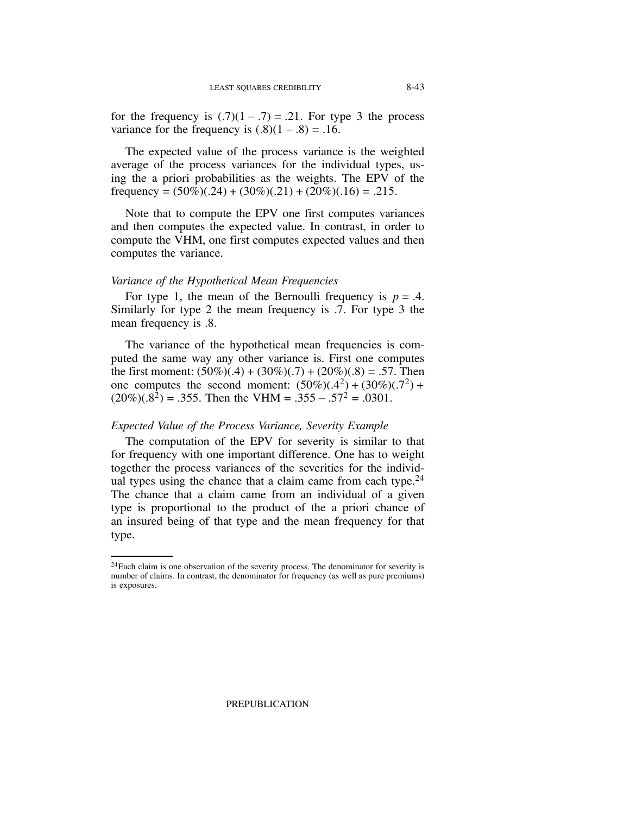for the frequency is  $(.7)(1-.7) = .21$ . For type 3 the process variance for the frequency is  $(.8)(1-.8) = .16$ .

The expected value of the process variance is the weighted average of the process variances for the individual types, using the a priori probabilities as the weights. The EPV of the frequency =  $(50\%)$ (.24) +  $(30\%)$ (.21) +  $(20\%)$ (.16) = .215.

Note that to compute the EPV one first computes variances and then computes the expected value. In contrast, in order to compute the VHM, one first computes expected values and then computes the variance.

### *Variance of the Hypothetical Mean Frequencies*

For type 1, the mean of the Bernoulli frequency is  $p = .4$ . Similarly for type 2 the mean frequency is .7. For type 3 the mean frequency is .8.

The variance of the hypothetical mean frequencies is computed the same way any other variance is. First one computes the first moment:  $(50\%)(.4) + (30\%)(.7) + (20\%)(.8) = .57$ . Then one computes the second moment:  $(50\%)(.4^2) + (30\%)(.7^2) +$  $(20\%)(.8^{2}) = .355$ . Then the VHM =  $.355 - .57^{2} = .0301$ .

# *Expected Value of the Process Variance, Severity Example*

The computation of the EPV for severity is similar to that for frequency with one important difference. One has to weight together the process variances of the severities for the individual types using the chance that a claim came from each type.<sup>24</sup> The chance that a claim came from an individual of a given type is proportional to the product of the a priori chance of an insured being of that type and the mean frequency for that type.

 $24$ Each claim is one observation of the severity process. The denominator for severity is number of claims. In contrast, the denominator for frequency (as well as pure premiums) is exposures.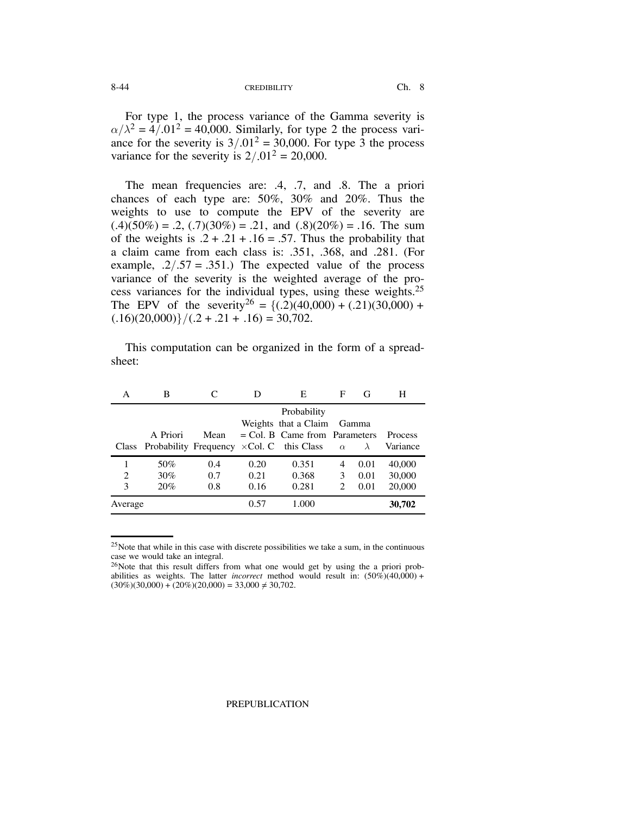8-44 CREDIBILITY Ch. 8

For type 1, the process variance of the Gamma severity is  $\alpha/\lambda^2 = 4/.01^2 = 40,000$ . Similarly, for type 2 the process variance for the severity is  $3/.01<sup>2</sup> = 30,000$ . For type 3 the process variance for the severity is  $2/.01^2 = 20,000$ .

The mean frequencies are: .4, .7, and .8. The a priori chances of each type are: 50%, 30% and 20%. Thus the weights to use to compute the EPV of the severity are  $(.4)(50\%) = .2, (.7)(30\%) = .21, and (.8)(20\%) = .16. The sum$ of the weights is  $.2 + .21 + .16 = .57$ . Thus the probability that a claim came from each class is: .351, .368, and .281. (For example,  $.2/.57 = .351.$  The expected value of the process variance of the severity is the weighted average of the process variances for the individual types, using these weights.25 The EPV of the severity<sup>26</sup> = { $(.2)(40,000) + (.21)(30,000) +$  $(0.16)(20,000)$ ]/ $(0.2 + 0.21 + 0.16) = 30,702$ .

This computation can be organized in the form of a spreadsheet:

|                | в                           |      | D    | E                               | F             | G         | H              |
|----------------|-----------------------------|------|------|---------------------------------|---------------|-----------|----------------|
|                |                             |      |      | Probability                     |               |           |                |
|                |                             |      |      | Weights that a Claim            |               | Gamma     |                |
|                | A Priori                    | Mean |      | $=$ Col. B Came from Parameters |               |           | <b>Process</b> |
|                | Class Probability Frequency |      |      | $\times$ Col. C this Class      | $\alpha$      | $\lambda$ | Variance       |
|                | 50%                         | 0.4  | 0.20 | 0.351                           | 4             | 0.01      | 40,000         |
| $\overline{c}$ | 30%                         | 0.7  | 0.21 | 0.368                           | 3             | 0.01      | 30,000         |
| 3              | 20%                         | 0.8  | 0.16 | 0.281                           | $\mathcal{P}$ | 0.01      | 20,000         |
| Average        |                             |      | 0.57 | 1.000                           |               |           | 30,702         |

 $25$ Note that while in this case with discrete possibilities we take a sum, in the continuous case we would take an integral.

<sup>&</sup>lt;sup>26</sup>Note that this result differs from what one would get by using the a priori probabilities as weights. The latter *incorrect* method would result in:  $(50\%)$  $(40,000)$  +  $(30\%)(30,000) + (20\%)(20,000) = 33,000 \neq 30,702.$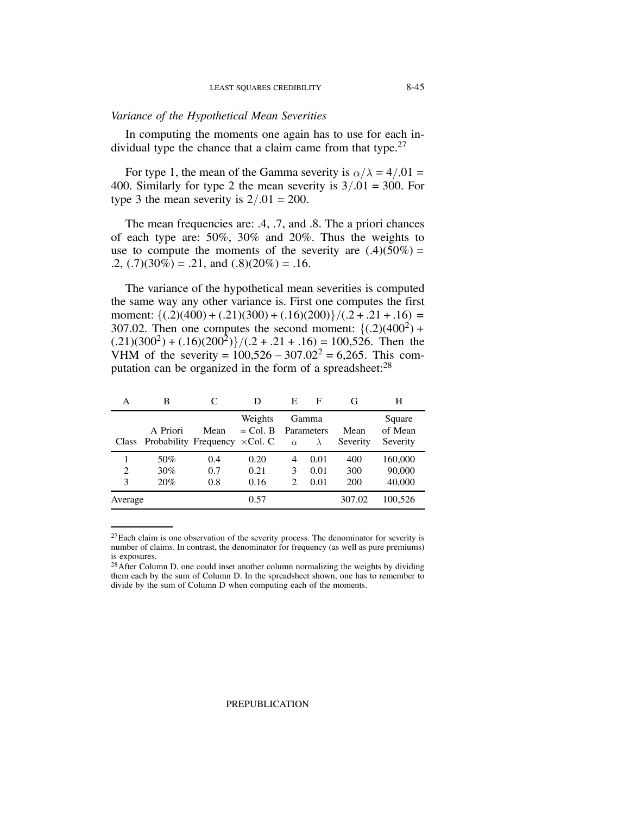#### *Variance of the Hypothetical Mean Severities*

In computing the moments one again has to use for each individual type the chance that a claim came from that type. $27$ 

For type 1, the mean of the Gamma severity is  $\alpha/\lambda = 4/0.01$  = 400. Similarly for type 2 the mean severity is  $3/.01 = 300$ . For type 3 the mean severity is  $2/.01 = 200$ .

The mean frequencies are: .4, .7, and .8. The a priori chances of each type are: 50%, 30% and 20%. Thus the weights to use to compute the moments of the severity are  $(.4)(50\%) =$  $.2, (.7)(30\%) = .21, and (.8)(20\%) = .16.$ 

The variance of the hypothetical mean severities is computed the same way any other variance is. First one computes the first moment:  $\{(2)(400) + (0.21)(300) + (0.16)(200)\}/(0.2 + 0.21 + 0.16) =$ 307.02. Then one computes the second moment:  $\{(2)(400^2) +$  $(0.21)(300^2) + (0.16)(200^2)$ ]/ $(0.2 + 0.21 + 0.16) = 100,526$ . Then the VHM of the severity =  $100,526 - 307.02^2 = 6,265$ . This computation can be organized in the form of a spreadsheet: $^{28}$ 

| А            | в                                 |      | D                                        | E             | F                                | G                | H                             |
|--------------|-----------------------------------|------|------------------------------------------|---------------|----------------------------------|------------------|-------------------------------|
| <b>Class</b> | A Priori<br>Probability Frequency | Mean | Weights<br>$=$ Col. B<br>$\times$ Col. C | $\alpha$      | Gamma<br>Parameters<br>$\lambda$ | Mean<br>Severity | Square<br>of Mean<br>Severity |
|              | 50%                               | 0.4  | 0.20                                     | 4             | 0.01                             | 400              | 160,000                       |
| 2            | 30%                               | 0.7  | 0.21                                     | 3             | 0.01                             | 300              | 90,000                        |
| 3            | 20%                               | 0.8  | 0.16                                     | $\mathcal{D}$ | 0.01                             | 200              | 40,000                        |
| Average      |                                   |      | 0.57                                     |               |                                  | 307.02           | 100,526                       |

 $27$ Each claim is one observation of the severity process. The denominator for severity is number of claims. In contrast, the denominator for frequency (as well as pure premiums) is exposures.

<sup>&</sup>lt;sup>28</sup>After Column D, one could inset another column normalizing the weights by dividing them each by the sum of Column D. In the spreadsheet shown, one has to remember to divide by the sum of Column D when computing each of the moments.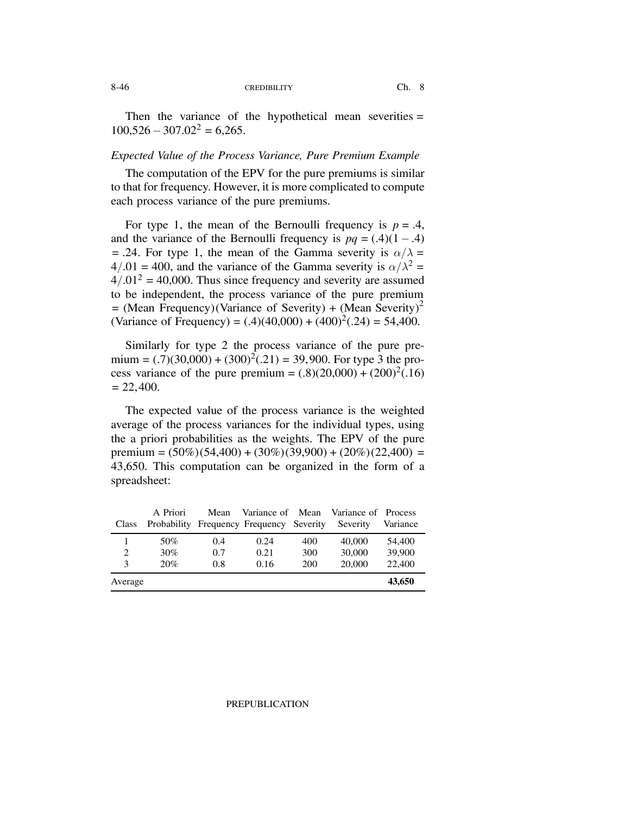Then the variance of the hypothetical mean severities =  $100,526 - 307.02^2 = 6,265.$ 

# *Expected Value of the Process Variance, Pure Premium Example*

The computation of the EPV for the pure premiums is similar to that for frequency. However, it is more complicated to compute each process variance of the pure premiums.

For type 1, the mean of the Bernoulli frequency is  $p = .4$ , and the variance of the Bernoulli frequency is  $pq = (.4)(1 - .4)$ = .24. For type 1, the mean of the Gamma severity is  $\alpha/\lambda$  =  $4/.01 = 400$ , and the variance of the Gamma severity is  $\alpha/\lambda^2 =$  $4/.01<sup>2</sup> = 40,000$ . Thus since frequency and severity are assumed to be independent, the process variance of the pure premium  $=$  (Mean Frequency) (Variance of Severity) + (Mean Severity)<sup>2</sup> (Variance of Frequency) =  $(.4)(40,000) + (400)^{2}(.24) = 54,400$ .

Similarly for type 2 the process variance of the pure premium =  $(0.7)(30,000) + (300)^{2}(0.21) = 39,900$ . For type 3 the process variance of the pure premium =  $(.8)(20,000) + (200)^{2}(.16)$  $= 22,400.$ 

The expected value of the process variance is the weighted average of the process variances for the individual types, using the a priori probabilities as the weights. The EPV of the pure premium =  $(50\%) (54,400) + (30\%) (39,900) + (20\%) (22,400) =$ 43,650. This computation can be organized in the form of a spreadsheet:

| <b>Class</b> | A Priori | Mean | Probability Frequency Frequency Severity |     | Variance of Mean Variance of Process<br>Severity | Variance |
|--------------|----------|------|------------------------------------------|-----|--------------------------------------------------|----------|
|              | 50%      | 0.4  | 0.24                                     | 400 | 40,000                                           | 54,400   |
| 2            | 30%      | 0.7  | 0.21                                     | 300 | 30,000                                           | 39,900   |
| 3            | 20%      | 0.8  | 0.16                                     | 200 | 20,000                                           | 22,400   |
| Average      |          |      |                                          |     |                                                  | 43,650   |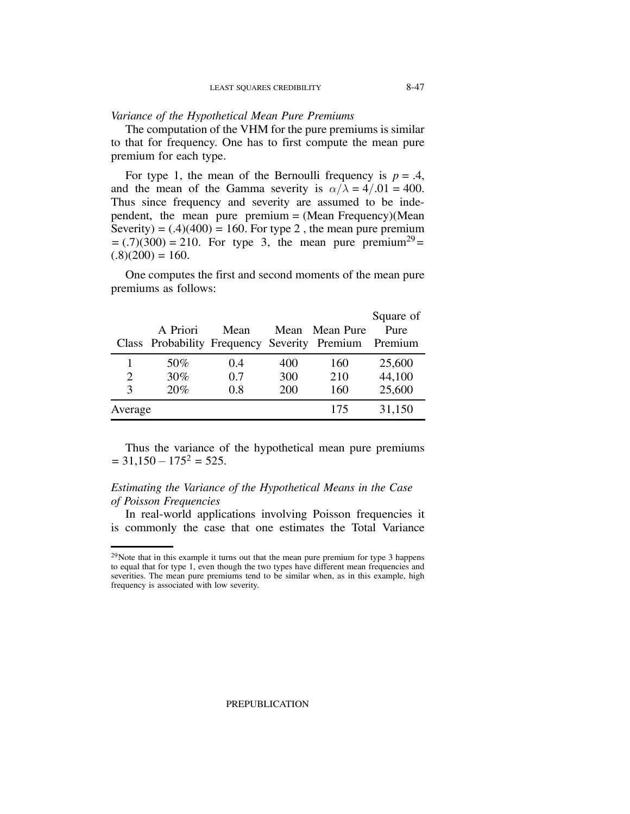#### *Variance of the Hypothetical Mean Pure Premiums*

The computation of the VHM for the pure premiums is similar to that for frequency. One has to first compute the mean pure premium for each type.

For type 1, the mean of the Bernoulli frequency is  $p = .4$ , and the mean of the Gamma severity is  $\alpha/\lambda = 4/0.01 = 400$ . Thus since frequency and severity are assumed to be independent, the mean pure premium  $=$  (Mean Frequency)(Mean Severity) =  $(.4)(400) = 160$ . For type 2, the mean pure premium  $= (0.7)(300) = 210$ . For type 3, the mean pure premium<sup>29</sup>  $(.8)(200) = 160.$ 

One computes the first and second moments of the mean pure premiums as follows:

|         | A Priori<br>Class Probability Frequency Severity Premium | Mean |     | Mean Mean Pure | Square of<br>Pure<br>Premium |
|---------|----------------------------------------------------------|------|-----|----------------|------------------------------|
|         | 50%                                                      | 0.4  | 400 | 160            | 25,600                       |
| 2       | 30%                                                      | 0.7  | 300 | 210            | 44,100                       |
| 3       | 20%                                                      | 0.8  | 200 | 160            | 25,600                       |
| Average |                                                          |      |     | 175            | 31,150                       |

Thus the variance of the hypothetical mean pure premiums  $= 31,150 - 175^2 = 525.$ 

# *Estimating the Variance of the Hypothetical Means in the Case of Poisson Frequencies*

In real-world applications involving Poisson frequencies it is commonly the case that one estimates the Total Variance

 $29$ Note that in this example it turns out that the mean pure premium for type 3 happens to equal that for type 1, even though the two types have different mean frequencies and severities. The mean pure premiums tend to be similar when, as in this example, high frequency is associated with low severity.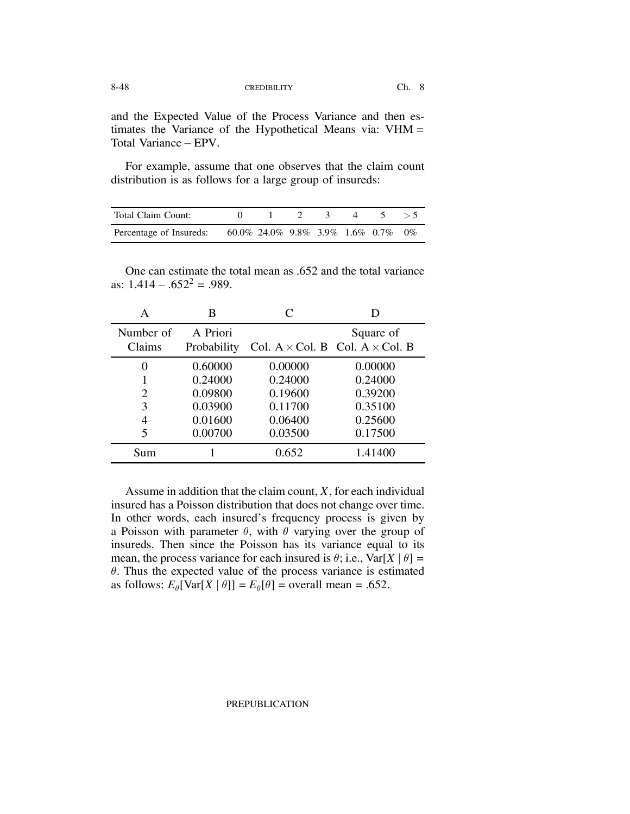and the Expected Value of the Process Variance and then estimates the Variance of the Hypothetical Means via: VHM = Total Variance - EPV.

For example, assume that one observes that the claim count distribution is as follows for a large group of insureds:

| Total Claim Count:                                         | $\mathbf{1}$ | $\overline{2}$ 3 |  | $4 \quad 5 \quad >5$ |  |
|------------------------------------------------------------|--------------|------------------|--|----------------------|--|
| Percentage of Insureds: 60.0% 24.0% 9.8% 3.9% 1.6% 0.7% 0% |              |                  |  |                      |  |

One can estimate the total mean as .652 and the total variance as:  $1.414 - .652^2 = .989$ .

| A                   | R                       |         |                                                            |
|---------------------|-------------------------|---------|------------------------------------------------------------|
| Number of<br>Claims | A Priori<br>Probability |         | Square of<br>Col. $A \times$ Col. B Col. $A \times$ Col. B |
| $\Omega$            | 0.60000                 | 0.00000 | 0.00000                                                    |
|                     | 0.24000                 | 0.24000 | 0.24000                                                    |
| $\mathfrak{D}$      | 0.09800                 | 0.19600 | 0.39200                                                    |
| 3                   | 0.03900                 | 0.11700 | 0.35100                                                    |
| 4                   | 0.01600                 | 0.06400 | 0.25600                                                    |
| 5                   | 0.00700                 | 0.03500 | 0.17500                                                    |
| Sum                 |                         | 0.652   | 1.41400                                                    |

Assume in addition that the claim count,  $X$ , for each individual insured has a Poisson distribution that does not change over time. In other words, each insured's frequency process is given by a Poisson with parameter  $\theta$ , with  $\theta$  varying over the group of insureds. Then since the Poisson has its variance equal to its mean, the process variance for each insured is  $\theta$ ; i.e., Var[X |  $\theta$ ] =  $\theta$ . Thus the expected value of the process variance is estimated as follows:  $E_{\theta}[\text{Var}[X | \theta]] = E_{\theta}[\theta] = \text{overall mean} = .652.$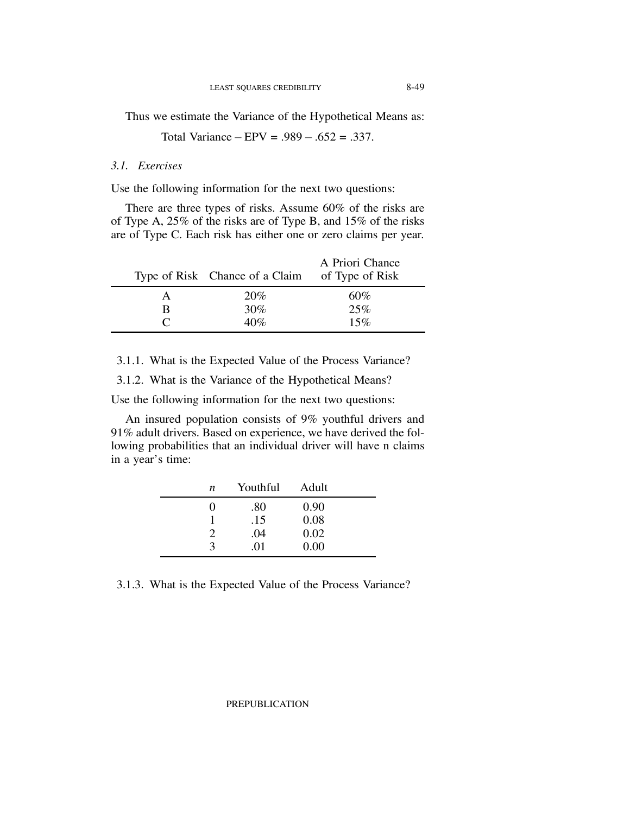Thus we estimate the Variance of the Hypothetical Means as:

Total Variance  $- EPV = .989 - .652 = .337$ .

### *3.1. Exercises*

Use the following information for the next two questions:

There are three types of risks. Assume 60% of the risks are of Type A, 25% of the risks are of Type B, and 15% of the risks are of Type C. Each risk has either one or zero claims per year.

|   | Type of Risk Chance of a Claim | A Priori Chance<br>of Type of Risk |
|---|--------------------------------|------------------------------------|
|   | 20\%                           | $60\%$                             |
| R | $30\%$                         | 25%                                |
|   | 40%                            | 15%                                |

3.1.1. What is the Expected Value of the Process Variance?

3.1.2. What is the Variance of the Hypothetical Means?

Use the following information for the next two questions:

An insured population consists of 9% youthful drivers and 91% adult drivers. Based on experience, we have derived the following probabilities that an individual driver will have n claims in a year's time:

| n | Youthful | Adult |  |
|---|----------|-------|--|
| 0 | .80      | 0.90  |  |
|   | .15      | 0.08  |  |
| 2 | .04      | 0.02  |  |
| 3 | .01      | 0.00  |  |

3.1.3. What is the Expected Value of the Process Variance?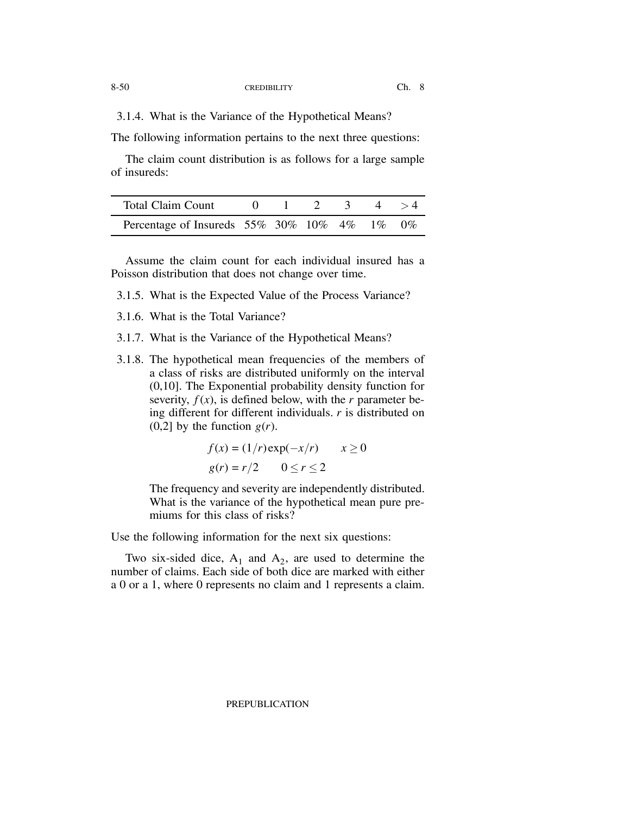The following information pertains to the next three questions:

The claim count distribution is as follows for a large sample of insureds:

| Total Claim Count                                    |  | $0 \quad 1 \quad 2 \quad 3 \quad 4 \quad >4$ |  |  |
|------------------------------------------------------|--|----------------------------------------------|--|--|
| Percentage of Insureds $55\%$ 30% $10\%$ 4% $1\%$ 0% |  |                                              |  |  |

Assume the claim count for each individual insured has a Poisson distribution that does not change over time.

- 3.1.5. What is the Expected Value of the Process Variance?
- 3.1.6. What is the Total Variance?
- 3.1.7. What is the Variance of the Hypothetical Means?
- 3.1.8. The hypothetical mean frequencies of the members of a class of risks are distributed uniformly on the interval (0,10]. The Exponential probability density function for severity,  $f(x)$ , is defined below, with the r parameter being different for different individuals.  $r$  is distributed on  $(0,2]$  by the function  $g(r)$ .

$$
f(x) = (1/r) \exp(-x/r) \qquad x \ge 0
$$
  
 
$$
g(r) = r/2 \qquad 0 \le r \le 2
$$

The frequency and severity are independently distributed. What is the variance of the hypothetical mean pure premiums for this class of risks?

Use the following information for the next six questions:

Two six-sided dice,  $A_1$  and  $A_2$ , are used to determine the number of claims. Each side of both dice are marked with either a 0 or a 1, where 0 represents no claim and 1 represents a claim.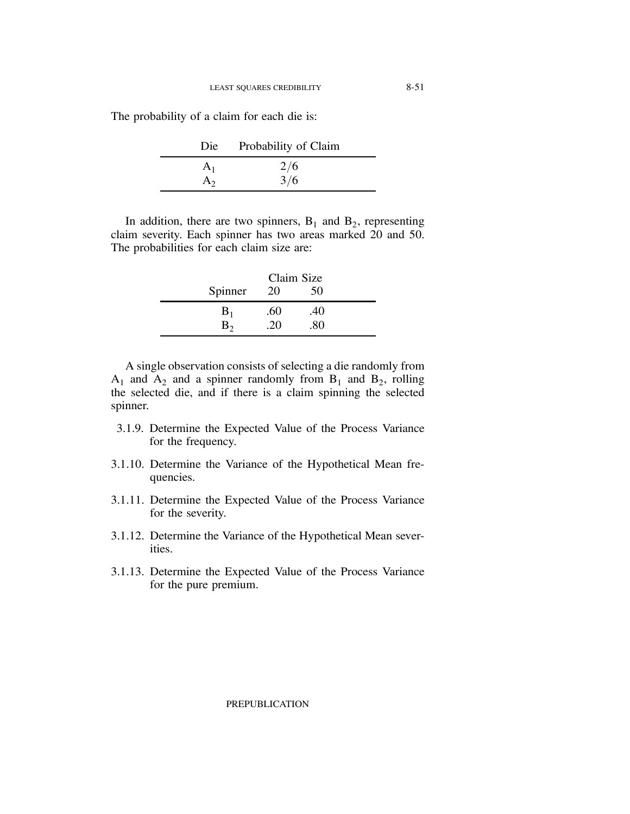The probability of a claim for each die is:

| Die            | Probability of Claim |
|----------------|----------------------|
| $A_1$          | 2/6                  |
| A <sub>2</sub> | 3/6                  |

In addition, there are two spinners,  $B_1$  and  $B_2$ , representing claim severity. Each spinner has two areas marked 20 and 50. The probabilities for each claim size are:

|         | Claim Size |     |  |  |
|---------|------------|-----|--|--|
| Spinner | 20         | 50  |  |  |
| $B_1$   | .60        | .40 |  |  |
|         | .20        | 80  |  |  |

A single observation consists of selecting a die randomly from  $A_1$  and  $A_2$  and a spinner randomly from  $B_1$  and  $B_2$ , rolling the selected die, and if there is a claim spinning the selected spinner.

- 3.1.9. Determine the Expected Value of the Process Variance for the frequency.
- 3.1.10. Determine the Variance of the Hypothetical Mean frequencies.
- 3.1.11. Determine the Expected Value of the Process Variance for the severity.
- 3.1.12. Determine the Variance of the Hypothetical Mean severities.
- 3.1.13. Determine the Expected Value of the Process Variance for the pure premium.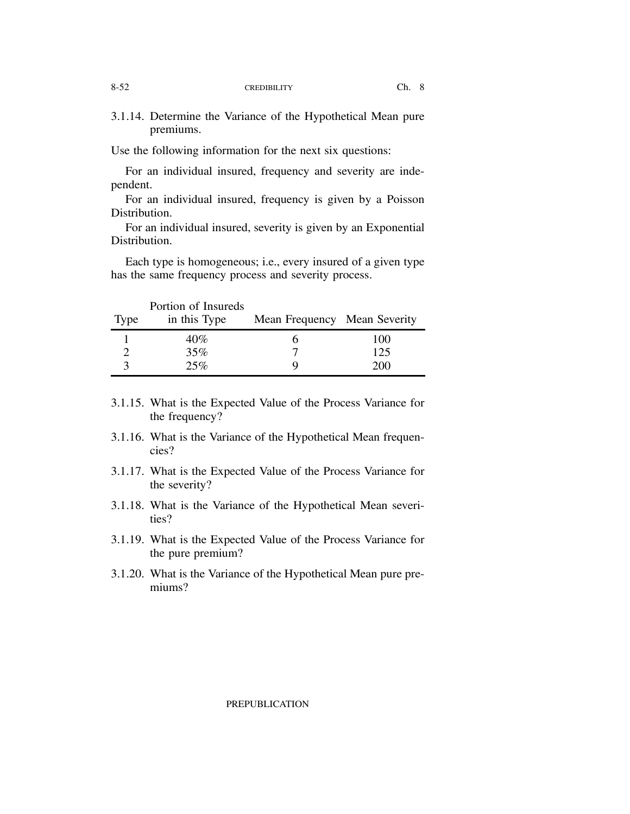3.1.14. Determine the Variance of the Hypothetical Mean pure premiums.

Use the following information for the next six questions:

For an individual insured, frequency and severity are independent.

For an individual insured, frequency is given by a Poisson Distribution.

For an individual insured, severity is given by an Exponential Distribution.

Each type is homogeneous; i.e., every insured of a given type has the same frequency process and severity process.

Portion of Insureds Type in this Type Mean Frequency Mean Severity 1 40% 6 100 2  $35\%$  7 125 3 25% 9 200

- 3.1.15. What is the Expected Value of the Process Variance for the frequency?
- 3.1.16. What is the Variance of the Hypothetical Mean frequencies?
- 3.1.17. What is the Expected Value of the Process Variance for the severity?
- 3.1.18. What is the Variance of the Hypothetical Mean severities?
- 3.1.19. What is the Expected Value of the Process Variance for the pure premium?
- 3.1.20. What is the Variance of the Hypothetical Mean pure premiums?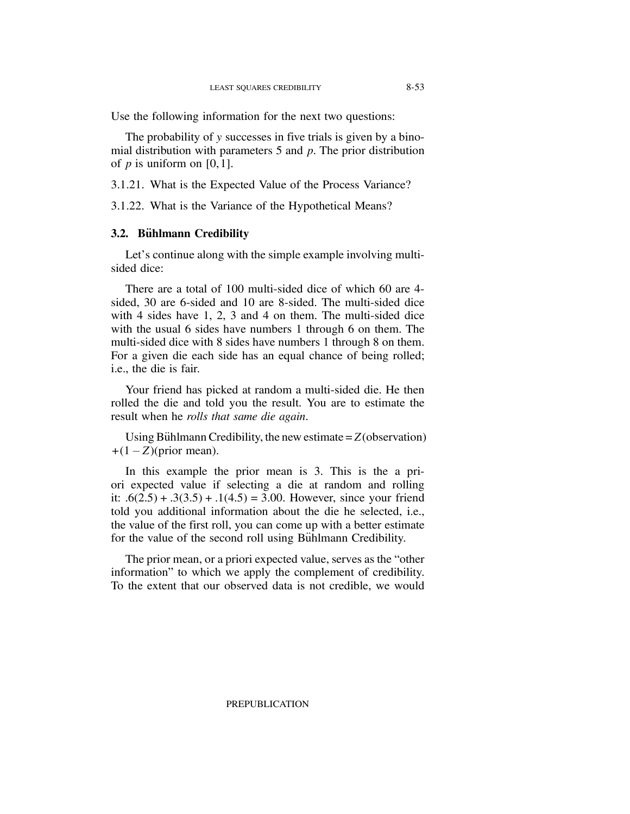Use the following information for the next two questions:

The probability of y successes in five trials is given by a binomial distribution with parameters  $5$  and  $p$ . The prior distribution of  $p$  is uniform on [0,1].

3.1.21. What is the Expected Value of the Process Variance?

3.1.22. What is the Variance of the Hypothetical Means?

# **3.2. Buhlmann Credibility ¨**

Let's continue along with the simple example involving multisided dice:

There are a total of 100 multi-sided dice of which 60 are 4 sided, 30 are 6-sided and 10 are 8-sided. The multi-sided dice with 4 sides have 1, 2, 3 and 4 on them. The multi-sided dice with the usual 6 sides have numbers 1 through 6 on them. The multi-sided dice with 8 sides have numbers 1 through 8 on them. For a given die each side has an equal chance of being rolled; i.e., the die is fair.

Your friend has picked at random a multi-sided die. He then rolled the die and told you the result. You are to estimate the result when he *rolls that same die again*.

Using Bühlmann Credibility, the new estimate  $= Z(\text{observation})$  $+(1 – Z)$ (prior mean).

In this example the prior mean is 3. This is the a priori expected value if selecting a die at random and rolling it:  $.6(2.5) + .3(3.5) + .1(4.5) = 3.00$ . However, since your friend told you additional information about the die he selected, i.e., the value of the first roll, you can come up with a better estimate for the value of the second roll using Bühlmann Credibility.

The prior mean, or a priori expected value, serves as the "other information" to which we apply the complement of credibility. To the extent that our observed data is not credible, we would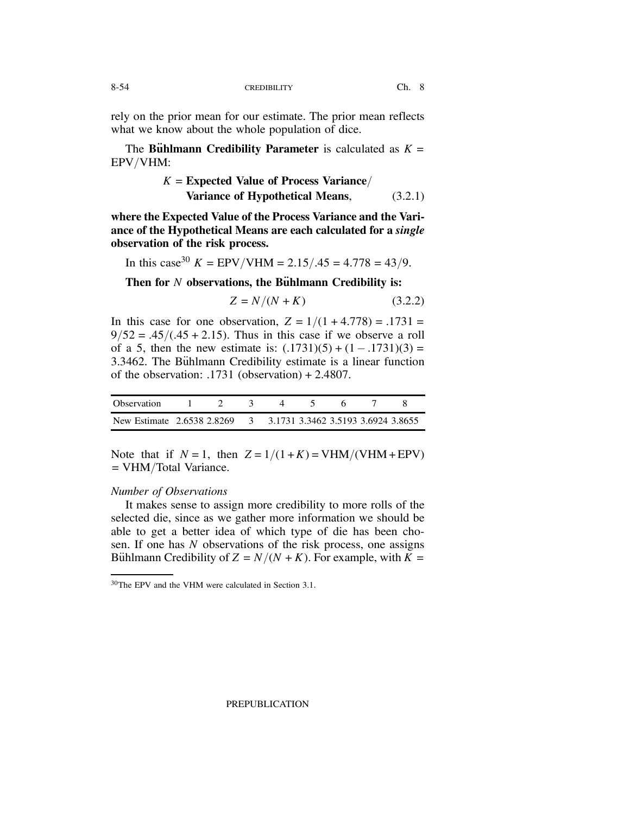rely on the prior mean for our estimate. The prior mean reflects what we know about the whole population of dice.

The **Buhlmann Credibility Parameter** is calculated as  $K =$  $EPV/VHM:$ 

$$
K = \text{Expected Value of Process Variance} / \text{Variance of Hypothetical Means}, \qquad (3.2.1)
$$

**where the Expected Value of the Process Variance and the Variance of the Hypothetical Means are each calculated for a** *single* **observation of the risk process.**

In this case<sup>30</sup>  $K = \text{EPV/VHM} = 2.15/.45 = 4.778 = 43/9.$ 

**Then for** N **observations, the Buhlmann Credibility is: ¨**

$$
Z = N/(N + K) \tag{3.2.2}
$$

In this case for one observation,  $Z = 1/(1 + 4.778) = .1731 =$  $9/52 = .45/(.45 + 2.15)$ . Thus in this case if we observe a roll of a 5, then the new estimate is:  $(.1731)(5) + (1 - .1731)(3) =$ 3.3462. The Bühlmann Credibility estimate is a linear function of the observation:  $.1731$  (observation) + 2.4807.

| <b>Observation</b>                                              |  |  |  |  |
|-----------------------------------------------------------------|--|--|--|--|
| New Estimate 2.6538 2.8269 3 3.1731 3.3462 3.5193 3.6924 3.8655 |  |  |  |  |

Note that if  $N = 1$ , then  $Z = 1/(1+K) = VHM/(VHM+EPV)$  $=$  VHM/Total Variance.

### *Number of Observations*

It makes sense to assign more credibility to more rolls of the selected die, since as we gather more information we should be able to get a better idea of which type of die has been chosen. If one has N observations of the risk process, one assigns Bühlmann Credibility of  $Z = N/(N + K)$ . For example, with  $K =$ 

<sup>30</sup>The EPV and the VHM were calculated in Section 3.1.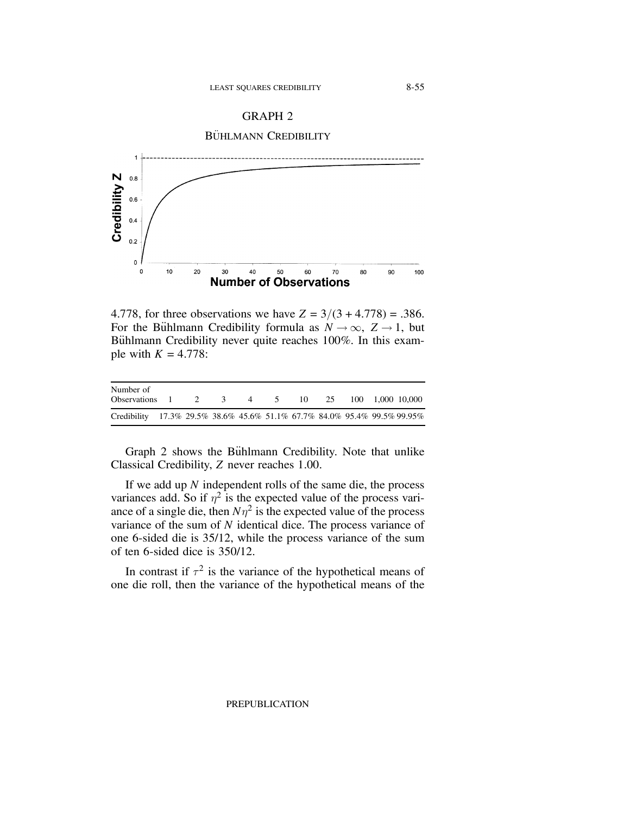# GRAPH 2

# BÜHLMANN CREDIBILITY



4.778, for three observations we have  $Z = 3/(3 + 4.778) = .386$ . For the Bühlmann Credibility formula as  $N \to \infty$ ,  $Z \to 1$ , but Bühlmann Credibility never quite reaches 100%. In this example with  $K = 4.778$ :

| Number of                                                                |  |  |  |  |  |
|--------------------------------------------------------------------------|--|--|--|--|--|
| Observations 1 2 3 4 5 10 25 100 1,000 10,000                            |  |  |  |  |  |
| Credibility 17.3% 29.5% 38.6% 45.6% 51.1% 67.7% 84.0% 95.4% 99.5% 99.95% |  |  |  |  |  |

Graph 2 shows the Bühlmann Credibility. Note that unlike Classical Credibility, Z never reaches 1.00.

If we add up  $N$  independent rolls of the same die, the process variances add. So if  $\eta^2$  is the expected value of the process variance of a single die, then  $N\eta^2$  is the expected value of the process variance of the sum of  $N$  identical dice. The process variance of one 6-sided die is 35/12, while the process variance of the sum of ten 6-sided dice is 350/12.

In contrast if  $\tau^2$  is the variance of the hypothetical means of one die roll, then the variance of the hypothetical means of the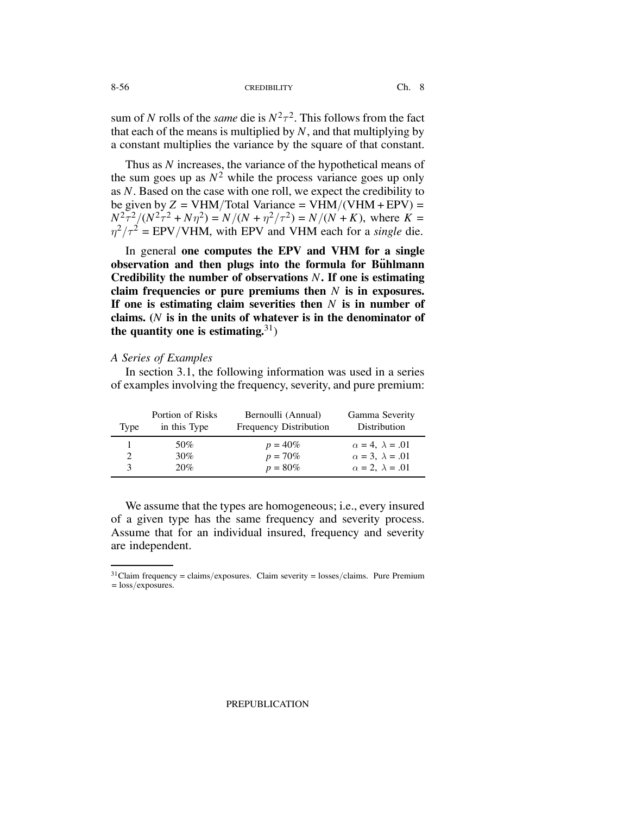sum of N rolls of the *same* die is  $N^2\tau^2$ . This follows from the fact that each of the means is multiplied by  $N$ , and that multiplying by a constant multiplies the variance by the square of that constant.

Thus as N increases, the variance of the hypothetical means of the sum goes up as  $N^2$  while the process variance goes up only as N. Based on the case with one roll, we expect the credibility to be given by  $Z = VHM/Total Variance = VHM/(VHM+EPV) =$  $N^2\tau^2/(N^2\tau^2 + N\eta^2) = N/(N + \eta^2/\tau^2) = N/(N + K)$ , where K =  $\eta^2/\tau^2 = \text{EPV/VHM}$ , with EPV and VHM each for a *single* die.

In general **one computes the EPV and VHM for a single observation and then plugs into the formula for Buhlmann ¨ Credibility the number of observations** N**. If one is estimating claim frequencies or pure premiums then** N **is in exposures. If one is estimating claim severities then** N **is in number of claims. (**N **is in the units of whatever is in the denominator of the quantity one is estimating.**31)

#### *A Series of Examples*

In section 3.1, the following information was used in a series of examples involving the frequency, severity, and pure premium:

| Type | Portion of Risks<br>in this Type | Bernoulli (Annual)<br><b>Frequency Distribution</b> | Gamma Severity<br>Distribution |
|------|----------------------------------|-----------------------------------------------------|--------------------------------|
|      | 50%                              | $p = 40\%$                                          | $\alpha = 4$ , $\lambda = .01$ |
|      | 30%                              | $p = 70\%$                                          | $\alpha = 3$ , $\lambda = .01$ |
| 3    | 20%                              | $p = 80\%$                                          | $\alpha = 2, \lambda = .01$    |

We assume that the types are homogeneous; i.e., every insured of a given type has the same frequency and severity process. Assume that for an individual insured, frequency and severity are independent.

 $31$ Claim frequency = claims/exposures. Claim severity = losses/claims. Pure Premium  $=$  loss/exposures.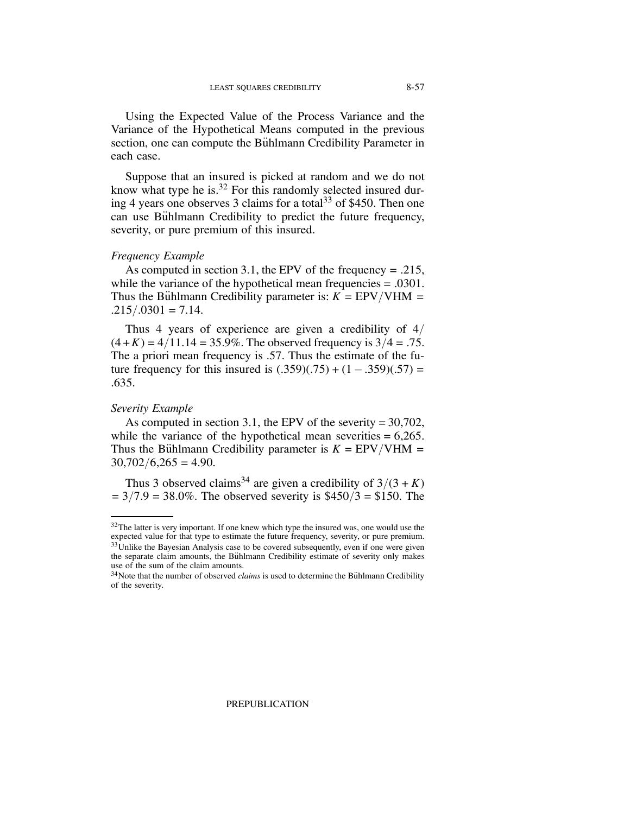Using the Expected Value of the Process Variance and the Variance of the Hypothetical Means computed in the previous section, one can compute the Bühlmann Credibility Parameter in each case.

Suppose that an insured is picked at random and we do not know what type he is.<sup>32</sup> For this randomly selected insured during 4 years one observes 3 claims for a total  $3<sup>33</sup>$  of \$450. Then one can use Bühlmann Credibility to predict the future frequency, severity, or pure premium of this insured.

# *Frequency Example*

As computed in section 3.1, the EPV of the frequency  $= .215,$ while the variance of the hypothetical mean frequencies  $= .0301$ . Thus the Bühlmann Credibility parameter is:  $K = \text{EPV}/\text{VHM} =$  $.215/.0301 = 7.14.$ 

Thus 4 years of experience are given a credibility of  $4/$  $(4+K) = 4/11.14 = 35.9\%$ . The observed frequency is  $3/4 = .75$ . The a priori mean frequency is .57. Thus the estimate of the future frequency for this insured is  $(.359)(.75) + (1 - .359)(.57) =$ :635.

# *Severity Example*

As computed in section 3.1, the EPV of the severity  $= 30,702$ , while the variance of the hypothetical mean severities  $= 6,265$ . Thus the Bühlmann Credibility parameter is  $K = \text{EPV}/\text{VHM} =$  $30,702/6,265 = 4.90$ .

Thus 3 observed claims<sup>34</sup> are given a credibility of  $3/(3 + K)$  $= 3/7.9 = 38.0\%$ . The observed severity is \$450/3 = \$150. The

 $32$ The latter is very important. If one knew which type the insured was, one would use the expected value for that type to estimate the future frequency, severity, or pure premium.  $33$ Unlike the Bayesian Analysis case to be covered subsequently, even if one were given the separate claim amounts, the Buhlmann Credibility estimate of severity only makes use of the sum of the claim amounts.

<sup>&</sup>lt;sup>34</sup>Note that the number of observed *claims* is used to determine the Bühlmann Credibility of the severity.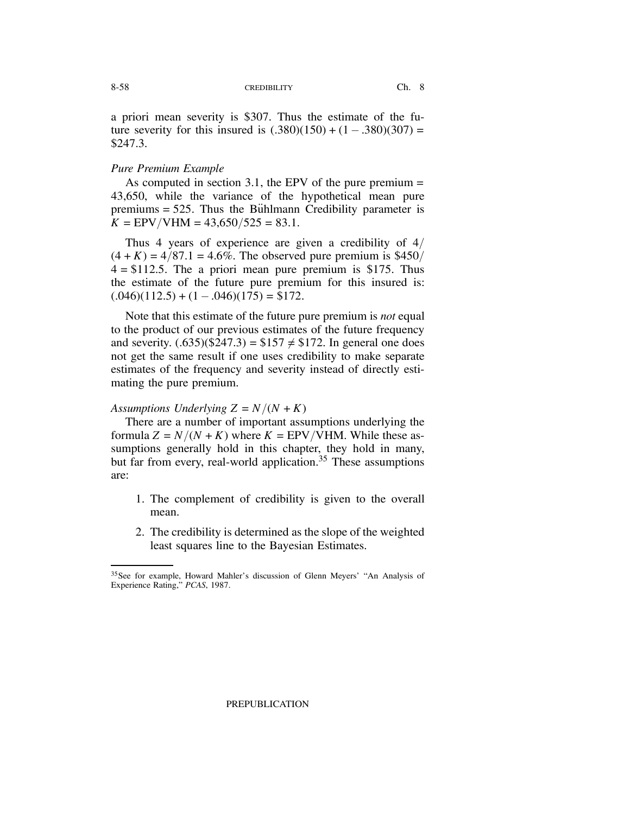a priori mean severity is \$307. Thus the estimate of the future severity for this insured is  $(.380)(150) + (1 - .380)(307) =$ \$247:3.

# *Pure Premium Example*

As computed in section 3.1, the EPV of the pure premium = 43,650, while the variance of the hypothetical mean pure premiums  $= 525$ . Thus the Bühlmann Credibility parameter is  $K = \text{EPV/VHM} = 43,650/525 = 83.1.$ 

Thus 4 years of experience are given a credibility of  $4/$  $(4 + K) = 4/87.1 = 4.6\%$ . The observed pure premium is \$450/  $4 = $112.5$ . The a priori mean pure premium is \$175. Thus the estimate of the future pure premium for this insured is:  $(.046)(112.5) + (1 - .046)(175) = $172.$ 

Note that this estimate of the future pure premium is *not* equal to the product of our previous estimates of the future frequency and severity.  $(.635)(\$247.3) = \$157 \neq \$172$ . In general one does not get the same result if one uses credibility to make separate estimates of the frequency and severity instead of directly estimating the pure premium.

# *Assumptions Underlying*  $Z = N/(N + K)$

There are a number of important assumptions underlying the formula  $Z = N/(N + K)$  where  $K = EPV/VHM$ . While these assumptions generally hold in this chapter, they hold in many, but far from every, real-world application.<sup>35</sup> These assumptions are:

- 1. The complement of credibility is given to the overall mean.
- 2. The credibility is determined as the slope of the weighted least squares line to the Bayesian Estimates.

<sup>&</sup>lt;sup>35</sup>See for example, Howard Mahler's discussion of Glenn Meyers' "An Analysis of Experience Rating," *PCAS*, 1987.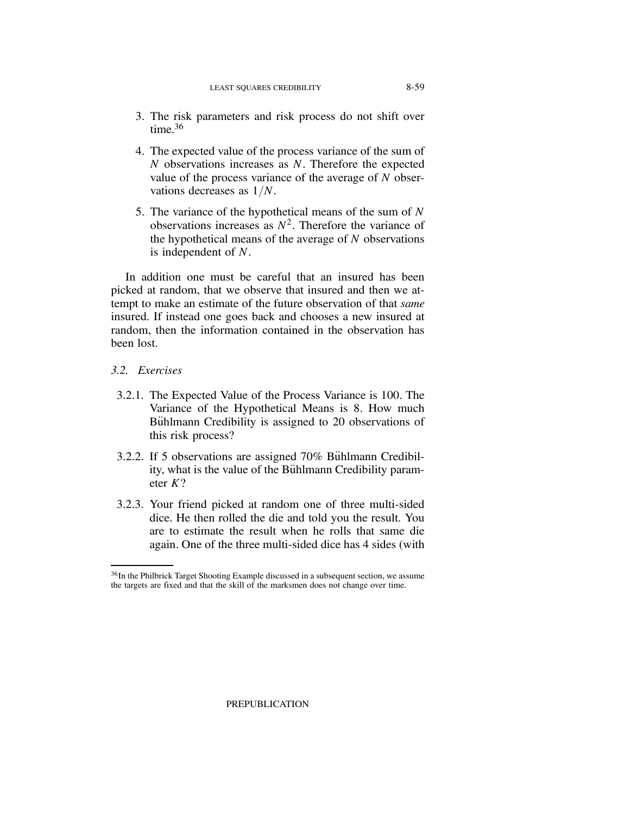- 3. The risk parameters and risk process do not shift over time. $36$
- 4. The expected value of the process variance of the sum of  $N$  observations increases as  $N$ . Therefore the expected value of the process variance of the average of N observations decreases as  $1/N$ .
- 5. The variance of the hypothetical means of the sum of  $N$ observations increases as  $N^2$ . Therefore the variance of the hypothetical means of the average of  $N$  observations is independent of N.

In addition one must be careful that an insured has been picked at random, that we observe that insured and then we attempt to make an estimate of the future observation of that *same* insured. If instead one goes back and chooses a new insured at random, then the information contained in the observation has been lost.

### *3.2. Exercises*

- 3.2.1. The Expected Value of the Process Variance is 100. The Variance of the Hypothetical Means is 8. How much Bühlmann Credibility is assigned to 20 observations of this risk process?
- 3.2.2. If 5 observations are assigned  $70\%$  Buhlmann Credibility, what is the value of the Bühlmann Credibility parameter  $K$ ?
- 3.2.3. Your friend picked at random one of three multi-sided dice. He then rolled the die and told you the result. You are to estimate the result when he rolls that same die again. One of the three multi-sided dice has 4 sides (with

<sup>&</sup>lt;sup>36</sup>In the Philbrick Target Shooting Example discussed in a subsequent section, we assume the targets are fixed and that the skill of the marksmen does not change over time.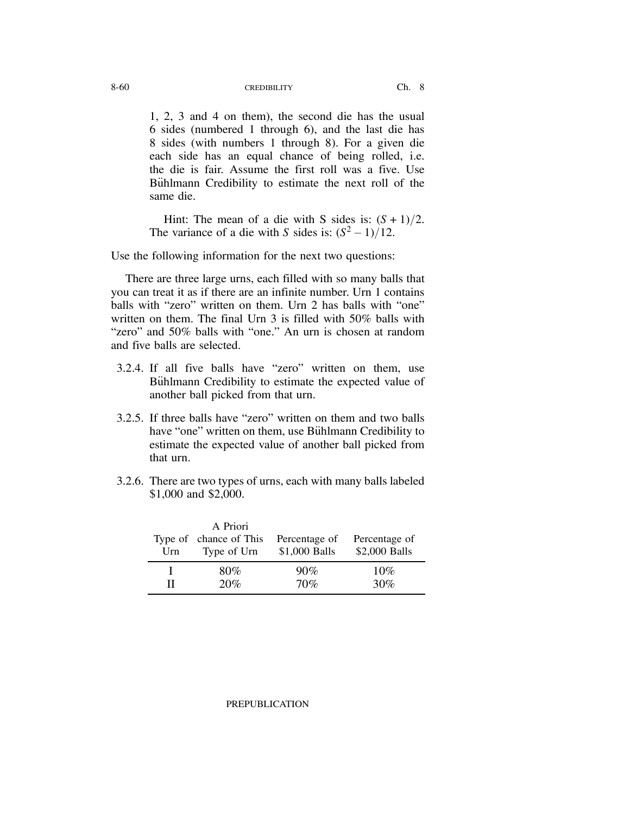1, 2, 3 and 4 on them), the second die has the usual 6 sides (numbered 1 through 6), and the last die has 8 sides (with numbers 1 through 8). For a given die each side has an equal chance of being rolled, i.e. the die is fair. Assume the first roll was a five. Use

Hint: The mean of a die with S sides is:  $(S + 1)/2$ . The variance of a die with S sides is:  $(S^2 – 1)/12$ .

Bühlmann Credibility to estimate the next roll of the

Use the following information for the next two questions:

There are three large urns, each filled with so many balls that you can treat it as if there are an infinite number. Urn 1 contains balls with "zero" written on them. Urn 2 has balls with "one" written on them. The final Urn 3 is filled with 50% balls with "zero" and 50% balls with "one." An urn is chosen at random and five balls are selected.

- 3.2.4. If all five balls have "zero" written on them, use Bühlmann Credibility to estimate the expected value of another ball picked from that urn.
- 3.2.5. If three balls have "zero" written on them and two balls have "one" written on them, use Bühlmann Credibility to estimate the expected value of another ball picked from that urn.
- 3.2.6. There are two types of urns, each with many balls labeled \$1,000 and \$2,000.

| Um | A Priori<br>Type of chance of This<br>Type of Urn | Percentage of<br>\$1,000 Balls | Percentage of<br>\$2,000 Balls |
|----|---------------------------------------------------|--------------------------------|--------------------------------|
| I  | 80%                                               | 90%                            | 10%                            |
| Н  | 20%                                               | 70%                            | 30%                            |

same die.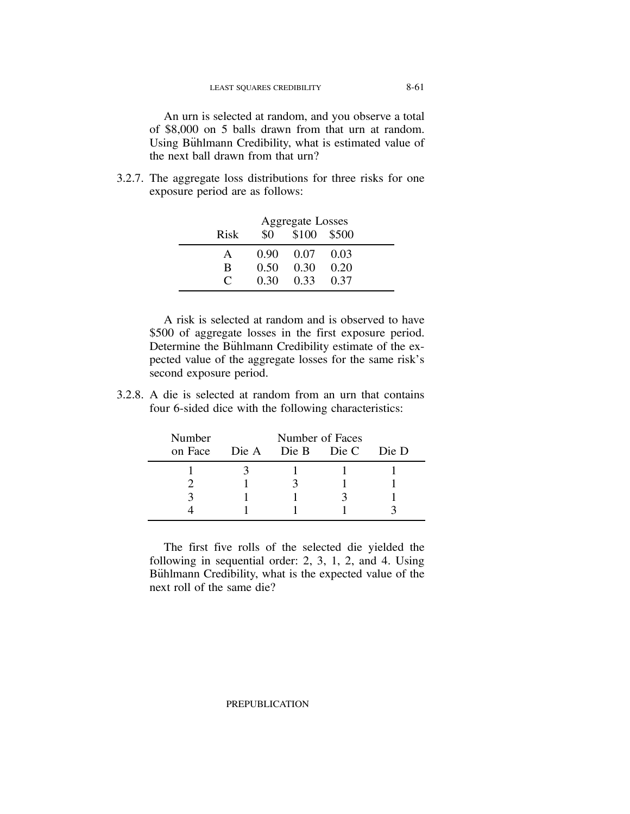An urn is selected at random, and you observe a total of \$8,000 on 5 balls drawn from that urn at random. Using Bühlmann Credibility, what is estimated value of the next ball drawn from that urn?

3.2.7. The aggregate loss distributions for three risks for one exposure period are as follows:

| <b>Aggregate Losses</b> |  |                   |                                                               |  |  |
|-------------------------|--|-------------------|---------------------------------------------------------------|--|--|
| \$0 —                   |  |                   |                                                               |  |  |
|                         |  |                   |                                                               |  |  |
|                         |  | 0.20              |                                                               |  |  |
|                         |  |                   |                                                               |  |  |
|                         |  | $0.50 \quad 0.30$ | \$100 \$500<br>$0.90 \quad 0.07 \quad 0.03$<br>0.30 0.33 0.37 |  |  |

A risk is selected at random and is observed to have \$500 of aggregate losses in the first exposure period. Determine the Bühlmann Credibility estimate of the expected value of the aggregate losses for the same risk's second exposure period.

3.2.8. A die is selected at random from an urn that contains four 6-sided dice with the following characteristics:

| <b>Number</b> |  | Number of Faces         |  |
|---------------|--|-------------------------|--|
| on Face       |  | Die A Die B Die C Die D |  |
|               |  |                         |  |
|               |  |                         |  |
|               |  |                         |  |
|               |  |                         |  |

The first five rolls of the selected die yielded the following in sequential order: 2, 3, 1, 2, and 4. Using Bühlmann Credibility, what is the expected value of the next roll of the same die?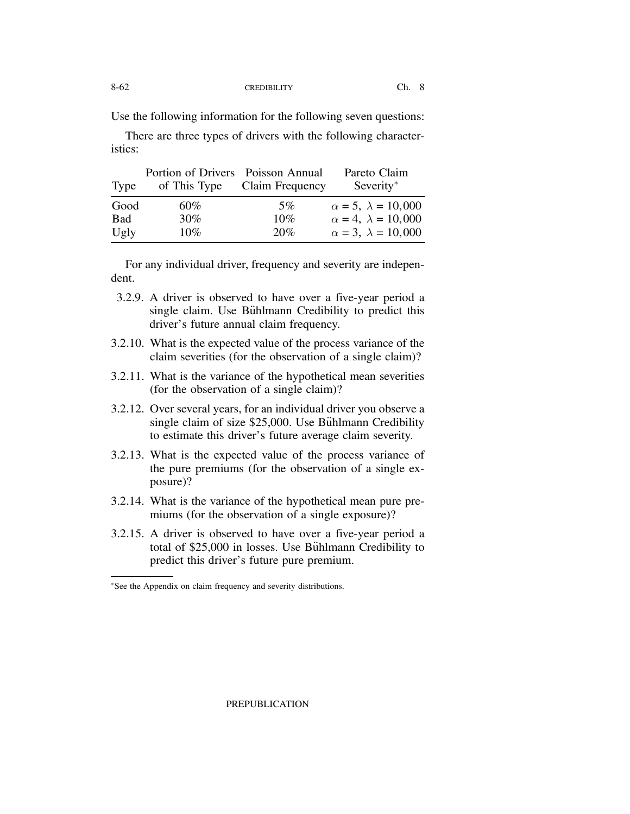Use the following information for the following seven questions:

There are three types of drivers with the following characteristics:

| Type | Portion of Drivers Poisson Annual<br>of This Type | Claim Frequency | Pareto Claim<br>Severity*        |
|------|---------------------------------------------------|-----------------|----------------------------------|
| Good | $60\%$                                            | 5%              | $\alpha = 5, \ \lambda = 10,000$ |
| Bad  | $30\%$                                            | 10%             | $\alpha = 4, \lambda = 10,000$   |
| Uglv | 10%                                               | 20%             | $\alpha = 3, \lambda = 10,000$   |

For any individual driver, frequency and severity are independent.

- 3.2.9. A driver is observed to have over a five-year period a single claim. Use Bühlmann Credibility to predict this driver's future annual claim frequency.
- 3.2.10. What is the expected value of the process variance of the claim severities (for the observation of a single claim)?
- 3.2.11. What is the variance of the hypothetical mean severities (for the observation of a single claim)?
- 3.2.12. Over several years, for an individual driver you observe a single claim of size  $$25,000$ . Use Bühlmann Credibility to estimate this driver's future average claim severity.
- 3.2.13. What is the expected value of the process variance of the pure premiums (for the observation of a single exposure)?
- 3.2.14. What is the variance of the hypothetical mean pure premiums (for the observation of a single exposure)?
- 3.2.15. A driver is observed to have over a five-year period a total of  $$25,000$  in losses. Use Bühlmann Credibility to predict this driver's future pure premium.

See the Appendix on claim frequency and severity distributions.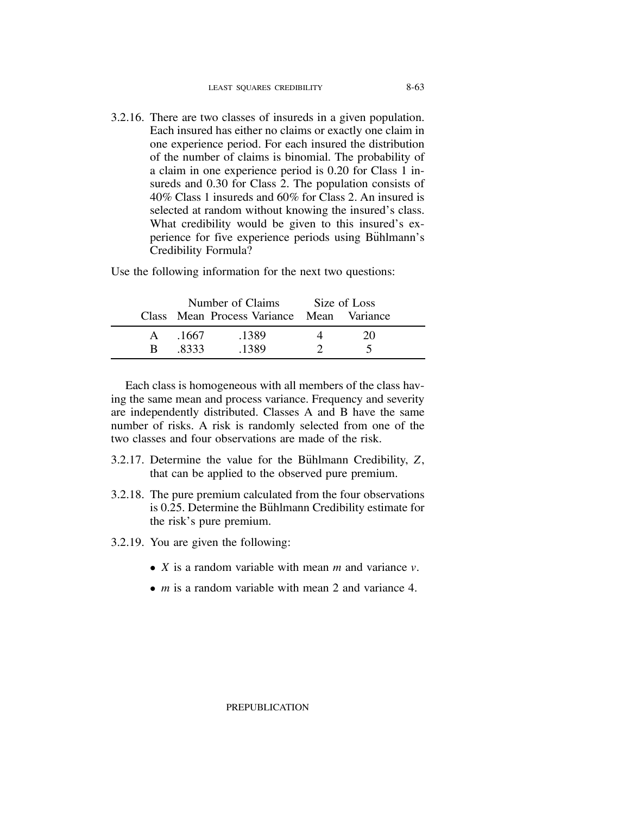3.2.16. There are two classes of insureds in a given population. Each insured has either no claims or exactly one claim in one experience period. For each insured the distribution of the number of claims is binomial. The probability of a claim in one experience period is 0.20 for Class 1 insureds and 0.30 for Class 2. The population consists of 40% Class 1 insureds and 60% for Class 2. An insured is selected at random without knowing the insured's class. What credibility would be given to this insured's experience for five experience periods using Bühlmann's Credibility Formula?

Use the following information for the next two questions:

|   | Number of Claims<br>Class Mean Process Variance Mean Variance |                | Size of Loss |  |
|---|---------------------------------------------------------------|----------------|--------------|--|
| R | $-1667$<br>-8333                                              | .1389<br>.1389 | 20           |  |

Each class is homogeneous with all members of the class having the same mean and process variance. Frequency and severity are independently distributed. Classes A and B have the same number of risks. A risk is randomly selected from one of the two classes and four observations are made of the risk.

- 3.2.17. Determine the value for the Bühlmann Credibility,  $Z$ , that can be applied to the observed pure premium.
- 3.2.18. The pure premium calculated from the four observations is 0.25. Determine the Bühlmann Credibility estimate for the risk's pure premium.
- 3.2.19. You are given the following:
	- X is a random variable with mean  $m$  and variance  $v$ .
	- $\bullet$  *m* is a random variable with mean 2 and variance 4.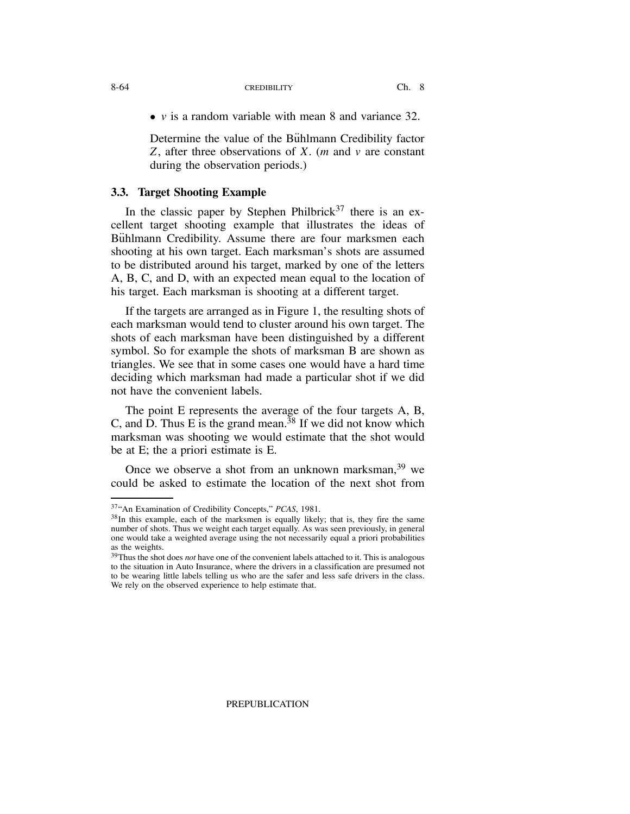•  $\nu$  is a random variable with mean 8 and variance 32.

Determine the value of the Bühlmann Credibility factor Z, after three observations of  $X$ . (*m* and  $v$  are constant during the observation periods.)

# **3.3. Target Shooting Example**

In the classic paper by Stephen Philbrick<sup>37</sup> there is an excellent target shooting example that illustrates the ideas of Bühlmann Credibility. Assume there are four marksmen each shooting at his own target. Each marksman's shots are assumed to be distributed around his target, marked by one of the letters A, B, C, and D, with an expected mean equal to the location of his target. Each marksman is shooting at a different target.

If the targets are arranged as in Figure 1, the resulting shots of each marksman would tend to cluster around his own target. The shots of each marksman have been distinguished by a different symbol. So for example the shots of marksman B are shown as triangles. We see that in some cases one would have a hard time deciding which marksman had made a particular shot if we did not have the convenient labels.

The point E represents the average of the four targets A, B, C, and D. Thus E is the grand mean.  $38$  If we did not know which marksman was shooting we would estimate that the shot would be at E; the a priori estimate is E.

Once we observe a shot from an unknown marksman,<sup>39</sup> we could be asked to estimate the location of the next shot from

<sup>37&</sup>quot;An Examination of Credibility Concepts," *PCAS*, 1981.

<sup>38</sup>In this example, each of the marksmen is equally likely; that is, they fire the same number of shots. Thus we weight each target equally. As was seen previously, in general one would take a weighted average using the not necessarily equal a priori probabilities as the weights.

<sup>39</sup>Thus the shot does *not* have one of the convenient labels attached to it. This is analogous to the situation in Auto Insurance, where the drivers in a classification are presumed not to be wearing little labels telling us who are the safer and less safe drivers in the class. We rely on the observed experience to help estimate that.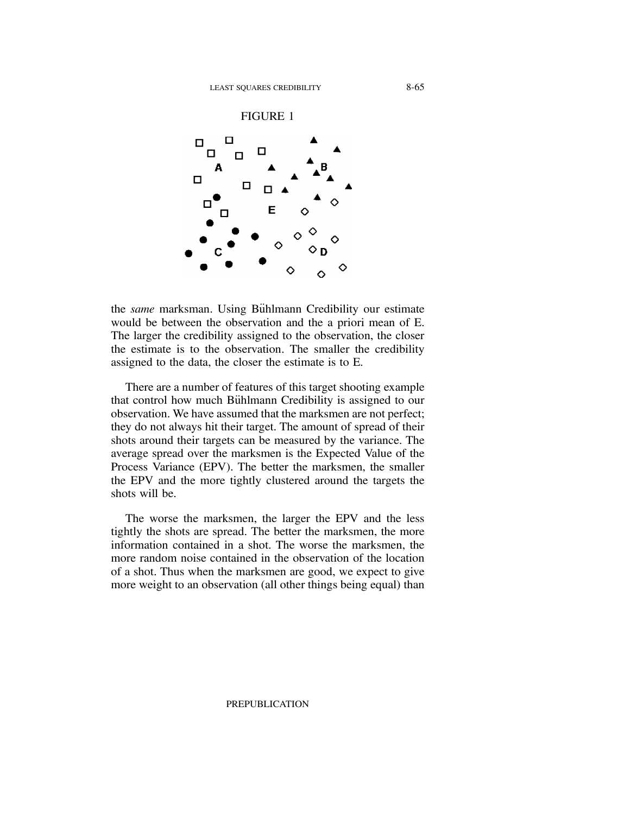

the *same* marksman. Using Bühlmann Credibility our estimate would be between the observation and the a priori mean of E. The larger the credibility assigned to the observation, the closer the estimate is to the observation. The smaller the credibility assigned to the data, the closer the estimate is to E.

There are a number of features of this target shooting example that control how much Bühlmann Credibility is assigned to our observation. We have assumed that the marksmen are not perfect; they do not always hit their target. The amount of spread of their shots around their targets can be measured by the variance. The average spread over the marksmen is the Expected Value of the Process Variance (EPV). The better the marksmen, the smaller the EPV and the more tightly clustered around the targets the shots will be.

The worse the marksmen, the larger the EPV and the less tightly the shots are spread. The better the marksmen, the more information contained in a shot. The worse the marksmen, the more random noise contained in the observation of the location of a shot. Thus when the marksmen are good, we expect to give more weight to an observation (all other things being equal) than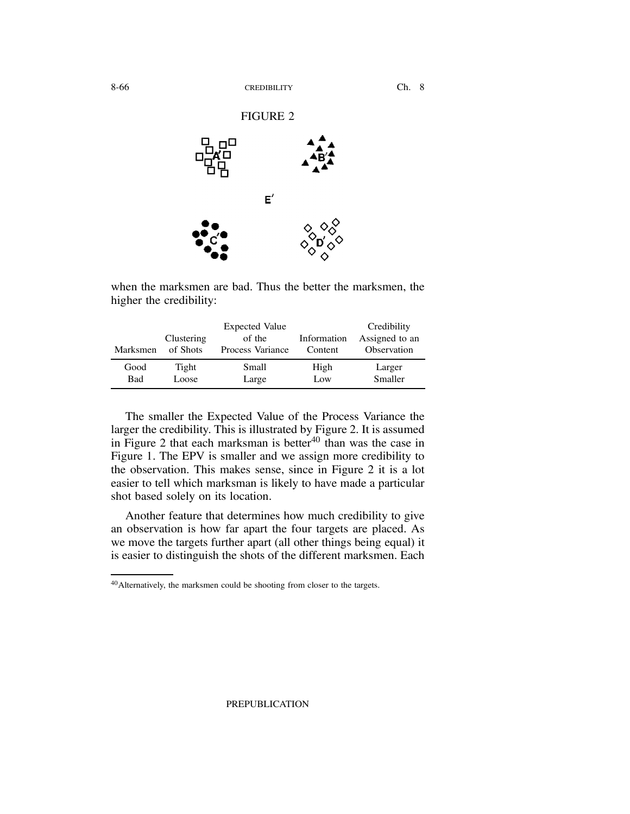

when the marksmen are bad. Thus the better the marksmen, the higher the credibility:

|            |            | <b>Expected Value</b> |             | Credibility    |
|------------|------------|-----------------------|-------------|----------------|
|            | Clustering | of the                | Information | Assigned to an |
| Marksmen   | of Shots   | Process Variance      | Content     | Observation    |
| Good       | Tight      | Small                 | High        | Larger         |
| <b>Bad</b> | Loose      | Large                 | Low         | Smaller        |

The smaller the Expected Value of the Process Variance the larger the credibility. This is illustrated by Figure 2. It is assumed in Figure 2 that each marksman is better<sup>40</sup> than was the case in Figure 1. The EPV is smaller and we assign more credibility to the observation. This makes sense, since in Figure 2 it is a lot easier to tell which marksman is likely to have made a particular shot based solely on its location.

Another feature that determines how much credibility to give an observation is how far apart the four targets are placed. As we move the targets further apart (all other things being equal) it is easier to distinguish the shots of the different marksmen. Each

<sup>40</sup>Alternatively, the marksmen could be shooting from closer to the targets.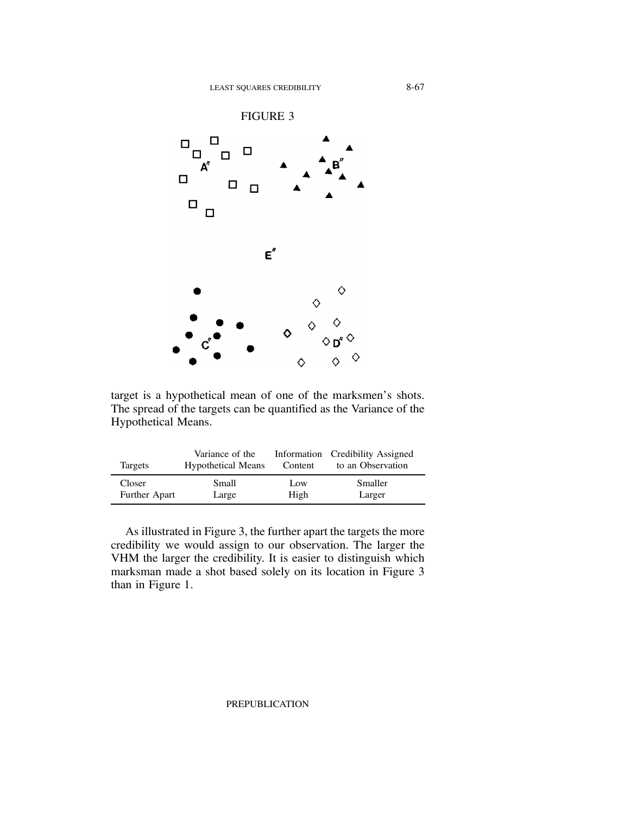

target is a hypothetical mean of one of the marksmen's shots. The spread of the targets can be quantified as the Variance of the Hypothetical Means.

| Targets              | Variance of the<br><b>Hypothetical Means</b> | Content | Information Credibility Assigned<br>to an Observation |
|----------------------|----------------------------------------------|---------|-------------------------------------------------------|
| <b>Closer</b>        | Small                                        | Low     | Smaller                                               |
| <b>Further Apart</b> | Large                                        | High    | Larger                                                |

As illustrated in Figure 3, the further apart the targets the more credibility we would assign to our observation. The larger the VHM the larger the credibility. It is easier to distinguish which marksman made a shot based solely on its location in Figure 3 than in Figure 1.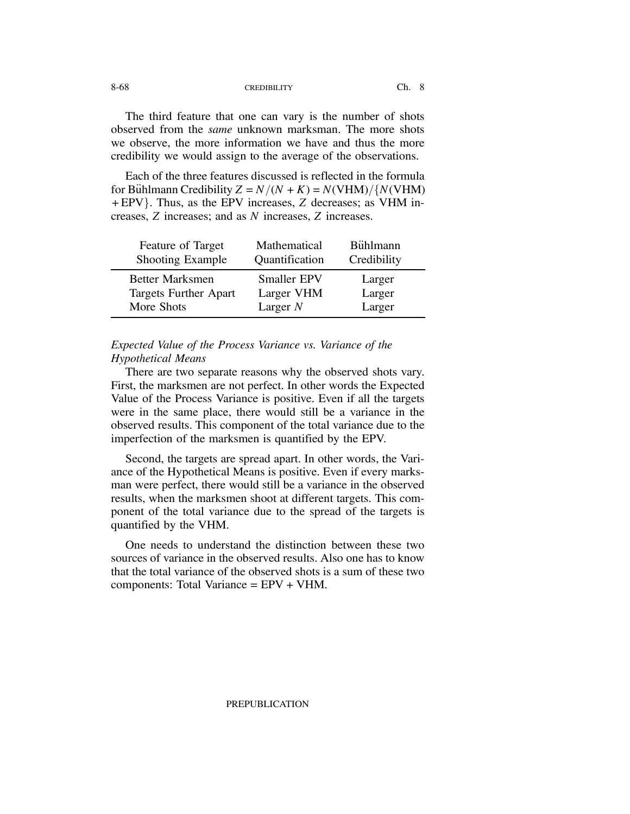8-68 CREDIBILITY Ch. 8

The third feature that one can vary is the number of shots observed from the *same* unknown marksman. The more shots we observe, the more information we have and thus the more credibility we would assign to the average of the observations.

Each of the three features discussed is reflected in the formula for Bühlmann Credibility  $Z = N/(N + K) = N(VHM)/\{N(VHM)$ +EPVJ. Thus, as the EPV increases, Z decreases; as VHM increases, Z increases; and as N increases, Z increases.

| Feature of Target            | Mathematical       | Bühlmann    |
|------------------------------|--------------------|-------------|
| <b>Shooting Example</b>      | Quantification     | Credibility |
| <b>Better Marksmen</b>       | <b>Smaller EPV</b> | Larger      |
| <b>Targets Further Apart</b> | Larger VHM         | Larger      |
| More Shots                   | Larger $N$         | Larger      |

# *Expected Value of the Process Variance vs. Variance of the Hypothetical Means*

There are two separate reasons why the observed shots vary. First, the marksmen are not perfect. In other words the Expected Value of the Process Variance is positive. Even if all the targets were in the same place, there would still be a variance in the observed results. This component of the total variance due to the imperfection of the marksmen is quantified by the EPV.

Second, the targets are spread apart. In other words, the Variance of the Hypothetical Means is positive. Even if every marksman were perfect, there would still be a variance in the observed results, when the marksmen shoot at different targets. This component of the total variance due to the spread of the targets is quantified by the VHM.

One needs to understand the distinction between these two sources of variance in the observed results. Also one has to know that the total variance of the observed shots is a sum of these two components: Total Variance = EPV + VHM.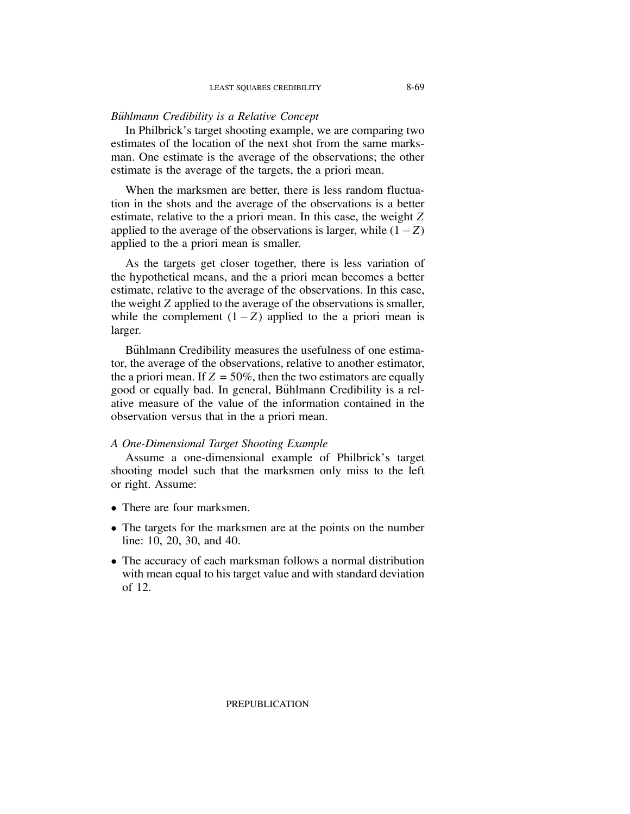#### *Buhlmann Credibility is a Relative Concept ¨*

In Philbrick's target shooting example, we are comparing two estimates of the location of the next shot from the same marksman. One estimate is the average of the observations; the other estimate is the average of the targets, the a priori mean.

When the marksmen are better, there is less random fluctuation in the shots and the average of the observations is a better estimate, relative to the a priori mean. In this case, the weight Z applied to the average of the observations is larger, while  $(1 – Z)$ applied to the a priori mean is smaller.

As the targets get closer together, there is less variation of the hypothetical means, and the a priori mean becomes a better estimate, relative to the average of the observations. In this case, the weight Z applied to the average of the observations is smaller, while the complement  $(1 – Z)$  applied to the a priori mean is larger.

Buhlmann Credibility measures the usefulness of one estimator, the average of the observations, relative to another estimator, the a priori mean. If  $Z = 50\%$ , then the two estimators are equally good or equally bad. In general, Bühlmann Credibility is a relative measure of the value of the information contained in the observation versus that in the a priori mean.

#### *A One-Dimensional Target Shooting Example*

Assume a one-dimensional example of Philbrick's target shooting model such that the marksmen only miss to the left or right. Assume:

- There are four marksmen.
- The targets for the marksmen are at the points on the number line: 10, 20, 30, and 40.
- The accuracy of each marksman follows a normal distribution with mean equal to his target value and with standard deviation of 12.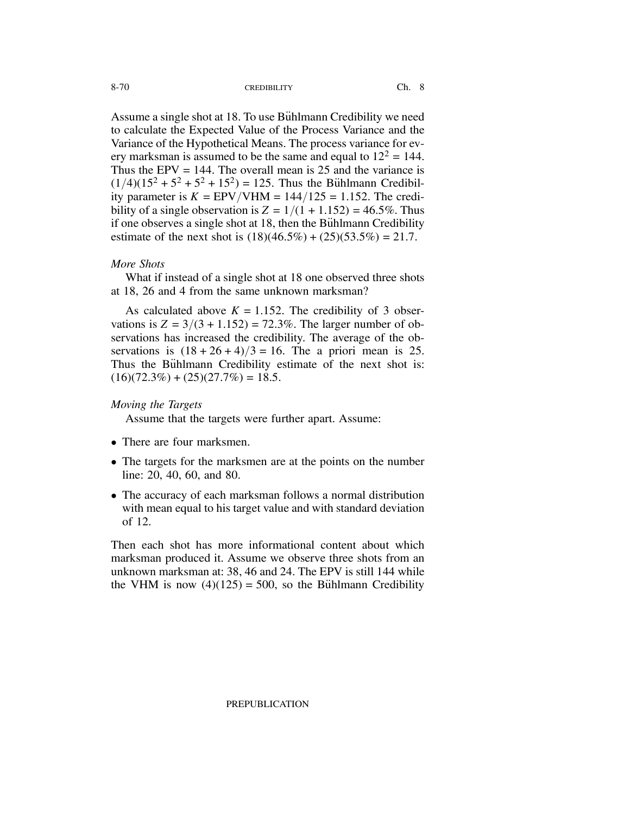Assume a single shot at 18. To use Bühlmann Credibility we need to calculate the Expected Value of the Process Variance and the Variance of the Hypothetical Means. The process variance for every marksman is assumed to be the same and equal to  $12^2 = 144$ . Thus the  $EPV = 144$ . The overall mean is 25 and the variance is  $(1/4)(15^2 + 5^2 + 5^2 + 15^2) = 125$ . Thus the Bühlmann Credibility parameter is  $K = \text{EPV}/\text{VHM} = 144/125 = 1.152$ . The credibility of a single observation is  $Z = 1/(1 + 1.152) = 46.5\%$ . Thus if one observes a single shot at  $18$ , then the Bühlmann Credibility estimate of the next shot is  $(18)(46.5\%) + (25)(53.5\%) = 21.7$ .

### *More Shots*

What if instead of a single shot at 18 one observed three shots at 18, 26 and 4 from the same unknown marksman?

As calculated above  $K = 1.152$ . The credibility of 3 observations is  $Z = 3/(3 + 1.152) = 72.3\%$ . The larger number of observations has increased the credibility. The average of the observations is  $(18 + 26 + 4)/3 = 16$ . The a priori mean is 25. Thus the Bühlmann Credibility estimate of the next shot is:  $(16)(72.3\%) + (25)(27.7\%) = 18.5.$ 

### *Moving the Targets*

Assume that the targets were further apart. Assume:

- There are four marksmen.
- The targets for the marksmen are at the points on the number line: 20, 40, 60, and 80.
- The accuracy of each marksman follows a normal distribution with mean equal to his target value and with standard deviation of 12.

Then each shot has more informational content about which marksman produced it. Assume we observe three shots from an unknown marksman at: 38, 46 and 24. The EPV is still 144 while the VHM is now  $(4)(125) = 500$ , so the Buhlmann Credibility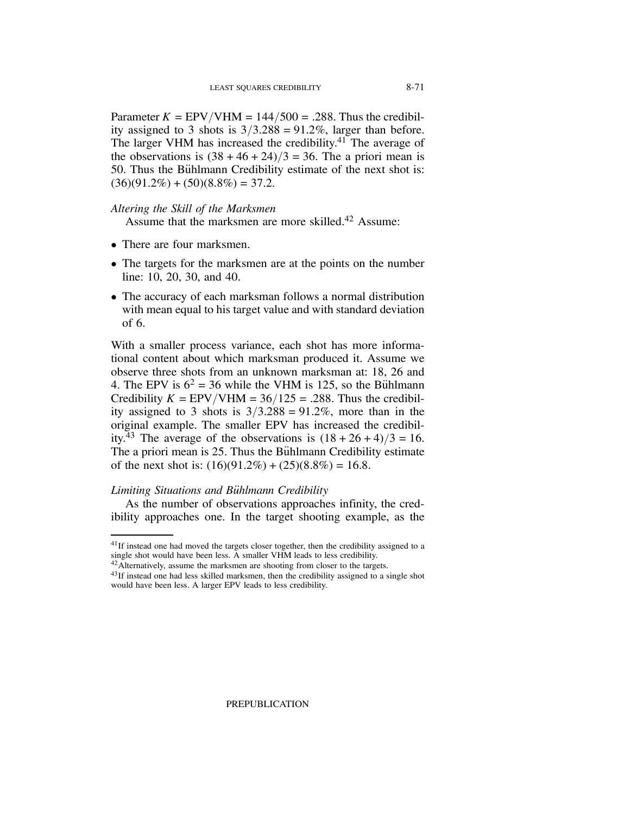Parameter  $K = EPV/VHM = 144/500 = .288$ . Thus the credibility assigned to 3 shots is  $3/3.288 = 91.2\%$ , larger than before. The larger VHM has increased the credibility.<sup>41</sup> The average of the observations is  $(38 + 46 + 24)/3 = 36$ . The a priori mean is 50. Thus the Bühlmann Credibility estimate of the next shot is:  $(36)(91.2\%) + (50)(8.8\%) = 37.2.$ 

# *Altering the Skill of the Marksmen*

Assume that the marksmen are more skilled.<sup>42</sup> Assume:

- There are four marksmen.
- The targets for the marksmen are at the points on the number line: 10, 20, 30, and 40.
- The accuracy of each marksman follows a normal distribution with mean equal to his target value and with standard deviation of 6.

With a smaller process variance, each shot has more informational content about which marksman produced it. Assume we observe three shots from an unknown marksman at: 18, 26 and 4. The EPV is  $6^2 = 36$  while the VHM is 125, so the Bühlmann Credibility  $K = \text{EPV/VHM} = 36/125 = .288$ . Thus the credibility assigned to 3 shots is  $3/3.288 = 91.2\%$ , more than in the original example. The smaller EPV has increased the credibility.<sup>43</sup> The average of the observations is  $(18 + 26 + 4)/3 = 16$ . The a priori mean is 25. Thus the Bühlmann Credibility estimate of the next shot is:  $(16)(91.2\%) + (25)(8.8\%) = 16.8$ .

# *Limiting Situations and Buhlmann Credibility ¨*

As the number of observations approaches infinity, the credibility approaches one. In the target shooting example, as the

 $41$ If instead one had moved the targets closer together, then the credibility assigned to a single shot would have been less. A smaller VHM leads to less credibility.

<sup>&</sup>lt;sup>42</sup>Alternatively, assume the marksmen are shooting from closer to the targets.

 $43$ If instead one had less skilled marksmen, then the credibility assigned to a single shot would have been less. A larger EPV leads to less credibility.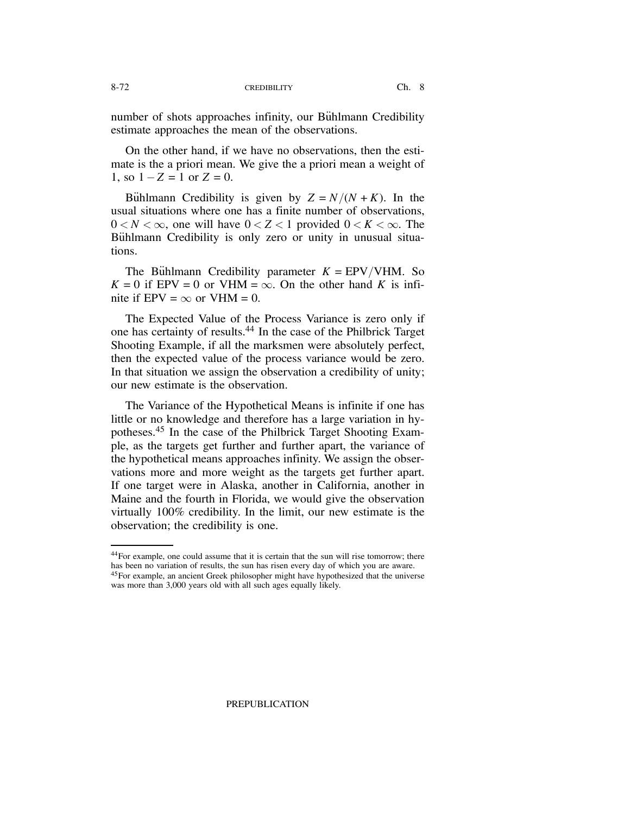number of shots approaches infinity, our Buhlmann Credibility estimate approaches the mean of the observations.

On the other hand, if we have no observations, then the estimate is the a priori mean. We give the a priori mean a weight of 1, so  $1 - Z = 1$  or  $Z = 0$ .

Buhlmann Credibility is given by  $Z = N/(N + K)$ . In the usual situations where one has a finite number of observations,  $0 < N < \infty$ , one will have  $0 < Z < 1$  provided  $0 < K < \infty$ . The Bühlmann Credibility is only zero or unity in unusual situations.

The Bühlmann Credibility parameter  $K = EPV/VHM$ . So  $K = 0$  if EPV = 0 or VHM =  $\infty$ . On the other hand K is infinite if EPV =  $\infty$  or VHM = 0.

The Expected Value of the Process Variance is zero only if one has certainty of results.44 In the case of the Philbrick Target Shooting Example, if all the marksmen were absolutely perfect, then the expected value of the process variance would be zero. In that situation we assign the observation a credibility of unity; our new estimate is the observation.

The Variance of the Hypothetical Means is infinite if one has little or no knowledge and therefore has a large variation in hypotheses.<sup>45</sup> In the case of the Philbrick Target Shooting Example, as the targets get further and further apart, the variance of the hypothetical means approaches infinity. We assign the observations more and more weight as the targets get further apart. If one target were in Alaska, another in California, another in Maine and the fourth in Florida, we would give the observation virtually 100% credibility. In the limit, our new estimate is the observation; the credibility is one.

<sup>44</sup>For example, one could assume that it is certain that the sun will rise tomorrow; there has been no variation of results, the sun has risen every day of which you are aware. 45For example, an ancient Greek philosopher might have hypothesized that the universe

was more than 3,000 years old with all such ages equally likely.

PREPUBLICATION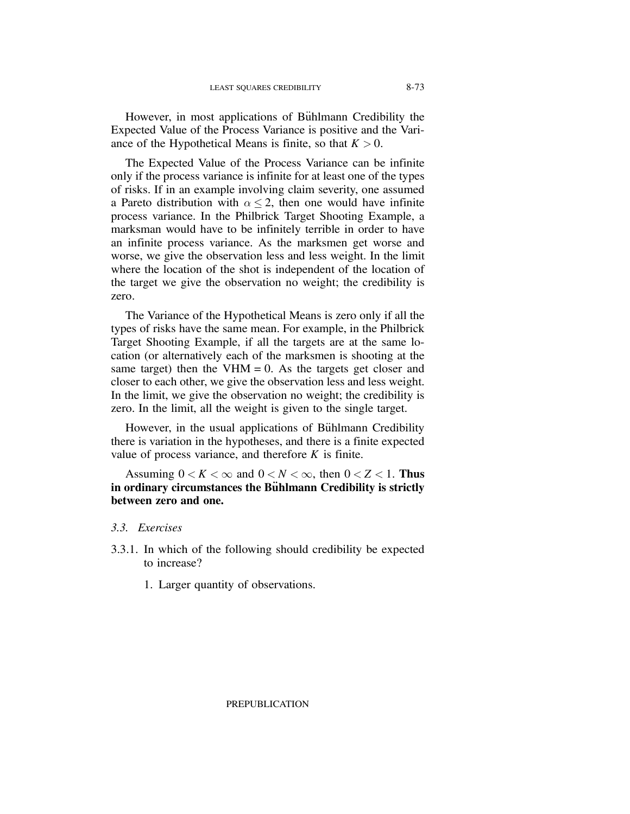However, in most applications of Buhlmann Credibility the Expected Value of the Process Variance is positive and the Variance of the Hypothetical Means is finite, so that  $K > 0$ .

The Expected Value of the Process Variance can be infinite only if the process variance is infinite for at least one of the types of risks. If in an example involving claim severity, one assumed a Pareto distribution with  $\alpha \leq 2$ , then one would have infinite process variance. In the Philbrick Target Shooting Example, a marksman would have to be infinitely terrible in order to have an infinite process variance. As the marksmen get worse and worse, we give the observation less and less weight. In the limit where the location of the shot is independent of the location of the target we give the observation no weight; the credibility is zero.

The Variance of the Hypothetical Means is zero only if all the types of risks have the same mean. For example, in the Philbrick Target Shooting Example, if all the targets are at the same location (or alternatively each of the marksmen is shooting at the same target) then the  $VHM = 0$ . As the targets get closer and closer to each other, we give the observation less and less weight. In the limit, we give the observation no weight; the credibility is zero. In the limit, all the weight is given to the single target.

However, in the usual applications of Bühlmann Credibility there is variation in the hypotheses, and there is a finite expected value of process variance, and therefore  $K$  is finite.

Assuming  $0 < K < \infty$  and  $0 < N < \infty$ , then  $0 < Z < 1$ . Thus **in ordinary circumstances the Buhlmann Credibility is strictly ¨ between zero and one.**

# *3.3. Exercises*

- 3.3.1. In which of the following should credibility be expected to increase?
	- 1. Larger quantity of observations.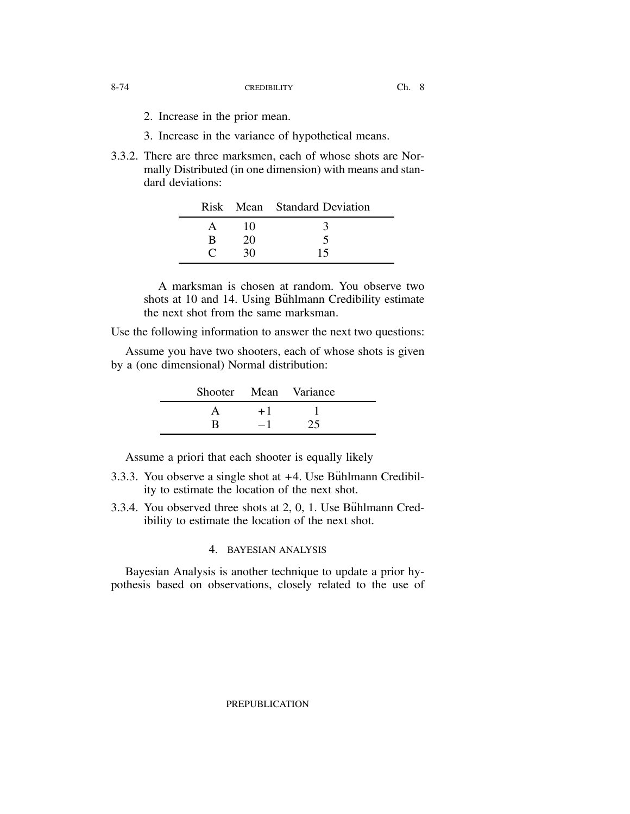- 2. Increase in the prior mean.
- 3. Increase in the variance of hypothetical means.
- 3.3.2. There are three marksmen, each of whose shots are Normally Distributed (in one dimension) with means and standard deviations:

|   |    | Risk Mean Standard Deviation |
|---|----|------------------------------|
|   | 10 |                              |
| R | 20 |                              |
|   | 30 | 15                           |

A marksman is chosen at random. You observe two shots at 10 and 14. Using Bühlmann Credibility estimate the next shot from the same marksman.

Use the following information to answer the next two questions:

Assume you have two shooters, each of whose shots is given by a (one dimensional) Normal distribution:

|  | Shooter Mean Variance |  |
|--|-----------------------|--|
|  |                       |  |
|  |                       |  |

Assume a priori that each shooter is equally likely

- 3.3.3. You observe a single shot at  $+4$ . Use Buhlmann Credibility to estimate the location of the next shot.
- 3.3.4. You observed three shots at  $2, 0, 1$ . Use Bühlmann Credibility to estimate the location of the next shot.

# 4. BAYESIAN ANALYSIS

Bayesian Analysis is another technique to update a prior hypothesis based on observations, closely related to the use of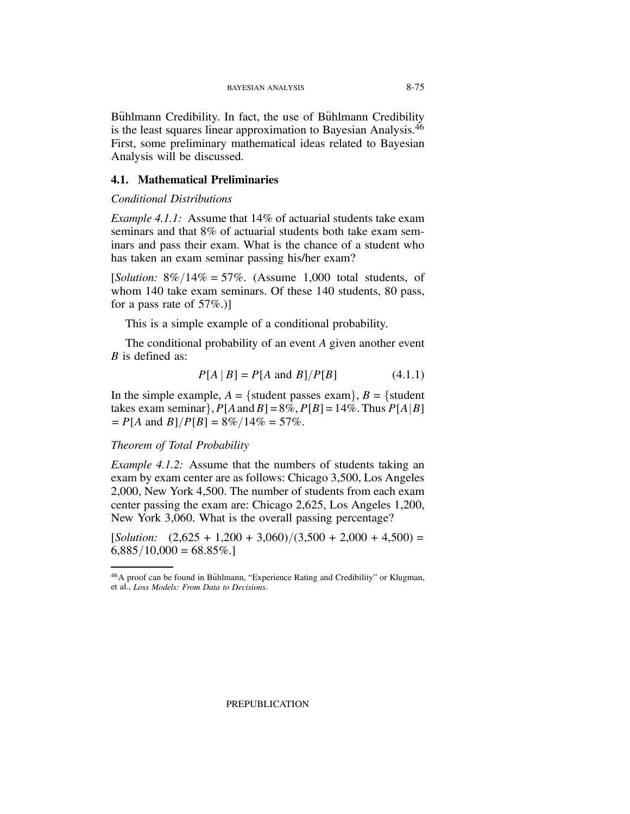Bühlmann Credibility. In fact, the use of Bühlmann Credibility is the least squares linear approximation to Bayesian Analysis.46 First, some preliminary mathematical ideas related to Bayesian Analysis will be discussed.

# **4.1. Mathematical Preliminaries**

# *Conditional Distributions*

*Example 4.1.1:* Assume that 14% of actuarial students take exam seminars and that 8% of actuarial students both take exam seminars and pass their exam. What is the chance of a student who has taken an exam seminar passing his/her exam?

[*Solution:*  $8\%/14\% = 57\%$ . (Assume 1,000 total students, of whom 140 take exam seminars. Of these 140 students, 80 pass, for a pass rate of  $57\%$ .)

This is a simple example of a conditional probability.

The conditional probability of an event A given another event B is defined as:

$$
P[A | B] = P[A \text{ and } B]/P[B] \tag{4.1.1}
$$

In the simple example,  $A = \{\text{student passes exam}\}\$ ,  $B = \{\text{student}$ takes exam seminar,  $P[A \text{ and } B] = 8\%, P[B] = 14\%.$  Thus  $P[A|B]$  $= P[A \text{ and } B]/P[B] = 8\%/14\% = 57\%.$ 

## *Theorem of Total Probability*

*Example 4.1.2:* Assume that the numbers of students taking an exam by exam center are as follows: Chicago 3,500, Los Angeles 2,000, New York 4,500. The number of students from each exam center passing the exam are: Chicago 2,625, Los Angeles 1,200, New York 3,060. What is the overall passing percentage?

 $[Solution: (2,625 + 1,200 + 3,060)/(3,500 + 2,000 + 4,500)$  $6,885/10,000 = 68.85\%$ .

<sup>&</sup>lt;sup>46</sup>A proof can be found in Bühlmann, "Experience Rating and Credibility" or Klugman, et al., *Loss Models: From Data to Decisions*.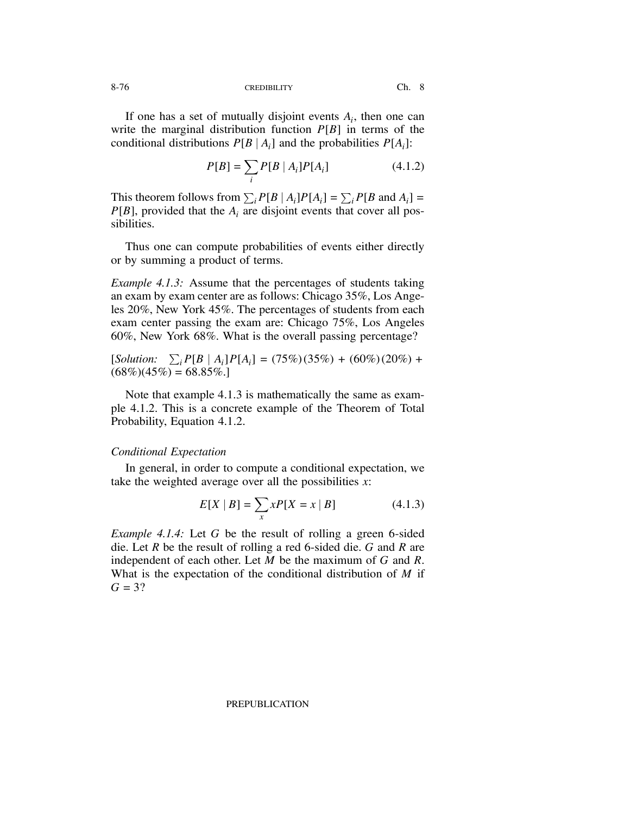If one has a set of mutually disjoint events  $A_i$ , then one can write the marginal distribution function  $P[B]$  in terms of the conditional distributions  $P[B \mid A_i]$  and the probabilities  $P[A_i]$ :

$$
P[B] = \sum_{i} P[B \mid A_i] P[A_i]
$$
 (4.1.2)

This theorem follows from  $\sum_i P[B \mid A_i] P[A_i] = \sum_i P[B \text{ and } A_i] =$  $P[B]$ , provided that the  $A_i$  are disjoint events that cover all possibilities.

Thus one can compute probabilities of events either directly or by summing a product of terms.

*Example 4.1.3:* Assume that the percentages of students taking an exam by exam center are as follows: Chicago 35%, Los Angeles 20%, New York 45%. The percentages of students from each exam center passing the exam are: Chicago 75%, Los Angeles 60%, New York 68%. What is the overall passing percentage?

 $[Solution: \sum_i P[B \mid A_i] P[A_i] = (75\%) (35\%) + (60\%) (20\%) +$  $(68\%)$  $(45\%)$  = 68.85%.]

Note that example 4.1.3 is mathematically the same as example 4.1.2. This is a concrete example of the Theorem of Total Probability, Equation 4.1.2.

# *Conditional Expectation*

In general, in order to compute a conditional expectation, we take the weighted average over all the possibilities  $x$ :

$$
E[X | B] = \sum_{x} xP[X = x | B]
$$
 (4.1.3)

*Example 4.1.4:* Let G be the result of rolling a green 6-sided die. Let R be the result of rolling a red 6-sided die. G and R are independent of each other. Let  $M$  be the maximum of  $G$  and  $R$ . What is the expectation of the conditional distribution of  $M$  if  $G = 3?$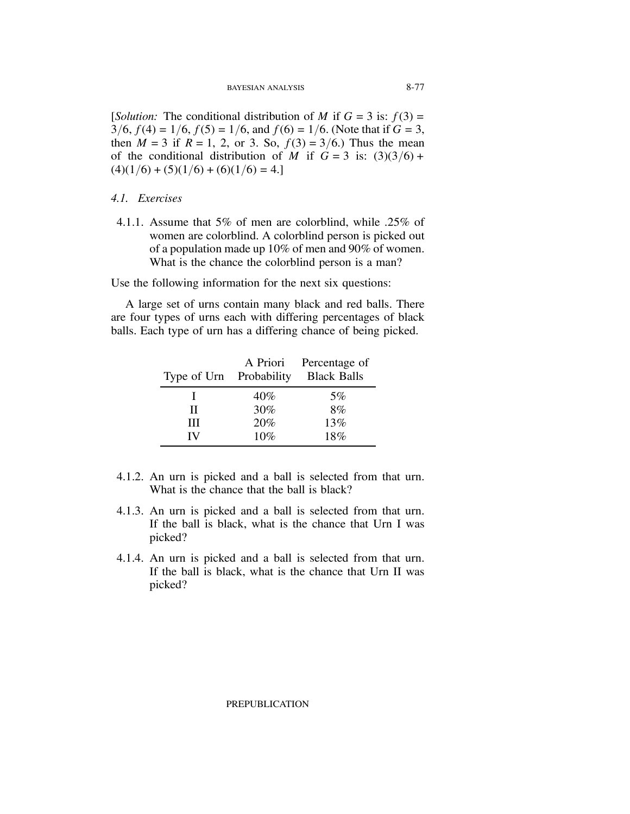[*Solution:* The conditional distribution of M if  $G = 3$  is:  $f(3) =$  $3/6$ ,  $f(4) = 1/6$ ,  $f(5) = 1/6$ , and  $f(6) = 1/6$ . (Note that if  $G = 3$ , then  $M = 3$  if  $R = 1, 2,$  or 3. So,  $f(3) = 3/6$ .) Thus the mean of the conditional distribution of M if  $G = 3$  is:  $(3)(3/6) +$  $(4)(1/6) + (5)(1/6) + (6)(1/6) = 4.$ ]

# *4.1. Exercises*

4.1.1. Assume that 5% of men are colorblind, while .25% of women are colorblind. A colorblind person is picked out of a population made up 10% of men and 90% of women. What is the chance the colorblind person is a man?

Use the following information for the next six questions:

A large set of urns contain many black and red balls. There are four types of urns each with differing percentages of black balls. Each type of urn has a differing chance of being picked.

|                         |     | A Priori Percentage of |
|-------------------------|-----|------------------------|
| Type of Urn Probability |     | <b>Black Balls</b>     |
|                         | 40% | 5%                     |
| Н                       | 30% | 8%                     |
| Ш                       | 20% | 13%                    |
| IV                      | 10% | 18%                    |

- 4.1.2. An urn is picked and a ball is selected from that urn. What is the chance that the ball is black?
- 4.1.3. An urn is picked and a ball is selected from that urn. If the ball is black, what is the chance that Urn I was picked?
- 4.1.4. An urn is picked and a ball is selected from that urn. If the ball is black, what is the chance that Urn II was picked?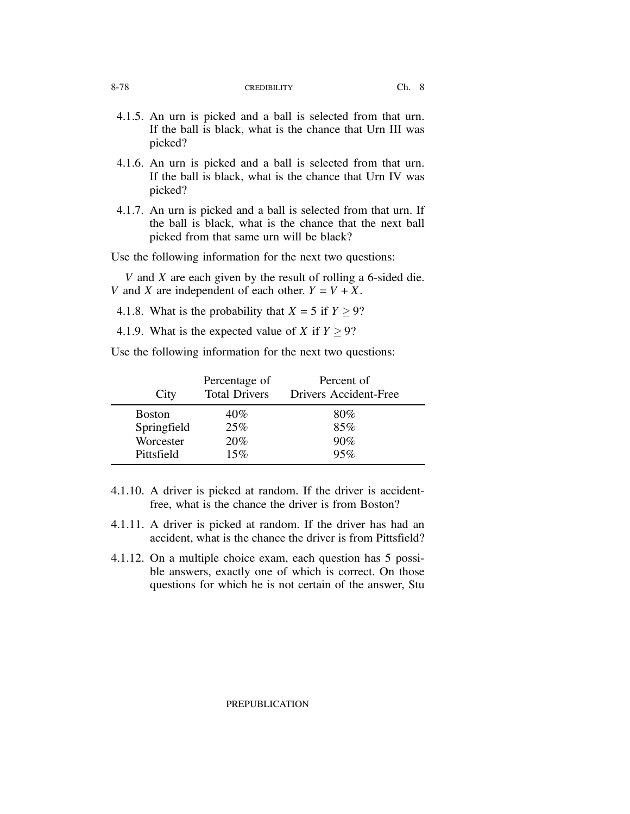- 4.1.6. An urn is picked and a ball is selected from that urn. If the ball is black, what is the chance that Urn IV was picked?
- 4.1.7. An urn is picked and a ball is selected from that urn. If the ball is black, what is the chance that the next ball picked from that same urn will be black?

Use the following information for the next two questions:

V and X are each given by the result of rolling a 6-sided die. V and X are independent of each other.  $Y = V + X$ .

- 4.1.8. What is the probability that  $X = 5$  if  $Y \ge 9$ ?
- 4.1.9. What is the expected value of X if  $Y \ge 9$ ?

Use the following information for the next two questions:

| City                                      | Percentage of<br><b>Total Drivers</b> | Percent of<br>Drivers Accident-Free |
|-------------------------------------------|---------------------------------------|-------------------------------------|
| <b>Boston</b><br>Springfield<br>Worcester | 40%<br>25%<br>20%                     | 80%<br>85%<br>90%                   |
| Pittsfield                                | 15%                                   | 95%                                 |

- 4.1.10. A driver is picked at random. If the driver is accidentfree, what is the chance the driver is from Boston?
- 4.1.11. A driver is picked at random. If the driver has had an accident, what is the chance the driver is from Pittsfield?
- 4.1.12. On a multiple choice exam, each question has 5 possible answers, exactly one of which is correct. On those questions for which he is not certain of the answer, Stu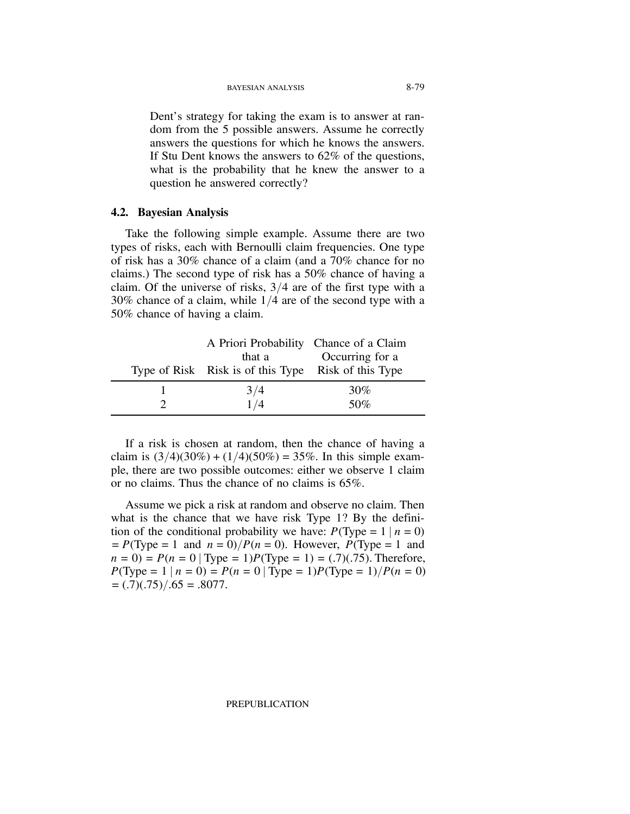Dent's strategy for taking the exam is to answer at random from the 5 possible answers. Assume he correctly answers the questions for which he knows the answers. If Stu Dent knows the answers to 62% of the questions, what is the probability that he knew the answer to a question he answered correctly?

# **4.2. Bayesian Analysis**

Take the following simple example. Assume there are two types of risks, each with Bernoulli claim frequencies. One type of risk has a 30% chance of a claim (and a 70% chance for no claims.) The second type of risk has a 50% chance of having a claim. Of the universe of risks,  $3/4$  are of the first type with a  $30\%$  chance of a claim, while  $1/4$  are of the second type with a 50% chance of having a claim.

| A Priori Probability Chance of a Claim              |                 |
|-----------------------------------------------------|-----------------|
| that a                                              | Occurring for a |
| Type of Risk Risk is of this Type Risk of this Type |                 |
| 3/4                                                 | 30%             |
| 1/4                                                 | .50%            |
|                                                     |                 |

If a risk is chosen at random, then the chance of having a claim is  $(3/4)(30\%) + (1/4)(50\%) = 35\%$ . In this simple example, there are two possible outcomes: either we observe 1 claim or no claims. Thus the chance of no claims is 65%.

Assume we pick a risk at random and observe no claim. Then what is the chance that we have risk Type 1? By the definition of the conditional probability we have:  $P(\text{Type} = 1 \mid n = 0)$  $= P(\text{Type }= 1 \text{ and } n = 0)/P(n = 0)$ . However,  $P(\text{Type }= 1 \text{ and } n = 0)/P(n = 0)$ .  $n = 0$ ) =  $P(n = 0 | Type = 1)P(Type = 1) = (.7)(.75)$ . Therefore,  $P(\text{Type} = 1 \mid n = 0) = P(n = 0 \mid \text{Type} = 1)P(\text{Type} = 1)/P(n = 0)$  $=$  (.7)(.75)/.65 = .8077.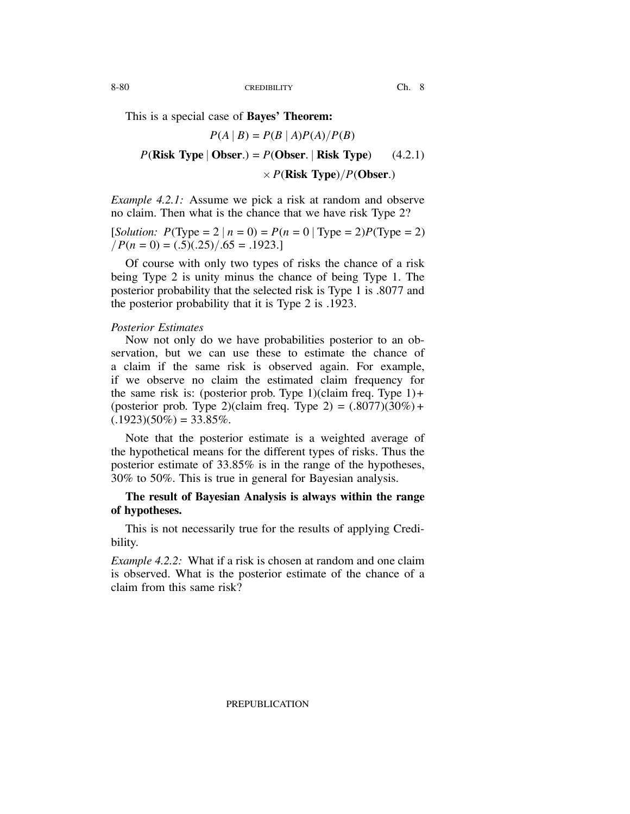$P(A | B) = P(B | A)P(A)/P(B)$  $P(Risk Type | Obser.) = P(Obser. | Risk Type)$  (4.2.1)  $\times P(Risk Type)/P(Obser.)$ 

*Example 4.2.1:* Assume we pick a risk at random and observe no claim. Then what is the chance that we have risk Type 2?

[*Solution:*  $P$ (Type = 2 |  $n = 0$ ) =  $P(n = 0$  | Type = 2) $P$ (Type = 2)  $\overline{PR(n = 0)} = (.5)(.25)/.65 = .1923.$ ]

Of course with only two types of risks the chance of a risk being Type 2 is unity minus the chance of being Type 1. The posterior probability that the selected risk is Type 1 is .8077 and the posterior probability that it is Type 2 is .1923.

## *Posterior Estimates*

Now not only do we have probabilities posterior to an observation, but we can use these to estimate the chance of a claim if the same risk is observed again. For example, if we observe no claim the estimated claim frequency for the same risk is: (posterior prob. Type 1)(claim freq. Type  $1$ )+ (posterior prob. Type 2)(claim freq. Type 2) =  $(.8077)(30\%) +$  $(.1923)(50\%) = 33.85\%.$ 

Note that the posterior estimate is a weighted average of the hypothetical means for the different types of risks. Thus the posterior estimate of 33.85% is in the range of the hypotheses, 30% to 50%. This is true in general for Bayesian analysis.

# **The result of Bayesian Analysis is always within the range of hypotheses.**

This is not necessarily true for the results of applying Credibility.

*Example 4.2.2:* What if a risk is chosen at random and one claim is observed. What is the posterior estimate of the chance of a claim from this same risk?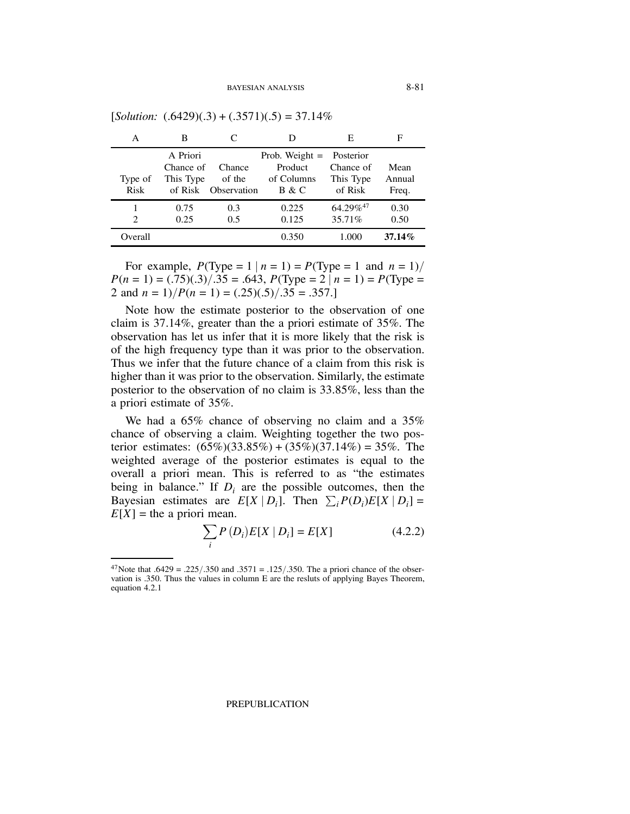| А                      |                                    |                                         |                                                              | E                                 | F                       |
|------------------------|------------------------------------|-----------------------------------------|--------------------------------------------------------------|-----------------------------------|-------------------------|
| Type of<br><b>Risk</b> | A Priori<br>Chance of<br>This Type | Chance<br>of the<br>of Risk Observation | Prob. Weight $=$ Posterior<br>Product<br>of Columns<br>B & C | Chance of<br>This Type<br>of Risk | Mean<br>Annual<br>Freq. |
| $\mathfrak{D}$         | 0.75<br>0.25                       | 0.3<br>0.5                              | 0.225<br>0.125                                               | 64.29% <sup>47</sup><br>35.71%    | 0.30<br>0.50            |
| <b>Overall</b>         |                                    |                                         | 0.350                                                        | 1.000                             | 37.14%                  |

 $[Solution: (.6429)(.3) + (.3571)(.5) = 37.14\%$ 

For example,  $P$ (Type = 1 |  $n = 1$ ) =  $P$ (Type = 1 and  $n = 1$ )/  $P(n = 1) = (.75)(.3)/.35 = .643, P(Type = 2 | n = 1) = P(Type =$ 2 and  $n = 1$ )/ $P(n = 1) = (.25)(.5)/.35 = .357$ .]

Note how the estimate posterior to the observation of one claim is 37.14%, greater than the a priori estimate of 35%. The observation has let us infer that it is more likely that the risk is of the high frequency type than it was prior to the observation. Thus we infer that the future chance of a claim from this risk is higher than it was prior to the observation. Similarly, the estimate posterior to the observation of no claim is 33.85%, less than the a priori estimate of 35%.

We had a  $65\%$  chance of observing no claim and a  $35\%$ chance of observing a claim. Weighting together the two posterior estimates:  $(65\%)$  $(33.85\%)$  +  $(35\%)$  $(37.14\%)$  = 35%. The weighted average of the posterior estimates is equal to the overall a priori mean. This is referred to as "the estimates being in balance." If  $D_i$  are the possible outcomes, then the Bayesian estimates are  $E[X | D_i]$ . Then  $\sum_i P(D_i)E[X | D_i] =$  $E[X] =$  the a priori mean.

$$
\sum_{i} P(D_{i}) E[X | D_{i}] = E[X] \tag{4.2.2}
$$

<sup>&</sup>lt;sup>47</sup>Note that  $.6429 = .225/.350$  and  $.3571 = .125/.350$ . The a priori chance of the observation is .350. Thus the values in column E are the resluts of applying Bayes Theorem, equation 4.2.1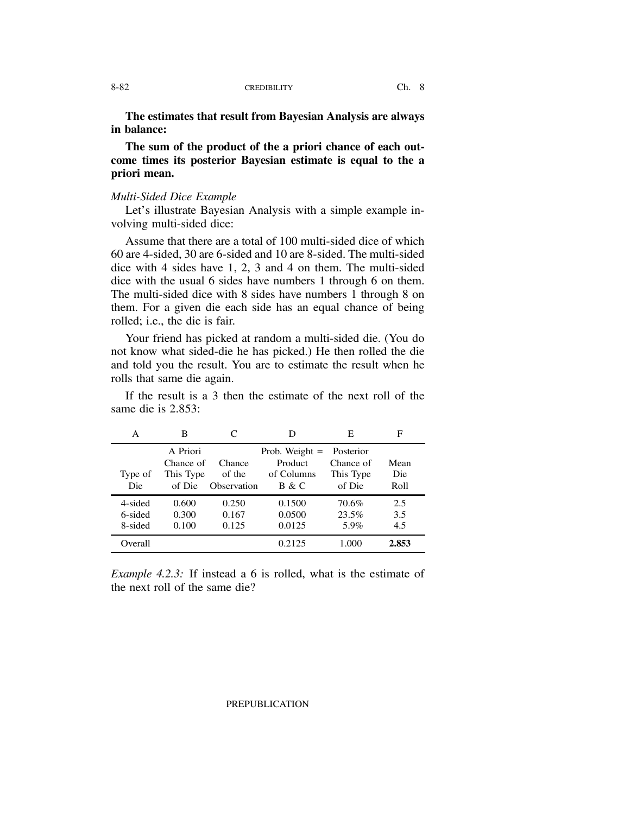**The estimates that result from Bayesian Analysis are always in balance:**

**The sum of the product of the a priori chance of each outcome times its posterior Bayesian estimate is equal to the a priori mean.**

## *Multi-Sided Dice Example*

Let's illustrate Bayesian Analysis with a simple example involving multi-sided dice:

Assume that there are a total of 100 multi-sided dice of which 60 are 4-sided, 30 are 6-sided and 10 are 8-sided. The multi-sided dice with 4 sides have 1, 2, 3 and 4 on them. The multi-sided dice with the usual 6 sides have numbers 1 through 6 on them. The multi-sided dice with 8 sides have numbers 1 through 8 on them. For a given die each side has an equal chance of being rolled; i.e., the die is fair.

Your friend has picked at random a multi-sided die. (You do not know what sided-die he has picked.) He then rolled the die and told you the result. You are to estimate the result when he rolls that same die again.

If the result is a 3 then the estimate of the next roll of the same die is 2.853:

| А          | в                     |             |                                       | E         | F     |
|------------|-----------------------|-------------|---------------------------------------|-----------|-------|
|            | A Priori<br>Chance of | Chance      | Prob. Weight $=$ Posterior<br>Product | Chance of | Mean  |
| Type of    | This Type             | of the      | of Columns                            | This Type | Die   |
| <b>Die</b> | of Die                | Observation | B & C                                 | of Die    | Roll  |
| 4-sided    | 0.600                 | 0.250       | 0.1500                                | 70.6%     | 2.5   |
| 6-sided    | 0.300                 | 0.167       | 0.0500                                | 23.5%     | 3.5   |
| 8-sided    | 0.100                 | 0.125       | 0.0125                                | 5.9%      | 4.5   |
| Overall    |                       |             | 0.2125                                | 1.000     | 2.853 |

*Example 4.2.3:* If instead a 6 is rolled, what is the estimate of the next roll of the same die?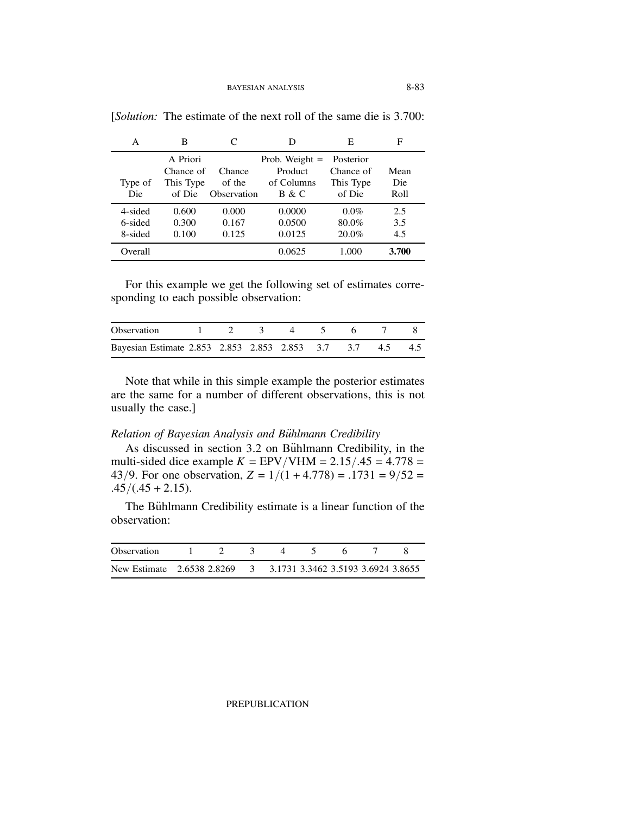| А                             | в                       |                         |                             | E                         | F                 |
|-------------------------------|-------------------------|-------------------------|-----------------------------|---------------------------|-------------------|
|                               | A Priori<br>Chance of   | Chance                  | Prob. Weight $=$<br>Product | Posterior<br>Chance of    | Mean              |
| Type of<br>Die                | This Type<br>of Die     | of the<br>Observation   | of Columns<br>B & C         | This Type<br>of Die       | Die<br>Roll       |
| 4-sided<br>6-sided<br>8-sided | 0.600<br>0.300<br>0.100 | 0.000<br>0.167<br>0.125 | 0.0000<br>0.0500<br>0.0125  | $0.0\%$<br>80.0%<br>20.0% | 2.5<br>3.5<br>4.5 |
| Overall                       |                         |                         | 0.0625                      | 1.000                     | 3.700             |

[*Solution:* The estimate of the next roll of the same die is 3.700:

For this example we get the following set of estimates corresponding to each possible observation:

| Observation                                           |  | $\Lambda$ |  |  |
|-------------------------------------------------------|--|-----------|--|--|
| Bayesian Estimate 2.853 2.853 2.853 2.853 3.7 3.7 4.5 |  |           |  |  |

Note that while in this simple example the posterior estimates are the same for a number of different observations, this is not usually the case.]

# *Relation of Bayesian Analysis and Buhlmann Credibility ¨*

As discussed in section 3.2 on Bühlmann Credibility, in the multi-sided dice example  $K = \text{EPV/VHM} = 2.15/.45 = 4.778 =$ 43/9. For one observation,  $Z = 1/(1 + 4.778) = .1731 = 9/52 =$  $.45/(.45 + 2.15).$ 

The Bühlmann Credibility estimate is a linear function of the observation:

| <b>Observation</b>                                              |  |  |  |  |
|-----------------------------------------------------------------|--|--|--|--|
| New Estimate 2.6538 2.8269 3 3.1731 3.3462 3.5193 3.6924 3.8655 |  |  |  |  |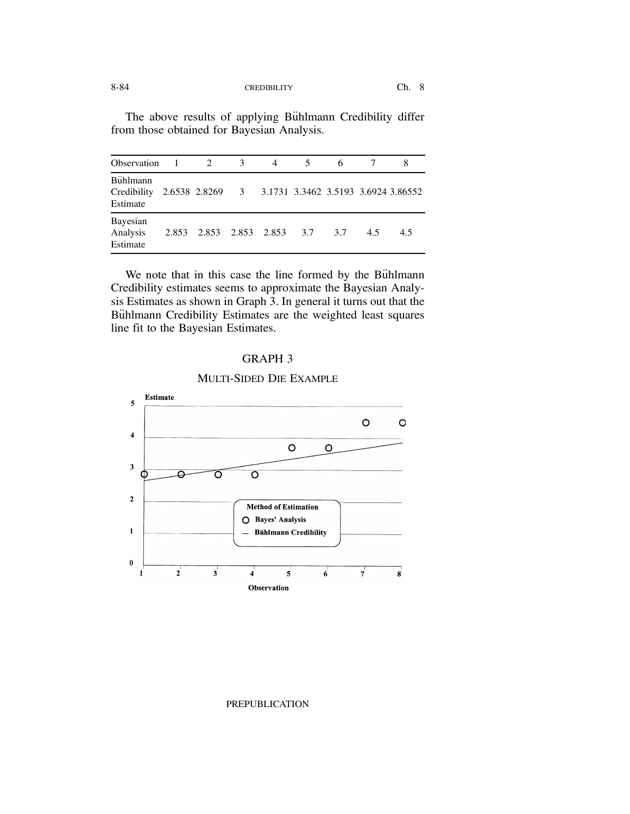The above results of applying Bühlmann Credibility differ from those obtained for Bayesian Analysis.

| Observation 1                              | $\overline{2}$              | 3 | $\overline{4}$ | 5. | 6   |     |                                                     |
|--------------------------------------------|-----------------------------|---|----------------|----|-----|-----|-----------------------------------------------------|
| <b>Bühlmann</b><br>Credibility<br>Estimate |                             |   |                |    |     |     | 2.6538 2.8269 3 3.1731 3.3462 3.5193 3.6924 3.86552 |
| Bayesian<br>Analysis<br>Estimate           | 2.853 2.853 2.853 2.853 3.7 |   |                |    | 3.7 | 4.5 | 45                                                  |

We note that in this case the line formed by the Bühlmann Credibility estimates seems to approximate the Bayesian Analysis Estimates as shown in Graph 3. In general it turns out that the Bühlmann Credibility Estimates are the weighted least squares line fit to the Bayesian Estimates.





Observation

# MULTI-SIDED DIE EXAMPLE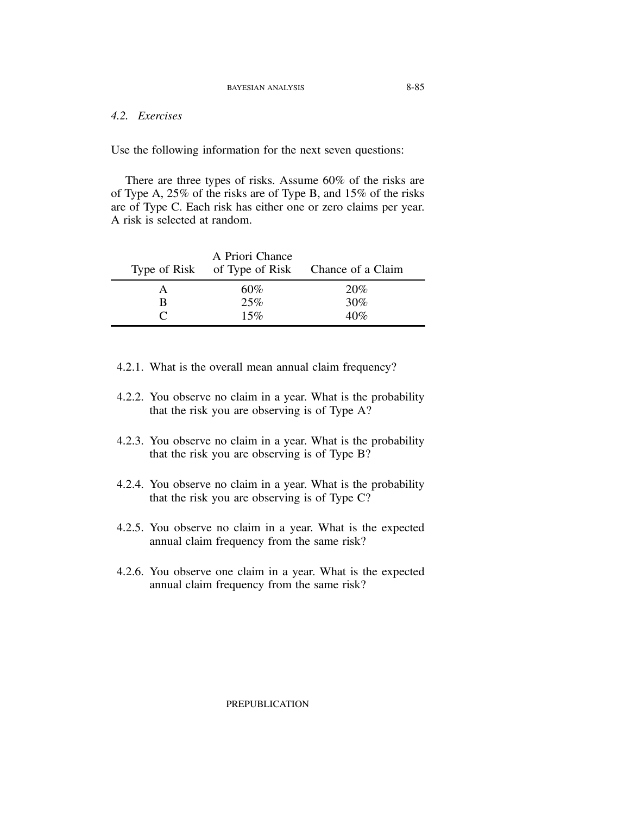# *4.2. Exercises*

Use the following information for the next seven questions:

There are three types of risks. Assume 60% of the risks are of Type A, 25% of the risks are of Type B, and 15% of the risks are of Type C. Each risk has either one or zero claims per year. A risk is selected at random.

|               | A Priori Chance | Type of Risk of Type of Risk Chance of a Claim |
|---------------|-----------------|------------------------------------------------|
| А             | $60\%$          | 20%                                            |
| R             | 25%             | 30%                                            |
| $\mathcal{C}$ | 15%             | 40%                                            |

- 4.2.1. What is the overall mean annual claim frequency?
- 4.2.2. You observe no claim in a year. What is the probability that the risk you are observing is of Type A?
- 4.2.3. You observe no claim in a year. What is the probability that the risk you are observing is of Type B?
- 4.2.4. You observe no claim in a year. What is the probability that the risk you are observing is of Type C?
- 4.2.5. You observe no claim in a year. What is the expected annual claim frequency from the same risk?
- 4.2.6. You observe one claim in a year. What is the expected annual claim frequency from the same risk?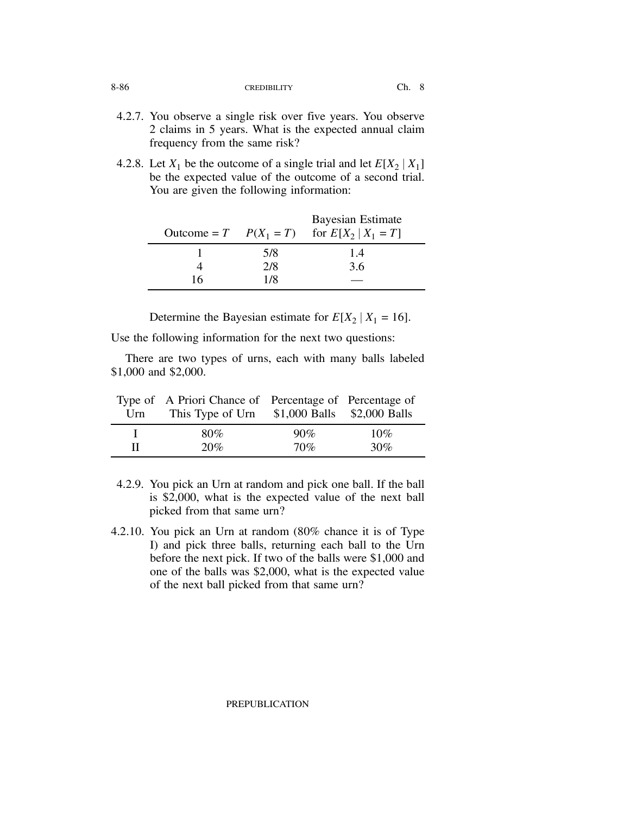- 4.2.7. You observe a single risk over five years. You observe 2 claims in 5 years. What is the expected annual claim frequency from the same risk?
- 4.2.8. Let  $X_1$  be the outcome of a single trial and let  $E[X_2 | X_1]$ be the expected value of the outcome of a second trial. You are given the following information:

|    |     | <b>Bayesian Estimate</b>                          |
|----|-----|---------------------------------------------------|
|    |     | Outcome = $T$ $P(X_1 = T)$ for $E[X_2   X_1 = T]$ |
|    | 5/8 | 1.4                                               |
|    | 2/8 | 3.6                                               |
| 16 | 1/8 |                                                   |

Determine the Bayesian estimate for  $E[X_2 | X_1 = 16]$ .

Use the following information for the next two questions:

There are two types of urns, each with many balls labeled \$1,000 and \$2,000.

| Urn          | Type of A Priori Chance of Percentage of Percentage of<br>This Type of Urn $$1,000$ Balls $$2,000$ Balls |     |        |
|--------------|----------------------------------------------------------------------------------------------------------|-----|--------|
| $\mathbf{L}$ | 80%                                                                                                      | 90% | $10\%$ |
| П            | 20%                                                                                                      | 70% | 30%    |

- 4.2.9. You pick an Urn at random and pick one ball. If the ball is \$2,000, what is the expected value of the next ball picked from that same urn?
- 4.2.10. You pick an Urn at random (80% chance it is of Type I) and pick three balls, returning each ball to the Urn before the next pick. If two of the balls were \$1,000 and one of the balls was \$2,000, what is the expected value of the next ball picked from that same urn?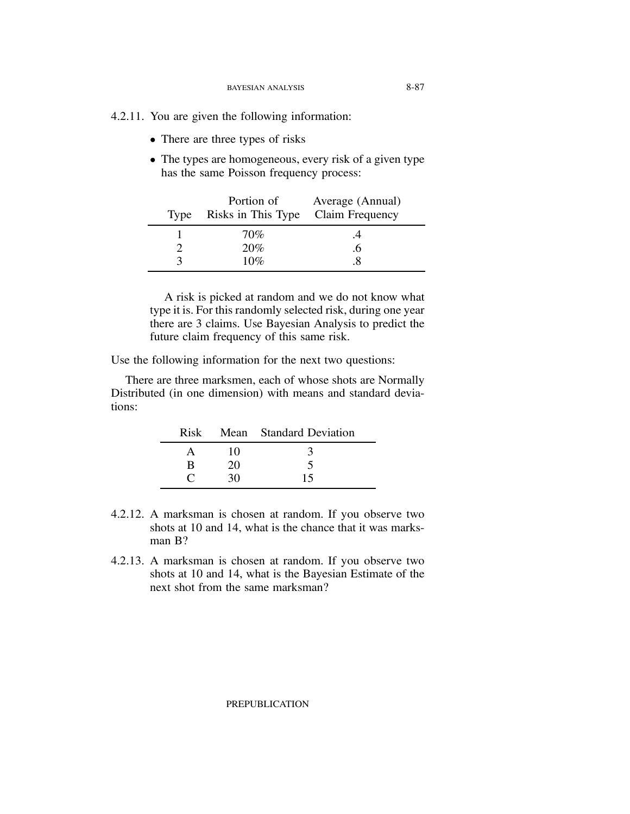4.2.11. You are given the following information:

- There are three types of risks
- The types are homogeneous, every risk of a given type has the same Poisson frequency process:

|      | Portion of                         | Average (Annual) |
|------|------------------------------------|------------------|
| Type | Risks in This Type Claim Frequency |                  |
|      | 70%                                | .4               |
|      | 20%                                | $\cdot$          |
|      | 10%                                |                  |

A risk is picked at random and we do not know what type it is. For this randomly selected risk, during one year there are 3 claims. Use Bayesian Analysis to predict the future claim frequency of this same risk.

Use the following information for the next two questions:

There are three marksmen, each of whose shots are Normally Distributed (in one dimension) with means and standard deviations:

| Risk |    | Mean Standard Deviation |  |
|------|----|-------------------------|--|
|      | 10 |                         |  |
| R    | 20 |                         |  |
|      | 30 | 15                      |  |

- 4.2.12. A marksman is chosen at random. If you observe two shots at 10 and 14, what is the chance that it was marksman B?
- 4.2.13. A marksman is chosen at random. If you observe two shots at 10 and 14, what is the Bayesian Estimate of the next shot from the same marksman?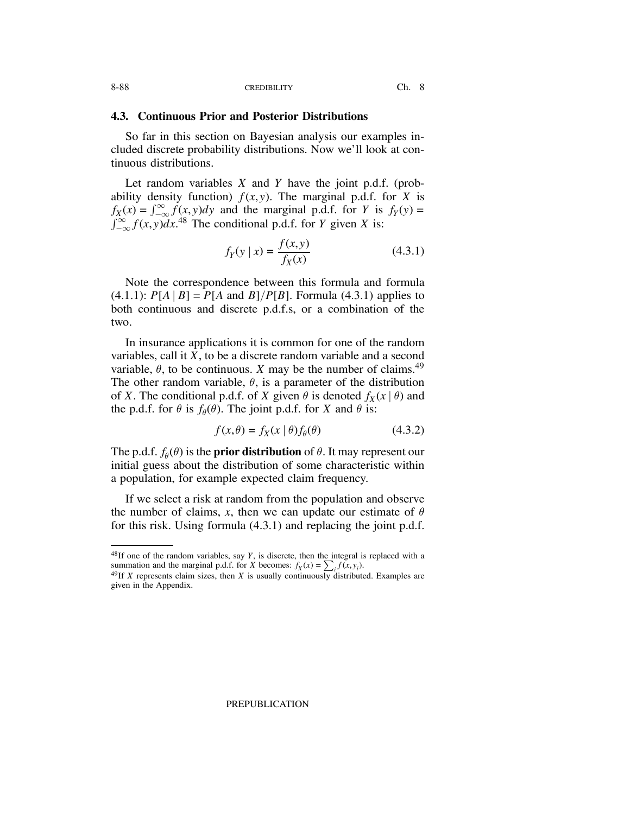8-88 CREDIBILITY CH. 8

## **4.3. Continuous Prior and Posterior Distributions**

So far in this section on Bayesian analysis our examples included discrete probability distributions. Now we'll look at continuous distributions.

Let random variables  $X$  and  $Y$  have the joint p.d.f. (probability density function)  $f(x, y)$ . The marginal p.d.f. for X is  $f_X(x) = \int_{-\infty}^{\infty} f(x, y) dy$  and the marginal p.d.f. for Y is  $f_Y(y) =$  $\int_{-\infty}^{\infty} f(x,y)dx$ <sup>48</sup> The conditional p.d.f. for Y given X is:

$$
f_Y(y \mid x) = \frac{f(x, y)}{f_X(x)}
$$
(4.3.1)

Note the correspondence between this formula and formula  $(4.1.1):$   $P[A \mid B] = P[A \text{ and } B]/P[B]$ . Formula (4.3.1) applies to both continuous and discrete p.d.f.s, or a combination of the two.

In insurance applications it is common for one of the random variables, call it  $X$ , to be a discrete random variable and a second variable,  $\theta$ , to be continuous. X may be the number of claims.<sup>49</sup> The other random variable,  $\theta$ , is a parameter of the distribution of X. The conditional p.d.f. of X given  $\theta$  is denoted  $f_X(x | \theta)$  and the p.d.f. for  $\theta$  is  $f_{\theta}(\theta)$ . The joint p.d.f. for X and  $\theta$  is:

$$
f(x,\theta) = f_X(x \mid \theta) f_{\theta}(\theta) \tag{4.3.2}
$$

The p.d.f.  $f_{\theta}(\theta)$  is the **prior distribution** of  $\theta$ . It may represent our initial guess about the distribution of some characteristic within a population, for example expected claim frequency.

If we select a risk at random from the population and observe the number of claims, x, then we can update our estimate of  $\theta$ for this risk. Using formula (4.3.1) and replacing the joint p.d.f.

 $48$ If one of the random variables, say Y, is discrete, then the integral is replaced with a summation and the marginal p.d.f. for X becomes:  $f_X(x) = \sum_i f(x, y_i)$ .

 $^{49}$ If X represents claim sizes, then X is usually continuously distributed. Examples are given in the Appendix.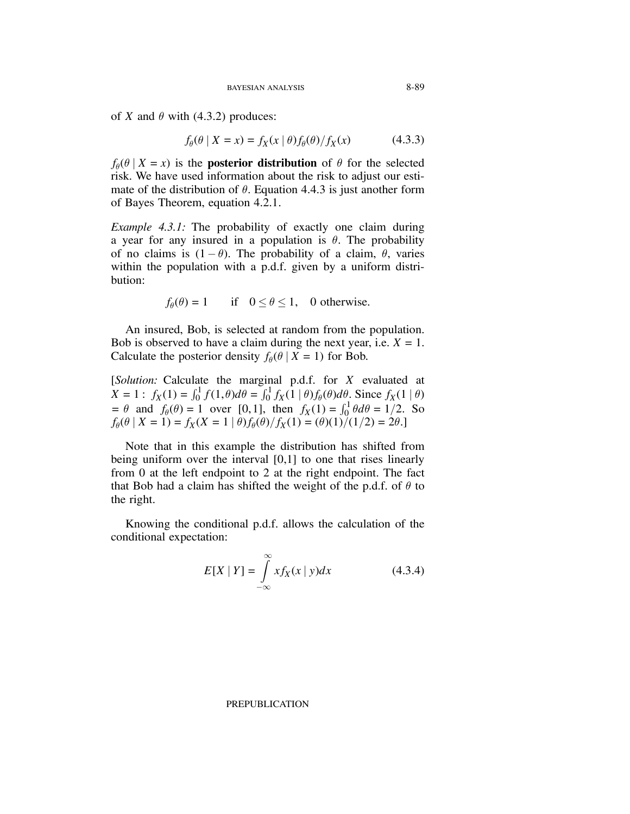of X and  $\theta$  with (4.3.2) produces:

$$
f_{\theta}(\theta \mid X = x) = f_X(x \mid \theta) f_{\theta}(\theta) / f_X(x) \tag{4.3.3}
$$

 $f_{\theta}(\theta | X = x)$  is the **posterior distribution** of  $\theta$  for the selected risk. We have used information about the risk to adjust our estimate of the distribution of  $\theta$ . Equation 4.4.3 is just another form of Bayes Theorem, equation 4.2.1.

*Example 4.3.1:* The probability of exactly one claim during a year for any insured in a population is  $\theta$ . The probability of no claims is  $(1 - \theta)$ . The probability of a claim,  $\theta$ , varies within the population with a p.d.f. given by a uniform distribution:

 $f_{\theta}(\theta) = 1$  if  $0 \le \theta \le 1$ , 0 otherwise.

An insured, Bob, is selected at random from the population. Bob is observed to have a claim during the next year, i.e.  $X = 1$ . Calculate the posterior density  $f_{\theta}(\theta | X = 1)$  for Bob.

[*Solution:* Calculate the marginal p.d.f. for X evaluated at  $X = 1$ :  $f_X(1) = \int_0^1 f(1, \theta) d\theta = \int_0^1 f_X(1 | \theta) f_{\theta}(\theta) d\theta$ . Since  $f_X(1 | \theta)$  $= \theta$  and  $f_{\theta}(\theta) = 1$  over [0,1], then  $f_X(1) = \int_0^1 \theta d\theta = 1/2$ . So  $f_{\theta}(\theta | X = 1) = f_X(X = 1 | \theta) f_{\theta}(\theta) / f_X(1) = (\theta)(1) / (1/2) = 2\theta.$ 

Note that in this example the distribution has shifted from being uniform over the interval [0,1] to one that rises linearly from 0 at the left endpoint to 2 at the right endpoint. The fact that Bob had a claim has shifted the weight of the p.d.f. of  $\theta$  to the right.

Knowing the conditional p.d.f. allows the calculation of the conditional expectation:

$$
E[X \mid Y] = \int_{-\infty}^{\infty} x f_X(x \mid y) dx \tag{4.3.4}
$$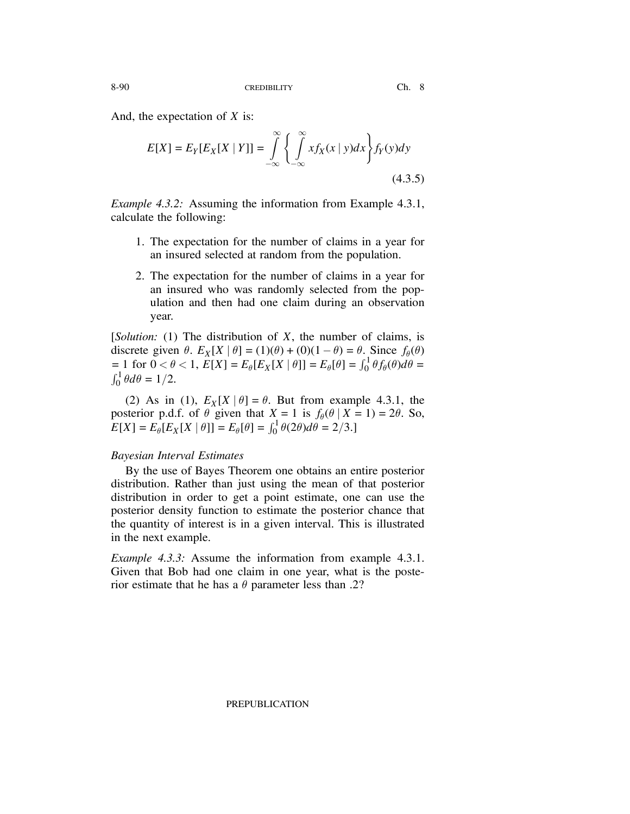And, the expectation of X is:

$$
E[X] = E_Y[E_X[X \mid Y]] = \int_{-\infty}^{\infty} \left\{ \int_{-\infty}^{\infty} x f_X(x \mid y) dx \right\} f_Y(y) dy
$$
\n(4.3.5)

*Example 4.3.2:* Assuming the information from Example 4.3.1, calculate the following:

- 1. The expectation for the number of claims in a year for an insured selected at random from the population.
- 2. The expectation for the number of claims in a year for an insured who was randomly selected from the population and then had one claim during an observation year.

[*Solution:* (1) The distribution of X, the number of claims, is discrete given  $\theta$ .  $E_X[X | \theta] = (1)(\theta) + (0)(1 - \theta) = \theta$ . Since  $f_{\theta}(\theta)$ = 1 for  $0 < \theta < 1$ ,  $E[X] = E_{\theta}[E_X[X | \theta]] = E_{\theta}[\theta] = \int_0^1 \theta f_{\theta}(\theta) d\theta = \int_0^1 \theta d\theta = 1/2$  $\int_0^1 \theta d\theta = 1/2.$ 

(2) As in (1),  $E_X[X | \theta] = \theta$ . But from example 4.3.1, the posterior p.d.f. of  $\theta$  given that  $X = 1$  is  $f_{\theta}(\theta | X = 1) = 2\theta$ . So,  $E[X] = E_{\theta}[E_X[X | \theta]] = E_{\theta}[\theta] = \int_0^1 \theta(2\theta) d\theta = 2/3.$ 

# *Bayesian Interval Estimates*

By the use of Bayes Theorem one obtains an entire posterior distribution. Rather than just using the mean of that posterior distribution in order to get a point estimate, one can use the posterior density function to estimate the posterior chance that the quantity of interest is in a given interval. This is illustrated in the next example.

*Example 4.3.3:* Assume the information from example 4.3.1. Given that Bob had one claim in one year, what is the posterior estimate that he has a  $\theta$  parameter less than .2?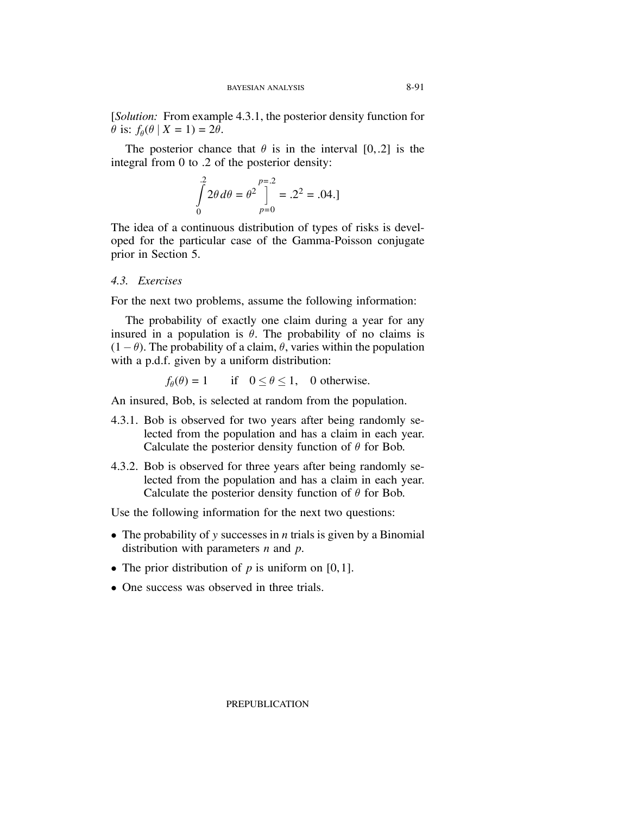[*Solution:* From example 4.3.1, the posterior density function for  $\theta$  is:  $f_{\theta}(\theta | X = 1) = 2\theta$ .

The posterior chance that  $\theta$  is in the interval [0,.2] is the integral from 0 to .2 of the posterior density:

$$
\int_{0}^{2} 2\theta \, d\theta = \theta^2 \bigg|_{p=0}^{p=2} = .2^2 = .04.
$$

The idea of a continuous distribution of types of risks is developed for the particular case of the Gamma-Poisson conjugate prior in Section 5.

## *4.3. Exercises*

For the next two problems, assume the following information:

The probability of exactly one claim during a year for any insured in a population is  $\theta$ . The probability of no claims is  $(1 - \theta)$ . The probability of a claim,  $\theta$ , varies within the population with a p.d.f. given by a uniform distribution:

 $f_{\theta}(\theta) = 1$  if  $0 \le \theta \le 1$ , 0 otherwise.

An insured, Bob, is selected at random from the population.

- 4.3.1. Bob is observed for two years after being randomly selected from the population and has a claim in each year. Calculate the posterior density function of  $\theta$  for Bob.
- 4.3.2. Bob is observed for three years after being randomly selected from the population and has a claim in each year. Calculate the posterior density function of  $\theta$  for Bob.

Use the following information for the next two questions:

- The probability of y successes in  $n$  trials is given by a Binomial distribution with parameters  $n$  and  $p$ .
- The prior distribution of  $p$  is uniform on [0,1].
- One success was observed in three trials.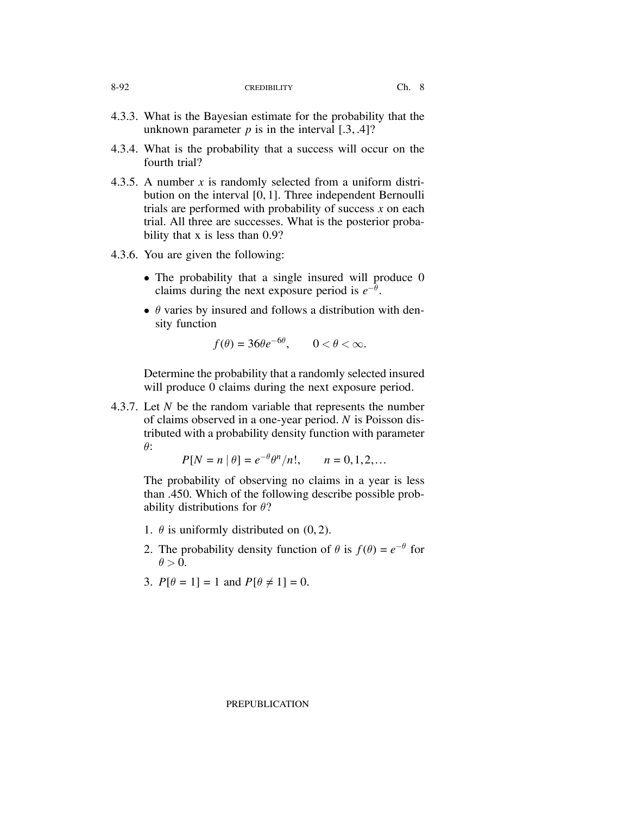- 4.3.3. What is the Bayesian estimate for the probability that the unknown parameter  $p$  is in the interval [.3, .4]?
- 4.3.4. What is the probability that a success will occur on the fourth trial?
- 4.3.5. A number  $x$  is randomly selected from a uniform distribution on the interval [0, 1]. Three independent Bernoulli trials are performed with probability of success  $x$  on each trial. All three are successes. What is the posterior probability that x is less than 0.9?
- 4.3.6. You are given the following:
	- The probability that a single insured will produce 0 claims during the next exposure period is  $e^{-\theta}$ .
	- $\bullet$   $\theta$  varies by insured and follows a distribution with density function

$$
f(\theta) = 36\theta e^{-6\theta}, \qquad 0 < \theta < \infty.
$$

Determine the probability that a randomly selected insured will produce 0 claims during the next exposure period.

4.3.7. Let  $N$  be the random variable that represents the number of claims observed in a one-year period.  $N$  is Poisson distributed with a probability density function with parameter  $\theta$ :

$$
P[N = n | \theta] = e^{-\theta} \theta^n / n!, \qquad n = 0, 1, 2, ...
$$

The probability of observing no claims in a year is less than .450. Which of the following describe possible probability distributions for  $\theta$ ?

- 1.  $\theta$  is uniformly distributed on (0, 2).
- 2. The probability density function of  $\theta$  is  $f(\theta) = e^{-\theta}$  for  $\theta > 0$ .
- 3.  $P[\theta = 1] = 1$  and  $P[\theta \neq 1] = 0$ .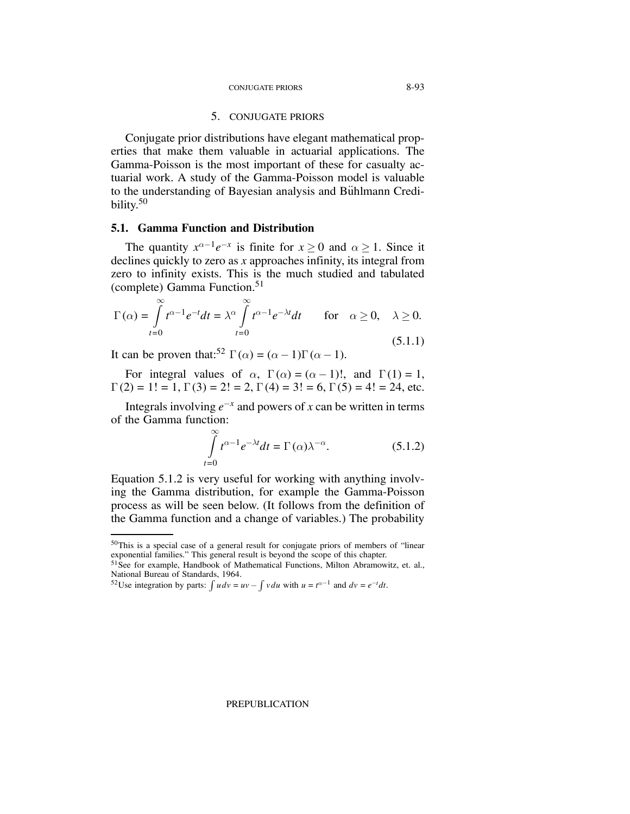#### 5. CONJUGATE PRIORS

Conjugate prior distributions have elegant mathematical properties that make them valuable in actuarial applications. The Gamma-Poisson is the most important of these for casualty actuarial work. A study of the Gamma-Poisson model is valuable to the understanding of Bayesian analysis and Bühlmann Credibility.<sup>50</sup>

## **5.1. Gamma Function and Distribution**

The quantity  $x^{\alpha-1}e^{-x}$  is finite for  $x \ge 0$  and  $\alpha \ge 1$ . Since it declines quickly to zero as  $x$  approaches infinity, its integral from zero to infinity exists. This is the much studied and tabulated (complete) Gamma Function.51

$$
\Gamma(\alpha) = \int_{t=0}^{\infty} t^{\alpha-1} e^{-t} dt = \lambda^{\alpha} \int_{t=0}^{\infty} t^{\alpha-1} e^{-\lambda t} dt \quad \text{for} \quad \alpha \ge 0, \quad \lambda \ge 0.
$$
\n(5.1.1)

It can be proven that:<sup>52</sup>  $\Gamma(\alpha) = (\alpha - 1)\Gamma(\alpha - 1)$ .

For integral values of  $\alpha$ ,  $\Gamma(\alpha) = (\alpha - 1)!$ , and  $\Gamma(1) = 1$ ,  $\Gamma(2) = 1! = 1, \Gamma(3) = 2! = 2, \Gamma(4) = 3! = 6, \Gamma(5) = 4! = 24$ , etc.

Integrals involving  $e^{-x}$  and powers of x can be written in terms of the Gamma function:

$$
\int_{t=0}^{\infty} t^{\alpha-1} e^{-\lambda t} dt = \Gamma(\alpha) \lambda^{-\alpha}.
$$
 (5.1.2)

Equation 5.1.2 is very useful for working with anything involving the Gamma distribution, for example the Gamma-Poisson process as will be seen below. (It follows from the definition of the Gamma function and a change of variables.) The probability

<sup>50</sup>This is a special case of a general result for conjugate priors of members of "linear exponential families." This general result is beyond the scope of this chapter.

<sup>51</sup>See for example, Handbook of Mathematical Functions, Milton Abramowitz, et. al., National Bureau of Standards, 1964.

<sup>&</sup>lt;sup>52</sup>Use integration by parts:  $\int u dv = uv - \int v du$  with  $u = t^{\alpha-1}$  and  $dv = e^{-t} dt$ .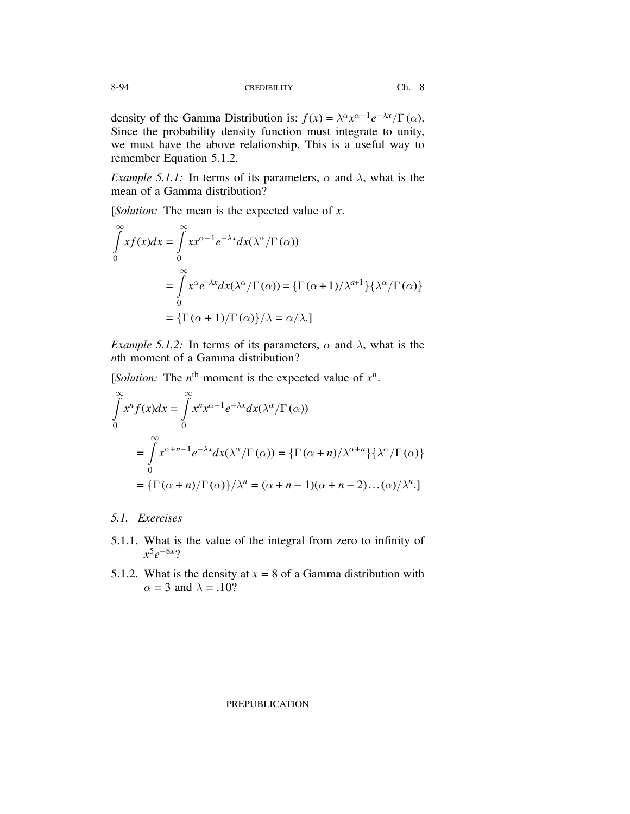density of the Gamma Distribution is:  $f(x) = \lambda^{\alpha} x^{\alpha-1} e^{-\lambda x} / \Gamma(\alpha)$ . Since the probability density function must integrate to unity, we must have the above relationship. This is a useful way to remember Equation 5.1.2.

*Example 5.1.1:* In terms of its parameters,  $\alpha$  and  $\lambda$ , what is the mean of a Gamma distribution?

[*Solution:* The mean is the expected value of x.

$$
\int_{0}^{\infty} x f(x) dx = \int_{0}^{\infty} x x^{\alpha - 1} e^{-\lambda x} dx(\lambda^{\alpha} / \Gamma(\alpha))
$$

$$
= \int_{0}^{\infty} x^{\alpha} e^{-\lambda x} dx(\lambda^{\alpha} / \Gamma(\alpha)) = {\Gamma(\alpha + 1) / \lambda^{a+1}} {\lambda^{\alpha} / \Gamma(\alpha)}
$$

$$
= {\Gamma(\alpha + 1) / \Gamma(\alpha)} / \lambda = \alpha / \lambda.
$$

*Example 5.1.2:* In terms of its parameters,  $\alpha$  and  $\lambda$ , what is the nth moment of a Gamma distribution?

[*Solution:* The  $n^{\text{th}}$  moment is the expected value of  $x^n$ .

$$
\int_{0}^{\infty} x^{n} f(x) dx = \int_{0}^{\infty} x^{n} x^{\alpha - 1} e^{-\lambda x} dx(\lambda^{\alpha} / \Gamma(\alpha))
$$

$$
= \int_{0}^{\infty} x^{\alpha + n - 1} e^{-\lambda x} dx(\lambda^{\alpha} / \Gamma(\alpha)) = \{ \Gamma(\alpha + n) / \lambda^{\alpha + n} \} \{ \lambda^{\alpha} / \Gamma(\alpha) \}
$$

$$
= \{ \Gamma(\alpha + n) / \Gamma(\alpha) \} / \lambda^{n} = (\alpha + n - 1)(\alpha + n - 2) \dots (\alpha) / \lambda^{n} . \}
$$

## *5.1. Exercises*

- 5.1.1. What is the value of the integral from zero to infinity of  $x^5e^{-8x}$ ?
- 5.1.2. What is the density at  $x = 8$  of a Gamma distribution with  $\alpha = 3$  and  $\lambda = .10$ ?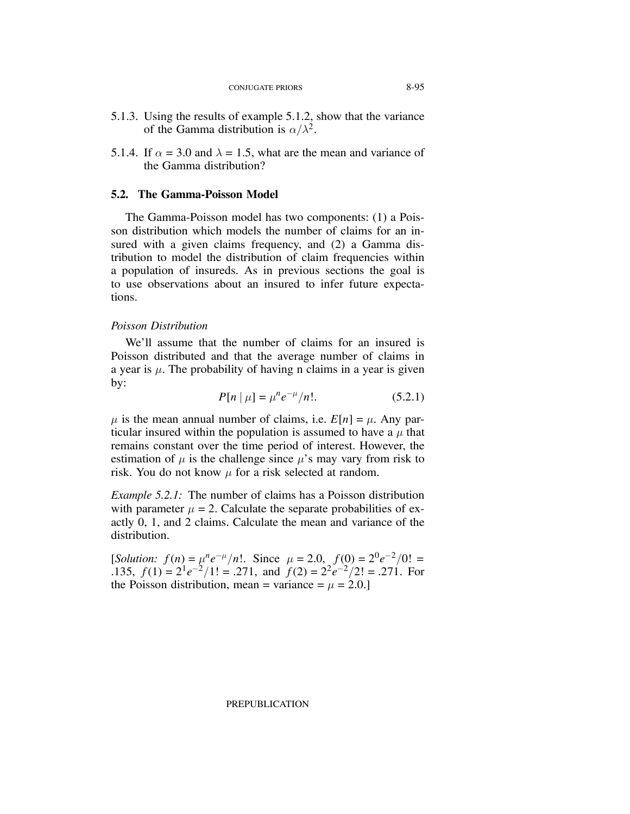- 5.1.3. Using the results of example 5.1.2, show that the variance of the Gamma distribution is  $\alpha/\lambda^2$ .
- 5.1.4. If  $\alpha = 3.0$  and  $\lambda = 1.5$ , what are the mean and variance of the Gamma distribution?

# **5.2. The Gamma-Poisson Model**

The Gamma-Poisson model has two components: (1) a Poisson distribution which models the number of claims for an insured with a given claims frequency, and (2) a Gamma distribution to model the distribution of claim frequencies within a population of insureds. As in previous sections the goal is to use observations about an insured to infer future expectations.

# *Poisson Distribution*

We'll assume that the number of claims for an insured is Poisson distributed and that the average number of claims in a year is  $\mu$ . The probability of having n claims in a year is given by:

$$
P[n \mid \mu] = \mu^n e^{-\mu}/n!.
$$
 (5.2.1)

 $\mu$  is the mean annual number of claims, i.e.  $E[n] = \mu$ . Any particular insured within the population is assumed to have a  $\mu$  that remains constant over the time period of interest. However, the estimation of  $\mu$  is the challenge since  $\mu$ 's may vary from risk to risk. You do not know  $\mu$  for a risk selected at random.

*Example 5.2.1:* The number of claims has a Poisson distribution with parameter  $\mu = 2$ . Calculate the separate probabilities of exactly 0, 1, and 2 claims. Calculate the mean and variance of the distribution.

[*Solution:*  $f(n) = \mu^n e^{-\mu}/n!$ . Since  $\mu = 2.0$ ,  $f(0) = 2^0 e^{-2}/0!$  = .135,  $f(1) = 2^1 e^{-2}/1! = .271$ , and  $f(2) = 2^2 e^{-2}/2! = .271$ . For the Poisson distribution, mean = variance =  $\mu$  = 2.0.]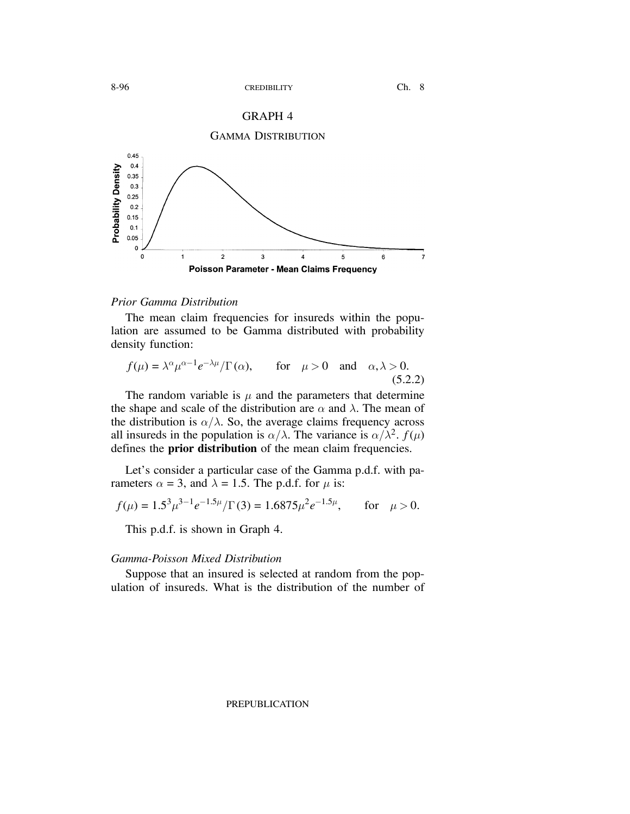# GRAPH 4



## *Prior Gamma Distribution*

The mean claim frequencies for insureds within the population are assumed to be Gamma distributed with probability density function:

$$
f(\mu) = \lambda^{\alpha} \mu^{\alpha - 1} e^{-\lambda \mu} / \Gamma(\alpha), \quad \text{for} \quad \mu > 0 \quad \text{and} \quad \alpha, \lambda > 0.
$$
 (5.2.2)

The random variable is  $\mu$  and the parameters that determine the shape and scale of the distribution are  $\alpha$  and  $\lambda$ . The mean of the distribution is  $\alpha/\lambda$ . So, the average claims frequency across all insureds in the population is  $\alpha/\lambda$ . The variance is  $\alpha/\lambda^2$ .  $f(\mu)$ defines the **prior distribution** of the mean claim frequencies.

Let's consider a particular case of the Gamma p.d.f. with parameters  $\alpha = 3$ , and  $\lambda = 1.5$ . The p.d.f. for  $\mu$  is:

$$
f(\mu) = 1.5^3 \mu^{3-1} e^{-1.5\mu}/\Gamma(3) = 1.6875 \mu^2 e^{-1.5\mu}
$$
, for  $\mu > 0$ .

This p.d.f. is shown in Graph 4.

## *Gamma-Poisson Mixed Distribution*

Suppose that an insured is selected at random from the population of insureds. What is the distribution of the number of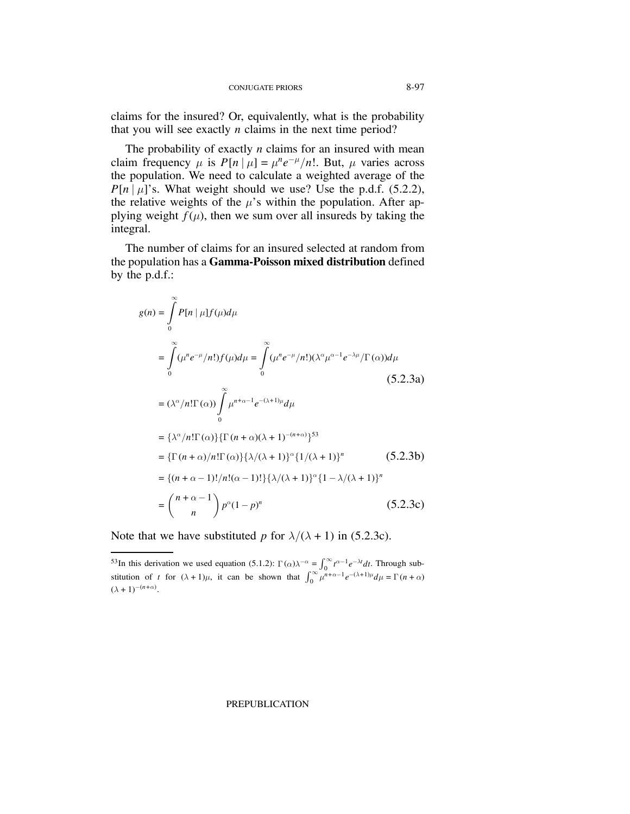CONJUGATE PRIORS 8-97

claims for the insured? Or, equivalently, what is the probability that you will see exactly  $n$  claims in the next time period?

The probability of exactly  $n$  claims for an insured with mean claim frequency  $\mu$  is  $P[n | \mu] = \mu^n e^{-\mu}/n!$ . But,  $\mu$  varies across the population. We need to calculate a weighted average of the  $P[n | \mu]'$ s. What weight should we use? Use the p.d.f. (5.2.2), the relative weights of the  $\mu$ 's within the population. After applying weight  $f(\mu)$ , then we sum over all insureds by taking the integral.

The number of claims for an insured selected at random from the population has a **Gamma-Poisson mixed distribution** defined by the p.d.f.:

$$
g(n) = \int_{0}^{\infty} P[n \mid \mu] f(\mu) d\mu
$$
  
\n
$$
= \int_{0}^{\infty} (\mu^{n} e^{-\mu}/n!) f(\mu) d\mu = \int_{0}^{\infty} (\mu^{n} e^{-\mu}/n!) (\lambda^{\alpha} \mu^{\alpha-1} e^{-\lambda \mu}/\Gamma(\alpha)) d\mu
$$
  
\n
$$
= (\lambda^{\alpha}/n! \Gamma(\alpha)) \int_{0}^{\infty} \mu^{n+\alpha-1} e^{-(\lambda+1)\mu} d\mu
$$
  
\n
$$
= {\lambda^{\alpha}/n! \Gamma(\alpha)} {\Gamma(n+\alpha)(\lambda+1)^{-(n+\alpha)}}^{53}
$$
  
\n
$$
= {\Gamma(n+\alpha)/n! \Gamma(\alpha)} {\lambda/(\lambda+1)}^{3} {\{1/(\lambda+1)}^{n}}
$$
  
\n
$$
= {\{n+\alpha-1\}}! / n! (\alpha-1)! {\{\lambda/(\lambda+1)}^{\alpha} \{1-\lambda/(\lambda+1)\}}^{n}
$$
  
\n
$$
= {\binom{n+\alpha-1}{n}} p^{\alpha} (1-p)^{n}
$$
  
\n(5.2.3c)

Note that we have substituted p for  $\lambda/(\lambda + 1)$  in (5.2.3c).

<sup>&</sup>lt;sup>53</sup>In this derivation we used equation (5.1.2):  $\Gamma(\alpha)\lambda^{-\alpha} = \int_0^\infty t^{\alpha-1}e^{-\lambda t}dt$ . Through substitution of t for  $(\lambda + 1)\mu$ , it can be shown that  $\int_0^\infty \mu^{n+\alpha-1} e^{-(\lambda+1)\mu} d\mu = \Gamma(n+\alpha)$  $(\lambda + 1)^{-(n+\alpha)}$ .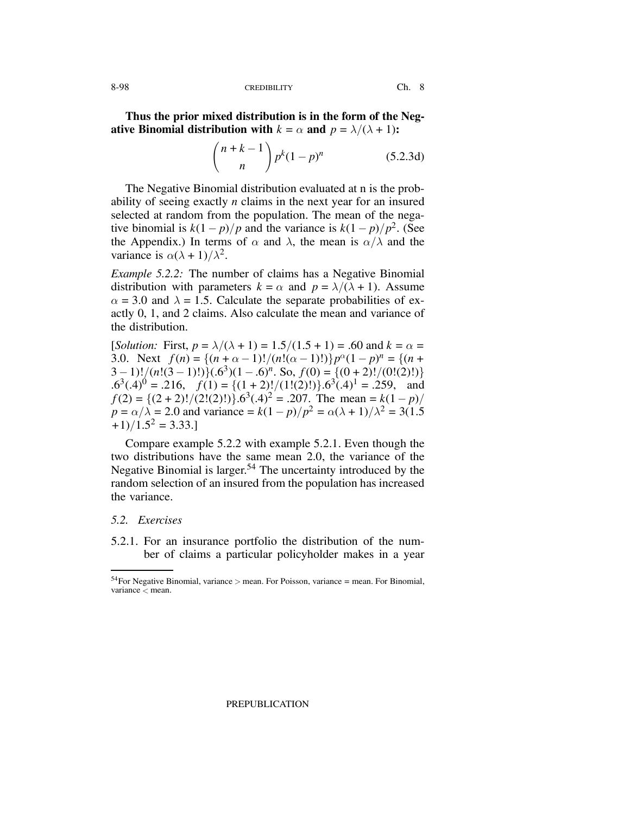**Thus the prior mixed distribution is in the form of the Negative Binomial distribution with**  $k = \alpha$  **and**  $p = \lambda/(\lambda + 1)$ **:** 

$$
\binom{n+k-1}{n} p^k (1-p)^n \tag{5.2.3d}
$$

The Negative Binomial distribution evaluated at n is the probability of seeing exactly  $n$  claims in the next year for an insured selected at random from the population. The mean of the negative binomial is  $k(1-p)/p$  and the variance is  $k(1-p)/p^2$ . (See the Appendix.) In terms of  $\alpha$  and  $\lambda$ , the mean is  $\alpha/\lambda$  and the variance is  $\alpha(\lambda + 1)/\lambda^2$ .

*Example 5.2.2:* The number of claims has a Negative Binomial distribution with parameters  $k = \alpha$  and  $p = \lambda/(\lambda + 1)$ . Assume  $\alpha = 3.0$  and  $\lambda = 1.5$ . Calculate the separate probabilities of exactly 0, 1, and 2 claims. Also calculate the mean and variance of the distribution.

[*Solution:* First,  $p = \lambda/(\lambda + 1) = 1.5/(1.5 + 1) = .60$  and  $k = \alpha =$ 3.0. Next  $f(n) = \{(n + \alpha - 1)!/(n!(\alpha - 1)!)\}p^{\alpha}(1-p)^n = \{(n + \alpha)\}p^{\alpha}(1-p)^n$  $(3-1)!/(n!(3-1)!)(.6^{3})(1-.6)^{n}$ . So,  $f(0) = {(0+2)!/(0!(2)!)}$  $\cdot$ .6<sup>3</sup>(.4)<sup>0</sup> = .216,  $f(1) = \{(1+2)!/(1!(2)!)\}\cdot6^{3}(0.4)^{1} = .259$ , and  $f(2) = \{(2 + 2)!/(2!(2)!)\}\cdot 6^{3}(.4)^{2} = .207.$  The mean =  $k(1-p)/$  $p = \alpha/\lambda = 2.0$  and variance  $= k(1 - p)/p^2 = \alpha(\lambda + 1)/\lambda^2 = 3(1.5)$  $+1)/1.5^2 = 3.33.1$ 

Compare example 5.2.2 with example 5.2.1. Even though the two distributions have the same mean 2.0, the variance of the Negative Binomial is larger.<sup>54</sup> The uncertainty introduced by the random selection of an insured from the population has increased the variance.

## *5.2. Exercises*

5.2.1. For an insurance portfolio the distribution of the number of claims a particular policyholder makes in a year

 $54$  For Negative Binomial, variance > mean. For Poisson, variance = mean. For Binomial, variance < mean.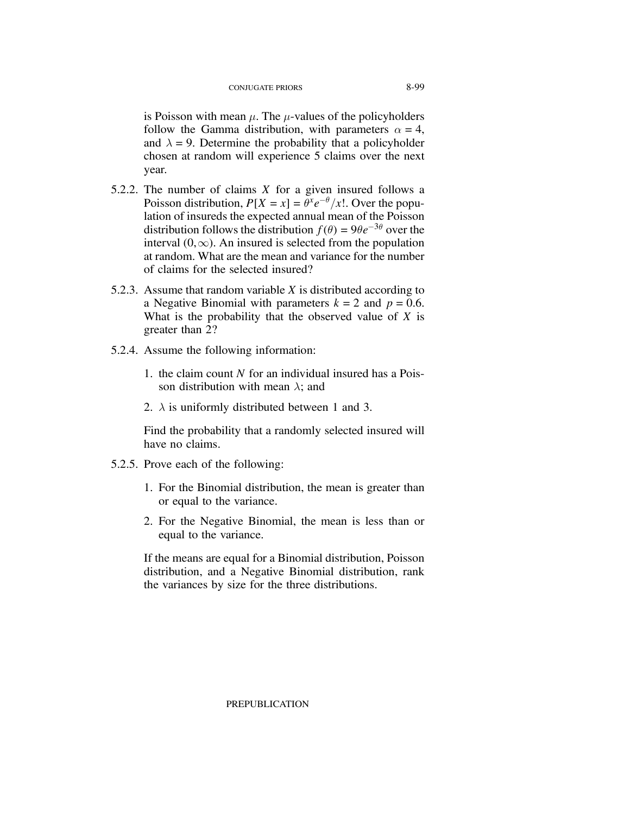is Poisson with mean  $\mu$ . The  $\mu$ -values of the policyholders follow the Gamma distribution, with parameters  $\alpha = 4$ , and  $\lambda = 9$ . Determine the probability that a policyholder chosen at random will experience 5 claims over the next year.

- 5.2.2. The number of claims  $X$  for a given insured follows a Poisson distribution,  $P[X = x] = \theta^x e^{-\theta}/x!$ . Over the population of insureds the expected annual mean of the Poisson distribution follows the distribution  $f(\theta) = 9\theta e^{-3\theta}$  over the interval  $(0,\infty)$ . An insured is selected from the population at random. What are the mean and variance for the number of claims for the selected insured?
- 5.2.3. Assume that random variable  $X$  is distributed according to a Negative Binomial with parameters  $k = 2$  and  $p = 0.6$ . What is the probability that the observed value of  $X$  is greater than 2?
- 5.2.4. Assume the following information:
	- 1. the claim count  $N$  for an individual insured has a Poisson distribution with mean  $\lambda$ ; and
	- 2.  $\lambda$  is uniformly distributed between 1 and 3.

Find the probability that a randomly selected insured will have no claims.

- 5.2.5. Prove each of the following:
	- 1. For the Binomial distribution, the mean is greater than or equal to the variance.
	- 2. For the Negative Binomial, the mean is less than or equal to the variance.

If the means are equal for a Binomial distribution, Poisson distribution, and a Negative Binomial distribution, rank the variances by size for the three distributions.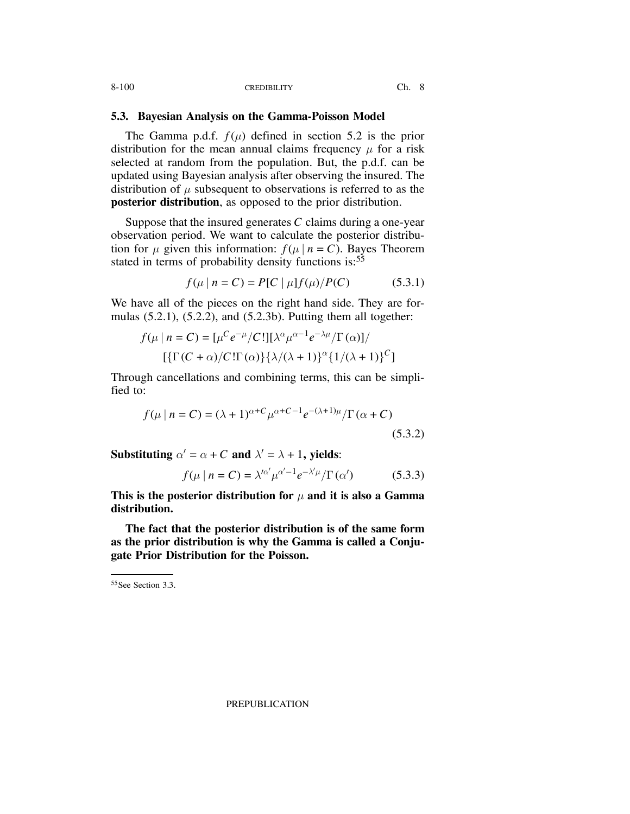## **5.3. Bayesian Analysis on the Gamma-Poisson Model**

The Gamma p.d.f.  $f(\mu)$  defined in section 5.2 is the prior distribution for the mean annual claims frequency  $\mu$  for a risk selected at random from the population. But, the p.d.f. can be updated using Bayesian analysis after observing the insured. The distribution of  $\mu$  subsequent to observations is referred to as the **posterior distribution**, as opposed to the prior distribution.

Suppose that the insured generates  $C$  claims during a one-year observation period. We want to calculate the posterior distribution for  $\mu$  given this information:  $f(\mu \mid n = C)$ . Bayes Theorem stated in terms of probability density functions is:<sup>55</sup>

$$
f(\mu \mid n = C) = P[C \mid \mu] f(\mu) / P(C) \tag{5.3.1}
$$

We have all of the pieces on the right hand side. They are formulas (5.2.1), (5.2.2), and (5.2.3b). Putting them all together:

$$
f(\mu \mid n = C) = [\mu^C e^{-\mu} / C!] [\lambda^{\alpha} \mu^{\alpha - 1} e^{-\lambda \mu} / \Gamma(\alpha)] /
$$

$$
[\{\Gamma(C + \alpha) / C! \Gamma(\alpha)\} {\lambda / (\lambda + 1)}^{\alpha} \{1/(\lambda + 1)\}^C]
$$

Through cancellations and combining terms, this can be simplified to:

$$
f(\mu \mid n = C) = (\lambda + 1)^{\alpha + C} \mu^{\alpha + C - 1} e^{-(\lambda + 1)\mu} / \Gamma(\alpha + C)
$$
\n(5.3.2)

**Substituting**  $\alpha' = \alpha + C$  **and**  $\lambda' = \lambda + 1$ , yields:

$$
f(\mu \mid n = C) = \lambda'^{\alpha'} \mu^{\alpha'-1} e^{-\lambda' \mu} / \Gamma(\alpha')
$$
 (5.3.3)

This is the posterior distribution for  $\mu$  and it is also a Gamma **distribution.**

**The fact that the posterior distribution is of the same form as the prior distribution is why the Gamma is called a Conjugate Prior Distribution for the Poisson.**

<sup>55</sup>See Section 3.3.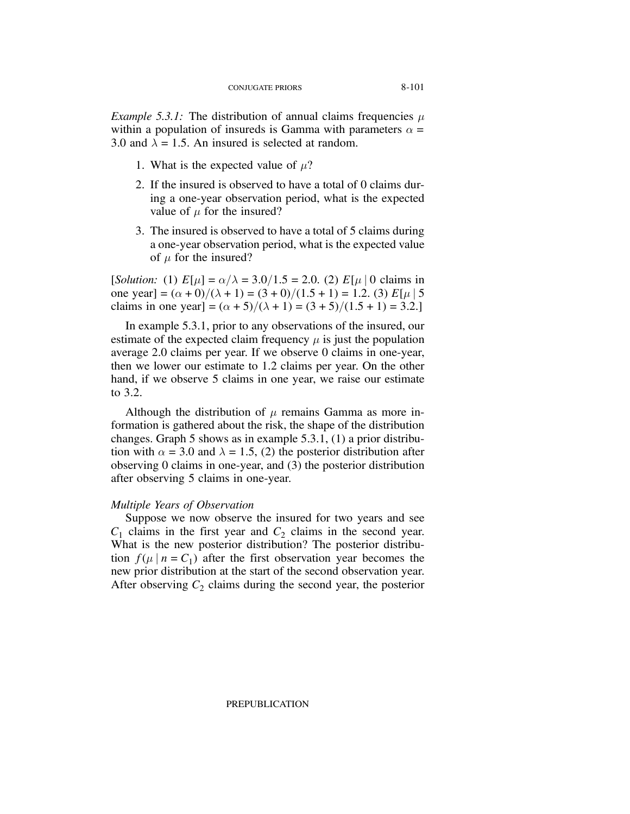*Example 5.3.1:* The distribution of annual claims frequencies  $\mu$ within a population of insureds is Gamma with parameters  $\alpha =$ 3.0 and  $\lambda = 1.5$ . An insured is selected at random.

- 1. What is the expected value of  $\mu$ ?
- 2. If the insured is observed to have a total of 0 claims during a one-year observation period, what is the expected value of  $\mu$  for the insured?
- 3. The insured is observed to have a total of 5 claims during a one-year observation period, what is the expected value of  $\mu$  for the insured?

[*Solution:* (1)  $E[\mu] = \alpha/\lambda = 3.0/1.5 = 2.0$ . (2)  $E[\mu]$  0 claims in one year] =  $(\alpha + 0)/(\lambda + 1) = (3 + 0)/(1.5 + 1) = 1.2$ . (3) E[ $\mu$  | 5 claims in one year] =  $(\alpha + 5)/(\lambda + 1) = (3 + 5)/(1.5 + 1) = 3.2.$ ]

In example 5.3.1, prior to any observations of the insured, our estimate of the expected claim frequency  $\mu$  is just the population average 2.0 claims per year. If we observe 0 claims in one-year, then we lower our estimate to 1.2 claims per year. On the other hand, if we observe 5 claims in one year, we raise our estimate to 3.2.

Although the distribution of  $\mu$  remains Gamma as more information is gathered about the risk, the shape of the distribution changes. Graph 5 shows as in example 5.3.1, (1) a prior distribution with  $\alpha = 3.0$  and  $\lambda = 1.5$ , (2) the posterior distribution after observing 0 claims in one-year, and (3) the posterior distribution after observing 5 claims in one-year.

## *Multiple Years of Observation*

Suppose we now observe the insured for two years and see  $C_1$  claims in the first year and  $C_2$  claims in the second year. What is the new posterior distribution? The posterior distribution  $f(\mu \mid n = C_1)$  after the first observation year becomes the new prior distribution at the start of the second observation year. After observing  $C_2$  claims during the second year, the posterior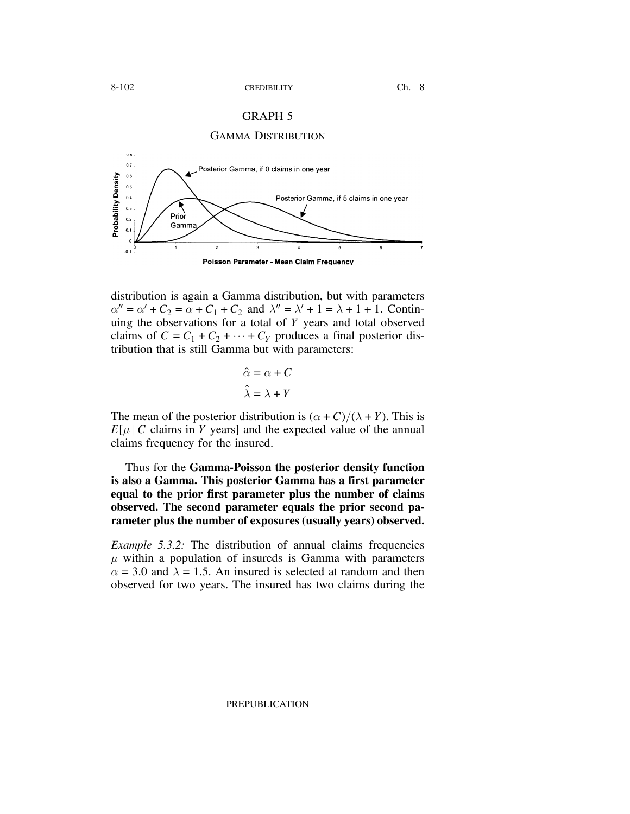## GRAPH 5

## GAMMA DISTRIBUTION



distribution is again a Gamma distribution, but with parameters  $\alpha'' = \alpha' + C_2 = \alpha + C_1 + C_2$  and  $\lambda'' = \lambda' + 1 = \lambda + 1 + 1$ . Continuing the observations for a total of Y years and total observed claims of  $C = C_1 + C_2 + \cdots + C_Y$  produces a final posterior distribution that is still Gamma but with parameters:

$$
\hat{\alpha} = \alpha + C
$$

$$
\hat{\lambda} = \lambda + Y
$$

The mean of the posterior distribution is  $(\alpha + C)/(\lambda + Y)$ . This is  $E[\mu] C$  claims in Y years] and the expected value of the annual claims frequency for the insured.

Thus for the **Gamma-Poisson the posterior density function is also a Gamma. This posterior Gamma has a first parameter equal to the prior first parameter plus the number of claims observed. The second parameter equals the prior second parameter plus the number of exposures (usually years) observed.**

*Example 5.3.2:* The distribution of annual claims frequencies  $\mu$  within a population of insureds is Gamma with parameters  $\alpha$  = 3.0 and  $\lambda$  = 1.5. An insured is selected at random and then observed for two years. The insured has two claims during the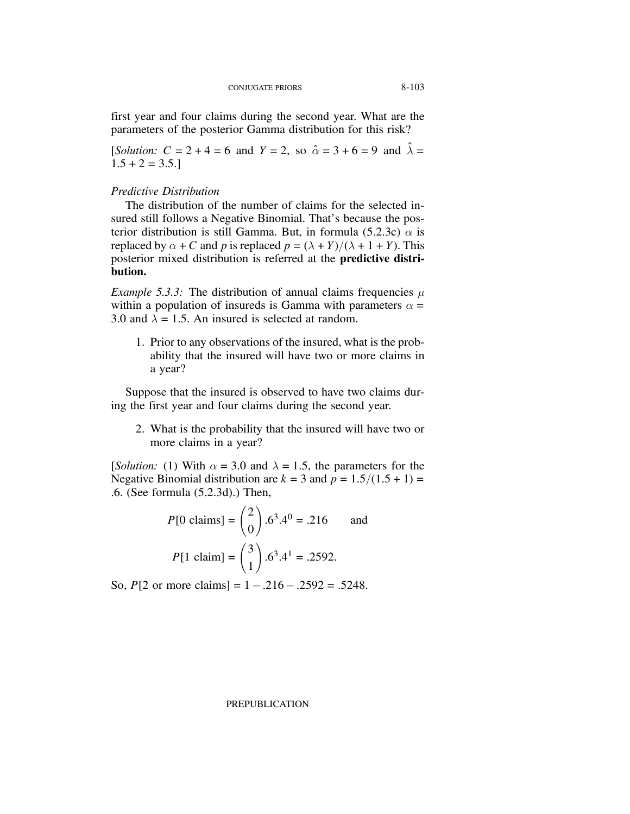first year and four claims during the second year. What are the parameters of the posterior Gamma distribution for this risk?

[*Solution:*  $C = 2 + 4 = 6$  and  $Y = 2$ , so  $\hat{\alpha} = 3 + 6 = 9$  and  $\hat{\lambda} =$  $1.5 + 2 = 3.5.$ 

## *Predictive Distribution*

The distribution of the number of claims for the selected insured still follows a Negative Binomial. That's because the posterior distribution is still Gamma. But, in formula (5.2.3c)  $\alpha$  is replaced by  $\alpha + C$  and p is replaced  $p = (\lambda + Y)/(\lambda + 1 + Y)$ . This posterior mixed distribution is referred at the **predictive distribution.**

*Example 5.3.3:* The distribution of annual claims frequencies  $\mu$ within a population of insureds is Gamma with parameters  $\alpha =$ 3.0 and  $\lambda = 1.5$ . An insured is selected at random.

1. Prior to any observations of the insured, what is the probability that the insured will have two or more claims in a year?

Suppose that the insured is observed to have two claims during the first year and four claims during the second year.

2. What is the probability that the insured will have two or more claims in a year?

[*Solution:* (1) With  $\alpha = 3.0$  and  $\lambda = 1.5$ , the parameters for the Negative Binomial distribution are  $k = 3$  and  $p = 1.5/(1.5 + 1) =$ :6. (See formula (5.2.3d).) Then,

$$
P[0 \text{ claims}] = \binom{2}{0} .6^3.4^0 = .216 \text{ and}
$$

$$
P[1 \text{ claim}] = \binom{3}{1} .6^3.4^1 = .2592.
$$

So,  $P[2 \text{ or more claims}] = 1 - .216 - .2592 = .5248.$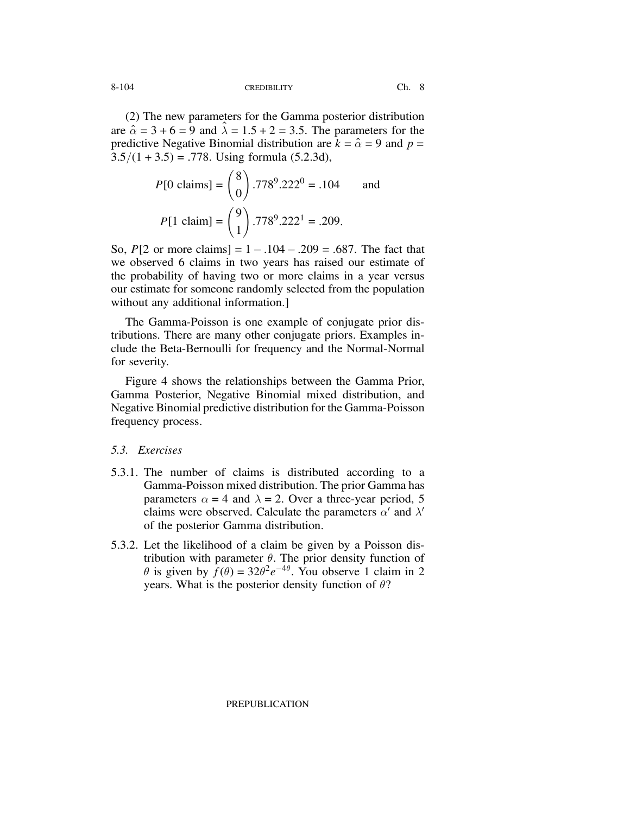(2) The new parameters for the Gamma posterior distribution are  $\hat{\alpha} = 3 + 6 = 9$  and  $\hat{\lambda} = 1.5 + 2 = 3.5$ . The parameters for the predictive Negative Binomial distribution are  $k = \hat{\alpha} = 9$  and  $p = \hat{\beta}$  $3.5/(1 + 3.5) = .778$ . Using formula (5.2.3d),

$$
P[0 \text{ claims}] = \binom{8}{0} .778^9 .222^0 = .104 \quad \text{and}
$$

$$
P[1 \text{ claim}] = \binom{9}{1} .778^9 .222^1 = .209.
$$

So,  $P[2 \text{ or more claims}] = 1 - .104 - .209 = .687$ . The fact that we observed 6 claims in two years has raised our estimate of the probability of having two or more claims in a year versus our estimate for someone randomly selected from the population without any additional information.]

The Gamma-Poisson is one example of conjugate prior distributions. There are many other conjugate priors. Examples include the Beta-Bernoulli for frequency and the Normal-Normal for severity.

Figure 4 shows the relationships between the Gamma Prior, Gamma Posterior, Negative Binomial mixed distribution, and Negative Binomial predictive distribution for the Gamma-Poisson frequency process.

## *5.3. Exercises*

- 5.3.1. The number of claims is distributed according to a Gamma-Poisson mixed distribution. The prior Gamma has parameters  $\alpha = 4$  and  $\lambda = 2$ . Over a three-year period, 5 claims were observed. Calculate the parameters  $\alpha'$  and  $\lambda'$ of the posterior Gamma distribution.
- 5.3.2. Let the likelihood of a claim be given by a Poisson distribution with parameter  $\theta$ . The prior density function of  $\theta$  is given by  $f(\theta) = 32\theta^2 e^{-4\theta}$ . You observe 1 claim in 2 years. What is the posterior density function of  $\theta$ ?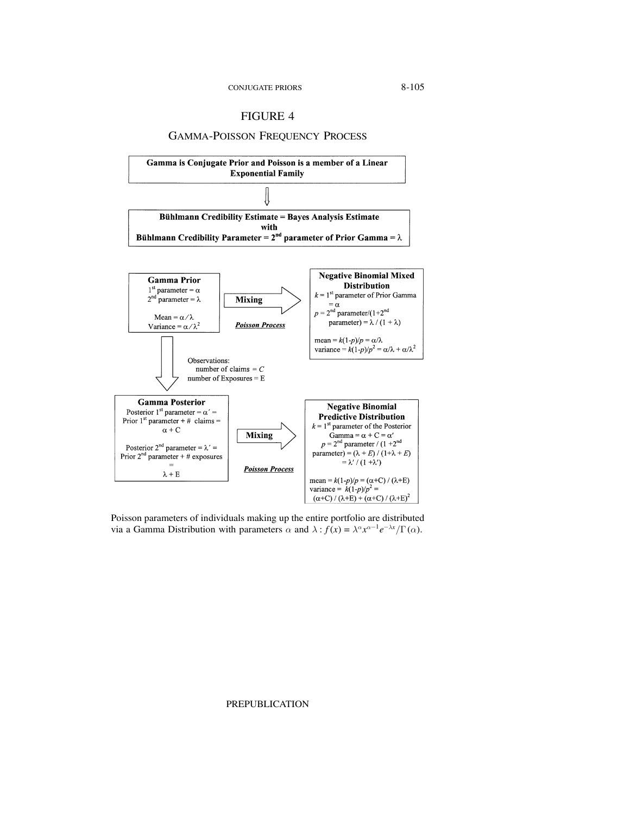# FIGURE 4

# GAMMA-POISSON FREQUENCY PROCESS



Poisson parameters of individuals making up the entire portfolio are distributed via a Gamma Distribution with parameters  $\alpha$  and  $\lambda : f(x) = \lambda^{\alpha} x^{\alpha-1} e^{-\lambda x} / \Gamma(\alpha)$ .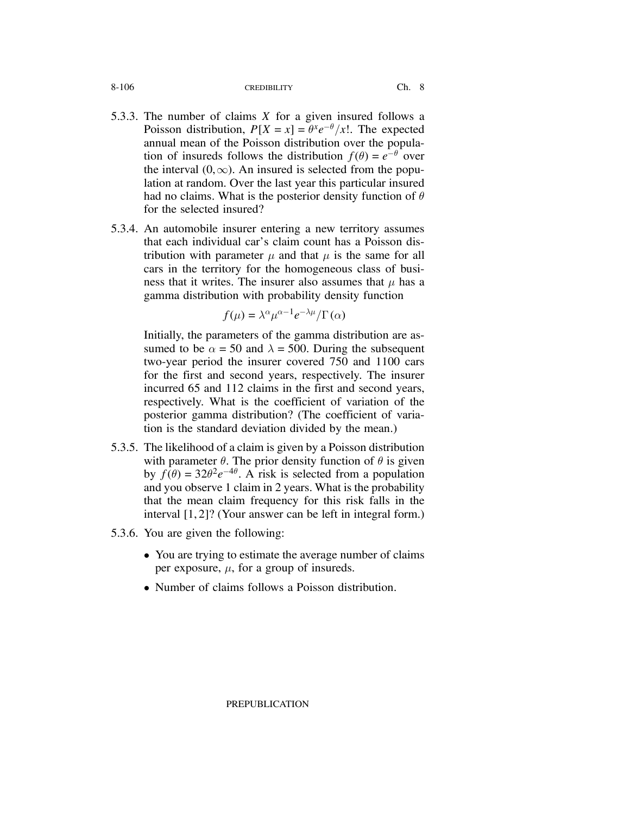8-106 CREDIBILITY Ch. 8

- 5.3.3. The number of claims  $X$  for a given insured follows a Poisson distribution,  $P[X = x] = \theta^x e^{-\theta}/x!$ . The expected annual mean of the Poisson distribution over the population of insureds follows the distribution  $f(\theta) = e^{-\theta}$  over the interval  $(0,\infty)$ . An insured is selected from the population at random. Over the last year this particular insured had no claims. What is the posterior density function of  $\theta$ for the selected insured?
- 5.3.4. An automobile insurer entering a new territory assumes that each individual car's claim count has a Poisson distribution with parameter  $\mu$  and that  $\mu$  is the same for all cars in the territory for the homogeneous class of business that it writes. The insurer also assumes that  $\mu$  has a gamma distribution with probability density function

$$
f(\mu) = \lambda^{\alpha} \mu^{\alpha - 1} e^{-\lambda \mu} / \Gamma(\alpha)
$$

Initially, the parameters of the gamma distribution are assumed to be  $\alpha = 50$  and  $\lambda = 500$ . During the subsequent two-year period the insurer covered 750 and 1100 cars for the first and second years, respectively. The insurer incurred 65 and 112 claims in the first and second years, respectively. What is the coefficient of variation of the posterior gamma distribution? (The coefficient of variation is the standard deviation divided by the mean.)

- 5.3.5. The likelihood of a claim is given by a Poisson distribution with parameter  $\theta$ . The prior density function of  $\theta$  is given by  $f(\theta) = 32\theta^2 e^{-4\theta}$ . A risk is selected from a population and you observe 1 claim in 2 years. What is the probability that the mean claim frequency for this risk falls in the interval [1, 2]? (Your answer can be left in integral form.)
- 5.3.6. You are given the following:
	- You are trying to estimate the average number of claims per exposure,  $\mu$ , for a group of insureds.
	- Number of claims follows a Poisson distribution.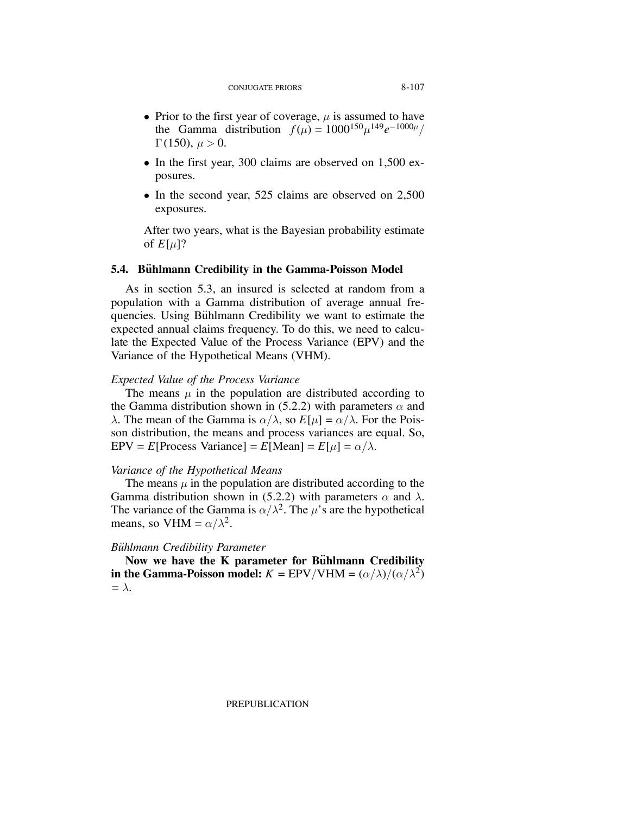- Prior to the first year of coverage,  $\mu$  is assumed to have the Gamma distribution  $f(\mu) = 1000^{150} \mu^{149} e^{-1000\mu}$  $\Gamma(150), \mu > 0.$
- In the first year, 300 claims are observed on 1,500 exposures.
- $\bullet$  In the second year, 525 claims are observed on 2,500 exposures.

After two years, what is the Bayesian probability estimate of  $E[\mu]$ ?

## **5.4. Bühlmann Credibility in the Gamma-Poisson Model**

As in section 5.3, an insured is selected at random from a population with a Gamma distribution of average annual frequencies. Using Bühlmann Credibility we want to estimate the expected annual claims frequency. To do this, we need to calculate the Expected Value of the Process Variance (EPV) and the Variance of the Hypothetical Means (VHM).

## *Expected Value of the Process Variance*

The means  $\mu$  in the population are distributed according to the Gamma distribution shown in (5.2.2) with parameters  $\alpha$  and  $\lambda$ . The mean of the Gamma is  $\alpha/\lambda$ , so  $E[\mu] = \alpha/\lambda$ . For the Poisson distribution, the means and process variances are equal. So, EPV = E[Process Variance] = E[Mean] =  $E[\mu] = \alpha/\lambda$ .

## *Variance of the Hypothetical Means*

The means  $\mu$  in the population are distributed according to the Gamma distribution shown in (5.2.2) with parameters  $\alpha$  and  $\lambda$ . The variance of the Gamma is  $\alpha/\lambda^2$ . The  $\mu$ 's are the hypothetical means, so VHM =  $\alpha/\lambda^2$ .

## *Buhlmann Credibility Parameter ¨*

Now we have the K parameter for Buhlmann Credibility **in the Gamma-Poisson model:**  $K = \text{EPV}/\text{VHM} = (\alpha/\lambda)/(\alpha/\lambda^2)$  $= \lambda$ .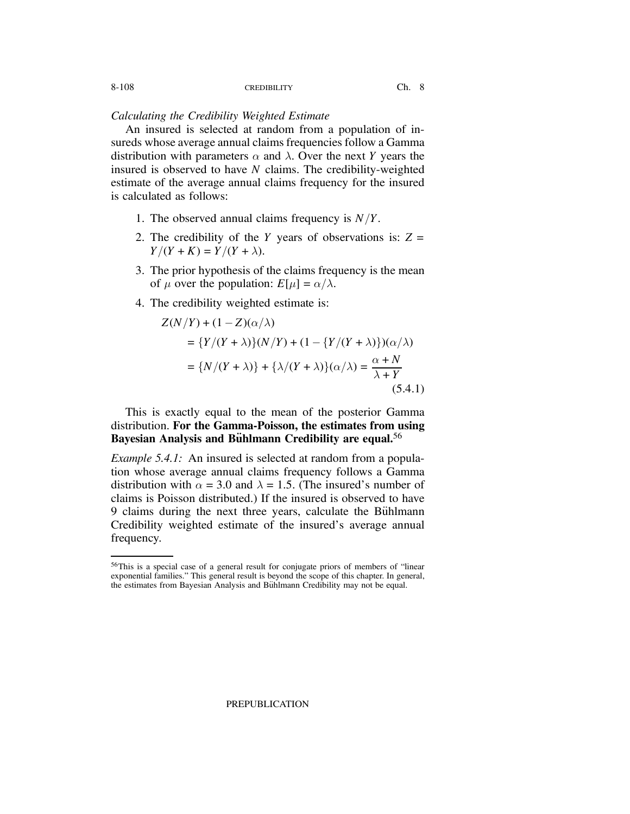*Calculating the Credibility Weighted Estimate*

An insured is selected at random from a population of insureds whose average annual claims frequencies follow a Gamma distribution with parameters  $\alpha$  and  $\lambda$ . Over the next Y years the insured is observed to have  $N$  claims. The credibility-weighted estimate of the average annual claims frequency for the insured is calculated as follows:

- 1. The observed annual claims frequency is  $N/Y$ .
- 2. The credibility of the Y years of observations is:  $Z =$  $Y/(Y + K) = Y/(Y + \lambda)$ .
- 3. The prior hypothesis of the claims frequency is the mean of  $\mu$  over the population:  $E[\mu] = \alpha/\lambda$ .
- 4. The credibility weighted estimate is:

$$
Z(N/Y) + (1 - Z)(\alpha/\lambda)
$$
  
= { $Y/(Y + \lambda)$ }( $N/Y$ ) + (1 - { $Y/(Y + \lambda)$ })(\alpha/\lambda)  
= { $N/(Y + \lambda)$ } + { $\lambda/(Y + \lambda)$ }( $\alpha/\lambda$ ) =  $\frac{\alpha + N}{\lambda + Y}$  (5.4.1)

This is exactly equal to the mean of the posterior Gamma distribution. **For the Gamma-Poisson, the estimates from using Bayesian Analysis and Buhlmann Credibility are equal.<sup>56</sup>** 

*Example 5.4.1:* An insured is selected at random from a population whose average annual claims frequency follows a Gamma distribution with  $\alpha = 3.0$  and  $\lambda = 1.5$ . (The insured's number of claims is Poisson distributed.) If the insured is observed to have 9 claims during the next three years, calculate the Bühlmann Credibility weighted estimate of the insured's average annual frequency.

<sup>56</sup>This is a special case of a general result for conjugate priors of members of "linear exponential families." This general result is beyond the scope of this chapter. In general, the estimates from Bayesian Analysis and Buhlmann Credibility may not be equal. ¨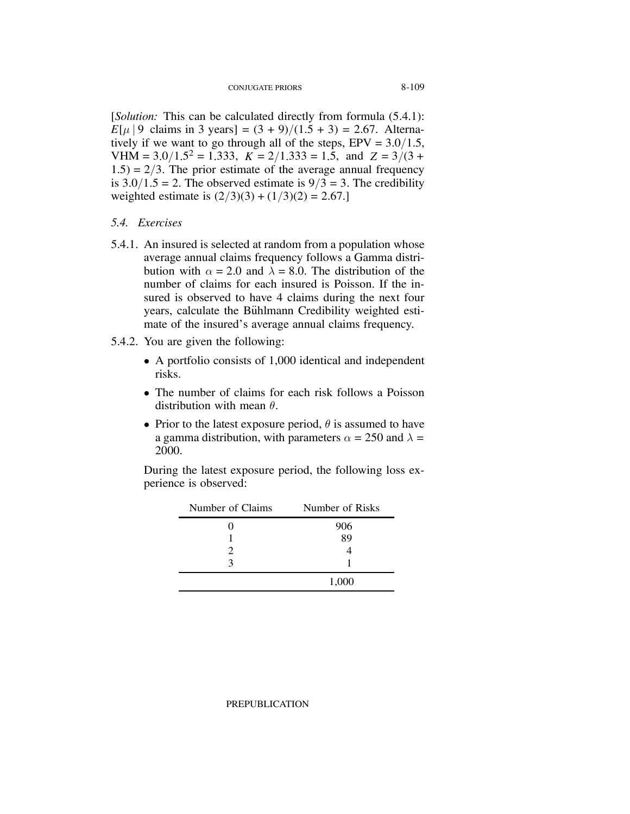[*Solution:* This can be calculated directly from formula (5.4.1):  $E[\mu | 9 \text{ claims in 3 years}] = (3 + 9)/(1.5 + 3) = 2.67.$  Alternatively if we want to go through all of the steps,  $EPV = 3.0/1.5$ , VHM =  $3.0/1.5^2 = 1.333$ ,  $K = 2/1.333 = 1.5$ , and  $Z = 3/(3 +$  $1.5$ ) = 2/3. The prior estimate of the average annual frequency is  $3.0/1.5 = 2$ . The observed estimate is  $9/3 = 3$ . The credibility weighted estimate is  $(2/3)(3) + (1/3)(2) = 2.67.$ ]

- *5.4. Exercises*
- 5.4.1. An insured is selected at random from a population whose average annual claims frequency follows a Gamma distribution with  $\alpha = 2.0$  and  $\lambda = 8.0$ . The distribution of the number of claims for each insured is Poisson. If the insured is observed to have 4 claims during the next four years, calculate the Bühlmann Credibility weighted estimate of the insured's average annual claims frequency.
- 5.4.2. You are given the following:
	- A portfolio consists of 1,000 identical and independent risks.
	- The number of claims for each risk follows a Poisson distribution with mean  $\theta$ .
	- Prior to the latest exposure period,  $\theta$  is assumed to have a gamma distribution, with parameters  $\alpha = 250$  and  $\lambda =$ 2000.

During the latest exposure period, the following loss experience is observed:

| Number of Claims | Number of Risks |
|------------------|-----------------|
|                  | 906             |
|                  | 89              |
| 2                |                 |
| 2                |                 |
|                  | 1,000           |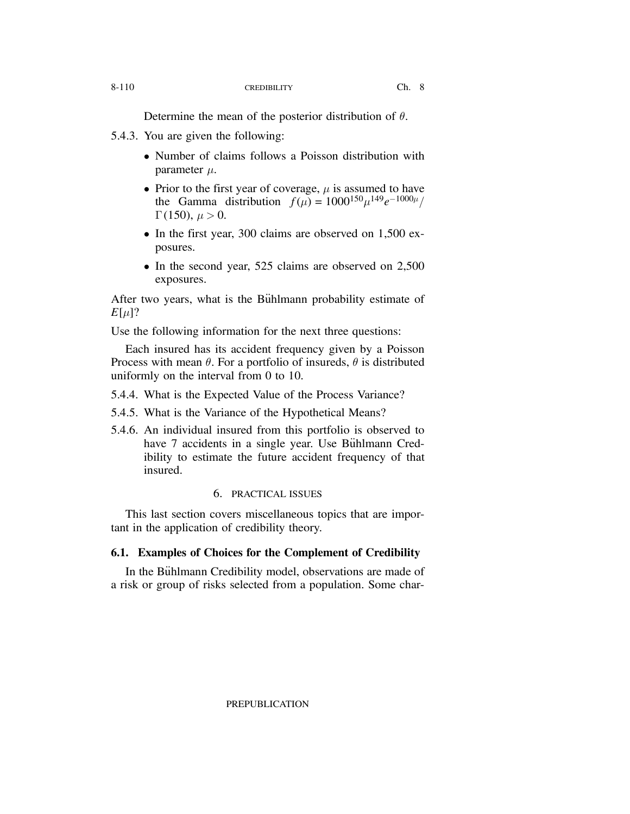Determine the mean of the posterior distribution of  $\theta$ .

- 5.4.3. You are given the following:
	- Number of claims follows a Poisson distribution with parameter  $\mu$ .
	- Prior to the first year of coverage,  $\mu$  is assumed to have the Gamma distribution  $f(\mu) = 1000^{150} \mu^{149} e^{-1000\mu}$  $\Gamma(150), \mu > 0.$
	- $\bullet$  In the first year, 300 claims are observed on 1,500 exposures.
	- In the second year, 525 claims are observed on 2,500 exposures.

After two years, what is the Bühlmann probability estimate of  $E[\mu]$ ?

Use the following information for the next three questions:

Each insured has its accident frequency given by a Poisson Process with mean  $\theta$ . For a portfolio of insureds,  $\theta$  is distributed uniformly on the interval from 0 to 10.

- 5.4.4. What is the Expected Value of the Process Variance?
- 5.4.5. What is the Variance of the Hypothetical Means?
- 5.4.6. An individual insured from this portfolio is observed to have 7 accidents in a single year. Use Bühlmann Credibility to estimate the future accident frequency of that insured.

# 6. PRACTICAL ISSUES

This last section covers miscellaneous topics that are important in the application of credibility theory.

#### **6.1. Examples of Choices for the Complement of Credibility**

In the Bühlmann Credibility model, observations are made of a risk or group of risks selected from a population. Some char-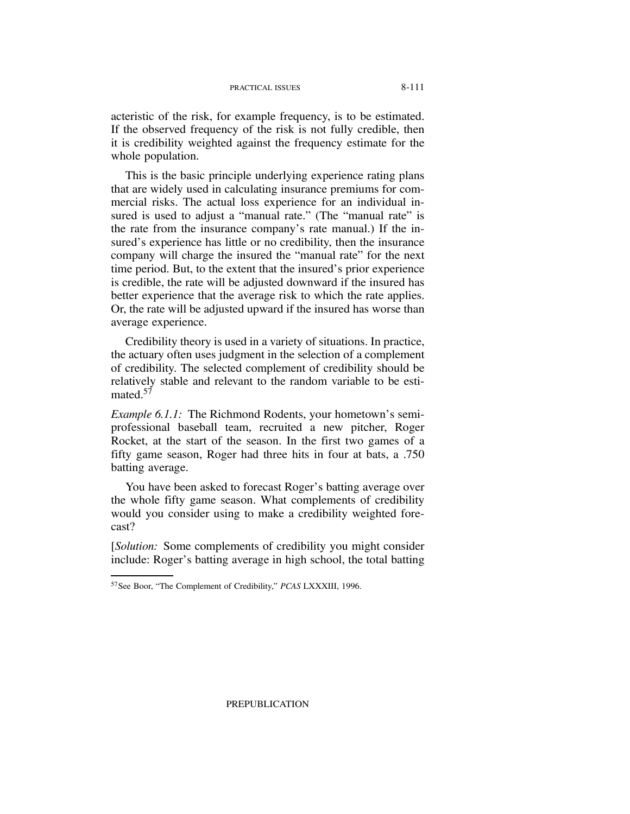acteristic of the risk, for example frequency, is to be estimated. If the observed frequency of the risk is not fully credible, then it is credibility weighted against the frequency estimate for the whole population.

This is the basic principle underlying experience rating plans that are widely used in calculating insurance premiums for commercial risks. The actual loss experience for an individual insured is used to adjust a "manual rate." (The "manual rate" is the rate from the insurance company's rate manual.) If the insured's experience has little or no credibility, then the insurance company will charge the insured the "manual rate" for the next time period. But, to the extent that the insured's prior experience is credible, the rate will be adjusted downward if the insured has better experience that the average risk to which the rate applies. Or, the rate will be adjusted upward if the insured has worse than average experience.

Credibility theory is used in a variety of situations. In practice, the actuary often uses judgment in the selection of a complement of credibility. The selected complement of credibility should be relatively stable and relevant to the random variable to be estimated.<sup>57</sup>

*Example 6.1.1:* The Richmond Rodents, your hometown's semiprofessional baseball team, recruited a new pitcher, Roger Rocket, at the start of the season. In the first two games of a fifty game season, Roger had three hits in four at bats, a .750 batting average.

You have been asked to forecast Roger's batting average over the whole fifty game season. What complements of credibility would you consider using to make a credibility weighted forecast?

[*Solution:* Some complements of credibility you might consider include: Roger's batting average in high school, the total batting

<sup>57</sup>See Boor, "The Complement of Credibility," *PCAS* LXXXIII, 1996.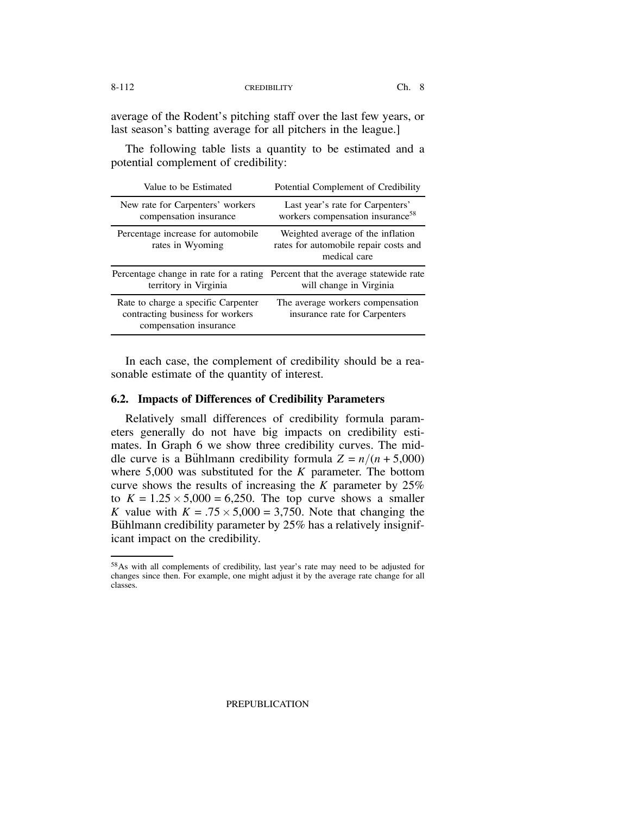average of the Rodent's pitching staff over the last few years, or last season's batting average for all pitchers in the league.]

The following table lists a quantity to be estimated and a potential complement of credibility:

| Value to be Estimated                                                                             | Potential Complement of Credibility                                                        |
|---------------------------------------------------------------------------------------------------|--------------------------------------------------------------------------------------------|
| New rate for Carpenters' workers<br>compensation insurance                                        | Last year's rate for Carpenters'<br>workers compensation insurance <sup>58</sup>           |
| Percentage increase for automobile<br>rates in Wyoming                                            | Weighted average of the inflation<br>rates for automobile repair costs and<br>medical care |
| Percentage change in rate for a rating<br>territory in Virginia                                   | Percent that the average statewide rate<br>will change in Virginia                         |
| Rate to charge a specific Carpenter<br>contracting business for workers<br>compensation insurance | The average workers compensation<br>insurance rate for Carpenters                          |

In each case, the complement of credibility should be a reasonable estimate of the quantity of interest.

### **6.2. Impacts of Differences of Credibility Parameters**

Relatively small differences of credibility formula parameters generally do not have big impacts on credibility estimates. In Graph 6 we show three credibility curves. The middle curve is a Bühlmann credibility formula  $Z = n/(n + 5,000)$ where  $5,000$  was substituted for the K parameter. The bottom curve shows the results of increasing the  $K$  parameter by  $25\%$ to  $K = 1.25 \times 5,000 = 6,250$ . The top curve shows a smaller K value with  $K = .75 \times 5,000 = 3,750$ . Note that changing the Bühlmann credibility parameter by  $25\%$  has a relatively insignificant impact on the credibility.

<sup>58</sup>As with all complements of credibility, last year's rate may need to be adjusted for changes since then. For example, one might adjust it by the average rate change for all classes.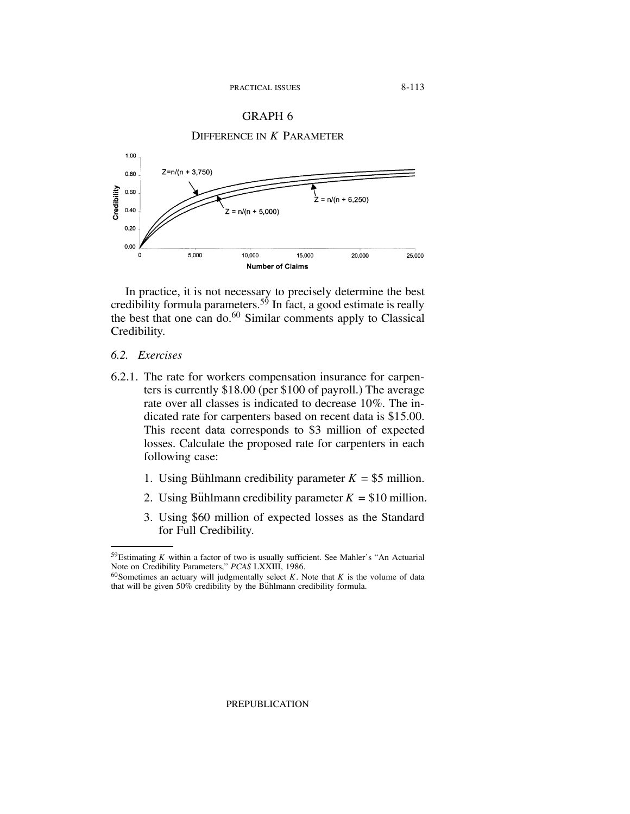# GRAPH 6





In practice, it is not necessary to precisely determine the best credibility formula parameters.<sup>59</sup> In fact, a good estimate is really the best that one can do. $60$  Similar comments apply to Classical Credibility.

#### *6.2. Exercises*

- 6.2.1. The rate for workers compensation insurance for carpenters is currently \$18.00 (per \$100 of payroll.) The average rate over all classes is indicated to decrease 10%. The indicated rate for carpenters based on recent data is \$15.00. This recent data corresponds to \$3 million of expected losses. Calculate the proposed rate for carpenters in each following case:
	- 1. Using Bühlmann credibility parameter  $K = $5$  million.
	- 2. Using Bühlmann credibility parameter  $K = $10$  million.
	- 3. Using \$60 million of expected losses as the Standard for Full Credibility.

 $59$ Estimating K within a factor of two is usually sufficient. See Mahler's "An Actuarial Note on Credibility Parameters," *PCAS* LXXIII, 1986.

 $60$ Sometimes an actuary will judgmentally select K. Note that K is the volume of data that will be given  $50\%$  credibility by the Bühlmann credibility formula.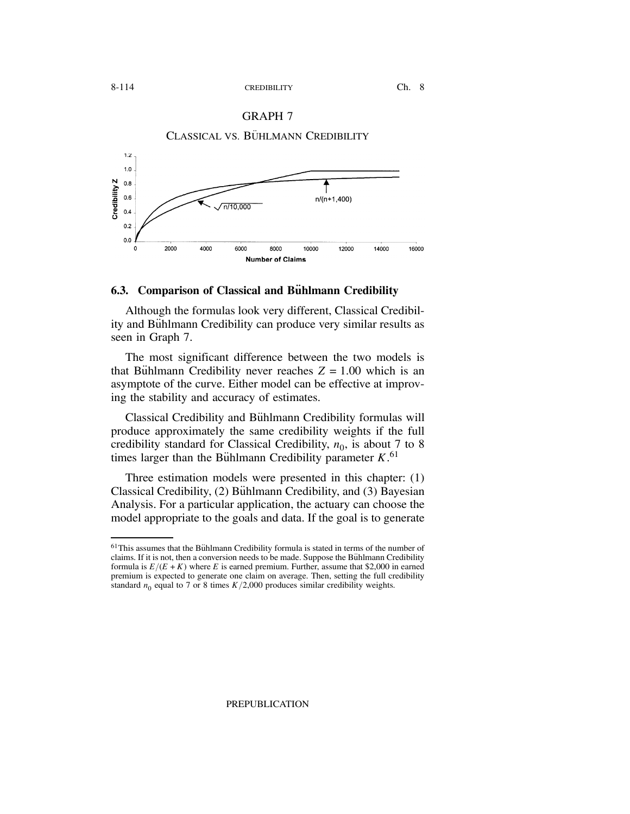# GRAPH 7



### **6.3. Comparison of Classical and Buhlmann Credibility**

Although the formulas look very different, Classical Credibility and Bühlmann Credibility can produce very similar results as seen in Graph 7.

The most significant difference between the two models is that Bühlmann Credibility never reaches  $Z = 1.00$  which is an asymptote of the curve. Either model can be effective at improving the stability and accuracy of estimates.

Classical Credibility and Bühlmann Credibility formulas will produce approximately the same credibility weights if the full credibility standard for Classical Credibility,  $n_0$ , is about 7 to 8 times larger than the Bühlmann Credibility parameter  $K$ .<sup>61</sup>

Three estimation models were presented in this chapter: (1) Classical Credibility, (2) Bühlmann Credibility, and (3) Bayesian Analysis. For a particular application, the actuary can choose the model appropriate to the goals and data. If the goal is to generate

 $61$ This assumes that the Bühlmann Credibility formula is stated in terms of the number of claims. If it is not, then a conversion needs to be made. Suppose the Buhlmann Credibility formula is  $E/(E + K)$  where E is earned premium. Further, assume that \$2,000 in earned premium is expected to generate one claim on average. Then, setting the full credibility standard  $n_0$  equal to 7 or 8 times  $K/2,000$  produces similar credibility weights.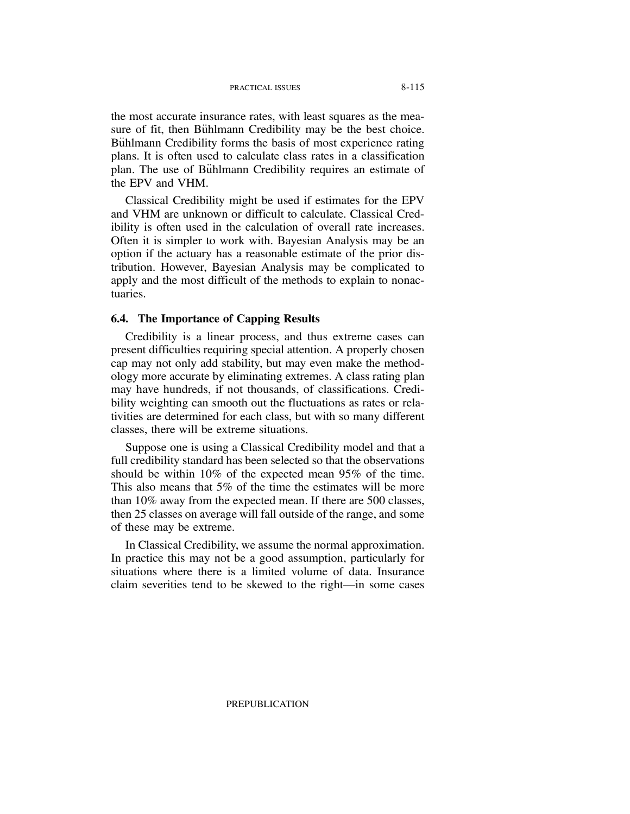the most accurate insurance rates, with least squares as the measure of fit, then Bühlmann Credibility may be the best choice. Bühlmann Credibility forms the basis of most experience rating plans. It is often used to calculate class rates in a classification plan. The use of Bühlmann Credibility requires an estimate of the EPV and VHM.

Classical Credibility might be used if estimates for the EPV and VHM are unknown or difficult to calculate. Classical Credibility is often used in the calculation of overall rate increases. Often it is simpler to work with. Bayesian Analysis may be an option if the actuary has a reasonable estimate of the prior distribution. However, Bayesian Analysis may be complicated to apply and the most difficult of the methods to explain to nonactuaries.

### **6.4. The Importance of Capping Results**

Credibility is a linear process, and thus extreme cases can present difficulties requiring special attention. A properly chosen cap may not only add stability, but may even make the methodology more accurate by eliminating extremes. A class rating plan may have hundreds, if not thousands, of classifications. Credibility weighting can smooth out the fluctuations as rates or relativities are determined for each class, but with so many different classes, there will be extreme situations.

Suppose one is using a Classical Credibility model and that a full credibility standard has been selected so that the observations should be within 10% of the expected mean 95% of the time. This also means that 5% of the time the estimates will be more than 10% away from the expected mean. If there are 500 classes, then 25 classes on average will fall outside of the range, and some of these may be extreme.

In Classical Credibility, we assume the normal approximation. In practice this may not be a good assumption, particularly for situations where there is a limited volume of data. Insurance claim severities tend to be skewed to the right—in some cases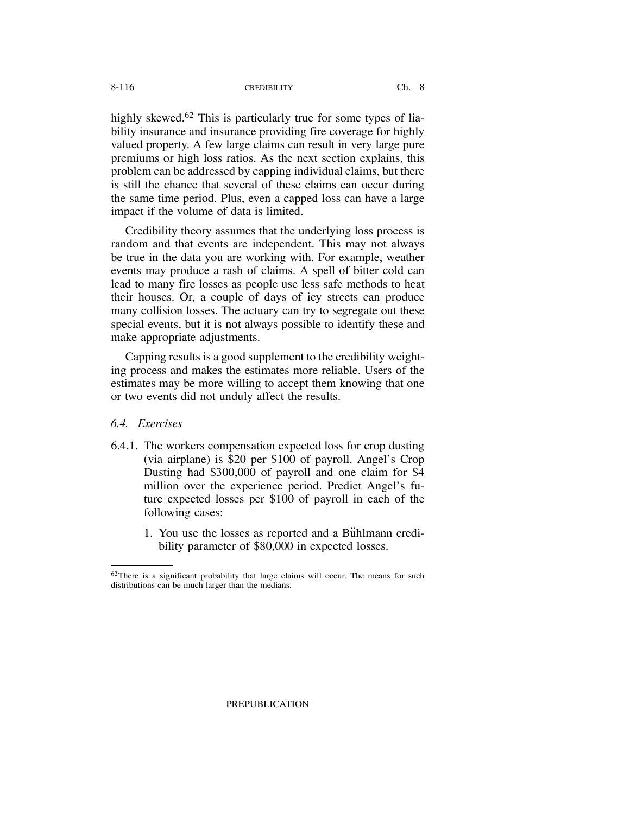highly skewed.<sup>62</sup> This is particularly true for some types of liability insurance and insurance providing fire coverage for highly valued property. A few large claims can result in very large pure premiums or high loss ratios. As the next section explains, this problem can be addressed by capping individual claims, but there is still the chance that several of these claims can occur during the same time period. Plus, even a capped loss can have a large impact if the volume of data is limited.

Credibility theory assumes that the underlying loss process is random and that events are independent. This may not always be true in the data you are working with. For example, weather events may produce a rash of claims. A spell of bitter cold can lead to many fire losses as people use less safe methods to heat their houses. Or, a couple of days of icy streets can produce many collision losses. The actuary can try to segregate out these special events, but it is not always possible to identify these and make appropriate adjustments.

Capping results is a good supplement to the credibility weighting process and makes the estimates more reliable. Users of the estimates may be more willing to accept them knowing that one or two events did not unduly affect the results.

# *6.4. Exercises*

- 6.4.1. The workers compensation expected loss for crop dusting (via airplane) is \$20 per \$100 of payroll. Angel's Crop Dusting had \$300,000 of payroll and one claim for \$4 million over the experience period. Predict Angel's future expected losses per \$100 of payroll in each of the following cases:
	- 1. You use the losses as reported and a Bühlmann credibility parameter of \$80,000 in expected losses.

<sup>&</sup>lt;sup>62</sup>There is a significant probability that large claims will occur. The means for such distributions can be much larger than the medians.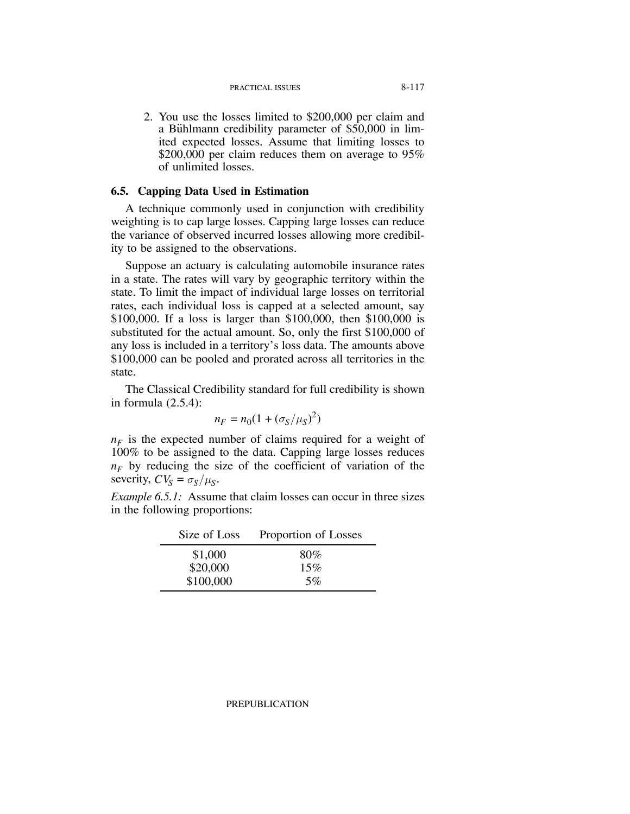2. You use the losses limited to \$200,000 per claim and a Bühlmann credibility parameter of  $$50,000$  in limited expected losses. Assume that limiting losses to \$200,000 per claim reduces them on average to 95% of unlimited losses.

# **6.5. Capping Data Used in Estimation**

A technique commonly used in conjunction with credibility weighting is to cap large losses. Capping large losses can reduce the variance of observed incurred losses allowing more credibility to be assigned to the observations.

Suppose an actuary is calculating automobile insurance rates in a state. The rates will vary by geographic territory within the state. To limit the impact of individual large losses on territorial rates, each individual loss is capped at a selected amount, say \$100,000. If a loss is larger than \$100,000, then \$100,000 is substituted for the actual amount. So, only the first \$100,000 of any loss is included in a territory's loss data. The amounts above \$100,000 can be pooled and prorated across all territories in the state.

The Classical Credibility standard for full credibility is shown in formula (2.5.4):

$$
n_F = n_0 (1 + (\sigma_S / \mu_S)^2)
$$

 $n_F$  is the expected number of claims required for a weight of 100% to be assigned to the data. Capping large losses reduces  $n_F$  by reducing the size of the coefficient of variation of the severity,  $CV_S = \sigma_S/\mu_S$ .

*Example 6.5.1:* Assume that claim losses can occur in three sizes in the following proportions:

| Size of Loss | Proportion of Losses |
|--------------|----------------------|
| \$1,000      | 80%                  |
| \$20,000     | 15%                  |
| \$100,000    | 5%                   |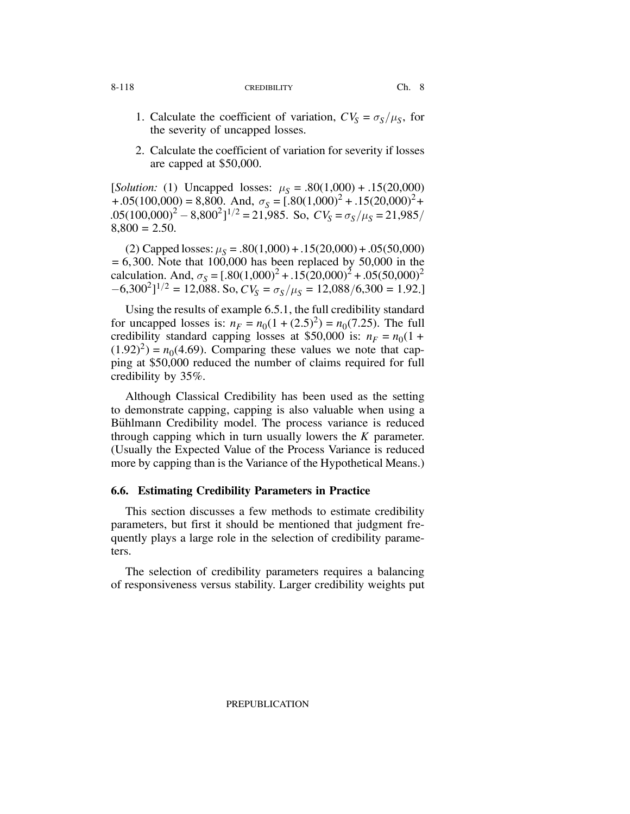- 1. Calculate the coefficient of variation,  $CV_s = \sigma_s/\mu_s$ , for the severity of uncapped losses.
- 2. Calculate the coefficient of variation for severity if losses are capped at \$50,000.

[*Solution:* (1) Uncapped losses:  $\mu_S = .80(1,000) + .15(20,000)$  $+.05(100,000) = 8,800$ . And,  $\sigma_s = [.80(1,000)^2 + .15(20,000)^2 +$  $1.05(100,000)^2 - 8,800^2$ ]<sup>1/2</sup> = 21,985. So,  $CV_s = \frac{\sigma_s}{\mu_s} = 21,985$ /  $8,800 = 2.50.$ 

(2) Capped losses:  $\mu$ <sub>S</sub> = .80(1,000) + .15(20,000) + .05(50,000)  $= 6,300$ . Note that 100,000 has been replaced by 50,000 in the calculation. And,  $\sigma_s = [.80(1,000)^2 + .15(20,000)^2 + .05(50,000)^2$  $-6,300^2$ ]<sup>1/2</sup> = 12,088. So,  $CV_s = \sigma_s/\mu_s = 12,088/6,300 = 1.92$ .]

Using the results of example 6.5.1, the full credibility standard for uncapped losses is:  $n_F = n_0(1 + (2.5)^2) = n_0(7.25)$ . The full credibility standard capping losses at \$50,000 is:  $n_F = n_0(1 +$  $(1.92)^2$  =  $n_0(4.69)$ . Comparing these values we note that capping at \$50,000 reduced the number of claims required for full credibility by 35%.

Although Classical Credibility has been used as the setting to demonstrate capping, capping is also valuable when using a Bühlmann Credibility model. The process variance is reduced through capping which in turn usually lowers the  $K$  parameter. (Usually the Expected Value of the Process Variance is reduced more by capping than is the Variance of the Hypothetical Means.)

### **6.6. Estimating Credibility Parameters in Practice**

This section discusses a few methods to estimate credibility parameters, but first it should be mentioned that judgment frequently plays a large role in the selection of credibility parameters.

The selection of credibility parameters requires a balancing of responsiveness versus stability. Larger credibility weights put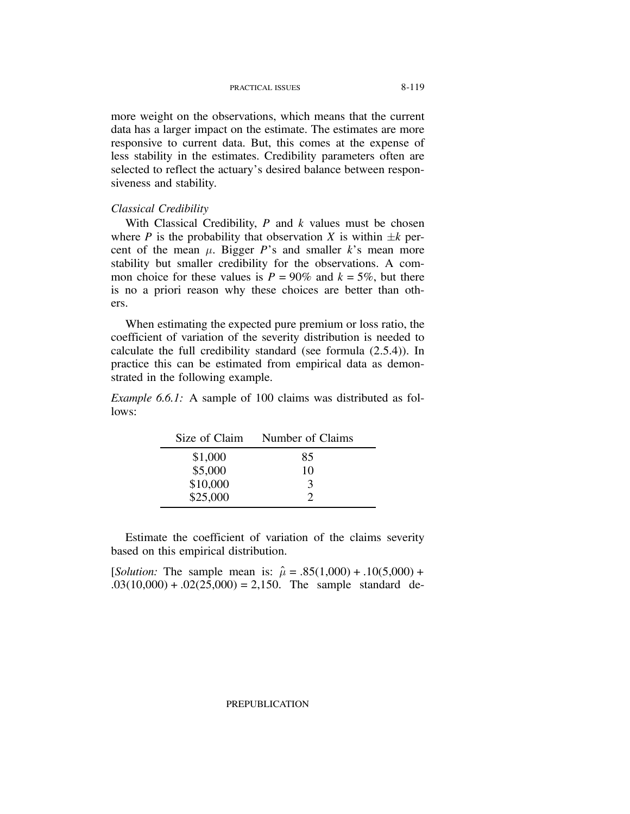more weight on the observations, which means that the current data has a larger impact on the estimate. The estimates are more responsive to current data. But, this comes at the expense of less stability in the estimates. Credibility parameters often are selected to reflect the actuary's desired balance between responsiveness and stability.

### *Classical Credibility*

With Classical Credibility,  $P$  and  $k$  values must be chosen where P is the probability that observation X is within  $\pm k$  percent of the mean  $\mu$ . Bigger P's and smaller k's mean more stability but smaller credibility for the observations. A common choice for these values is  $P = 90\%$  and  $k = 5\%$ , but there is no a priori reason why these choices are better than others.

When estimating the expected pure premium or loss ratio, the coefficient of variation of the severity distribution is needed to calculate the full credibility standard (see formula (2.5.4)). In practice this can be estimated from empirical data as demonstrated in the following example.

*Example 6.6.1:* A sample of 100 claims was distributed as follows:

|          | Size of Claim Number of Claims |
|----------|--------------------------------|
| \$1,000  | 85                             |
| \$5,000  | 10                             |
| \$10,000 | $\mathcal{F}$                  |
| \$25,000 |                                |

Estimate the coefficient of variation of the claims severity based on this empirical distribution.

[*Solution:* The sample mean is:  $\hat{\mu} = .85(1,000) + .10(5,000) +$  $.03(10,000) + .02(25,000) = 2,150$ . The sample standard de-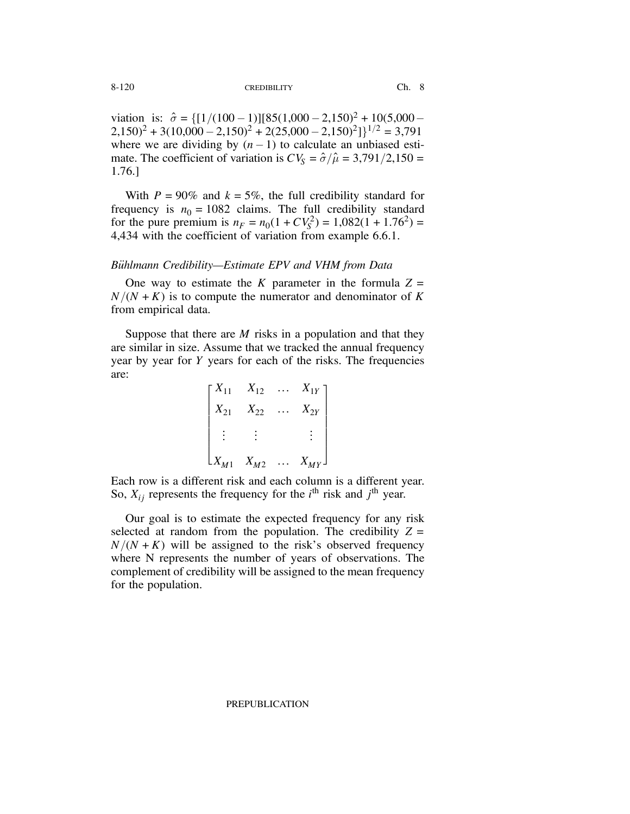viation is:  $\hat{\sigma} = \{ [1/(100-1)] [85(1,000-2,150)^2 + 10(5,000-1,0)] \}$  $2,150)^2 + 3(10,000 - 2,150)^2 + 2(25,000 - 2,150)^2$ ]<sup>1/2</sup> = 3,791 where we are dividing by  $(n - 1)$  to calculate an unbiased estimate. The coefficient of variation is  $CV_s = \hat{\sigma}/\hat{\mu} = 3,791/2,150 =$ 1:76:]

With  $P = 90\%$  and  $k = 5\%$ , the full credibility standard for frequency is  $n_0 = 1082$  claims. The full credibility standard for the pure premium is  $n_F = n_0(1 + CV_S^2) = 1,082(1 + 1.76^2) =$ 4,434 with the coefficient of variation from example 6.6.1.

### *Buhlmann Credibility—Estimate EPV and VHM from Data ¨*

One way to estimate the K parameter in the formula  $Z =$  $N/(N + K)$  is to compute the numerator and denominator of K from empirical data.

Suppose that there are  $M$  risks in a population and that they are similar in size. Assume that we tracked the annual frequency year by year for Y years for each of the risks. The frequencies are:

$$
\begin{bmatrix} X_{11} & X_{12} & \dots & X_{1Y} \\ X_{21} & X_{22} & \dots & X_{2Y} \\ \vdots & \vdots & & \vdots \\ X_{M1} & X_{M2} & \dots & X_{MY} \end{bmatrix}
$$

Each row is a different risk and each column is a different year. So,  $X_{ij}$  represents the frequency for the *i*<sup>th</sup> risk and *j*<sup>th</sup> year.

Our goal is to estimate the expected frequency for any risk selected at random from the population. The credibility  $Z =$  $N/(N + K)$  will be assigned to the risk's observed frequency where N represents the number of years of observations. The complement of credibility will be assigned to the mean frequency for the population.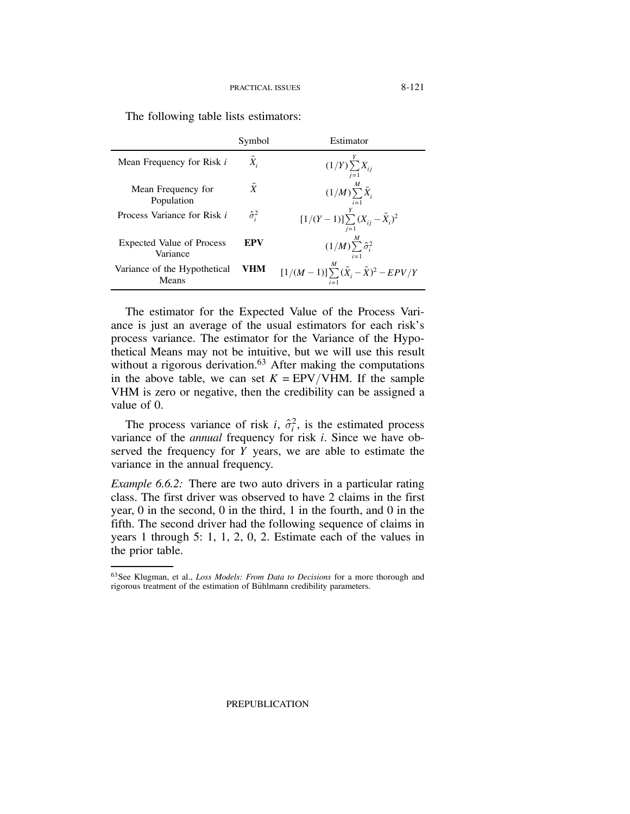The following table lists estimators:

|                                              | Symbol             | Estimator                                                  |
|----------------------------------------------|--------------------|------------------------------------------------------------|
| Mean Frequency for Risk i                    | Χ.                 | $(1/Y)\sum_{i=1}^{7} X_{ij}$                               |
| Mean Frequency for<br>Population             | $\boldsymbol{X}$   | $(1/M)\sum_{i=1}^{M} \bar{X}_{i}$                          |
| Process Variance for Risk i                  | $\hat{\sigma}_i^2$ | $[1/(Y-1)]\sum_{i=1}^{Y}(X_{ij}-\bar{X}_i)^2$              |
| <b>Expected Value of Process</b><br>Variance | EPV                | $(1/M)\sum_{i=1}^{M}\hat{\sigma}_{i}^{2}$                  |
| Variance of the Hypothetical<br>Means        | VHM                | $[1/(M-1)] \sum_{i=1}^{M} (\bar{X}_i - \bar{X})^2 - EPV/Y$ |

The estimator for the Expected Value of the Process Variance is just an average of the usual estimators for each risk's process variance. The estimator for the Variance of the Hypothetical Means may not be intuitive, but we will use this result without a rigorous derivation.<sup>63</sup> After making the computations in the above table, we can set  $K = EPV/VHM$ . If the sample VHM is zero or negative, then the credibility can be assigned a value of 0.

The process variance of risk *i*,  $\hat{\sigma}_i^2$ , is the estimated process variance of the *annual* frequency for risk i. Since we have observed the frequency for  $Y$  years, we are able to estimate the variance in the annual frequency.

*Example 6.6.2:* There are two auto drivers in a particular rating class. The first driver was observed to have 2 claims in the first year, 0 in the second, 0 in the third, 1 in the fourth, and 0 in the fifth. The second driver had the following sequence of claims in years 1 through 5: 1, 1, 2, 0, 2. Estimate each of the values in the prior table.

<sup>63</sup>See Klugman, et al., *Loss Models: From Data to Decisions* for a more thorough and rigorous treatment of the estimation of Bühlmann credibility parameters.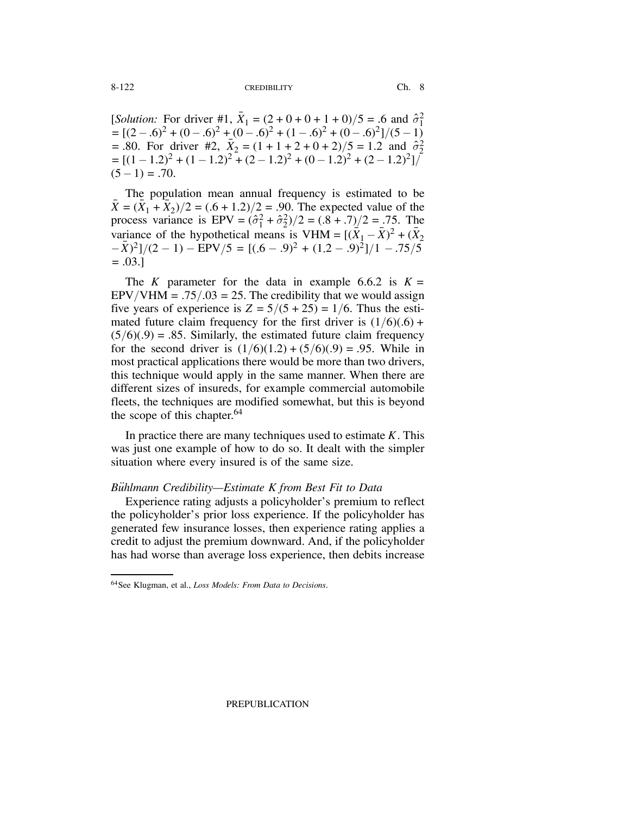8-122 CREDIBILITY CH. 8

[*Solution*: For driver #1,  $\bar{X}_1 = (2 + 0 + 0 + 1 + 0)/5 = 0.6$  and  $\hat{\sigma}_1^2$  $= [(2 - .6)^{2} + (0 - .6)^{2} + (0 - .6)^{2} + (1 - .6)^{2} + (0 - .6)^{2}]/(5 - 1)$ = .80. For driver #2,  $\bar{X}_2 = (1 + 1 + 2 + 0 + 2)/5 = 1.2$  and  $\hat{\sigma}_2^2$  $= [(1 – 1.2)<sup>2</sup> + (1 – 1.2)<sup>2</sup> + (2 – 1.2)<sup>2</sup> + (0 – 1.2)<sup>2</sup> + (2 – 1.2)<sup>2</sup>]$  $(5 - 1) = .70$ .

The population mean annual frequency is estimated to be  $\overline{X} = (\overline{X}_1 + \overline{X}_2)/2 = (0.6 + 1.2)/2 = 0.90$ . The expected value of the process variance is  $EPV = (\hat{\sigma}_1^2 + \hat{\sigma}_2^2)/2 = (0.8 + 0.7)/2 = 0.75$ . The variance of the hypothetical means is VHM =  $[(\bar{X}_1 - \bar{X})^2 + (\bar{X}_2$  $-\bar{X}$ )<sup>2</sup>]/(2 - 1)  $-\text{EPV}/5 = [(.6 - .9)^2 + (1.2 - .9)^2]/1 - .75/5$  $=.03.]$ 

The K parameter for the data in example 6.6.2 is  $K =$ EPV/VHM =  $.75/.03 = 25$ . The credibility that we would assign five years of experience is  $Z = 5/(5 + 25) = 1/6$ . Thus the estimated future claim frequency for the first driver is  $(1/6)(.6) +$  $(5/6)(.9) = .85$ . Similarly, the estimated future claim frequency for the second driver is  $(1/6)(1.2) + (5/6)(.9) = .95$ . While in most practical applications there would be more than two drivers, this technique would apply in the same manner. When there are different sizes of insureds, for example commercial automobile fleets, the techniques are modified somewhat, but this is beyond the scope of this chapter.<sup>64</sup>

In practice there are many techniques used to estimate  $K$ . This was just one example of how to do so. It dealt with the simpler situation where every insured is of the same size.

#### *Buhlmann Credibility—Estimate K from Best Fit to Data*

Experience rating adjusts a policyholder's premium to reflect the policyholder's prior loss experience. If the policyholder has generated few insurance losses, then experience rating applies a credit to adjust the premium downward. And, if the policyholder has had worse than average loss experience, then debits increase

<sup>64</sup>See Klugman, et al., *Loss Models: From Data to Decisions*.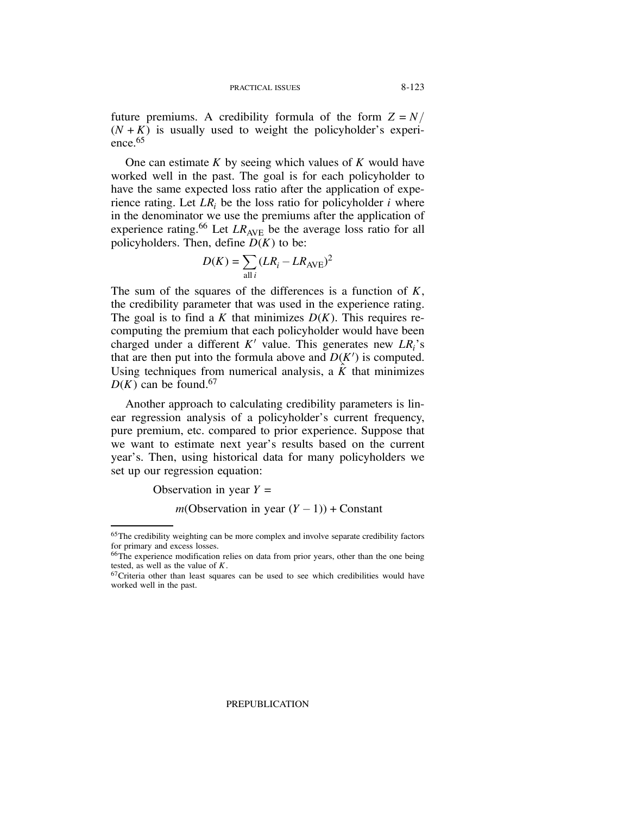future premiums. A credibility formula of the form  $Z = N/$  $(N + K)$  is usually used to weight the policyholder's experience.65

One can estimate  $K$  by seeing which values of  $K$  would have worked well in the past. The goal is for each policyholder to have the same expected loss ratio after the application of experience rating. Let  $LR_i$  be the loss ratio for policyholder i where in the denominator we use the premiums after the application of experience rating.<sup>66</sup> Let  $LR<sub>AVE</sub>$  be the average loss ratio for all policyholders. Then, define  $D(K)$  to be:

$$
D(K) = \sum_{\text{all }i} (LR_i - LR_{\text{AVE}})^2
$$

The sum of the squares of the differences is a function of  $K$ , the credibility parameter that was used in the experience rating. The goal is to find a K that minimizes  $D(K)$ . This requires recomputing the premium that each policyholder would have been charged under a different K' value. This generates new  $LR_i$ 's that are then put into the formula above and  $D(K')$  is computed. Using techniques from numerical analysis, a  $\tilde{K}$  that minimizes  $D(K)$  can be found.<sup>67</sup>

Another approach to calculating credibility parameters is linear regression analysis of a policyholder's current frequency, pure premium, etc. compared to prior experience. Suppose that we want to estimate next year's results based on the current year's. Then, using historical data for many policyholders we set up our regression equation:

Observation in year  $Y =$ 

 $m$ (Observation in year  $(Y - 1)$ ) + Constant

<sup>65</sup>The credibility weighting can be more complex and involve separate credibility factors for primary and excess losses.

<sup>&</sup>lt;sup>66</sup>The experience modification relies on data from prior years, other than the one being tested, as well as the value of  $K$ .

 $67$ Criteria other than least squares can be used to see which credibilities would have worked well in the past.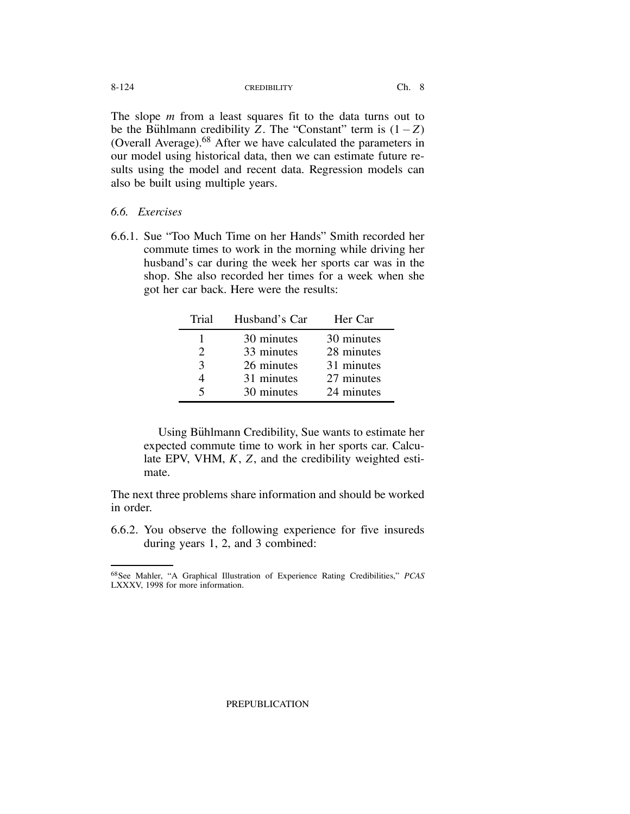The slope  $m$  from a least squares fit to the data turns out to be the Bühlmann credibility Z. The "Constant" term is  $(1 – Z)$ (Overall Average).68 After we have calculated the parameters in our model using historical data, then we can estimate future results using the model and recent data. Regression models can also be built using multiple years.

# *6.6. Exercises*

6.6.1. Sue "Too Much Time on her Hands" Smith recorded her commute times to work in the morning while driving her husband's car during the week her sports car was in the shop. She also recorded her times for a week when she got her car back. Here were the results:

| Trial                       | Husband's Car | Her Car    |
|-----------------------------|---------------|------------|
|                             | 30 minutes    | 30 minutes |
| $\mathcal{D}_{\mathcal{L}}$ | 33 minutes    | 28 minutes |
| $\mathcal{R}$               | 26 minutes    | 31 minutes |
|                             | 31 minutes    | 27 minutes |
| $\leq$                      | 30 minutes    | 24 minutes |

Using Bühlmann Credibility, Sue wants to estimate her expected commute time to work in her sports car. Calculate EPV, VHM,  $K$ ,  $Z$ , and the credibility weighted estimate.

The next three problems share information and should be worked in order.

6.6.2. You observe the following experience for five insureds during years 1, 2, and 3 combined:

<sup>68</sup>See Mahler, "A Graphical Illustration of Experience Rating Credibilities," *PCAS* LXXXV, 1998 for more information.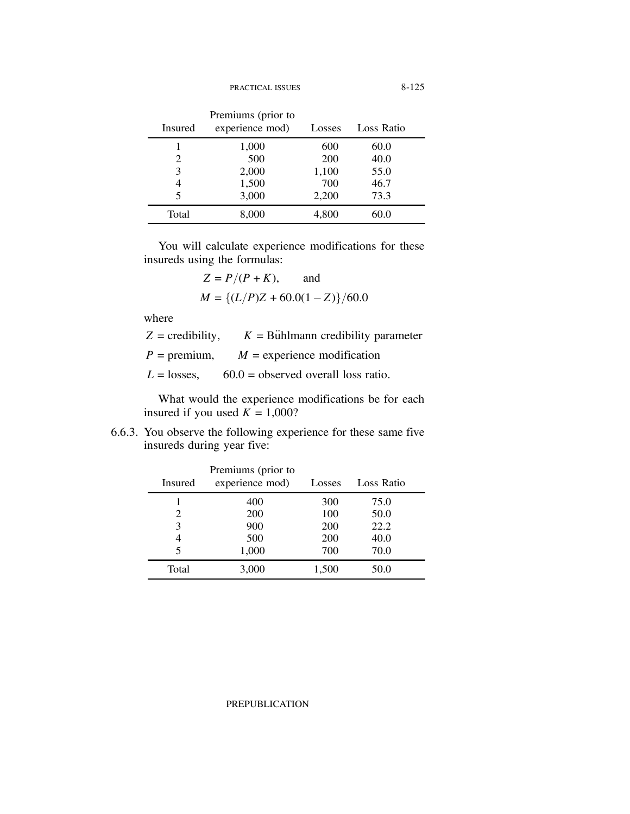| Insured | Premiums (prior to<br>experience mod) | Losses | Loss Ratio |
|---------|---------------------------------------|--------|------------|
|         | 1,000                                 | 600    | 60.0       |
| 2       | 500                                   | 200    | 40.0       |
| 3       | 2,000                                 | 1,100  | 55.0       |
| 4       | 1,500                                 | 700    | 46.7       |
| 5       | 3,000                                 | 2,200  | 73.3       |
| Total   | 8,000                                 | 4,800  | 60.0       |

You will calculate experience modifications for these insureds using the formulas:

$$
Z = P/(P + K), \text{ and}
$$
  

$$
M = \{(L/P)Z + 60.0(1 - Z)\}/60.0
$$

where

| $Z = \text{creditity},$ | $K =$ Bühlmann credibility parameter         |
|-------------------------|----------------------------------------------|
|                         | $P =$ premium, $M =$ experience modification |
| $L =$ losses,           | $60.0$ = observed overall loss ratio.        |

What would the experience modifications be for each insured if you used  $K = 1,000$ ?

6.6.3. You observe the following experience for these same five insureds during year five:

| Insured | Premiums (prior to<br>experience mod) | Losses | Loss Ratio |
|---------|---------------------------------------|--------|------------|
|         | 400                                   | 300    | 75.0       |
| 2       | 200                                   | 100    | 50.0       |
| 3       | 900                                   | 200    | 22.2       |
| 4       | 500                                   | 200    | 40.0       |
| 5       | 1,000                                 | 700    | 70.0       |
| Total   | 3,000                                 | 1,500  | 50.0       |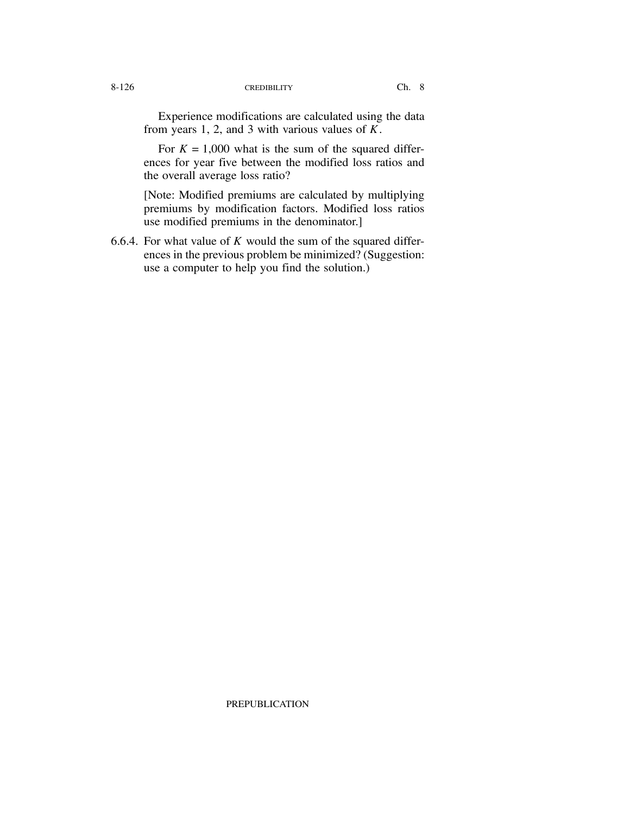Experience modifications are calculated using the data from years 1, 2, and 3 with various values of  $K$ .

For  $K = 1,000$  what is the sum of the squared differences for year five between the modified loss ratios and the overall average loss ratio?

[Note: Modified premiums are calculated by multiplying premiums by modification factors. Modified loss ratios use modified premiums in the denominator.]

6.6.4. For what value of  $K$  would the sum of the squared differences in the previous problem be minimized? (Suggestion: use a computer to help you find the solution.)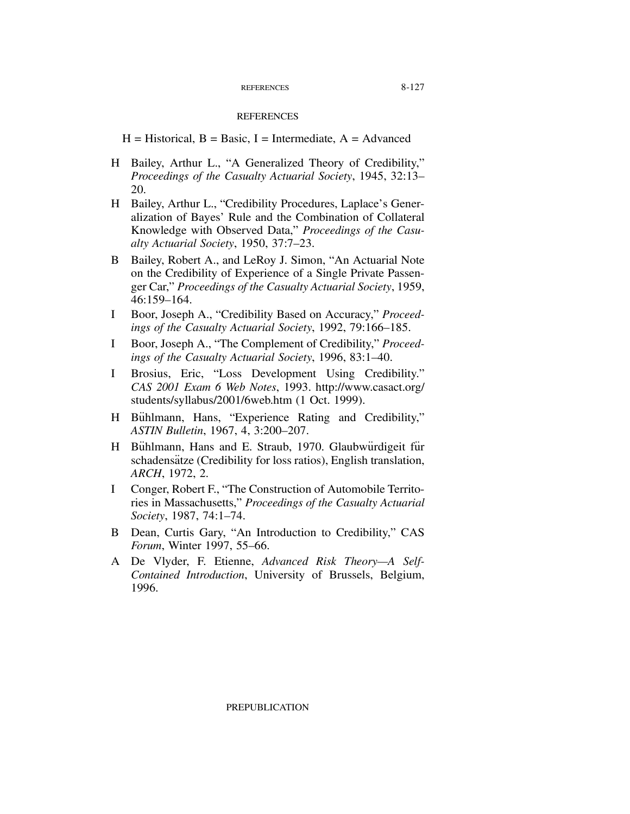$H = H$ istorical,  $B = Basic$ ,  $I = Intermediate$ ,  $A = Advanced$ 

- H Bailey, Arthur L., "A Generalized Theory of Credibility," *Proceedings of the Casualty Actuarial Society*, 1945, 32:13– 20.
- H Bailey, Arthur L., "Credibility Procedures, Laplace's Generalization of Bayes' Rule and the Combination of Collateral Knowledge with Observed Data," *Proceedings of the Casualty Actuarial Society*, 1950, 37:7–23.
- B Bailey, Robert A., and LeRoy J. Simon, "An Actuarial Note on the Credibility of Experience of a Single Private Passenger Car," *Proceedings of the Casualty Actuarial Society*, 1959, 46:159–164.
- I Boor, Joseph A., "Credibility Based on Accuracy," *Proceedings of the Casualty Actuarial Society*, 1992, 79:166–185.
- I Boor, Joseph A., "The Complement of Credibility," *Proceedings of the Casualty Actuarial Society*, 1996, 83:1–40.
- I Brosius, Eric, "Loss Development Using Credibility." *CAS 2001 Exam 6 Web Notes*, 1993. http://www.casact.org/ students/syllabus/2001/6web.htm (1 Oct. 1999).
- H Bühlmann, Hans, "Experience Rating and Credibility," *ASTIN Bulletin*, 1967, 4, 3:200–207.
- H Bühlmann, Hans and E. Straub, 1970. Glaubwürdigeit für schadensätze (Credibility for loss ratios), English translation, *ARCH*, 1972, 2.
- I Conger, Robert F., "The Construction of Automobile Territories in Massachusetts," *Proceedings of the Casualty Actuarial Society*, 1987, 74:1–74.
- B Dean, Curtis Gary, "An Introduction to Credibility," CAS *Forum*, Winter 1997, 55–66.
- A De Vlyder, F. Etienne, *Advanced Risk Theory—A Self-Contained Introduction*, University of Brussels, Belgium, 1996.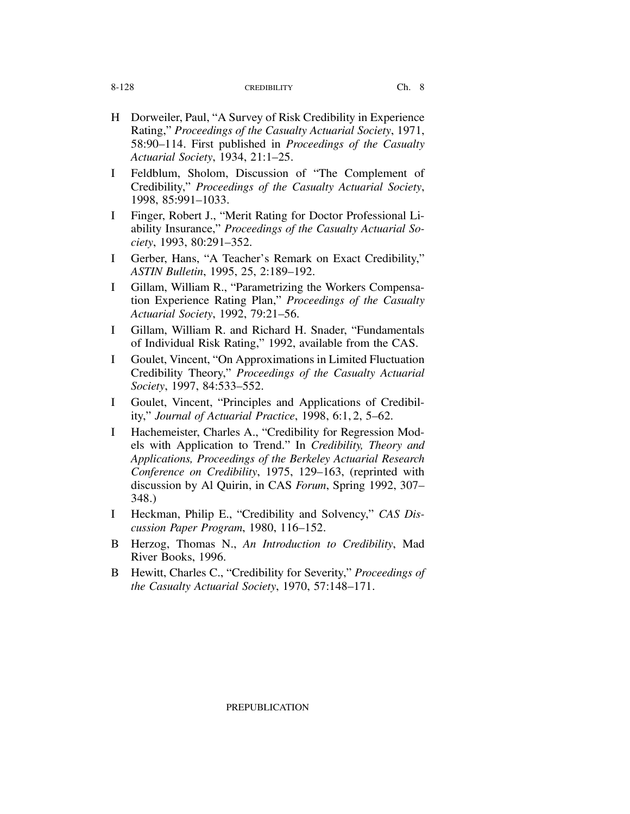- H Dorweiler, Paul, "A Survey of Risk Credibility in Experience Rating," *Proceedings of the Casualty Actuarial Society*, 1971, 58:90–114. First published in *Proceedings of the Casualty Actuarial Society*, 1934, 21:1–25.
- I Feldblum, Sholom, Discussion of "The Complement of Credibility," *Proceedings of the Casualty Actuarial Society*, 1998, 85:991–1033.
- I Finger, Robert J., "Merit Rating for Doctor Professional Liability Insurance," *Proceedings of the Casualty Actuarial Society*, 1993, 80:291–352.
- I Gerber, Hans, "A Teacher's Remark on Exact Credibility," *ASTIN Bulletin*, 1995, 25, 2:189–192.
- I Gillam, William R., "Parametrizing the Workers Compensation Experience Rating Plan," *Proceedings of the Casualty Actuarial Society*, 1992, 79:21–56.
- I Gillam, William R. and Richard H. Snader, "Fundamentals of Individual Risk Rating," 1992, available from the CAS.
- I Goulet, Vincent, "On Approximations in Limited Fluctuation Credibility Theory," *Proceedings of the Casualty Actuarial Society*, 1997, 84:533–552.
- I Goulet, Vincent, "Principles and Applications of Credibility," *Journal of Actuarial Practice*, 1998, 6:1, 2, 5–62.
- I Hachemeister, Charles A., "Credibility for Regression Models with Application to Trend." In *Credibility, Theory and Applications, Proceedings of the Berkeley Actuarial Research Conference on Credibility*, 1975, 129–163, (reprinted with discussion by Al Quirin, in CAS *Forum*, Spring 1992, 307– 348.)
- I Heckman, Philip E., "Credibility and Solvency," *CAS Discussion Paper Program*, 1980, 116–152.
- B Herzog, Thomas N., *An Introduction to Credibility*, Mad River Books, 1996.
- B Hewitt, Charles C., "Credibility for Severity," *Proceedings of the Casualty Actuarial Society*, 1970, 57:148–171.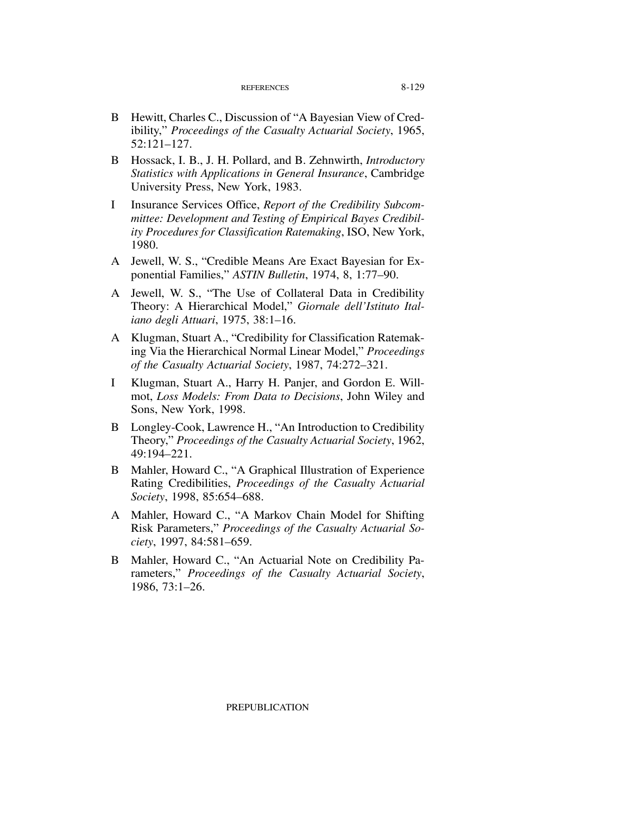- B Hossack, I. B., J. H. Pollard, and B. Zehnwirth, *Introductory Statistics with Applications in General Insurance*, Cambridge University Press, New York, 1983.
- I Insurance Services Office, *Report of the Credibility Subcommittee: Development and Testing of Empirical Bayes Credibility Procedures for Classification Ratemaking*, ISO, New York, 1980.
- A Jewell, W. S., "Credible Means Are Exact Bayesian for Exponential Families," *ASTIN Bulletin*, 1974, 8, 1:77–90.
- A Jewell, W. S., "The Use of Collateral Data in Credibility Theory: A Hierarchical Model," *Giornale dell'Istituto Italiano degli Attuari*, 1975, 38:1–16.
- A Klugman, Stuart A., "Credibility for Classification Ratemaking Via the Hierarchical Normal Linear Model," *Proceedings of the Casualty Actuarial Society*, 1987, 74:272–321.
- I Klugman, Stuart A., Harry H. Panjer, and Gordon E. Willmot, *Loss Models: From Data to Decisions*, John Wiley and Sons, New York, 1998.
- B Longley-Cook, Lawrence H., "An Introduction to Credibility Theory," *Proceedings of the Casualty Actuarial Society*, 1962, 49:194–221.
- B Mahler, Howard C., "A Graphical Illustration of Experience Rating Credibilities, *Proceedings of the Casualty Actuarial Society*, 1998, 85:654–688.
- A Mahler, Howard C., "A Markov Chain Model for Shifting Risk Parameters," *Proceedings of the Casualty Actuarial Society*, 1997, 84:581–659.
- B Mahler, Howard C., "An Actuarial Note on Credibility Parameters," *Proceedings of the Casualty Actuarial Society*, 1986, 73:1–26.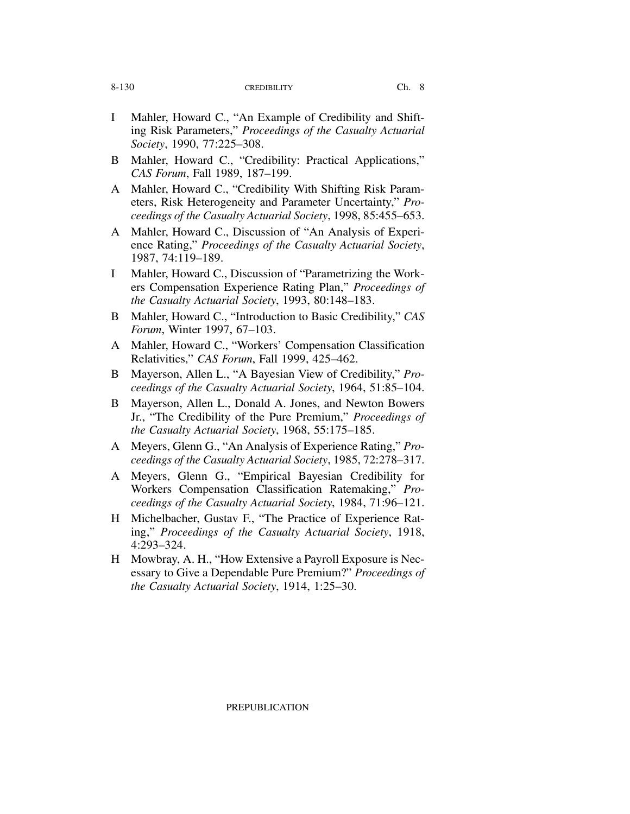- I Mahler, Howard C., "An Example of Credibility and Shifting Risk Parameters," *Proceedings of the Casualty Actuarial Society*, 1990, 77:225–308.
- B Mahler, Howard C., "Credibility: Practical Applications," *CAS Forum*, Fall 1989, 187–199.
- A Mahler, Howard C., "Credibility With Shifting Risk Parameters, Risk Heterogeneity and Parameter Uncertainty," *Proceedings of the Casualty Actuarial Society*, 1998, 85:455–653.
- A Mahler, Howard C., Discussion of "An Analysis of Experience Rating," *Proceedings of the Casualty Actuarial Society*, 1987, 74:119–189.
- I Mahler, Howard C., Discussion of "Parametrizing the Workers Compensation Experience Rating Plan," *Proceedings of the Casualty Actuarial Society*, 1993, 80:148–183.
- B Mahler, Howard C., "Introduction to Basic Credibility," *CAS Forum*, Winter 1997, 67–103.
- A Mahler, Howard C., "Workers' Compensation Classification Relativities," *CAS Forum*, Fall 1999, 425–462.
- B Mayerson, Allen L., "A Bayesian View of Credibility," *Proceedings of the Casualty Actuarial Society*, 1964, 51:85–104.
- B Mayerson, Allen L., Donald A. Jones, and Newton Bowers Jr., "The Credibility of the Pure Premium," *Proceedings of the Casualty Actuarial Society*, 1968, 55:175–185.
- A Meyers, Glenn G., "An Analysis of Experience Rating," *Proceedings of the Casualty Actuarial Society*, 1985, 72:278–317.
- A Meyers, Glenn G., "Empirical Bayesian Credibility for Workers Compensation Classification Ratemaking," *Proceedings of the Casualty Actuarial Society*, 1984, 71:96–121.
- H Michelbacher, Gustav F., "The Practice of Experience Rating," *Proceedings of the Casualty Actuarial Society*, 1918, 4:293–324.
- H Mowbray, A. H., "How Extensive a Payroll Exposure is Necessary to Give a Dependable Pure Premium?" *Proceedings of the Casualty Actuarial Society*, 1914, 1:25–30.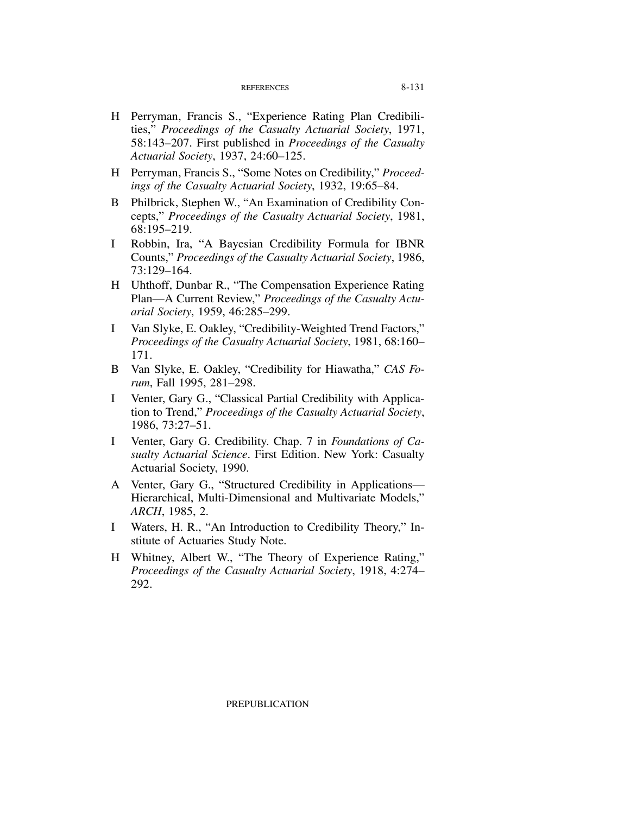- H Perryman, Francis S., "Experience Rating Plan Credibilities," *Proceedings of the Casualty Actuarial Society*, 1971, 58:143–207. First published in *Proceedings of the Casualty Actuarial Society*, 1937, 24:60–125.
- H Perryman, Francis S., "Some Notes on Credibility," *Proceedings of the Casualty Actuarial Society*, 1932, 19:65–84.
- B Philbrick, Stephen W., "An Examination of Credibility Concepts," *Proceedings of the Casualty Actuarial Society*, 1981, 68:195–219.
- I Robbin, Ira, "A Bayesian Credibility Formula for IBNR Counts," *Proceedings of the Casualty Actuarial Society*, 1986, 73:129–164.
- H Uhthoff, Dunbar R., "The Compensation Experience Rating Plan—A Current Review," *Proceedings of the Casualty Actuarial Society*, 1959, 46:285–299.
- I Van Slyke, E. Oakley, "Credibility-Weighted Trend Factors," *Proceedings of the Casualty Actuarial Society*, 1981, 68:160– 171.
- B Van Slyke, E. Oakley, "Credibility for Hiawatha," *CAS Forum*, Fall 1995, 281–298.
- I Venter, Gary G., "Classical Partial Credibility with Application to Trend," *Proceedings of the Casualty Actuarial Society*, 1986, 73:27–51.
- I Venter, Gary G. Credibility. Chap. 7 in *Foundations of Casualty Actuarial Science*. First Edition. New York: Casualty Actuarial Society, 1990.
- A Venter, Gary G., "Structured Credibility in Applications— Hierarchical, Multi-Dimensional and Multivariate Models," *ARCH*, 1985, 2.
- I Waters, H. R., "An Introduction to Credibility Theory," Institute of Actuaries Study Note.
- H Whitney, Albert W., "The Theory of Experience Rating," *Proceedings of the Casualty Actuarial Society*, 1918, 4:274– 292.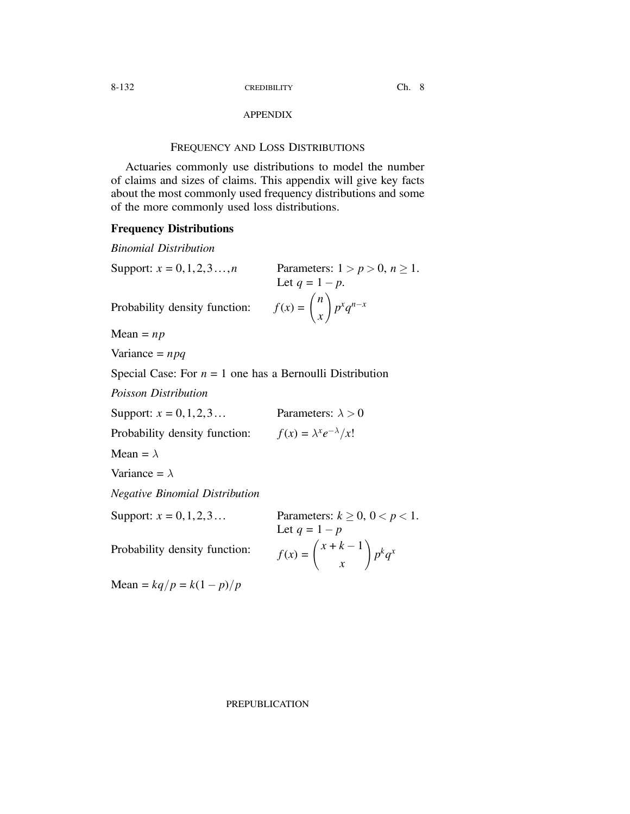#### APPENDIX

# FREQUENCY AND LOSS DISTRIBUTIONS

Actuaries commonly use distributions to model the number of claims and sizes of claims. This appendix will give key facts about the most commonly used frequency distributions and some of the more commonly used loss distributions.

### **Frequency Distributions**

*Binomial Distribution*

Support:  $x = 0, 1, 2, 3...$ , *n* Parameters:  $1 > p > 0$ ,  $n \ge 1$ . Let  $q = 1 - p$ . x  $\overline{ }$  $p^x q^{n-x}$ 

Probability density function:

Mean =  $np$ 

Variance =  $npq$ 

Special Case: For  $n = 1$  one has a Bernoulli Distribution

*Poisson Distribution*

Support:  $x = 0, 1, 2, 3...$  Parameters:  $\lambda > 0$ Probability density function:  $f(x) = \lambda^x e^{-\lambda}/x!$ 

Mean =  $\lambda$ 

Variance =  $\lambda$ 

*Negative Binomial Distribution*

Support:  $x = 0, 1, 2, 3...$  Parameters:  $k \ge 0, 0 < p < 1$ . Let  $q = 1 - p$ Probability density function:  $f(x) = \begin{cases} x + k - 1 \end{cases}$ x  $\overline{ }$  $p^kq^x$ Mean =  $kq/p = k(1 - p)/p$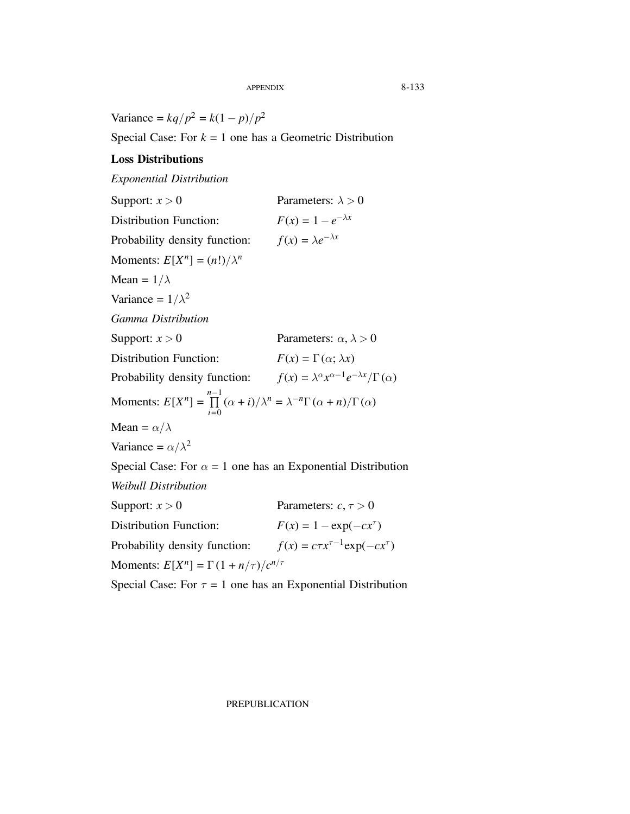Variance =  $kq/p^2 = k(1 - p)/p^2$ Special Case: For  $k = 1$  one has a Geometric Distribution **Loss Distributions** *Exponential Distribution* Support:  $x > 0$  Parameters:  $\lambda > 0$ Distribution Function:  $F(x) = 1 - e^{-\lambda x}$ Probability density function:  $f(x) = \lambda e^{-\lambda x}$ Moments:  $E[X^n] = (n!) / \lambda^n$ Mean =  $1/\lambda$ Variance =  $1/\lambda^2$ *Gamma Distribution* Support:  $x > 0$  Parameters:  $\alpha, \lambda > 0$ Distribution Function:  $F(x) = \Gamma(\alpha; \lambda x)$ Probability density function:  $f(x) = \lambda^{\alpha} x^{\alpha-1} e^{-\lambda x} / \Gamma(\alpha)$ Moments:  $E[X^n] = \prod^{n-1}$  $i=0$  $(\alpha + i)/\lambda^n = \lambda^{-n}\Gamma(\alpha + n)/\Gamma(\alpha)$ Mean =  $\alpha/\lambda$ Variance =  $\alpha/\lambda^2$ Special Case: For  $\alpha = 1$  one has an Exponential Distribution *Weibull Distribution* Support:  $x > 0$  Parameters:  $c, \tau > 0$ Distribution Function:  $F(x) = 1 - \exp(-cx^{\tau})$ Probability density function:  $f(x) = c\tau x^{\tau-1} \exp(-cx^{\tau})$ Moments:  $E[X^n] = \Gamma(1 + n/\tau)/c^{n/\tau}$ Special Case: For  $\tau = 1$  one has an Exponential Distribution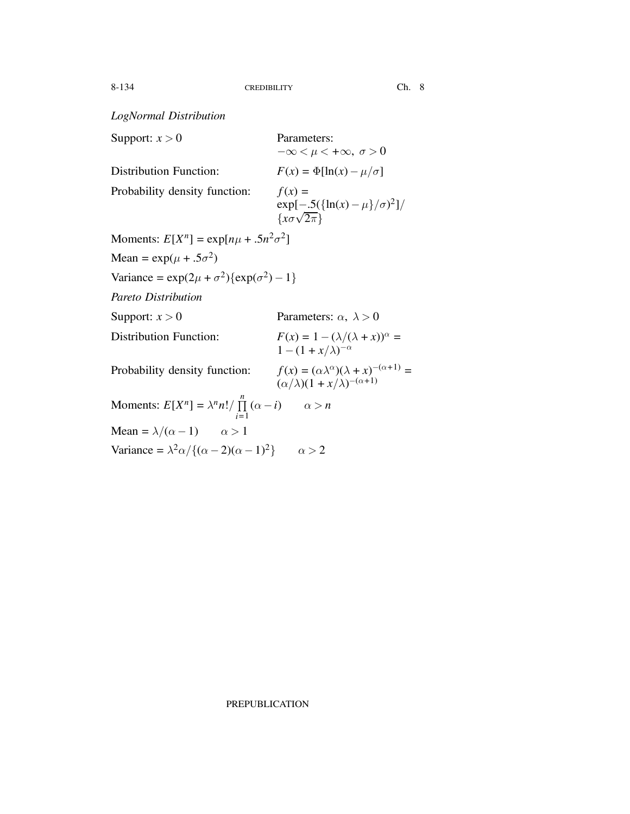*LogNormal Distribution*

| Parameters:<br>$-\infty < \mu < +\infty, \ \sigma > 0$                                                                                            |
|---------------------------------------------------------------------------------------------------------------------------------------------------|
| $F(x) = \Phi[\ln(x) - \mu/\sigma]$                                                                                                                |
| $f(x) =$<br>$\exp[-.5({\ln(x) - \mu}/\sigma)^2]$<br>$\{x\sigma\sqrt{2\pi}\}\$                                                                     |
| Moments: $E[X^n] = \exp[n\mu + .5n^2\sigma^2]$                                                                                                    |
|                                                                                                                                                   |
| Variance = $\exp(2\mu + \sigma^2)\{\exp(\sigma^2) - 1\}$                                                                                          |
|                                                                                                                                                   |
| Parameters: $\alpha$ , $\lambda > 0$                                                                                                              |
| $F(x) = 1 - (\lambda/(\lambda + x))^{\alpha} =$<br>$1-(1+x/\lambda)^{-\alpha}$                                                                    |
| $f(x) = (\alpha \lambda^{\alpha})(\lambda + x)^{-(\alpha+1)} =$<br>Probability density function:<br>$(\alpha/\lambda)(1+x/\lambda)^{-(\alpha+1)}$ |
| Moments: $E[X^n] = \lambda^n n! / \prod_{i=1}^{n} (\alpha - i) \qquad \alpha > n$                                                                 |
|                                                                                                                                                   |
| Variance = $\lambda^2 \alpha / \{(\alpha - 2)(\alpha - 1)^2\}$<br>$\alpha > 2$                                                                    |
|                                                                                                                                                   |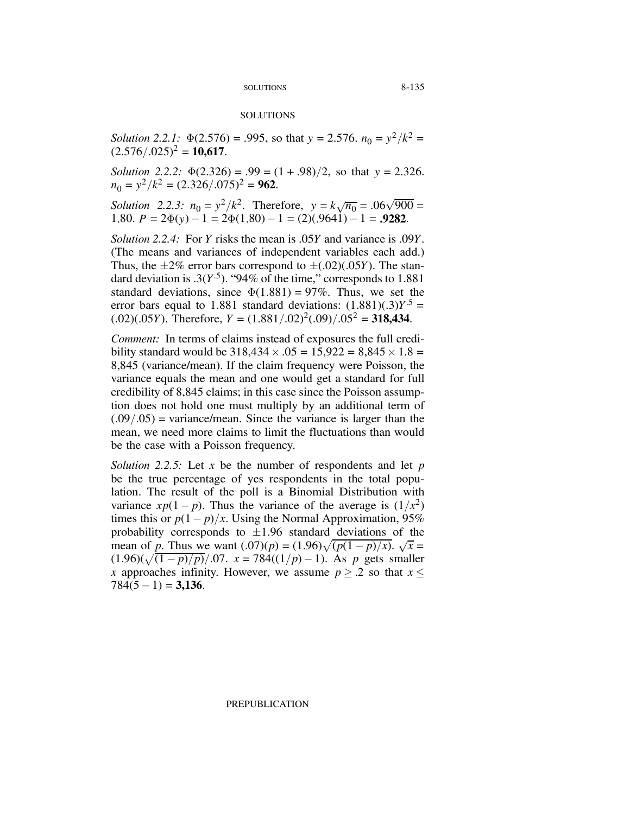*Solution 2.2.1:*  $\Phi(2.576) = .995$ , so that  $y = 2.576$ .  $n_0 = y^2/k^2 =$  $(2.576/.025)^{2} = 10,617.$ 

*Solution 2.2.2:*  $\Phi(2.326) = .99 = (1 + .98)/2$ , so that  $y = 2.326$ .  $n_0 = y^2/k^2 = (2.326/.075)^2 = 962.$ 

*Solution 2.2.3:*  $n_0 = y^2/k^2$ . Therefore,  $y = k\sqrt{n_0} = .06\sqrt{900}$ 1.80.  $P = 2\Phi(y) - 1 = 2\Phi(1.80) - 1 = (2)(.9641) - 1 = .9282$ .

*Solution 2.2.4:* For *Y* risks the mean is  $.05Y$  and variance is  $.09Y$ . (The means and variances of independent variables each add.) Thus, the  $\pm 2\%$  error bars correspond to  $\pm (.02)(.05Y)$ . The standard deviation is  $.3(Y^5)$ . "94% of the time," corresponds to 1.881 standard deviations, since  $\Phi(1.881) = 97\%$ . Thus, we set the error bars equal to 1.881 standard deviations:  $(1.881)(.3)Y^{.5} =$  $(.02)(.05Y)$ . Therefore,  $Y = (1.881/.02)^{2}(.09)/.05^{2} = 318,434$ .

*Comment:* In terms of claims instead of exposures the full credibility standard would be  $318,434 \times .05 = 15,922 = 8,845 \times 1.8 =$ 8,845 (variance/mean). If the claim frequency were Poisson, the variance equals the mean and one would get a standard for full credibility of 8,845 claims; in this case since the Poisson assumption does not hold one must multiply by an additional term of  $(.09/.05)$  = variance/mean. Since the variance is larger than the mean, we need more claims to limit the fluctuations than would be the case with a Poisson frequency.

*Solution 2.2.5:* Let x be the number of respondents and let p be the true percentage of yes respondents in the total population. The result of the poll is a Binomial Distribution with variance  $xp(1-p)$ . Thus the variance of the average is  $(1/x^2)$ times this or  $p(1-p)/x$ . Using the Normal Approximation, 95% probability corresponds to  $\pm 1.96$  standard deviations of the mean of p. Thus we want  $(.07)(p) = (1.96)\sqrt{(p(1-p)/x)}$ .  $\sqrt{x} =$  $(1.96)(\sqrt{(1-p)/p})$ /.07.  $x = 784((1/p) - 1)$ . As p gets smaller x approaches infinity. However, we assume  $p > 0.2$  so that  $x <$  $784(5 - 1) = 3,136$ .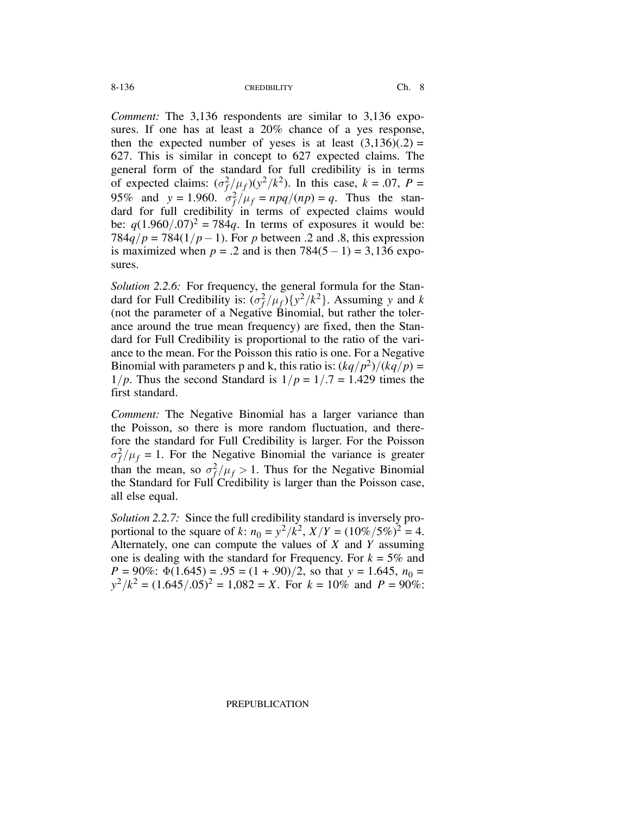*Comment:* The 3,136 respondents are similar to 3,136 exposures. If one has at least a 20% chance of a yes response, then the expected number of yeses is at least  $(3,136)(.2)$  = 627. This is similar in concept to 627 expected claims. The general form of the standard for full credibility is in terms of expected claims:  $(\sigma_f^2/\mu_f)(y^2/k^2)$ . In this case,  $k = .07$ ,  $P =$ 95% and  $y = 1.960$ .  $\sigma_f^2 / \mu_f = npq/(np) = q$ . Thus the standard for full credibility in terms of expected claims would be:  $q(1.960/.07)^2 = 784q$ . In terms of exposures it would be:  $784q/p = 784(1/p - 1)$ . For p between .2 and .8, this expression is maximized when  $p = 0.2$  and is then  $784(5 - 1) = 3,136$  exposures.

*Solution 2.2.6:* For frequency, the general formula for the Standard for Full Credibility is:  $(\sigma_f^2/\mu_f)\{y^2/k^2\}$ . Assuming y and k (not the parameter of a Negative Binomial, but rather the tolerance around the true mean frequency) are fixed, then the Standard for Full Credibility is proportional to the ratio of the variance to the mean. For the Poisson this ratio is one. For a Negative Binomial with parameters p and k, this ratio is:  $(kq/p^2)/(kq/p) =$  $1/p$ . Thus the second Standard is  $1/p = 1/7 = 1.429$  times the first standard.

*Comment:* The Negative Binomial has a larger variance than the Poisson, so there is more random fluctuation, and therefore the standard for Full Credibility is larger. For the Poisson  $\sigma_f^2/\mu_f = 1$ . For the Negative Binomial the variance is greater than the mean, so  $\sigma_f^2/\mu_f > 1$ . Thus for the Negative Binomial the Standard for Full Credibility is larger than the Poisson case, all else equal.

*Solution 2.2.7:* Since the full credibility standard is inversely proportional to the square of k:  $n_0 = y^2/k^2$ ,  $X/Y = (10\%/5\%)^2 = 4$ . Alternately, one can compute the values of  $X$  and  $Y$  assuming one is dealing with the standard for Frequency. For  $k = 5\%$  and  $P = 90\%$ :  $\Phi(1.645) = .95 = (1 + .90)/2$ , so that  $y = 1.645$ ,  $n_0 =$  $y^2/k^2 = (1.645/.05)^2 = 1,082 = X$ . For  $k = 10\%$  and  $P = 90\%$ :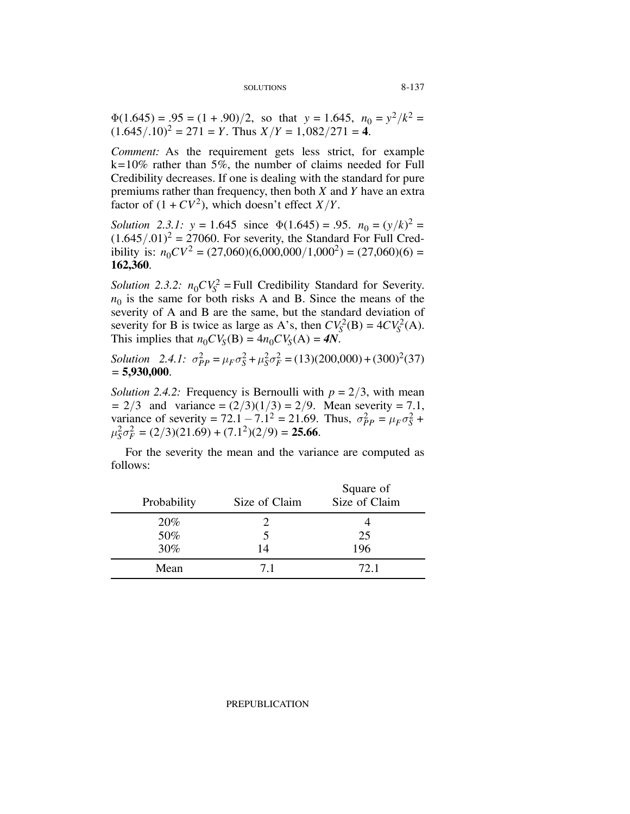SOLUTIONS 8-137

 $\Phi(1.645) = 0.95 = (1 + 0.90)/2$ , so that  $y = 1.645$ ,  $n_0 = y^2/k^2 = 0.645$  $(1.645/.10)^2 = 271 = Y$ . Thus  $X/Y = 1,082/271 = 4$ .

*Comment:* As the requirement gets less strict, for example  $k=10\%$  rather than 5%, the number of claims needed for Full Credibility decreases. If one is dealing with the standard for pure premiums rather than frequency, then both  $X$  and  $Y$  have an extra factor of  $(1 + CV^2)$ , which doesn't effect  $X/Y$ .

*Solution* 2.3.1:  $y = 1.645$  since  $\Phi(1.645) = .95$ .  $n_0 = (y/k)^2 =$  $(1.645/.01)<sup>2</sup> = 27060$ . For severity, the Standard For Full Credibility is:  $n_0CV^2 = (27,060)(6,000,000/1,000^2) = (27,060)(6) =$ **162,360**.

*Solution 2.3.2:*  $n_0CV_S^2$  = Full Credibility Standard for Severity.  $n_0$  is the same for both risks A and B. Since the means of the severity of A and B are the same, but the standard deviation of severity for B is twice as large as A's, then  $CV_S^2(B) = 4CV_S^2(A)$ . This implies that  $n_0CV_S(B) = 4n_0CV_S(A) = 4N$ .

*Solution* 2.4.1:  $\sigma_{PP}^2 = \mu_F \sigma_S^2 + \mu_S^2 \sigma_F^2 = (13)(200,000) + (300)^2 (37)$ = **5,930,000**.

*Solution 2.4.2:* Frequency is Bernoulli with  $p = 2/3$ , with mean  $= 2/3$  and variance  $= (2/3)(1/3) = 2/9$ . Mean severity  $= 7.1$ , variance of severity = 72.1 – 7.1<sup>2</sup> = 21.69. Thus,  $\sigma_{PP}^2 = \mu_F \sigma_S^2 +$  $\mu_S^2 \sigma_F^2 = (2/3)(21.69) + (7.1^2)(2/9) = 25.66.$ 

For the severity the mean and the variance are computed as follows:

| Probability | Size of Claim | Square of<br>Size of Claim |
|-------------|---------------|----------------------------|
| 20%         |               |                            |
| 50%         |               | 25                         |
| 30%         | 14            | 196                        |
| Mean        | 71            | 72.1                       |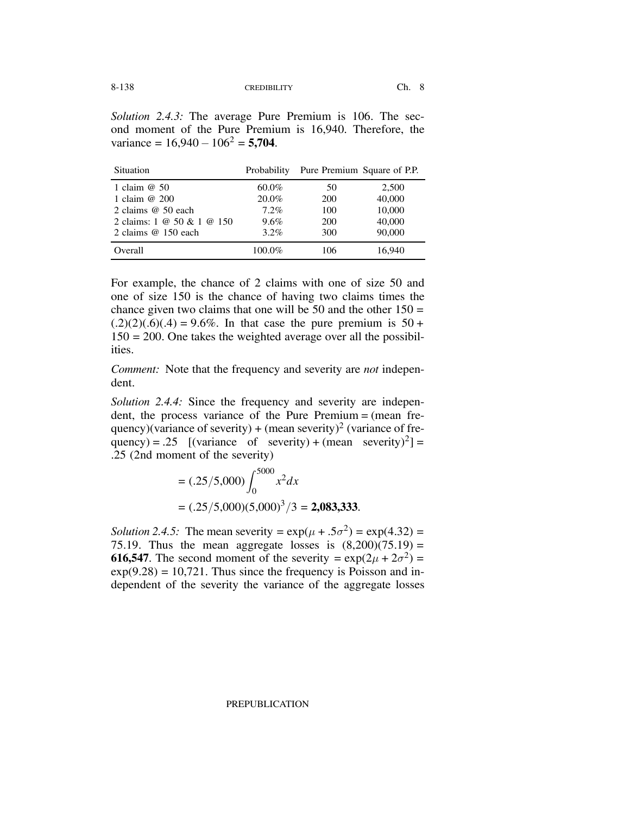*Solution 2.4.3:* The average Pure Premium is 106. The second moment of the Pure Premium is 16,940. Therefore, the variance =  $16,940 - 106^2 = 5,704$ .

| <b>Situation</b>           |          | Probability Pure Premium Square of P.P. |        |
|----------------------------|----------|-----------------------------------------|--------|
| 1 claim $@50$              | $60.0\%$ | 50                                      | 2,500  |
| 1 claim $@200$             | 20.0%    | 200                                     | 40,000 |
| 2 claims $\omega$ 50 each  | $7.2\%$  | 100                                     | 10,000 |
| 2 claims: 1 @ 50 & 1 @ 150 | $9.6\%$  | 200                                     | 40,000 |
| 2 claims $@150$ each       | $3.2\%$  | 300                                     | 90,000 |
| Overall                    | 100.0%   | 106                                     | 16.940 |

For example, the chance of 2 claims with one of size 50 and one of size 150 is the chance of having two claims times the chance given two claims that one will be 50 and the other  $150 =$  $(2)(2)(.6)(.4) = 9.6\%$ . In that case the pure premium is 50 +  $150 = 200$ . One takes the weighted average over all the possibilities.

*Comment:* Note that the frequency and severity are *not* independent.

*Solution 2.4.4:* Since the frequency and severity are independent, the process variance of the Pure Premium = (mean frequency)(variance of severity) + (mean severity)<sup>2</sup> (variance of frequency) = .25 [(variance of severity) + (mean severity)<sup>2</sup>] = .25 (2nd moment of the severity)

$$
= (.25/5,000) \int_0^{5000} x^2 dx
$$
  
= (.25/5,000)(5,000)<sup>3</sup>/3 = **2,083,333.**

*Solution 2.4.5:* The mean severity =  $\exp(\mu + .5\sigma^2) = \exp(4.32)$  = 75.19. Thus the mean aggregate losses is  $(8,200)(75.19) =$ **616,547**. The second moment of the severity =  $\exp(2\mu + 2\sigma^2)$  =  $exp(9.28) = 10,721$ . Thus since the frequency is Poisson and independent of the severity the variance of the aggregate losses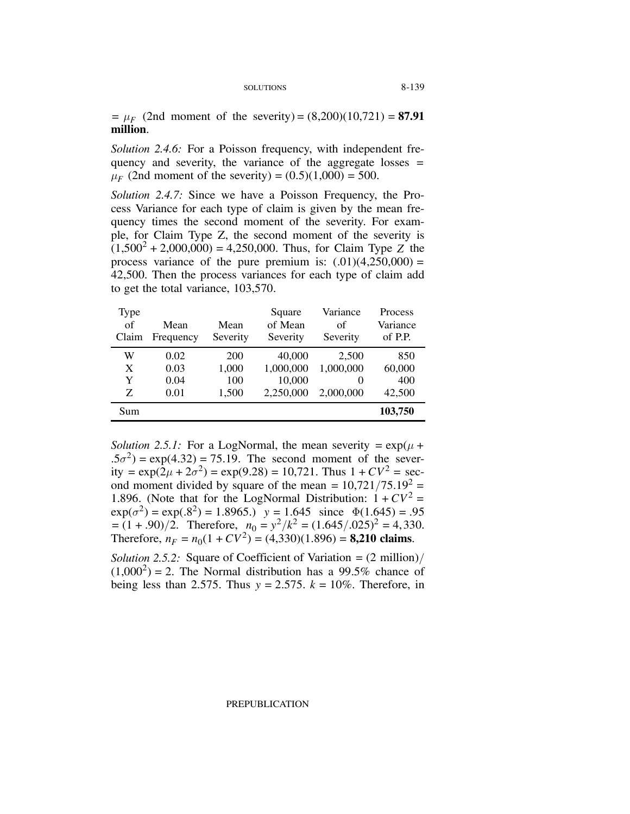$= \mu_F$  (2nd moment of the severity) = (8,200)(10,721) = **87.91 million**.

*Solution 2.4.6:* For a Poisson frequency, with independent frequency and severity, the variance of the aggregate losses =  $\mu_F$  (2nd moment of the severity) = (0.5)(1,000) = 500.

*Solution 2.4.7:* Since we have a Poisson Frequency, the Process Variance for each type of claim is given by the mean frequency times the second moment of the severity. For example, for Claim Type Z, the second moment of the severity is  $(1,500^2 + 2,000,000) = 4,250,000$ . Thus, for Claim Type Z the process variance of the pure premium is:  $(.01)(4,250,000) =$ 42,500. Then the process variances for each type of claim add to get the total variance, 103,570.

| Type<br>$\alpha$ f<br>Claim | Mean<br>Frequency | Mean<br>Severity | Square<br>of Mean<br>Severity | Variance<br>of<br>Severity | <b>Process</b><br>Variance<br>of P.P. |
|-----------------------------|-------------------|------------------|-------------------------------|----------------------------|---------------------------------------|
| W                           | 0.02              | 200              | 40,000                        | 2,500                      | 850                                   |
| X                           | 0.03              | 1,000            | 1,000,000                     | 1,000,000                  | 60,000                                |
| Y                           | 0.04              | 100              | 10,000                        | $\theta$                   | 400                                   |
| Z                           | 0.01              | 1,500            | 2,250,000                     | 2,000,000                  | 42,500                                |
| Sum                         |                   |                  |                               |                            | 103,750                               |

*Solution 2.5.1:* For a LogNormal, the mean severity =  $\exp(\mu + \pi)$  $5\sigma^2$ ) = exp(4.32) = 75.19. The second moment of the severity =  $\exp(2\mu + 2\sigma^2)$  =  $\exp(9.28)$  = 10,721. Thus  $1 + CV^2$  = second moment divided by square of the mean =  $10,721/75.19^2$  = 1.896. (Note that for the LogNormal Distribution:  $1 + CV^2 =$  $\exp(\sigma^2) = \exp(.8^2) = 1.8965$ .)  $y = 1.645$  since  $\Phi(1.645) = .95$  $=(1 + .90)/2$ . Therefore,  $n_0 = y^2/k^2 = (1.645/.025)^2 = 4,330$ . Therefore,  $n_F = n_0(1 + CV^2) = (4,330)(1.896) = 8,210$  claims.

*Solution 2.5.2:* Square of Coefficient of Variation  $= (2 \text{ million})/$  $(1,000^2)$  = 2. The Normal distribution has a 99.5% chance of being less than 2.575. Thus  $y = 2.575$ .  $k = 10\%$ . Therefore, in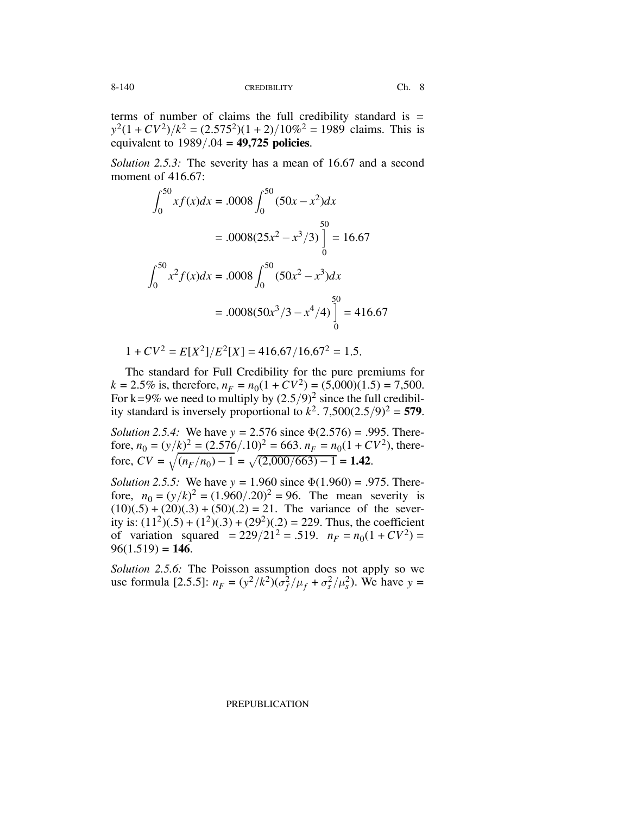terms of number of claims the full credibility standard is  $=$  $y^2(1+CV^2)/k^2 = (2.575^2)(1+2)/10\%^2 = 1989$  claims. This is equivalent to  $1989/.04 = 49,725$  policies.

*Solution 2.5.3:* The severity has a mean of 16.67 and a second moment of 416.67:

$$
\int_0^{50} x f(x) dx = .0008 \int_0^{50} (50x - x^2) dx
$$
  
= .0008(25x<sup>2</sup> - x<sup>3</sup>/3)  $\int_0^{50} = 16.67$   

$$
\int_0^{50} x^2 f(x) dx = .0008 \int_0^{50} (50x^2 - x^3) dx
$$
  
= .0008(50x<sup>3</sup>/3 - x<sup>4</sup>/4)  $\int_0^{50} = 416.67$ 

 $1 + CV^2 = E[X^2]/E^2[X] = 416.67/16.67^2 = 1.5.$ 

The standard for Full Credibility for the pure premiums for  $k = 2.5\%$  is, therefore,  $n_F = n_0(1 + CV^2) = (5,000)(1.5) = 7,500$ . For k=9% we need to multiply by  $(2.5/9)^2$  since the full credibility standard is inversely proportional to  $k^2$ . 7,500(2.5/9)<sup>2</sup> = **579**.

*Solution 2.5.4:* We have  $y = 2.576$  since  $\Phi(2.576) = .995$ . Therefore,  $n_0 = (y/k)^2 = (2.576/.10)^2 = 663. n_F = n_0(1 + CV^2)$ , therefore,  $CV = \sqrt{\frac{n_F}{n_0} - 1} = \sqrt{\frac{2,000}{663}} - 1.42$ .

*Solution 2.5.5:* We have  $y = 1.960$  since  $\Phi(1.960) = .975$ . Therefore,  $n_0 = (y/k)^2 = (1.960/.20)^2 = 96$ . The mean severity is  $(10)(.5) + (20)(.3) + (50)(.2) = 21$ . The variance of the severity is:  $(11^2)(.5) + (1^2)(.3) + (29^2)(.2) = 229$ . Thus, the coefficient of variation squared =  $229/21^2 = .519$ .  $n_F = n_0(1 + CV^2) =$  $96(1.519) = 146.$ 

*Solution 2.5.6:* The Poisson assumption does not apply so we use formula [2.5.5]:  $n_F = (y^2/k^2)(\sigma_f^2/\mu_f + \sigma_s^2/\mu_s^2)$ . We have  $y =$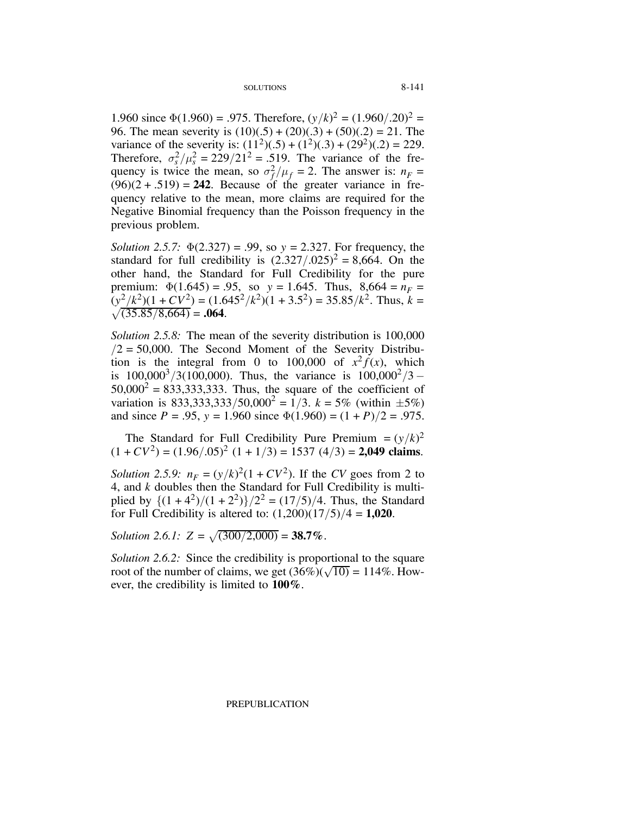SOLUTIONS 8-141

1.960 since  $\Phi(1.960) = .975$ . Therefore,  $(y/k)^2 = (1.960/.20)^2 =$ 96. The mean severity is  $(10)(.5) + (20)(.3) + (50)(.2) = 21$ . The variance of the severity is:  $(11^2)(.5) + (1^2)(.3) + (29^2)(.2) = 229$ . Therefore,  $\sigma_s^2/\mu_s^2 = 229/21^2 = .519$ . The variance of the frequency is twice the mean, so  $\sigma_f^2/\mu_f = 2$ . The answer is:  $n_F =$  $(96)(2+.519) = 242$ . Because of the greater variance in frequency relative to the mean, more claims are required for the Negative Binomial frequency than the Poisson frequency in the previous problem.

*Solution 2.5.7:*  $\Phi(2.327) = .99$ , so  $y = 2.327$ . For frequency, the standard for full credibility is  $(2.327/.025)^2 = 8,664$ . On the other hand, the Standard for Full Credibility for the pure premium:  $\Phi(1.645) = .95$ , so  $y = 1.645$ . Thus,  $8.664 = n_F =$  $(y^2/k^2)(1+CV^2) = (1.645^2/k^2)(1+3.5^2) = 35.85/k^2$ . Thus,  $k =$  $\sqrt[3]{\sqrt{35.85/8,664)}} = .064.$ 

*Solution 2.5.8:* The mean of the severity distribution is 100,000  $/2 = 50,000$ . The Second Moment of the Severity Distribution is the integral from 0 to 100,000 of  $x^2f(x)$ , which is  $100,000^3/3(100,000)$ . Thus, the variance is  $100,000^2/3$  –  $50,000^2 = 833,333,333$ . Thus, the square of the coefficient of variation is 833,333,333/50,000<sup>2</sup> = 1/3.  $k = 5\%$  (within  $\pm 5\%$ ) and since  $P = .95$ ,  $y = 1.960$  since  $\Phi(1.960) = (1 + P)/2 = .975$ .

The Standard for Full Credibility Pure Premium =  $(y/k)^2$  $(1 + CV^2) = (1.96/.05)^2 (1 + 1/3) = 1537 (4/3) = 2,049$  claims.

*Solution 2.5.9:*  $n_F = (y/k)^2(1 + CV^2)$ . If the *CV* goes from 2 to 4, and k doubles then the Standard for Full Credibility is multiplied by  $\{(1 + 4^2)/(1 + 2^2)\}/2^2 = (17/5)/4$ . Thus, the Standard for Full Credibility is altered to:  $(1,200)(17/5)/4 = 1,020$ .

*Solution 2.6.1:*  $Z = \sqrt{(300/2,000)} = 38.7\%$ .

*Solution 2.6.2:* Since the credibility is proportional to the square root of the number of claims, we get  $(36\%)(\sqrt{10)} = 114\%$ . However, the credibility is limited to **100%**.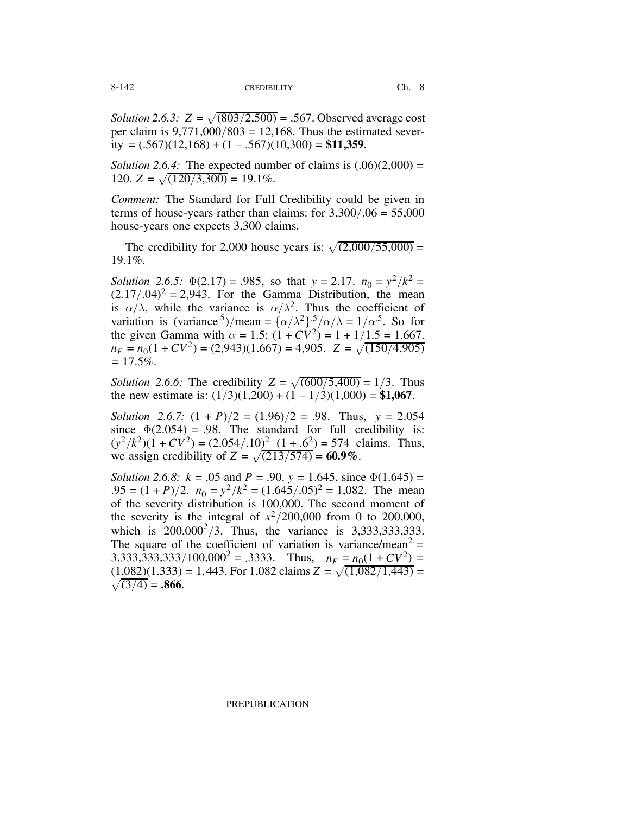*Solution 2.6.3:*  $Z = \sqrt{(803/2,500)} = .567$ . Observed average cost per claim is  $9,771,000/803 = 12,168$ . Thus the estimated severity =  $(.567)(12,168) + (1 - .567)(10,300) = $11,359$ .

*Solution 2.6.4:* The expected number of claims is  $(.06)(2,000) =$ 120.  $Z = \sqrt{(120/3,300)} = 19.1\%$ .

*Comment:* The Standard for Full Credibility could be given in terms of house-years rather than claims: for  $3,300/.06 = 55,000$ house-years one expects 3,300 claims.

The credibility for 2,000 house years is:  $\sqrt{(2,000/55,000)}$  = 19:1%.

*Solution 2.6.5:*  $\Phi(2.17) = .985$ , so that  $y = 2.17$ .  $n_0 = y^2/k^2 =$  $(2.17/.04)^2 = 2,943$ . For the Gamma Distribution, the mean is  $\alpha/\lambda$ , while the variance is  $\alpha/\lambda^2$ . Thus the coefficient of variation is (variance  $\frac{5}{2}$ )/mean =  $\frac{\{\alpha}{\lambda^2} \cdot \frac{5}{\alpha}}{\lambda} = 1/\alpha^5$ . So for the given Gamma with  $\alpha = 1.5$ :  $(1 + CV^2) = 1 + 1/1.5 = 1.667$ .  $n_F = n_0(1 + CV^2) = (2,943)(1.667) = 4,905$ .  $Z = \sqrt{(150/4,905)}$  $= 17.5\%$ .

*Solution 2.6.6:* The credibility  $Z = \sqrt{(600/5,400)} = 1/3$ . Thus the new estimate is:  $(1/3)(1,200) + (1 - 1/3)(1,000) = $1,067$ .

*Solution* 2.6.7:  $(1 + P)/2 = (1.96)/2 = .98$ . Thus,  $y = 2.054$ since  $\Phi(2.054) = .98$ . The standard for full credibility is:  $(y^2/k^2)(1 + CV^2) = (2.054/.10)^2$   $(1 + .6^2) = 574$  claims. Thus, we assign credibility of  $Z = \sqrt{(213/574)} = 60.9\%$ .

*Solution 2.6.8:*  $k = .05$  and  $P = .90$ .  $y = 1.645$ , since  $\Phi(1.645) =$  $.95 = (1 + P)/2$ .  $n_0 = y^2/k^2 = (1.645/.05)^2 = 1,082$ . The mean of the severity distribution is 100,000. The second moment of the severity is the integral of  $x^2/200,000$  from 0 to 200,000, which is  $200,000^2/3$ . Thus, the variance is 3,333,333,333. The square of the coefficient of variation is variance/mean<sup>2</sup> = 3,333,333,333/100,000<sup>2</sup> = .3333. Thus,  $n_F = n_0(1 + CV^2)$  =  $(1,082)(1.333) = 1,443$ . For 1,082 claims  $Z = \sqrt{(1,082/1,443)}$  $\sqrt{(3/4)} = .866$ .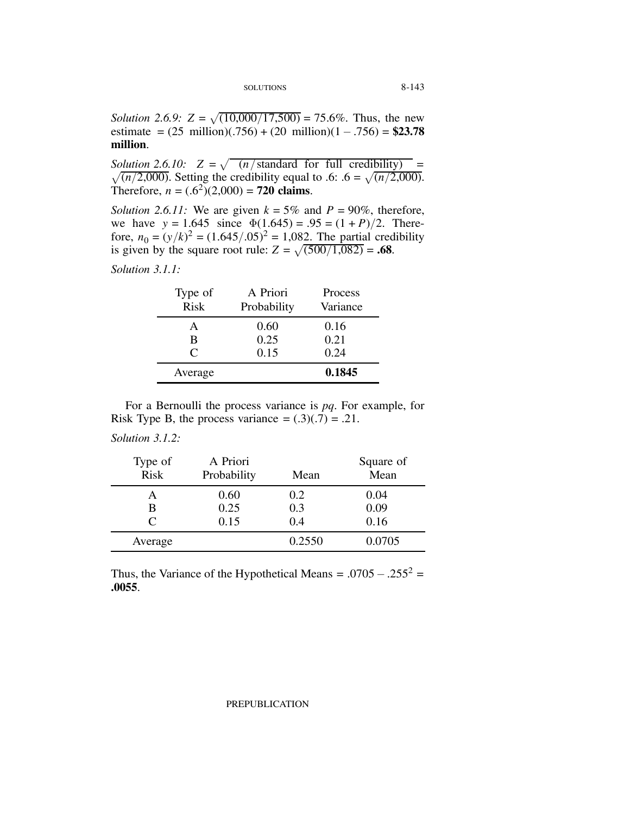*Solution 2.6.9:*  $Z = \sqrt{(10,000/17,500)} = 75.6\%$ . Thus, the new estimate =  $(25 \text{ million})(.756) + (20 \text{ million})(1 - .756) = $23.78$ **million**.

*Solution 2.6.10:*  $Z = \sqrt{(n/\text{standard} for full credibility)}$  =  $\sqrt{(n/2,000)}$ . Setting the credibility equal to .6: .6 =  $\sqrt{(n/2,000)}$ . Therefore,  $n = (.6^2)(2,000) = 720$  claims.

*Solution 2.6.11:* We are given  $k = 5\%$  and  $P = 90\%$ , therefore, we have  $y = 1.645$  since  $\Phi(1.645) = .95 = (1 + P)/2$ . Therefore,  $n_0 = (y/k)^2 = (1.645/.05)^2 = 1,082$ . The partial credibility is given by the square root rule:  $Z = \sqrt{(500/1,082)} = .68$ .

*Solution 3.1.1:*

| Type of                     | A Priori    | <b>Process</b> |
|-----------------------------|-------------|----------------|
| Risk                        | Probability | Variance       |
| A                           | 0.60        | 0.16           |
| B                           | 0.25        | 0.21           |
| $\mathcal{C}_{\mathcal{C}}$ | 0.15        | 0.24           |
| Average                     |             | 0.1845         |

For a Bernoulli the process variance is *pq*. For example, for Risk Type B, the process variance  $=(.3)(.7) = .21$ .

*Solution 3.1.2:*

| Type of<br><b>Risk</b> | A Priori<br>Probability | Mean   | Square of<br>Mean |
|------------------------|-------------------------|--------|-------------------|
| А                      | 0.60                    | 0.2    | 0.04              |
| B                      | 0.25                    | 0.3    | 0.09              |
| $\subset$              | 0.15                    | 0.4    | 0.16              |
| Average                |                         | 0.2550 | 0.0705            |

Thus, the Variance of the Hypothetical Means =  $.0705 - .255^2$  = **.0055**.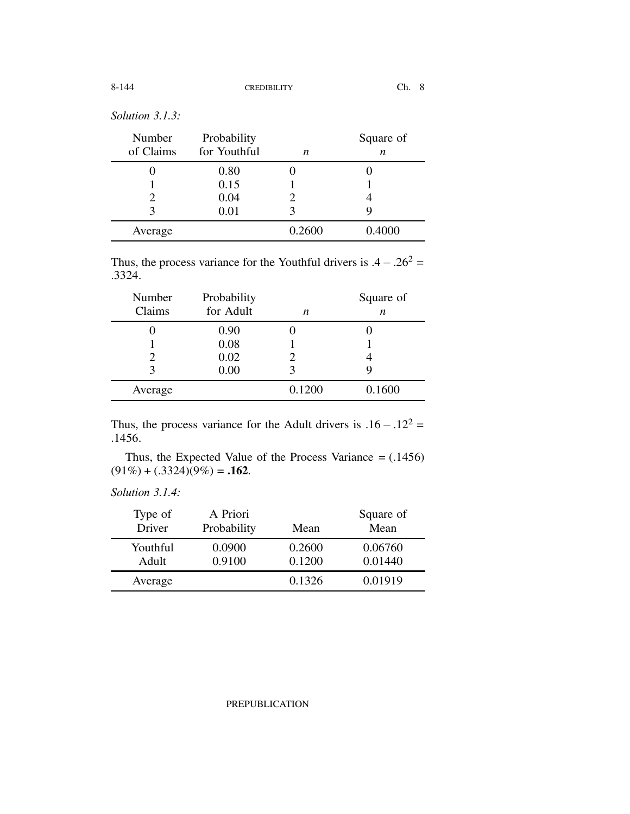*Solution 3.1.3:*

| Number<br>of Claims | Probability<br>for Youthful | n      | Square of<br>n |
|---------------------|-----------------------------|--------|----------------|
|                     | 0.80                        |        |                |
|                     | 0.15                        |        |                |
|                     | 0.04                        |        |                |
|                     | 0.01                        |        |                |
| Average             |                             | 0.2600 | 0.4000         |

Thus, the process variance for the Youthful drivers is  $.4 - .26^2 =$ :3324.

| Number<br>Claims | Probability<br>for Adult | n      | Square of<br>n |
|------------------|--------------------------|--------|----------------|
|                  | 0.90                     |        |                |
|                  | 0.08                     |        |                |
|                  | 0.02                     |        |                |
|                  | 0.00                     |        |                |
| Average          |                          | 0.1200 | 0.1600         |

Thus, the process variance for the Adult drivers is  $.16 - .12^2 =$ :1456.

Thus, the Expected Value of the Process Variance  $= (0.1456)$  $(91\%) + (.3324)(9\%) = .162.$ 

*Solution 3.1.4:*

| Type of  | A Priori    | Mean   | Square of |
|----------|-------------|--------|-----------|
| Driver   | Probability |        | Mean      |
| Youthful | 0.0900      | 0.2600 | 0.06760   |
| Adult    | 0.9100      | 0.1200 | 0.01440   |
| Average  |             | 0.1326 | 0.01919   |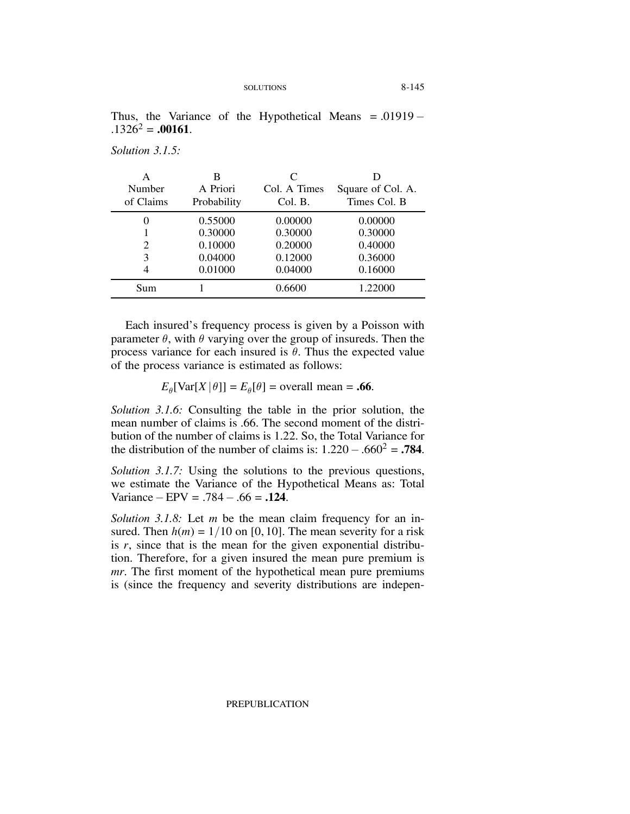|                     |  |  | Thus, the Variance of the Hypothetical Means $= .01919 -$ |  |
|---------------------|--|--|-----------------------------------------------------------|--|
| $.1326^2 = .00161.$ |  |  |                                                           |  |

*Solution 3.1.5:*

| А              | R           | C            |                   |
|----------------|-------------|--------------|-------------------|
| <b>Number</b>  | A Priori    | Col. A Times | Square of Col. A. |
| of Claims      | Probability | Col. B.      | Times Col. B      |
| 0              | 0.55000     | 0.00000      | 0.00000           |
|                | 0.30000     | 0.30000      | 0.30000           |
| 2              | 0.10000     | 0.20000      | 0.40000           |
| 3              | 0.04000     | 0.12000      | 0.36000           |
| $\overline{4}$ | 0.01000     | 0.04000      | 0.16000           |
| Sum            |             | 0.6600       | 1.22000           |

Each insured's frequency process is given by a Poisson with parameter  $\theta$ , with  $\theta$  varying over the group of insureds. Then the process variance for each insured is  $\theta$ . Thus the expected value of the process variance is estimated as follows:

 $E_{\theta}[\text{Var}[X | \theta]] = E_{\theta}[\theta] = \text{overall mean} = .66.$ 

*Solution 3.1.6:* Consulting the table in the prior solution, the mean number of claims is .66. The second moment of the distribution of the number of claims is 1.22. So, the Total Variance for the distribution of the number of claims is:  $1.220 - .660^2 = .784$ .

*Solution 3.1.7:* Using the solutions to the previous questions, we estimate the Variance of the Hypothetical Means as: Total Variance  $-$  EPV =  $.784 - .66 = .124$ .

*Solution 3.1.8:* Let *m* be the mean claim frequency for an insured. Then  $h(m)=1/10$  on [0, 10]. The mean severity for a risk is  $r$ , since that is the mean for the given exponential distribution. Therefore, for a given insured the mean pure premium is *mr*. The first moment of the hypothetical mean pure premiums is (since the frequency and severity distributions are indepen-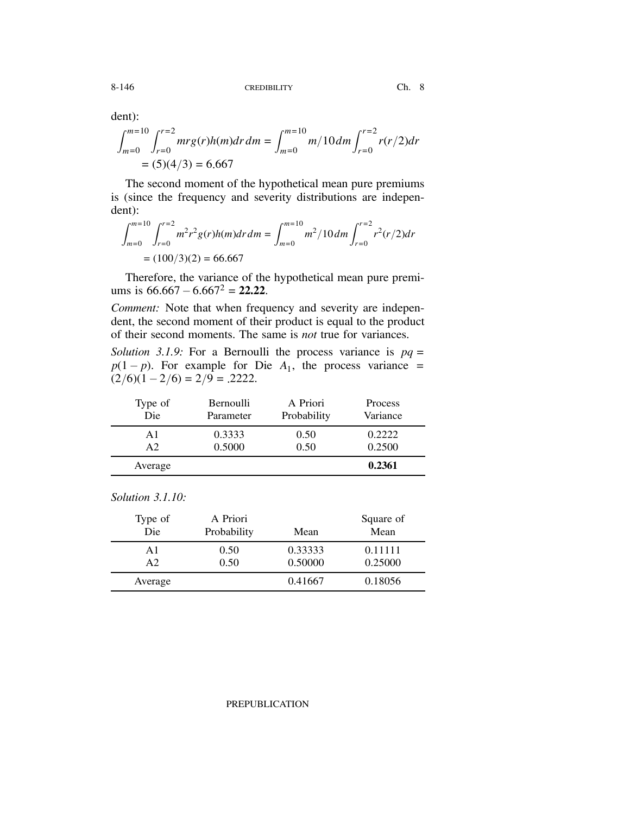dent):

$$
\int_{m=0}^{m=10} \int_{r=0}^{r=2} mrg(r)h(m)dr dm = \int_{m=0}^{m=10} m/10 dm \int_{r=0}^{r=2} r(r/2) dr
$$
  
= (5)(4/3) = 6.667

The second moment of the hypothetical mean pure premiums is (since the frequency and severity distributions are independent):

$$
\int_{m=0}^{m=10} \int_{r=0}^{r=2} m^2 r^2 g(r) h(m) dr \, dm = \int_{m=0}^{m=10} m^2 / 10 \, dm \int_{r=0}^{r=2} r^2 (r/2) dr
$$

$$
= (100/3)(2) = 66.667
$$

Therefore, the variance of the hypothetical mean pure premiums is  $66.667 - 6.667^2 = 22.22$ .

*Comment:* Note that when frequency and severity are independent, the second moment of their product is equal to the product of their second moments. The same is *not* true for variances.

*Solution 3.1.9:* For a Bernoulli the process variance is  $pq =$  $p(1-p)$ . For example for Die  $A_1$ , the process variance =  $(2/6)(1 - 2/6) = 2/9 = .2222$ .

| Type of    | <b>Bernoulli</b> | A Priori    | <b>Process</b> |
|------------|------------------|-------------|----------------|
| <b>Die</b> | Parameter        | Probability | Variance       |
| A1         | 0.3333           | 0.50        | 0.2222         |
| A2         | 0.5000           | 0.50        | 0.2500         |
| Average    |                  |             | 0.2361         |

*Solution 3.1.10:*

| Type of | A Priori    | Mean    | Square of |
|---------|-------------|---------|-----------|
| Die     | Probability |         | Mean      |
| A1      | 0.50        | 0.33333 | 0.11111   |
| A2      | 0.50        | 0.50000 | 0.25000   |
| Average |             | 0.41667 | 0.18056   |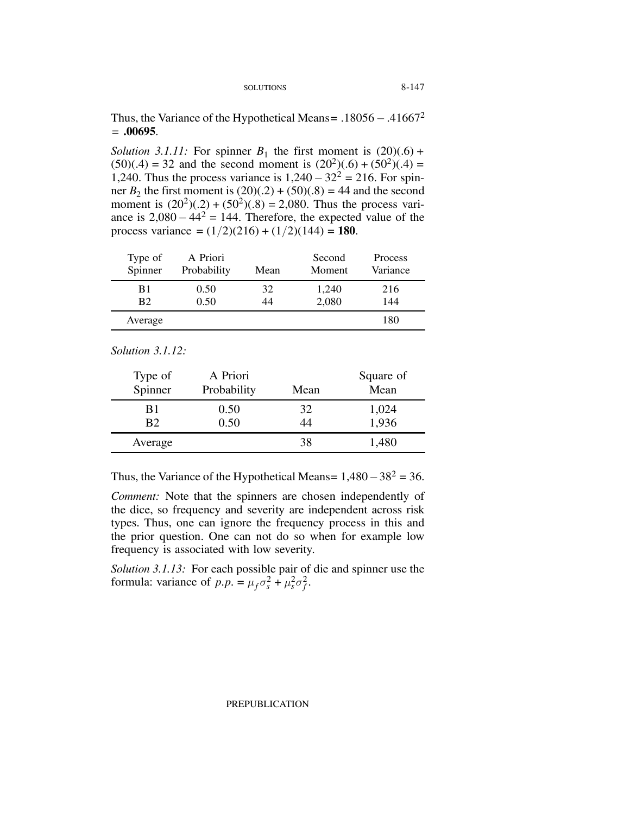Thus, the Variance of the Hypothetical Means =  $.18056 - .41667^2$ = **.00695**.

*Solution 3.1.11:* For spinner  $B_1$  the first moment is  $(20)(.6) +$  $(50)(.4) = 32$  and the second moment is  $(20^2)(.6) + (50^2)(.4) =$ 1,240. Thus the process variance is  $1,240 - 32^2 = 216$ . For spinner  $B_2$  the first moment is  $(20)(.2) + (50)(.8) = 44$  and the second moment is  $(20^2)(.2) + (50^2)(.8) = 2,080$ . Thus the process variance is  $2,080 - 44^2 = 144$ . Therefore, the expected value of the process variance =  $(1/2)(216) + (1/2)(144) = 180$ .

| Type of | A Priori    | Mean | Second        | <b>Process</b> |
|---------|-------------|------|---------------|----------------|
| Spinner | Probability |      | <b>Moment</b> | Variance       |
| B1      | 0.50        | 32   | 1,240         | 216            |
| B2      | 0.50        | 44   | 2,080         | 144            |
| Average |             |      |               | 180            |

*Solution 3.1.12:*

| Type of | A Priori    | Mean | Square of |
|---------|-------------|------|-----------|
| Spinner | Probability |      | Mean      |
| B1      | 0.50        | 32   | 1,024     |
| B2      | 0.50        | 44   | 1,936     |
| Average |             | 38   | 1,480     |

Thus, the Variance of the Hypothetical Means=  $1,480-38^2 = 36$ .

*Comment:* Note that the spinners are chosen independently of the dice, so frequency and severity are independent across risk types. Thus, one can ignore the frequency process in this and the prior question. One can not do so when for example low frequency is associated with low severity.

*Solution 3.1.13:* For each possible pair of die and spinner use the formula: variance of  $p.p. = \mu_f \sigma_s^2 + \mu_s^2 \sigma_f^2$ .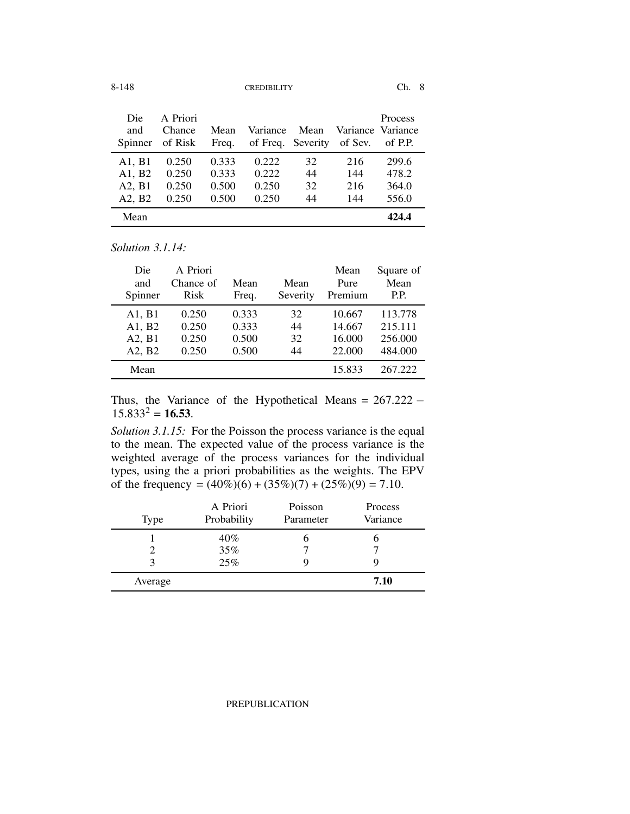| Die<br>and<br>Spinner                | A Priori<br>Chance<br>of Risk    | Mean<br>Freq.                    | Variance<br>of Freq. Severity    | Mean                 | of Sev.                  | <b>Process</b><br>Variance Variance<br>of P.P. |
|--------------------------------------|----------------------------------|----------------------------------|----------------------------------|----------------------|--------------------------|------------------------------------------------|
| A1, B1<br>A1, B2<br>A2, B1<br>A2. B2 | 0.250<br>0.250<br>0.250<br>0.250 | 0.333<br>0.333<br>0.500<br>0.500 | 0.222<br>0.222<br>0.250<br>0.250 | 32<br>44<br>32<br>44 | 216<br>144<br>216<br>144 | 299.6<br>478.2<br>364.0<br>556.0               |
| Mean                                 |                                  |                                  |                                  |                      |                          | 424.4                                          |

8-148 CREDIBILITY CH. 8

*Solution 3.1.14:*

| Die<br>and<br>Spinner                | A Priori<br>Chance of<br>Risk    | Mean<br>Freq.                    | Mean<br>Severity     | Mean<br>Pure<br>Premium              | Square of<br>Mean<br>P.P.                |
|--------------------------------------|----------------------------------|----------------------------------|----------------------|--------------------------------------|------------------------------------------|
| A1, B1<br>A1, B2<br>A2, B1<br>A2, B2 | 0.250<br>0.250<br>0.250<br>0.250 | 0.333<br>0.333<br>0.500<br>0.500 | 32<br>44<br>32<br>44 | 10.667<br>14.667<br>16.000<br>22.000 | 113.778<br>215.111<br>256.000<br>484.000 |
| Mean                                 |                                  |                                  |                      | 15.833                               | 267.222                                  |

Thus, the Variance of the Hypothetical Means =  $267.222 15.833^2 = 16.53$ .

*Solution 3.1.15:* For the Poisson the process variance is the equal to the mean. The expected value of the process variance is the weighted average of the process variances for the individual types, using the a priori probabilities as the weights. The EPV of the frequency =  $(40\%)(6) + (35\%)(7) + (25\%)(9) = 7.10$ .

| Type    | A Priori<br>Probability | Poisson<br>Parameter | <b>Process</b><br>Variance |
|---------|-------------------------|----------------------|----------------------------|
|         | 40%                     |                      |                            |
|         | 35%                     |                      |                            |
|         | 25%                     | Ч                    |                            |
| Average |                         |                      | 7.10                       |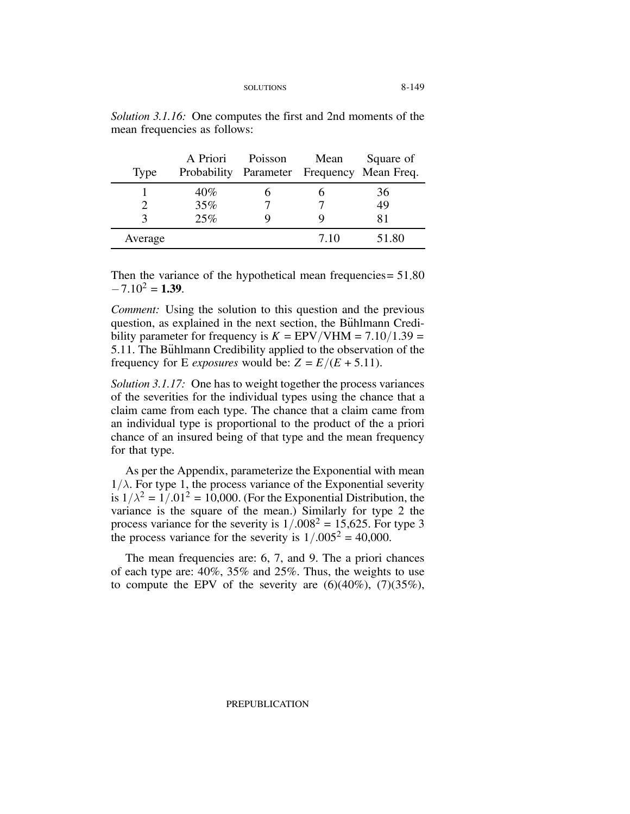| Type    | A Priori | Poisson | Mean | Square of<br>Probability Parameter Frequency Mean Freq. |
|---------|----------|---------|------|---------------------------------------------------------|
|         | $40\%$   |         |      | 36                                                      |
|         | 35%      |         |      | 49                                                      |
| 3       | 25%      |         |      |                                                         |
| Average |          |         | 7.10 | 51.80                                                   |

*Solution 3.1.16:* One computes the first and 2nd moments of the mean frequencies as follows:

Then the variance of the hypothetical mean frequencies =  $51.80$  $-7.10^{2} = 1.39$ .

*Comment:* Using the solution to this question and the previous question, as explained in the next section, the Buhlmann Credibility parameter for frequency is  $K = \text{EPV}/\text{VHM} = 7.10/1.39 =$ 5.11. The Bühlmann Credibility applied to the observation of the frequency for E *exposures* would be:  $Z = E/(E + 5.11)$ .

*Solution 3.1.17:* One has to weight together the process variances of the severities for the individual types using the chance that a claim came from each type. The chance that a claim came from an individual type is proportional to the product of the a priori chance of an insured being of that type and the mean frequency for that type.

As per the Appendix, parameterize the Exponential with mean  $1/\lambda$ . For type 1, the process variance of the Exponential severity is  $1/\lambda^2 = 1/.01^2 = 10,000$ . (For the Exponential Distribution, the variance is the square of the mean.) Similarly for type 2 the process variance for the severity is  $1/.008^2 = 15,625$ . For type 3 the process variance for the severity is  $1/.005<sup>2</sup> = 40,000$ .

The mean frequencies are: 6, 7, and 9. The a priori chances of each type are: 40%, 35% and 25%. Thus, the weights to use to compute the EPV of the severity are  $(6)(40\%), (7)(35\%),$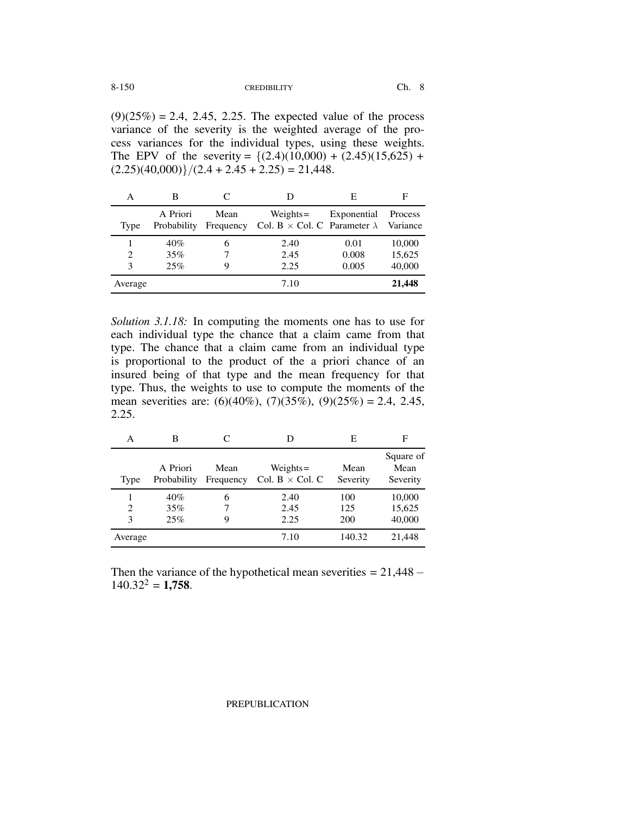$(9)(25\%) = 2.4$ , 2.45, 2.25. The expected value of the process variance of the severity is the weighted average of the process variances for the individual types, using these weights. The EPV of the severity =  $\{(2.4)(10,000) + (2.45)(15,625) +$  $(2.25)(40,000)$  $/(2.4 + 2.45 + 2.25) = 21,448$ .

| А                  |                         |      |                                                                              | E,          | F       |
|--------------------|-------------------------|------|------------------------------------------------------------------------------|-------------|---------|
| Type               | A Priori<br>Probability | Mean | $Weights =$<br>Frequency Col. B $\times$ Col. C Parameter $\lambda$ Variance | Exponential | Process |
|                    | 40%                     |      | 2.40                                                                         | 0.01        | 10,000  |
| $\mathfrak{D}_{1}$ | 35%                     |      | 2.45                                                                         | 0.008       | 15,625  |
| 3                  | 25%                     |      | 2.25                                                                         | 0.005       | 40,000  |
| Average            |                         |      | 7.10                                                                         |             | 21,448  |

*Solution 3.1.18:* In computing the moments one has to use for each individual type the chance that a claim came from that type. The chance that a claim came from an individual type is proportional to the product of the a priori chance of an insured being of that type and the mean frequency for that type. Thus, the weights to use to compute the moments of the mean severities are: (6)(40%), (7)(35%), (9)(25%) = 2.4, 2.45, 2.25.

| А       | в                       |                   |                                       | E                | F                             |
|---------|-------------------------|-------------------|---------------------------------------|------------------|-------------------------------|
| Type    | A Priori<br>Probability | Mean<br>Frequency | $Weights =$<br>Col. $B \times$ Col. C | Mean<br>Severity | Square of<br>Mean<br>Severity |
|         | 40%                     | 6                 | 2.40                                  | 100              | 10,000                        |
| 2       | 35%                     |                   | 2.45                                  | 125              | 15,625                        |
| 3       | 25%                     | 9                 | 2.25                                  | 200              | 40,000                        |
| Average |                         |                   | 7.10                                  | 140.32           | 21,448                        |

Then the variance of the hypothetical mean severities  $= 21,448 - 1$  $140.32^2 = 1,758$ .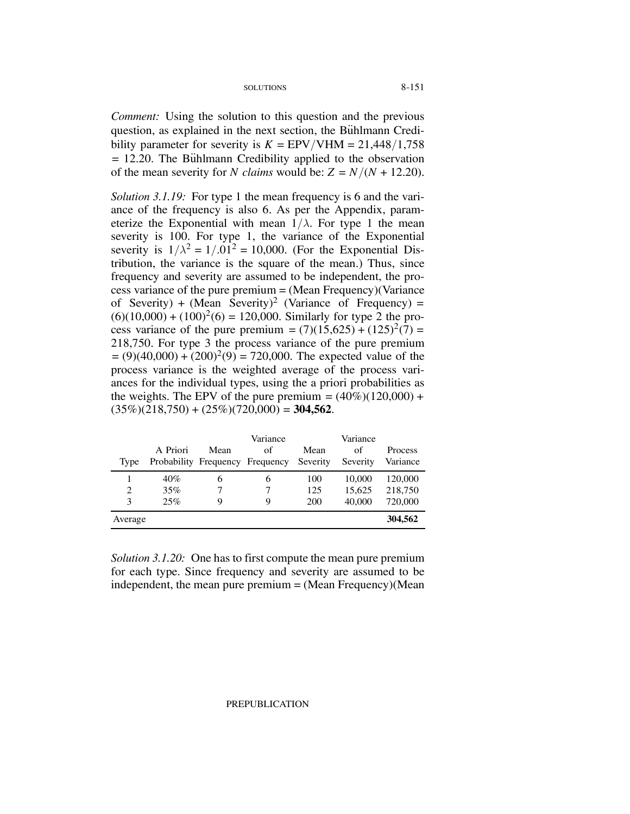*Comment:* Using the solution to this question and the previous question, as explained in the next section, the Bühlmann Credibility parameter for severity is  $K = \text{EPV/VHM} = 21,448/1,758$  $= 12.20$ . The Bühlmann Credibility applied to the observation of the mean severity for N *claims* would be:  $Z = N/(N + 12.20)$ .

*Solution 3.1.19:* For type 1 the mean frequency is 6 and the variance of the frequency is also 6. As per the Appendix, parameterize the Exponential with mean  $1/\lambda$ . For type 1 the mean severity is 100. For type 1, the variance of the Exponential severity is  $1/\lambda^2 = 1/.01^2 = 10,000.$  (For the Exponential Distribution, the variance is the square of the mean.) Thus, since frequency and severity are assumed to be independent, the process variance of the pure premium = (Mean Frequency)(Variance of Severity) + (Mean Severity)<sup>2</sup> (Variance of Frequency) =  $(6)(10,000) + (100)^{2}(6) = 120,000$ . Similarly for type 2 the process variance of the pure premium =  $(7)(15,625) + (125)^{2}(7) =$ 218,750. For type 3 the process variance of the pure premium  $= (9)(40,000) + (200)^{2}(9) = 720,000$ . The expected value of the process variance is the weighted average of the process variances for the individual types, using the a priori probabilities as the weights. The EPV of the pure premium  $= (40\%) (120,000) +$  $(35\%)$  $(218,750) + (25\%)$  $(720,000) = 304,562$ .

| Type    | A Priori | Mean | Variance<br>of<br>Probability Frequency Frequency | Mean<br>Severity | Variance<br>оf<br>Severity | Process<br>Variance |
|---------|----------|------|---------------------------------------------------|------------------|----------------------------|---------------------|
|         | 40%      | 6    | 6                                                 | 100              | 10,000                     | 120,000             |
| 2       | 35%      | 7    |                                                   | 125              | 15,625                     | 218,750             |
| 3       | 25%      | 9    | 9                                                 | 200              | 40,000                     | 720,000             |
| Average |          |      |                                                   |                  |                            | 304,562             |

*Solution 3.1.20:* One has to first compute the mean pure premium for each type. Since frequency and severity are assumed to be independent, the mean pure premium = (Mean Frequency)(Mean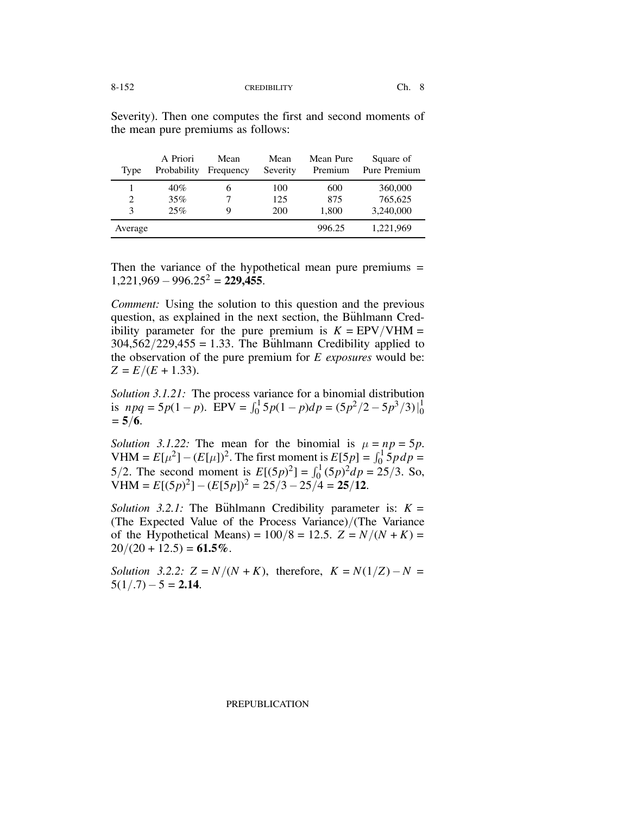Severity). Then one computes the first and second moments of the mean pure premiums as follows:

| Type    | A Priori<br>Probability | Mean<br>Frequency | Mean<br>Severity | Mean Pure<br>Premium | Square of<br>Pure Premium |
|---------|-------------------------|-------------------|------------------|----------------------|---------------------------|
| 2       | 40%<br>35%              | 6                 | 100<br>125       | 600<br>875           | 360,000<br>765,625        |
| 3       | 25%                     | 9                 | 200              | 1,800                | 3,240,000                 |
| Average |                         |                   |                  | 996.25               | 1,221,969                 |

Then the variance of the hypothetical mean pure premiums =  $1,221,969 - 996.25^2 = 229,455$ .

*Comment:* Using the solution to this question and the previous question, as explained in the next section, the Bühlmann Credibility parameter for the pure premium is  $K = EPV/VHM =$  $304,562/229,455 = 1.33$ . The Buhlmann Credibility applied to the observation of the pure premium for E *exposures* would be:  $Z = E/(E + 1.33)$ .

*Solution 3.1.21:* The process variance for a binomial distribution is  $npq = 5p(1-p)$ . EPV =  $\int_0^1 5p(1-p)dp = (5p^2/2 - 5p^3/3)\Big|_0^1$  $\boldsymbol{0}$  $= 5/6.$ 

*Solution 3.1.22:* The mean for the binomial is  $\mu = np = 5p$ . VHM =  $E[\mu^2] - (E[\mu])^2$ . The first moment is  $E[5p] = \int_0^1 5p \, dp =$ 5/2. The second moment is  $E[(5p)^2] = \int_0^1 (5p)^2 dp = 25/3$ . So,  $VHM = E[(5p)^{2}] - (E[5p])^{2} = 25/3 - 25/4 = 25/12.$ 

*Solution 3.2.1:* The Bühlmann Credibility parameter is:  $K =$ (The Expected Value of the Process Variance)/(The Variance of the Hypothetical Means) =  $100/8 = 12.5$ .  $Z = N/(N + K) =$  $20/(20 + 12.5) = 61.5\%$ .

*Solution* 3.2.2:  $Z = N/(N + K)$ , therefore,  $K = N(1/Z) - N =$  $5(1/.7) - 5 = 2.14.$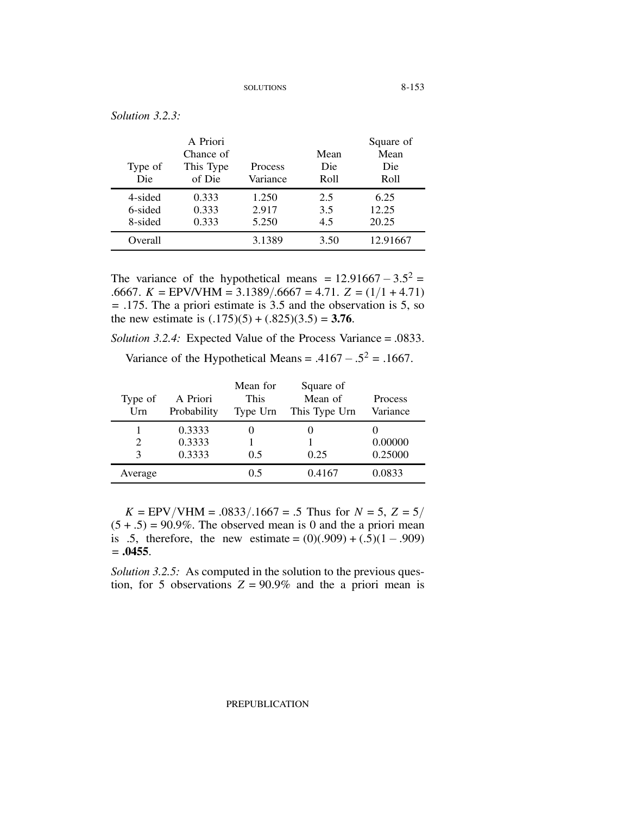*Solution 3.2.3:*

| Type of<br>Die                | A Priori<br>Chance of<br>This Type<br>of Die | Process<br>Variance     | Mean<br>Die<br>Roll | Square of<br>Mean<br>Die<br>Roll |
|-------------------------------|----------------------------------------------|-------------------------|---------------------|----------------------------------|
| 4-sided<br>6-sided<br>8-sided | 0.333<br>0.333<br>0.333                      | 1.250<br>2.917<br>5.250 | 2.5<br>3.5<br>4.5   | 6.25<br>12.25<br>20.25           |
| Overall                       |                                              | 3.1389                  | 3.50                | 12.91667                         |

The variance of the hypothetical means =  $12.91667 - 3.5^2$  =  $.6667. K = EPV/VHM = 3.1389/.6667 = 4.71. Z = (1/1 + 4.71)$ = :175. The a priori estimate is 3.5 and the observation is 5, so the new estimate is  $(.175)(5) + (.825)(3.5) = 3.76$ .

*Solution 3.2.4:* Expected Value of the Process Variance = .0833.

Variance of the Hypothetical Means =  $.4167 - .5^2 = .1667$ .

| Type of<br>Urn              | A Priori<br>Probability | Mean for<br><b>This</b><br>Type Urn | Square of<br>Mean of<br>This Type Urn | <b>Process</b><br>Variance |
|-----------------------------|-------------------------|-------------------------------------|---------------------------------------|----------------------------|
| $\mathcal{D}_{\mathcal{A}}$ | 0.3333<br>0.3333        |                                     |                                       | 0.00000                    |
| 3                           | 0.3333                  | 0.5                                 | 0.25                                  | 0.25000                    |
| Average                     |                         | 0.5                                 | 0.4167                                | 0.0833                     |

 $K = \text{EPV/VHM} = .0833/.1667 = .5$  Thus for  $N = 5$ ,  $Z = 5/$  $(5+.5) = 90.9\%$ . The observed mean is 0 and the a priori mean is .5, therefore, the new estimate =  $(0)(.909) + (.5)(1 - .909)$ = **.0455**.

*Solution 3.2.5:* As computed in the solution to the previous question, for 5 observations  $Z = 90.9\%$  and the a priori mean is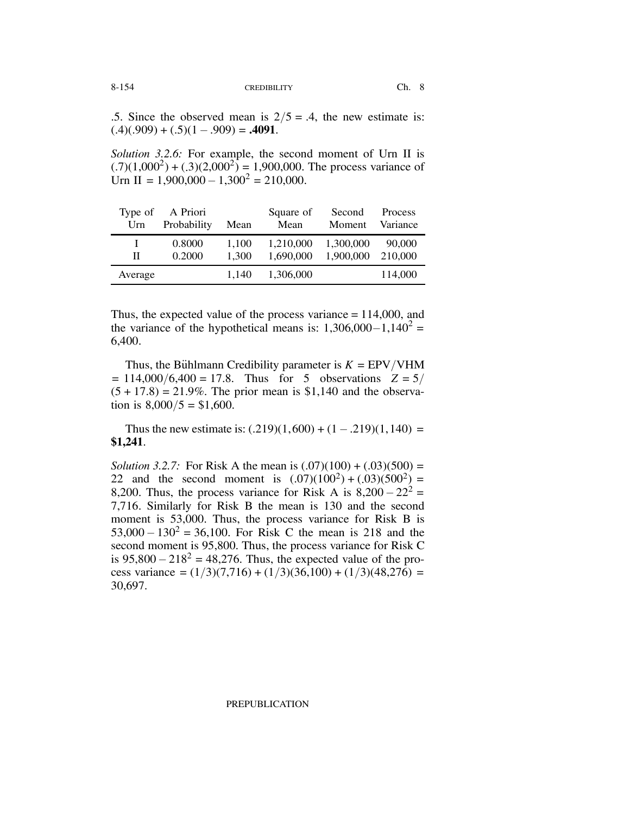.5. Since the observed mean is  $2/5 = .4$ , the new estimate is:  $(.4)(.909) + (.5)(1 - .909) = .4091.$ 

*Solution 3.2.6:* For example, the second moment of Urn II is  $(.7)(1,000^2) + (.3)(2,000^2) = 1,900,000$ . The process variance of Urn II =  $1,900,000 - 1,300^2 = 210,000$ .

| Urn     | Type of A Priori<br>Probability | Mean           | Square of<br>Mean      | Second<br>Moment       | Process<br>Variance |
|---------|---------------------------------|----------------|------------------------|------------------------|---------------------|
| Н       | 0.8000<br>0.2000                | 1.100<br>1.300 | 1,210,000<br>1,690,000 | 1,300,000<br>1,900,000 | 90,000<br>210,000   |
| Average |                                 | 1.140          | 1,306,000              |                        | 114,000             |

Thus, the expected value of the process variance = 114,000, and the variance of the hypothetical means is:  $1,306,000-1,140^2 =$ 6,400.

Thus, the Bühlmann Credibility parameter is  $K = EPV/VHM$  $= 114,000/6,400 = 17.8$ . Thus for 5 observations  $Z = 5/$  $(5 + 17.8) = 21.9\%$ . The prior mean is \$1,140 and the observation is  $8,000/5 = $1,600$ .

Thus the new estimate is:  $(.219)(1,600) + (1-.219)(1,140) =$ **\$1,241**.

*Solution 3.2.7:* For Risk A the mean is  $(.07)(100) + (.03)(500) =$ 22 and the second moment is  $(.07)(100^2) + (.03)(500^2) =$ 8,200. Thus, the process variance for Risk A is  $8,200 - 22^2 =$ 7,716. Similarly for Risk B the mean is 130 and the second moment is 53,000. Thus, the process variance for Risk B is  $53,000 - 130^2 = 36,100$ . For Risk C the mean is 218 and the second moment is 95,800. Thus, the process variance for Risk C is  $95,800 - 218^2 = 48,276$ . Thus, the expected value of the process variance =  $(1/3)(7,716) + (1/3)(36,100) + (1/3)(48,276) =$ 30,697.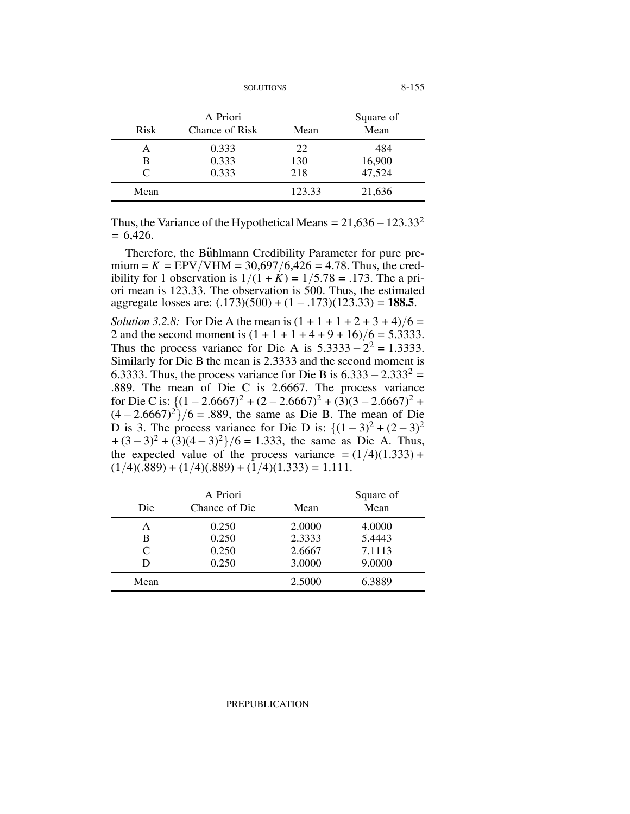|                             | A Priori       |        | Square of |
|-----------------------------|----------------|--------|-----------|
| <b>Risk</b>                 | Chance of Risk | Mean   | Mean      |
| Α                           | 0.333          | 22     | 484       |
| B                           | 0.333          | 130    | 16,900    |
| $\mathcal{C}_{\mathcal{C}}$ | 0.333          | 218    | 47,524    |
| Mean                        |                | 123.33 | 21,636    |

Thus, the Variance of the Hypothetical Means =  $21,636-123.33<sup>2</sup>$  $= 6,426.$ 

Therefore, the Bühlmann Credibility Parameter for pure premium =  $K = \text{EPV/VHM} = 30,697/6,426 = 4.78$ . Thus, the credibility for 1 observation is  $1/(1 + K) = 1/5.78 = .173$ . The a priori mean is 123.33. The observation is 500. Thus, the estimated aggregate losses are:  $(.173)(500) + (1 - .173)(123.33) = 188.5$ .

*Solution 3.2.8:* For Die A the mean is  $(1 + 1 + 1 + 2 + 3 + 4)/6 =$ 2 and the second moment is  $(1 + 1 + 1 + 4 + 9 + 16)/6 = 5.3333$ . Thus the process variance for Die A is  $5.3333 - 2^2 = 1.3333$ . Similarly for Die B the mean is 2.3333 and the second moment is 6.3333. Thus, the process variance for Die B is  $6.333 - 2.333^2 =$ :889. The mean of Die C is 2.6667. The process variance for Die C is:  $\{(1 - 2.6667)^2 + (2 - 2.6667)^2 + (3)(3 - 2.6667)^2 +$  $(4 - 2.6667)^2$ /6 = .889, the same as Die B. The mean of Die D is 3. The process variance for Die D is:  $\{(1-3)^2 + (2-3)^2\}$  $+(3-3)^2+(3)(4-3)^2$ }/6 = 1.333, the same as Die A. Thus, the expected value of the process variance  $=(1/4)(1.333) +$  $(1/4)(.889) + (1/4)(.889) + (1/4)(1.333) = 1.111.$ 

| Die  | A Priori<br>Chance of Die | Mean   | Square of<br>Mean |
|------|---------------------------|--------|-------------------|
| A    | 0.250                     | 2.0000 | 4.0000            |
| B    | 0.250                     | 2.3333 | 5.4443            |
| C    | 0.250                     | 2.6667 | 7.1113            |
| D    | 0.250                     | 3.0000 | 9.0000            |
| Mean |                           | 2.5000 | 6.3889            |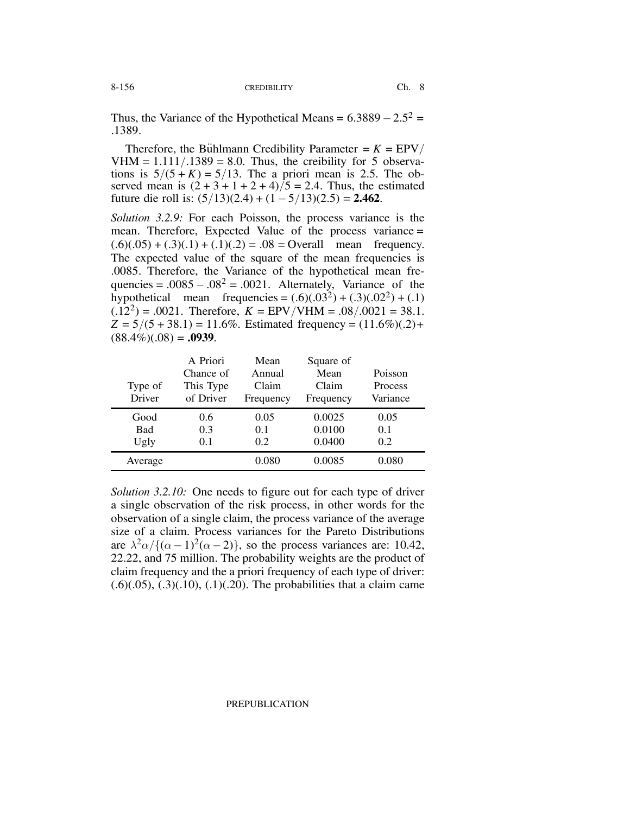Thus, the Variance of the Hypothetical Means =  $6.3889 - 2.5^2$  = :1389.

Therefore, the Bühlmann Credibility Parameter =  $K = EPV/$ VHM =  $1.111/.1389 = 8.0$ . Thus, the creibility for 5 observations is  $5/(5 + K) = 5/13$ . The a priori mean is 2.5. The observed mean is  $(2 + 3 + 1 + 2 + 4)/5 = 2.4$ . Thus, the estimated future die roll is:  $(5/13)(2.4) + (1 - 5/13)(2.5) = 2.462$ .

*Solution 3.2.9:* For each Poisson, the process variance is the mean. Therefore, Expected Value of the process variance =  $(.6)(.05) + (.3)(.1) + (.1)(.2) = .08 = Overall$  mean frequency. The expected value of the square of the mean frequencies is .0085. Therefore, the Variance of the hypothetical mean frequencies =  $.0085 - .08^2 = .0021$ . Alternately, Variance of the hypothetical mean frequencies =  $(.6)(.03^2) + (.3)(.02^2) + (.1)$  $(.12^2) = .0021$ . Therefore,  $K = \text{EPV/VHM} = .08/.0021 = 38.1$ .  $Z = 5/(5 + 38.1) = 11.6\%$ . Estimated frequency = (11.6%)(.2)+  $(88.4\%)(.08) = .0939.$ 

| Type of<br>Driver          | A Priori<br>Chance of<br>This Type<br>of Driver | Mean<br>Annual<br>Claim<br>Frequency | Square of<br>Mean<br>Claim<br>Frequency | Poisson<br><b>Process</b><br>Variance |
|----------------------------|-------------------------------------------------|--------------------------------------|-----------------------------------------|---------------------------------------|
| Good<br><b>Bad</b><br>Ugly | 0.6<br>0.3<br>0.1                               | 0.05<br>0.1<br>0.2                   | 0.0025<br>0.0100<br>0.0400              | 0.05<br>0.1<br>0.2                    |
| Average                    |                                                 | 0.080                                | 0.0085                                  | 0.080                                 |

*Solution 3.2.10:* One needs to figure out for each type of driver a single observation of the risk process, in other words for the observation of a single claim, the process variance of the average size of a claim. Process variances for the Pareto Distributions are  $\lambda^2 \alpha / \{(\alpha - 1)^2(\alpha - 2)\}\)$ , so the process variances are: 10.42, 22.22, and 75 million. The probability weights are the product of claim frequency and the a priori frequency of each type of driver:  $(0.6)(0.05)$ ,  $(0.3)(0.10)$ ,  $(0.1)(0.20)$ . The probabilities that a claim came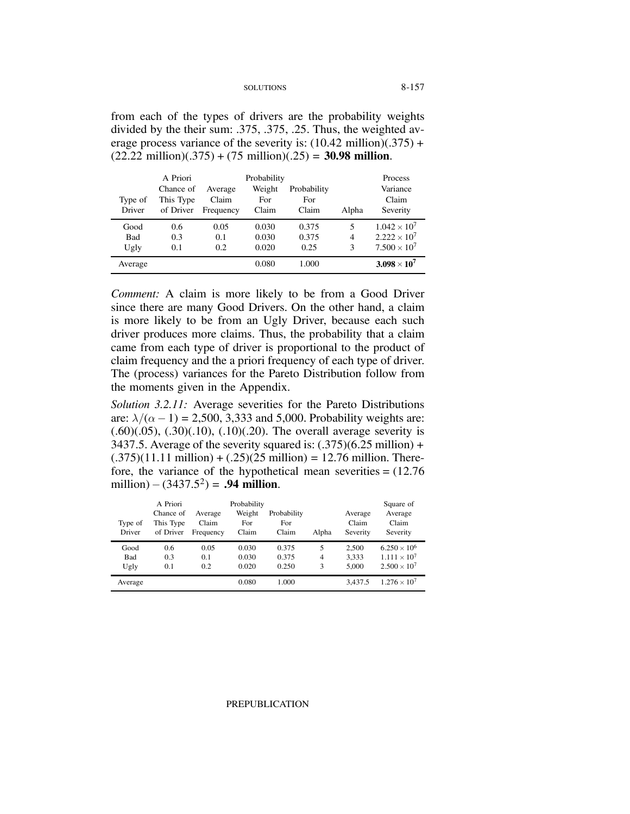| Type of<br>Driver   | A Priori<br>Chance of<br>This Type<br>of Driver | Average<br>Claim<br>Frequency | Probability<br>Weight<br>For<br>Claim | Probability<br>For.<br>Claim | Alpha       | Process<br>Variance<br>Claim<br>Severity                              |
|---------------------|-------------------------------------------------|-------------------------------|---------------------------------------|------------------------------|-------------|-----------------------------------------------------------------------|
| Good<br>Bad<br>Ugly | 0.6<br>0.3<br>0.1                               | 0.05<br>0.1<br>0.2            | 0.030<br>0.030<br>0.020               | 0.375<br>0.375<br>0.25       | 5<br>4<br>3 | $1.042 \times 10^{7}$<br>$2.222 \times 10^7$<br>$7.500 \times 10^{7}$ |
| Average             |                                                 |                               | 0.080                                 | 1.000                        |             | $3.098 \times 10^{7}$                                                 |

*Comment:* A claim is more likely to be from a Good Driver since there are many Good Drivers. On the other hand, a claim is more likely to be from an Ugly Driver, because each such driver produces more claims. Thus, the probability that a claim came from each type of driver is proportional to the product of claim frequency and the a priori frequency of each type of driver. The (process) variances for the Pareto Distribution follow from the moments given in the Appendix.

*Solution 3.2.11:* Average severities for the Pareto Distributions are:  $\lambda/(\alpha - 1) = 2,500, 3,333$  and 5,000. Probability weights are:  $(.60)(.05)$ ,  $(.30)(.10)$ ,  $(.10)(.20)$ . The overall average severity is 3437.5. Average of the severity squared is:  $(.375)(6.25 \text{ million}) +$  $(.375)(11.11 \text{ million}) + (.25)(25 \text{ million}) = 12.76 \text{ million}$ . Therefore, the variance of the hypothetical mean severities  $= (12.76$ million)  $- (3437.5^2) = .94$  million.

| Type of<br>Driver | A Priori<br>Chance of<br>This Type<br>of Driver | Average<br>Claim<br>Frequency | Probability<br>Weight<br>For<br>Claim | Probability<br>For<br>Claim | Alpha          | Average<br>Claim<br>Severity | Square of<br>Average<br>Claim<br>Severity |
|-------------------|-------------------------------------------------|-------------------------------|---------------------------------------|-----------------------------|----------------|------------------------------|-------------------------------------------|
| Good              | 0.6                                             | 0.05                          | 0.030                                 | 0.375                       | 5              | 2,500                        | $6.250 \times 10^{6}$                     |
| Bad               | 0.3                                             | 0.1                           | 0.030                                 | 0.375                       | $\overline{4}$ | 3,333                        | $1.111 \times 10^{7}$                     |
| Ugly              | 0.1                                             | 0.2                           | 0.020                                 | 0.250                       | 3              | 5,000                        | $2.500 \times 10^{7}$                     |
| Average           |                                                 |                               | 0.080                                 | 1.000                       |                | 3.437.5                      | $1.276 \times 10^{7}$                     |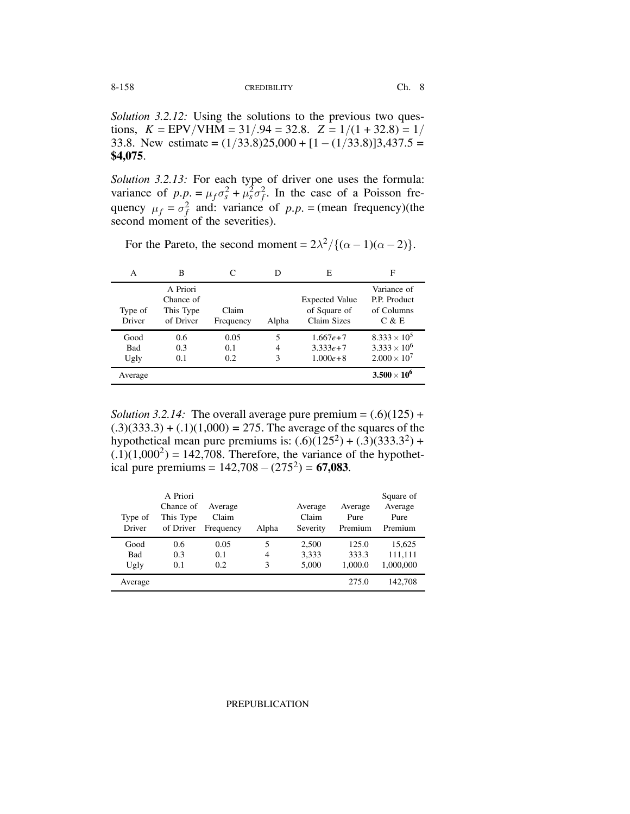*Solution 3.2.12:* Using the solutions to the previous two questions,  $K = \text{EPV/VHM} = 31/.94 = 32.8.$   $Z = 1/(1 + 32.8) = 1/$ 33.8. New estimate =  $(1/33.8)25,000 + [1 - (1/33.8)]3,437.5 =$ **\$4,075**.

*Solution 3.2.13:* For each type of driver one uses the formula: variance of  $p.p. = \mu_f \sigma_s^2 + \mu_s^2 \sigma_f^2$ . In the case of a Poisson frequency  $\mu_f = \sigma_f^2$  and: variance of p.p. = (mean frequency)(the second moment of the severities).

For the Pareto, the second moment =  $2\lambda^2/\{(\alpha - 1)(\alpha - 2)\}.$ 

| A                   | в                                               |                    |             | Е                                                    | F                                                                     |
|---------------------|-------------------------------------------------|--------------------|-------------|------------------------------------------------------|-----------------------------------------------------------------------|
| Type of<br>Driver   | A Priori<br>Chance of<br>This Type<br>of Driver | Claim<br>Frequency | Alpha       | <b>Expected Value</b><br>of Square of<br>Claim Sizes | Variance of<br>P.P. Product<br>of Columns<br>$C$ & E                  |
| Good<br>Bad<br>Ugly | 0.6<br>0.3<br>0.1                               | 0.05<br>0.1<br>0.2 | 5<br>4<br>3 | $1.667e + 7$<br>$3.333e+7$<br>$1.000e + 8$           | $8.333 \times 10^5$<br>$3.333 \times 10^{6}$<br>$2.000 \times 10^{7}$ |
| Average             |                                                 |                    |             |                                                      | $3.500 \times 10^{6}$                                                 |

*Solution 3.2.14:* The overall average pure premium =  $(.6)(125) +$  $(.3)(333.3) + (.1)(1,000) = 275$ . The average of the squares of the hypothetical mean pure premiums is:  $(.6)(125^2) + (.3)(333.3^2) +$  $(1)(1,000^2) = 142,708$ . Therefore, the variance of the hypothetical pure premiums =  $142,708 - (275^2) = 67,083$ .

| Type of<br>Driver | A Priori<br>Chance of<br>This Type<br>of Driver | Average<br>Claim<br>Frequency | Alpha          | Average<br>Claim<br>Severity | Average<br>Pure<br>Premium | Square of<br>Average<br>Pure<br>Premium |
|-------------------|-------------------------------------------------|-------------------------------|----------------|------------------------------|----------------------------|-----------------------------------------|
| Good              | 0.6                                             | 0.05                          | 5              | 2,500                        | 125.0                      | 15,625                                  |
| Bad               | 0.3                                             | 0.1                           | $\overline{4}$ | 3,333                        | 333.3                      | 111,111                                 |
| Ugly              | 0.1                                             | 0.2                           | 3              | 5,000                        | 1,000.0                    | 1,000,000                               |
| Average           |                                                 |                               |                |                              | 275.0                      | 142,708                                 |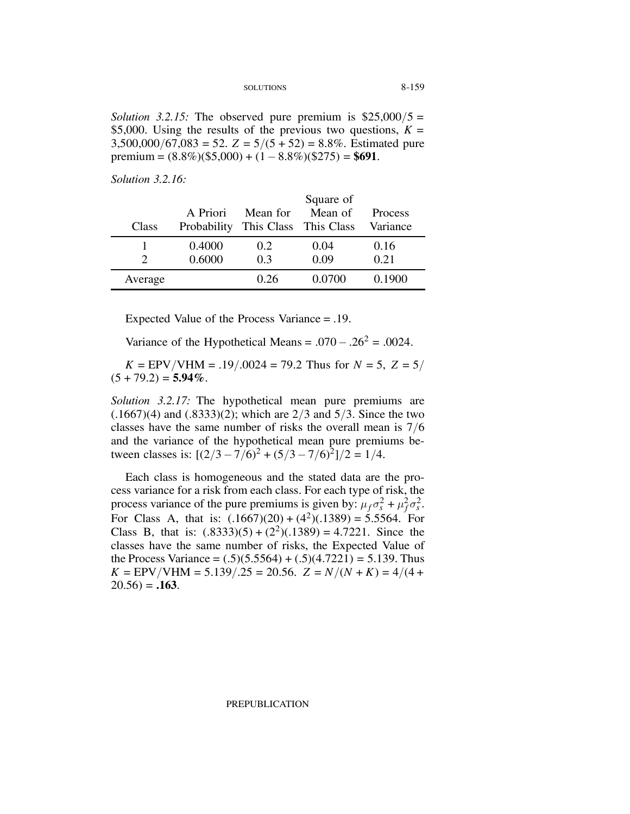*Solution 3.2.15:* The observed pure premium is  $$25,000/5 =$ \$5,000. Using the results of the previous two questions,  $K =$  $3,500,000/67,083 = 52.$  Z =  $5/(5 + 52) = 8.8\%$ . Estimated pure premium =  $(8.8\%)$  $(\$5,000) + (1 - 8.8\%)$  $(\$275) = \$691$ .

*Solution 3.2.16:*

| <b>Class</b>                | A Priori | Mean for<br>Probability This Class This Class | Square of<br>Mean of | Process<br>Variance |
|-----------------------------|----------|-----------------------------------------------|----------------------|---------------------|
|                             | 0.4000   | 0.2 <sub>1</sub>                              | (1.04)               | 0.16                |
| $\mathcal{D}_{\mathcal{L}}$ | 0.6000   | 03                                            | 0.09                 | 0.21                |
| Average                     |          | 0.26                                          | 0.0700               | 0.1900              |

Expected Value of the Process Variance = .19.

Variance of the Hypothetical Means =  $.070 - .26^2 = .0024$ .

 $K = \text{EPV/VHM} = .19/.0024 = 79.2$  Thus for  $N = 5$ ,  $Z = 5/$  $(5 + 79.2) = 5.94\%$ .

*Solution 3.2.17:* The hypothetical mean pure premiums are  $(.1667)(4)$  and  $(.8333)(2)$ ; which are  $2/3$  and  $5/3$ . Since the two classes have the same number of risks the overall mean is  $7/6$ and the variance of the hypothetical mean pure premiums between classes is:  $[(2/3 - 7/6)^2 + (5/3 - 7/6)^2]/2 = 1/4$ .

Each class is homogeneous and the stated data are the process variance for a risk from each class. For each type of risk, the process variance of the pure premiums is given by:  $\mu_f \sigma_s^2 + \mu_f^2 \sigma_s^2$ . For Class A, that is:  $(.1667)(20) + (4^2)(.1389) = 5.5564$ . For Class B, that is:  $(.8333)(5) + (2^2)(.1389) = 4.7221$ . Since the classes have the same number of risks, the Expected Value of the Process Variance =  $(.5)(5.5564) + (.5)(4.7221) = 5.139$ . Thus  $K = \text{EPV/VHM} = 5.139/.25 = 20.56.$   $Z = N/(N + K) = 4/(4 +$ 20:56) = **.163**.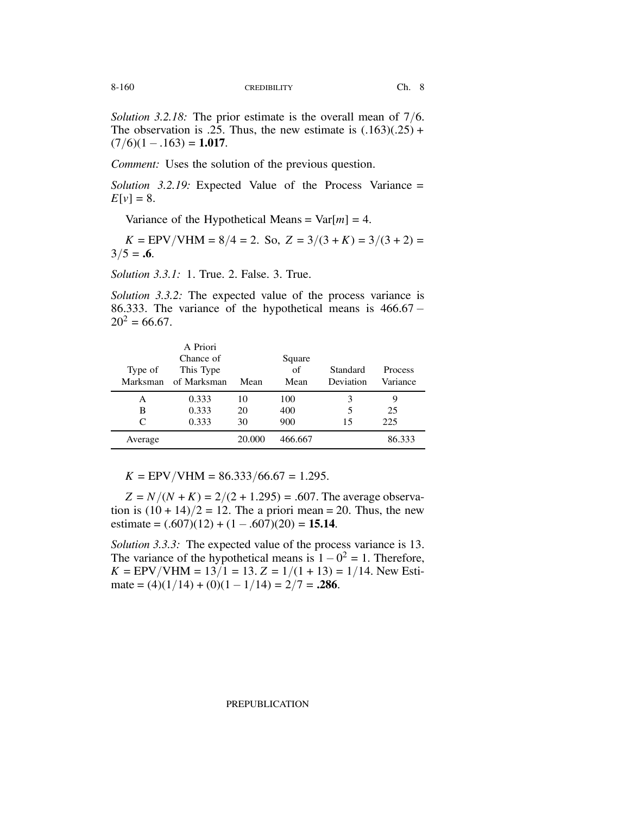*Solution 3.2.18:* The prior estimate is the overall mean of 7/6. The observation is .25. Thus, the new estimate is  $(.163)(.25) +$  $(7/6)(1 - .163) = 1.017.$ 

*Comment:* Uses the solution of the previous question.

*Solution 3.2.19:* Expected Value of the Process Variance =  $E[v] = 8.$ 

Variance of the Hypothetical Means =  $Var[m] = 4$ .

 $K = \text{EPV/VHM} = 8/4 = 2.$  So,  $Z = 3/(3 + K) = 3/(3 + 2) =$  $3/5 = .6$ .

*Solution 3.3.1:* 1. True. 2. False. 3. True.

*Solution 3.3.2:* The expected value of the process variance is 86.333. The variance of the hypothetical means is  $466.67 20^2 = 66.67$ .

| Type of<br>Marksman | A Priori<br>Chance of<br>This Type<br>of Marksman | Mean   | Square<br>of<br>Mean | Standard<br>Deviation | Process<br>Variance |
|---------------------|---------------------------------------------------|--------|----------------------|-----------------------|---------------------|
| А                   | 0.333                                             | 10     | 100                  | 3                     |                     |
| В                   | 0.333                                             | 20     | 400                  |                       | 25                  |
| C                   | 0.333                                             | 30     | 900                  | 15                    | 225                 |
| Average             |                                                   | 20.000 | 466.667              |                       | 86.333              |

 $K = \text{EPV/VHM} = 86.333/66.67 = 1.295.$ 

 $Z = N/(N + K) = 2/(2 + 1.295) = .607$ . The average observation is  $(10 + 14)/2 = 12$ . The a priori mean = 20. Thus, the new estimate =  $(.607)(12) + (1 - .607)(20) = 15.14$ .

*Solution 3.3.3:* The expected value of the process variance is 13. The variance of the hypothetical means is  $1 - 0^2 = 1$ . Therefore,  $K = \text{EPV/VHM} = 13/1 = 13. Z = 1/(1 + 13) = 1/14.$  New Estimate =  $(4)(1/14) + (0)(1 – 1/14) = 2/7 = .286$ .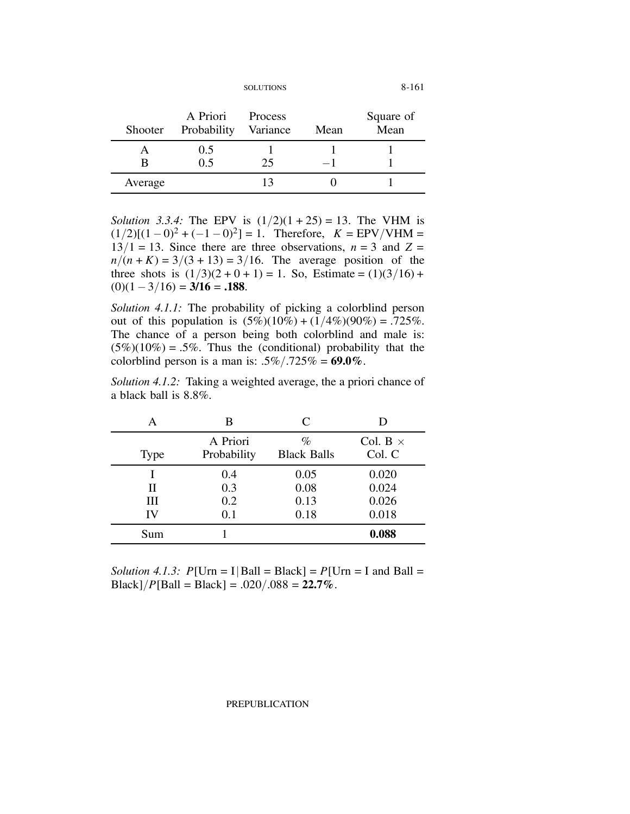| Shooter | A Priori<br>Probability | <b>Process</b><br>Variance | Mean | Square of<br>Mean |
|---------|-------------------------|----------------------------|------|-------------------|
|         | 0.5                     |                            |      |                   |
| B       | 05                      | 25                         |      |                   |
| Average |                         |                            |      |                   |

*Solution 3.3.4:* The EPV is  $(1/2)(1 + 25) = 13$ . The VHM is  $(1/2)[(1-0)^2 + (-1-0)^2] = 1$ . Therefore,  $K = \text{EPV}/\text{VHM} =$  $13/1 = 13$ . Since there are three observations,  $n = 3$  and Z =  $n/(n + K) = 3/(3 + 13) = 3/16$ . The average position of the three shots is  $(1/3)(2 + 0 + 1) = 1$ . So, Estimate =  $(1)(3/16)$ +  $(0)(1 - 3/16) = 3/16 = .188.$ 

*Solution 4.1.1:* The probability of picking a colorblind person out of this population is  $(5\%)(10\%) + (1/4\%)(90\%) = .725\%$ . The chance of a person being both colorblind and male is:  $(5\%)(10\%) = .5\%$ . Thus the (conditional) probability that the colorblind person is a man is:  $.5\%/0.725\% = 69.0\%$ .

*Solution 4.1.2:* Taking a weighted average, the a priori chance of a black ball is 8.8%.

|             |                         | C                          |                           |  |
|-------------|-------------------------|----------------------------|---------------------------|--|
| <b>Type</b> | A Priori<br>Probability | $\%$<br><b>Black Balls</b> | Col. $B \times$<br>Col. C |  |
|             | 0.4                     | 0.05                       | 0.020                     |  |
| Н           | 0.3                     | 0.08                       | 0.024                     |  |
| Ш           | 0.2                     | 0.13                       | 0.026                     |  |
| IV          | 0.1                     | 0.18                       | 0.018                     |  |
| Sum         |                         |                            | 0.088                     |  |

*Solution 4.1.3:*  $P[$ Urn = I|Ball = Black] =  $P$ [Urn = I and Ball =  $Black]/P[Ball = Black] = .020/.088 = 22.7\%$ .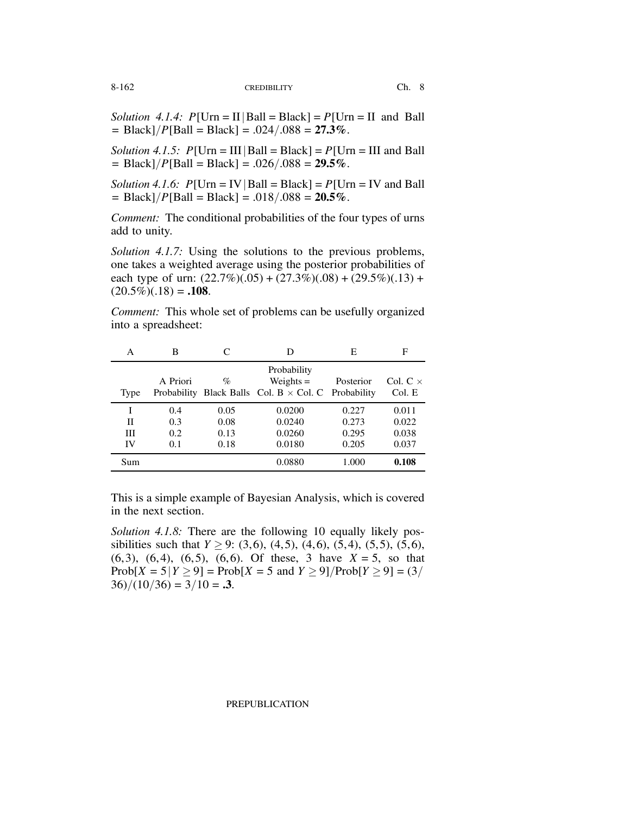*Solution 4.1.4:*  $P[Urn = II | Ball = Black] = P[Urn = II \text{ and Ball}]$  $= \text{Black}/P[\text{Ball} = \text{Black}] = .024/.088 = 27.3\%$ .

*Solution 4.1.5:*  $P[$ Urn = III | Ball = Black] =  $P$ [Urn = III and Ball  $= \text{Black}/P[\text{Ball} = \text{Black}] = .026/.088 = 29.5\%$ .

*Solution 4.1.6:*  $P[Urn = IV | Ball = Black] = P[Urn = IV \text{ and Ball}]$  $= \text{Black}/P[\text{Ball} = \text{Black}] = .018/.088 = 20.5\%$ .

*Comment:* The conditional probabilities of the four types of urns add to unity.

*Solution 4.1.7:* Using the solutions to the previous problems, one takes a weighted average using the posterior probabilities of each type of urn:  $(22.7\%)(.05) + (27.3\%)(.08) + (29.5\%)(.13) +$  $(20.5\%)(.18) = .108$ .

*Comment:* This whole set of problems can be usefully organized into a spreadsheet:

| А         | в        |      |                                                            | E         | F               |
|-----------|----------|------|------------------------------------------------------------|-----------|-----------------|
|           |          |      | Probability                                                |           |                 |
|           | A Priori | $\%$ | Weights $=$                                                | Posterior | Col. $C \times$ |
| Type      |          |      | Probability Black Balls Col. $B \times$ Col. C Probability |           | Col. E          |
|           | 0.4      | 0.05 | 0.0200                                                     | 0.227     | 0.011           |
| Н         | 0.3      | 0.08 | 0.0240                                                     | 0.273     | 0.022           |
| Ш         | 0.2      | 0.13 | 0.0260                                                     | 0.295     | 0.038           |
| <b>IV</b> | 0.1      | 0.18 | 0.0180                                                     | 0.205     | 0.037           |
| Sum       |          |      | 0.0880                                                     | 1.000     | 0.108           |

This is a simple example of Bayesian Analysis, which is covered in the next section.

*Solution 4.1.8:* There are the following 10 equally likely possibilities such that  $Y \ge 9$ : (3,6), (4,5), (4,6), (5,4), (5,5), (5,6),  $(6, 3)$ ,  $(6, 4)$ ,  $(6, 5)$ ,  $(6, 6)$ . Of these, 3 have  $X = 5$ , so that  $Prob[X = 5 | Y \ge 9] = Prob[X = 5 \text{ and } Y \ge 9]/Prob[Y \ge 9] = (3/$  $36)/(10/36) = 3/10 = .3.$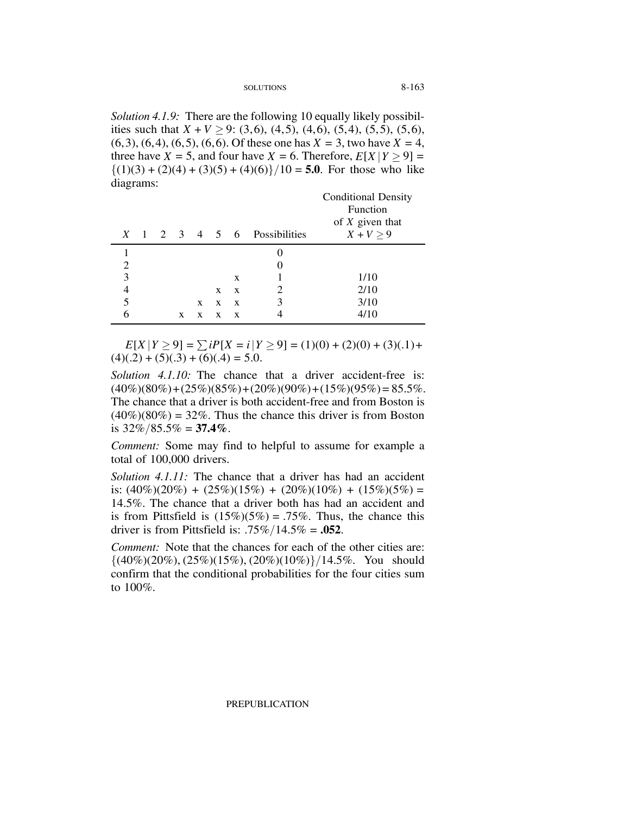*Solution 4.1.9:* There are the following 10 equally likely possibilities such that  $X + V \ge 9$ : (3,6), (4,5), (4,6), (5,4), (5,5), (5,6),  $(6, 3), (6, 4), (6, 5), (6, 6)$ . Of these one has  $X = 3$ , two have  $X = 4$ , three have  $X = 5$ , and four have  $X = 6$ . Therefore,  $E[X|Y \ge 9] =$  $\{(1)(3) + (2)(4) + (3)(5) + (4)(6)\}/10 = 5.0$ . For those who like diagrams:

|   |  |   |   |   |              | $X$ 1 2 3 4 5 6 Possibilities | <b>Conditional Density</b><br><b>Function</b><br>of $X$ given that<br>$X + V \geq 9$ |
|---|--|---|---|---|--------------|-------------------------------|--------------------------------------------------------------------------------------|
|   |  |   |   |   |              |                               |                                                                                      |
|   |  |   |   |   |              |                               |                                                                                      |
| 3 |  |   |   |   | X            |                               | 1/10                                                                                 |
| 4 |  |   |   | X | X            |                               | 2/10                                                                                 |
| 5 |  |   | X | X | $\mathbf{X}$ | 3                             | 3/10                                                                                 |
|   |  | X | X | X | X            |                               | 4/10                                                                                 |

 $E[X | Y \ge 9] = \sum iP[X = i | Y \ge 9] = (1)(0) + (2)(0) + (3)(.1) +$  $(4)(.2) + (5)(.3) + (6)(.4) = 5.0.$ 

*Solution 4.1.10:* The chance that a driver accident-free is:  $(40\%)$  $(80\%)$  +  $(25\%)$  $(85\%)$  +  $(20\%)$  $(90\%)$  +  $(15\%)$  $(95\%)$  = 85.5%. The chance that a driver is both accident-free and from Boston is  $(40\%)$  $(80\%)$  = 32%. Thus the chance this driver is from Boston is  $32\%/85.5\% = 37.4\%$ .

*Comment:* Some may find to helpful to assume for example a total of 100,000 drivers.

*Solution 4.1.11:* The chance that a driver has had an accident is:  $(40\%) (20\%) + (25\%) (15\%) + (20\%) (10\%) + (15\%) (5\%) =$ 14:5%. The chance that a driver both has had an accident and is from Pittsfield is  $(15\%) (5\%) = .75\%$ . Thus, the chance this driver is from Pittsfield is:  $.75\%/14.5\% = .052$ .

*Comment:* Note that the chances for each of the other cities are:  $\{(40\%) (20\%), (25\%) (15\%), (20\%) (10\%)\}/14.5\%$ . You should confirm that the conditional probabilities for the four cities sum to 100%.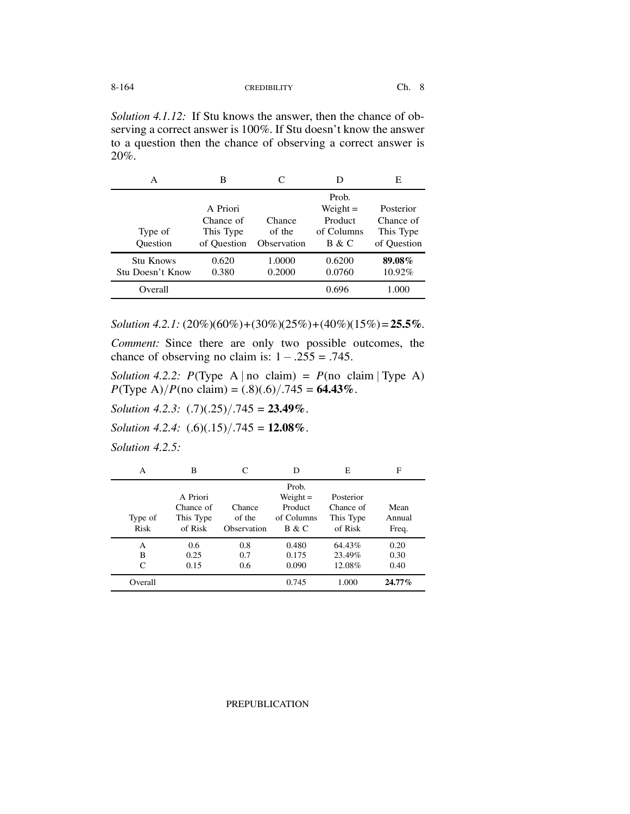*Solution 4.1.12:* If Stu knows the answer, then the chance of observing a correct answer is 100%. If Stu doesn't know the answer to a question then the chance of observing a correct answer is 20%.

| А                                    | в                                                 |                                 | Ð                                                     | E                                                  |
|--------------------------------------|---------------------------------------------------|---------------------------------|-------------------------------------------------------|----------------------------------------------------|
| Type of<br><b>Ouestion</b>           | A Priori<br>Chance of<br>This Type<br>of Question | Chance<br>of the<br>Observation | Prob.<br>Weight $=$<br>Product<br>of Columns<br>B & C | Posterior<br>Chance of<br>This Type<br>of Question |
| <b>Stu Knows</b><br>Stu Doesn't Know | 0.620<br>0.380                                    | 1.0000<br>0.2000                | 0.6200<br>0.0760                                      | 89.08%<br>10.92%                                   |
| Overall                              |                                                   |                                 | 0.696                                                 | 1.000                                              |

*Solution 4.2.1:* (20%)(60%)+(30%)(25%)+(40%)(15%)=**25.5%**.

*Comment:* Since there are only two possible outcomes, the chance of observing no claim is:  $1 - .255 = .745$ .

*Solution 4.2.2:*  $P$ (Type A | no claim) =  $P$ (no claim | Type A)  $P(\text{Type A})/P(\text{no claim}) = (.8)(.6)/.745 = 64.43\%$ .

*Solution 4.2.3:*  $(.7)(.25)/.745 = 23.49\%$ .

*Solution 4.2.4:*  $(.6)(.15)/.745 = 12.08\%$ .

*Solution 4.2.5:*

| А               | в                                             |                                 | D                                                     | Е                                              | F                       |
|-----------------|-----------------------------------------------|---------------------------------|-------------------------------------------------------|------------------------------------------------|-------------------------|
| Type of<br>Risk | A Priori<br>Chance of<br>This Type<br>of Risk | Chance<br>of the<br>Observation | Prob.<br>Weight $=$<br>Product<br>of Columns<br>B & C | Posterior<br>Chance of<br>This Type<br>of Risk | Mean<br>Annual<br>Freq. |
| A<br>B<br>C     | 0.6<br>0.25<br>0.15                           | 0.8<br>0.7<br>0.6               | 0.480<br>0.175<br>0.090                               | 64.43%<br>23.49%<br>12.08%                     | 0.20<br>0.30<br>0.40    |
| Overall         |                                               |                                 | 0.745                                                 | 1.000                                          | 24.77%                  |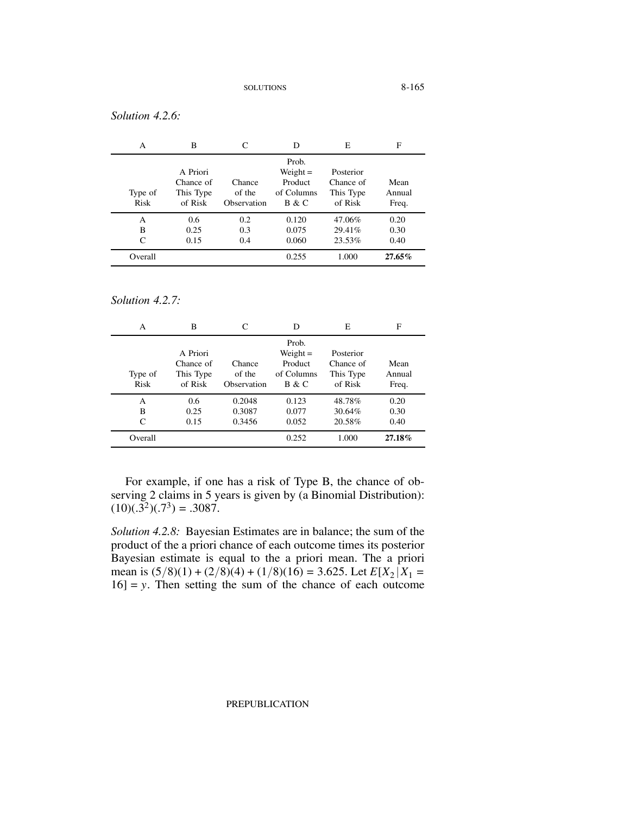| A               | B                                             |                                 | D                                                            | Е                                              | F                       |
|-----------------|-----------------------------------------------|---------------------------------|--------------------------------------------------------------|------------------------------------------------|-------------------------|
| Type of<br>Risk | A Priori<br>Chance of<br>This Type<br>of Risk | Chance<br>of the<br>Observation | Prob.<br>Weight $=$<br>Product<br>of Columns<br><b>B</b> & C | Posterior<br>Chance of<br>This Type<br>of Risk | Mean<br>Annual<br>Freq. |
| A               | 0.6                                           | 0.2                             | 0.120                                                        | 47.06%                                         | 0.20                    |
| B               | 0.25                                          | 0.3                             | 0.075                                                        | 29.41%                                         | 0.30                    |
| C               | 0.15                                          | 0.4                             | 0.060                                                        | 23.53%                                         | 0.40                    |
| Overall         |                                               |                                 | 0.255                                                        | 1.000                                          | 27.65%                  |

*Solution 4.2.7:*

| A               | В                                             |                                 | D                                                     | Е                                              | F                       |
|-----------------|-----------------------------------------------|---------------------------------|-------------------------------------------------------|------------------------------------------------|-------------------------|
| Type of<br>Risk | A Priori<br>Chance of<br>This Type<br>of Risk | Chance<br>of the<br>Observation | Prob.<br>Weight $=$<br>Product<br>of Columns<br>B & C | Posterior<br>Chance of<br>This Type<br>of Risk | Mean<br>Annual<br>Freq. |
| A<br>B<br>C     | 0.6<br>0.25<br>0.15                           | 0.2048<br>0.3087<br>0.3456      | 0.123<br>0.077<br>0.052                               | 48.78%<br>30.64%<br>20.58%                     | 0.20<br>0.30<br>0.40    |
| Overall         |                                               |                                 | 0.252                                                 | 1.000                                          | 27.18%                  |

For example, if one has a risk of Type B, the chance of observing 2 claims in 5 years is given by (a Binomial Distribution):  $(10)(.3^{2})(.7^{3}) = .3087.$ 

*Solution 4.2.8:* Bayesian Estimates are in balance; the sum of the product of the a priori chance of each outcome times its posterior Bayesian estimate is equal to the a priori mean. The a priori mean is  $(5/8)(1) + (2/8)(4) + (1/8)(16) = 3.625$ . Let  $E[X_2 | X_1 =$  $16$  = y. Then setting the sum of the chance of each outcome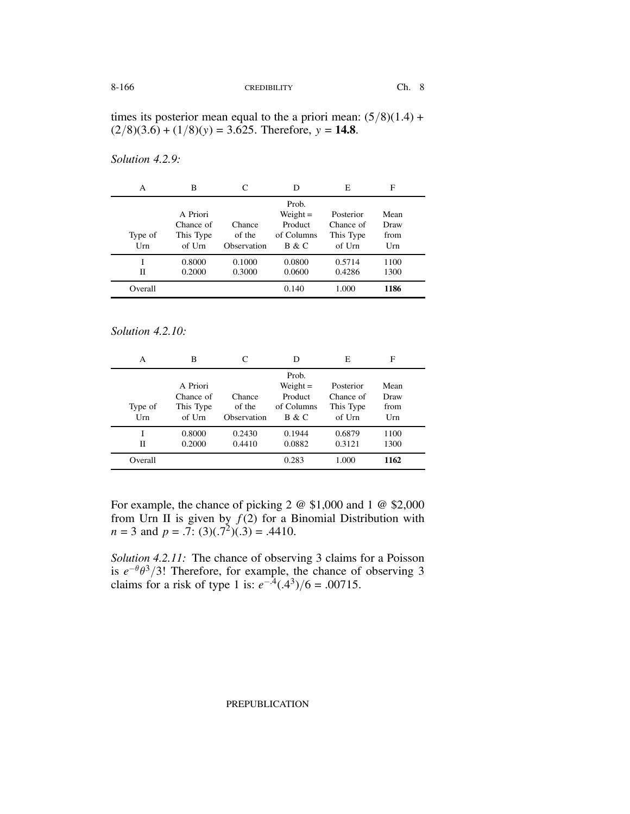times its posterior mean equal to the a priori mean:  $(5/8)(1.4) +$  $(2/8)(3.6) + (1/8)(y) = 3.625$ . Therefore, y = **14.8**.

# *Solution 4.2.9:*

| A              | в                                            | C                               | Ð                                                     | Е                                             | F                           |
|----------------|----------------------------------------------|---------------------------------|-------------------------------------------------------|-----------------------------------------------|-----------------------------|
| Type of<br>Urn | A Priori<br>Chance of<br>This Type<br>of Urn | Chance<br>of the<br>Observation | Prob.<br>Weight $=$<br>Product<br>of Columns<br>B & C | Posterior<br>Chance of<br>This Type<br>of Urn | Mean<br>Draw<br>from<br>Urn |
| Н              | 0.8000<br>0.2000                             | 0.1000<br>0.3000                | 0.0800<br>0.0600                                      | 0.5714<br>0.4286                              | 1100<br>1300                |
| Overall        |                                              |                                 | 0.140                                                 | 1.000                                         | 1186                        |

# *Solution 4.2.10:*

| А              | в                                            |                                 | D                                                     | E                                             | F                           |
|----------------|----------------------------------------------|---------------------------------|-------------------------------------------------------|-----------------------------------------------|-----------------------------|
| Type of<br>Urn | A Priori<br>Chance of<br>This Type<br>of Urn | Chance<br>of the<br>Observation | Prob.<br>Weight $=$<br>Product<br>of Columns<br>B & C | Posterior<br>Chance of<br>This Type<br>of Urn | Mean<br>Draw<br>from<br>Urn |
| П              | 0.8000<br>0.2000                             | 0.2430<br>0.4410                | 0.1944<br>0.0882                                      | 0.6879<br>0.3121                              | 1100<br>1300                |
| Overall        |                                              |                                 | 0.283                                                 | 1.000                                         | 1162                        |

For example, the chance of picking 2 @ \$1,000 and 1 @ \$2,000 from Urn II is given by  $f(2)$  for a Binomial Distribution with  $n = 3$  and  $p = .7$ : (3)(.7<sup>2</sup>)(.3) = .4410.

*Solution 4.2.11:* The chance of observing 3 claims for a Poisson is  $e^{-\theta} \theta^3/3!$  Therefore, for example, the chance of observing 3 claims for a risk of type 1 is:  $e^{-.4}(.4^3)/6 = .00715$ .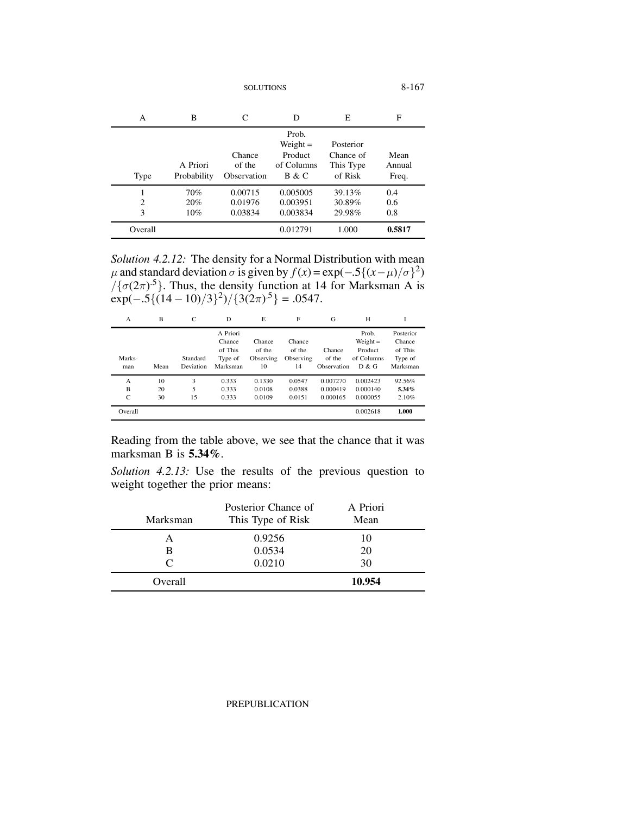| A       | в                       | C                               | D                                                     | E                                              | F                       |
|---------|-------------------------|---------------------------------|-------------------------------------------------------|------------------------------------------------|-------------------------|
| Type    | A Priori<br>Probability | Chance<br>of the<br>Observation | Prob.<br>Weight $=$<br>Product<br>of Columns<br>B & C | Posterior<br>Chance of<br>This Type<br>of Risk | Mean<br>Annual<br>Freq. |
|         | 70%                     | 0.00715                         | 0.005005                                              | 39.13%                                         | 0.4                     |
| 2       | 20%                     | 0.01976                         | 0.003951                                              | 30.89%                                         | 0.6                     |
| 3       | 10%                     | 0.03834                         | 0.003834                                              | 29.98%                                         | 0.8                     |
| Overall |                         |                                 | 0.012791                                              | 1.000                                          | 0.5817                  |

*Solution 4.2.12:* The density for a Normal Distribution with mean  $\mu$  and standard deviation  $\sigma$  is given by  $f(x) = \exp(-5\{(x-\mu)/\sigma\}^2)$  $\sqrt{\{\sigma(2\pi)^5}}$ . Thus, the density function at 14 for Marksman A is  $\exp(-.5\{(14-10)/3\}^2)/\{3(2\pi)^5\} = .0547.$ 

| A             | B    | C                     | D                                                    | Е                                   | F                                   | G                               | Н                                                     | T                                                     |
|---------------|------|-----------------------|------------------------------------------------------|-------------------------------------|-------------------------------------|---------------------------------|-------------------------------------------------------|-------------------------------------------------------|
| Marks-<br>man | Mean | Standard<br>Deviation | A Priori<br>Chance<br>of This<br>Type of<br>Marksman | Chance<br>of the<br>Observing<br>10 | Chance<br>of the<br>Observing<br>14 | Chance<br>of the<br>Observation | Prob.<br>Weight $=$<br>Product<br>of Columns<br>D & G | Posterior<br>Chance<br>of This<br>Type of<br>Marksman |
| A             | 10   | 3                     | 0.333                                                | 0.1330                              | 0.0547                              | 0.007270                        | 0.002423                                              | 92.56%                                                |
| B             | 20   | 5                     | 0.333                                                | 0.0108                              | 0.0388                              | 0.000419                        | 0.000140                                              | 5.34%                                                 |
| $\mathbf C$   | 30   | 15                    | 0.333                                                | 0.0109                              | 0.0151                              | 0.000165                        | 0.000055                                              | 2.10%                                                 |
| Overall       |      |                       |                                                      |                                     |                                     |                                 | 0.002618                                              | 1.000                                                 |

Reading from the table above, we see that the chance that it was marksman B is **5.34%**.

*Solution 4.2.13:* Use the results of the previous question to weight together the prior means:

| Marksman       | Posterior Chance of<br>This Type of Risk | A Priori<br>Mean |
|----------------|------------------------------------------|------------------|
|                | 0.9256                                   | 10               |
| В              | 0.0534                                   | 20               |
| $\subset$      | 0.0210                                   | 30               |
| <b>Overall</b> |                                          | 10.954           |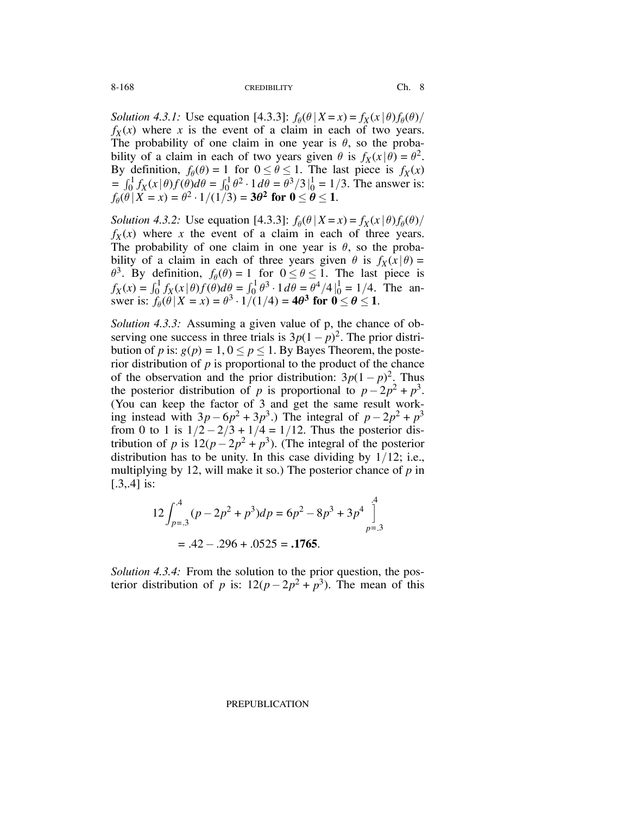*Solution 4.3.1:* Use equation [4.3.3]:  $f_{\theta}(\theta | X = x) = f_X(x | \theta) f_{\theta}(\theta)$ /  $f_X(x)$  where x is the event of a claim in each of two years. The probability of one claim in one year is  $\theta$ , so the probability of a claim in each of two years given  $\theta$  is  $f_X(x|\theta) = \theta^2$ . By definition,  $f_{\theta}(\theta) = 1$  for  $0 \le \theta \le 1$ . The last piece is  $f_X(x)$ =  $\int_0^1 f_X(x|\theta) f(\theta) d\theta = \int_0^1 \theta^2 \cdot 1 d\theta = \theta^3/3 \Big|_0^1 = 1/3$ . The answer is:  $f_{\theta}(\theta | X = x) = \theta^2 \cdot 1/(1/3) = 3\theta^2$  for  $0 \le \theta \le 1$ .

*Solution 4.3.2:* Use equation [4.3.3]:  $f_{\theta}(\theta | X = x) = f_X(x | \theta) f_{\theta}(\theta)$  $f_X(x)$  where x the event of a claim in each of three years. The probability of one claim in one year is  $\theta$ , so the probability of a claim in each of three years given  $\theta$  is  $f_X(x|\theta) =$  $\theta^3$ . By definition,  $f_\theta(\theta) = 1$  for  $0 \le \theta \le 1$ . The last piece is  $f_X(x) = \int_0^1 f_X(x|\theta) f(\theta) d\theta = \int_0^1 \theta^3 \cdot 1 d\theta = \theta^4/4 \Big|_0^1 = 1/4.$  The answer is:  $f_{\theta}(\theta | X = x) = \theta^3 \cdot 1/(1/4) = 4\theta^3$  for  $0 \le \theta \le 1$ .

*Solution 4.3.3:* Assuming a given value of p, the chance of observing one success in three trials is  $3p(1-p)^2$ . The prior distribution of p is:  $g(p) = 1, 0 \le p \le 1$ . By Bayes Theorem, the posterior distribution of  $p$  is proportional to the product of the chance of the observation and the prior distribution:  $3p(1-p)^2$ . Thus the posterior distribution of p is proportional to  $p - 2p^2 + p^3$ . (You can keep the factor of 3 and get the same result working instead with  $3p - 6p^2 + 3p^3$ .) The integral of  $p - 2p^2 + p^3$ from 0 to 1 is  $1/2 - 2/3 + 1/4 = 1/12$ . Thus the posterior distribution of p is  $12(p - 2p^2 + p^3)$ . (The integral of the posterior distribution has to be unity. In this case dividing by  $1/12$ ; i.e., multiplying by 12, will make it so.) The posterior chance of *p* in [.3,.4] is:

$$
12 \int_{p=3}^{4} (p - 2p^2 + p^3) dp = 6p^2 - 8p^3 + 3p^4 \int_{p=3}^{4}
$$
  
= .42 - .296 + .0525 = **.1765**.

*Solution 4.3.4:* From the solution to the prior question, the posterior distribution of p is:  $12(p-2p^2+p^3)$ . The mean of this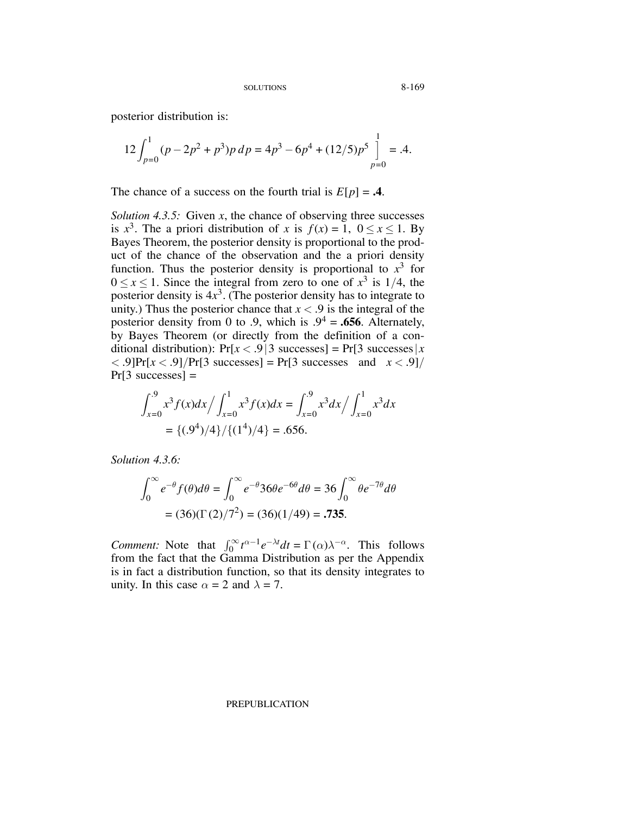posterior distribution is:

$$
12\int_{p=0}^{1} (p-2p^2+p^3)p \, dp = 4p^3 - 6p^4 + (12/5)p^5 \bigg|_{p=0}^{1} = .4.
$$

The chance of a success on the fourth trial is  $E[p] = .4$ .

*Solution 4.3.5:* Given x, the chance of observing three successes is  $x^3$ . The a priori distribution of x is  $f(x) = 1$ ,  $0 \le x \le 1$ . By Bayes Theorem, the posterior density is proportional to the product of the chance of the observation and the a priori density function. Thus the posterior density is proportional to  $x^3$  for  $0 \le x \le 1$ . Since the integral from zero to one of  $x^3$  is 1/4, the posterior density is  $4x^3$ . (The posterior density has to integrate to unity.) Thus the posterior chance that  $x < 0$  is the integral of the posterior density from 0 to .9, which is  $.9^4 = .656$ . Alternately, by Bayes Theorem (or directly from the definition of a conditional distribution):  $Pr[x < .9 \mid 3$  successes] =  $Pr[3$  successes |x  $\langle .9|Pr[x \langle .9|/Pr[3 \text{ successes}] = Pr[3 \text{ successes} \text{ and } x \langle .9|/$  $Pr[3$  successes] =

$$
\int_{x=0}^{9} x^3 f(x) dx / \int_{x=0}^{1} x^3 f(x) dx = \int_{x=0}^{9} x^3 dx / \int_{x=0}^{1} x^3 dx
$$

$$
= \left\{ (.9^4) / 4 \right\} / \left\{ (1^4) / 4 \right\} = .656.
$$

*Solution 4.3.6:*

$$
\int_0^\infty e^{-\theta} f(\theta) d\theta = \int_0^\infty e^{-\theta} 36\theta e^{-6\theta} d\theta = 36 \int_0^\infty \theta e^{-7\theta} d\theta
$$

$$
= (36)(\Gamma(2)/7^2) = (36)(1/49) = .735.
$$

*Comment:* Note that  $\int_0^\infty t^{\alpha-1} e^{-\lambda t} dt = \Gamma(\alpha) \lambda^{-\alpha}$ . This follows from the fact that the Gamma Distribution as per the Appendix is in fact a distribution function, so that its density integrates to unity. In this case  $\alpha = 2$  and  $\lambda = 7$ .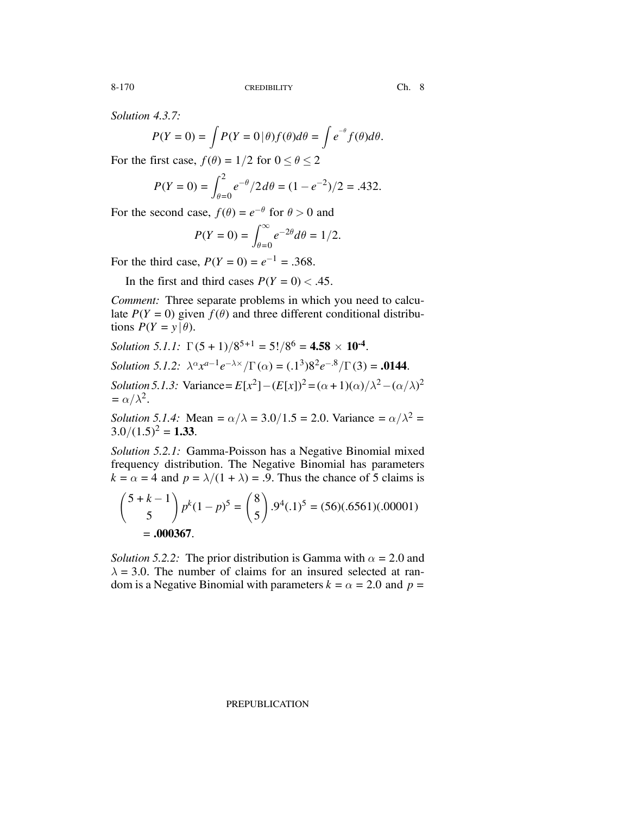*Solution 4.3.7:*

$$
P(Y=0) = \int P(Y=0|\theta) f(\theta) d\theta = \int e^{-\theta} f(\theta) d\theta.
$$

For the first case,  $f(\theta) = 1/2$  for  $0 \le \theta \le 2$ 

$$
P(Y = 0) = \int_{\theta=0}^{2} e^{-\theta} / 2 d\theta = (1 - e^{-2}) / 2 = .432.
$$

For the second case,  $f(\theta) = e^{-\theta}$  for  $\theta > 0$  and

$$
P(Y = 0) = \int_{\theta=0}^{\infty} e^{-2\theta} d\theta = 1/2.
$$

For the third case,  $P(Y = 0) = e^{-1} = .368$ .

In the first and third cases  $P(Y = 0) < .45$ .

*Comment:* Three separate problems in which you need to calculate  $P(Y = 0)$  given  $f(\theta)$  and three different conditional distributions  $P(Y = y | \theta)$ .

Solution 5.1.1: 
$$
\Gamma(5 + 1)/8^{5+1} = 5!/8^6 = 4.58 \times 10^{-4}
$$
.

*Solution 5.1.2:*  $\lambda^{\alpha} x^{\alpha-1} e^{-\lambda x} / \Gamma(\alpha) = (.1^3)8^2 e^{-.8} / \Gamma(3) = .0144$ .

*Solution 5.1.3:* Variance= $E[x^2] - (E[x])^2 = (\alpha + 1)(\alpha)/\lambda^2 - (\alpha/\lambda)^2$  $=\alpha/\lambda^2$ .

*Solution 5.1.4:* Mean =  $\alpha/\lambda$  = 3.0/1.5 = 2.0. Variance =  $\alpha/\lambda^2$  =  $3.0/(1.5)^2 = 1.33$ .

*Solution 5.2.1:* Gamma-Poisson has a Negative Binomial mixed frequency distribution. The Negative Binomial has parameters  $k = \alpha = 4$  and  $p = \lambda/(1 + \lambda) = .9$ . Thus the chance of 5 claims is

$$
\binom{5+k-1}{5} p^k (1-p)^5 = \binom{8}{5} .9^4 (.1)^5 = (56)(.6561)(.00001)
$$
  
= .000367.

*Solution 5.2.2:* The prior distribution is Gamma with  $\alpha = 2.0$  and  $\lambda = 3.0$ . The number of claims for an insured selected at random is a Negative Binomial with parameters  $k = \alpha = 2.0$  and  $p =$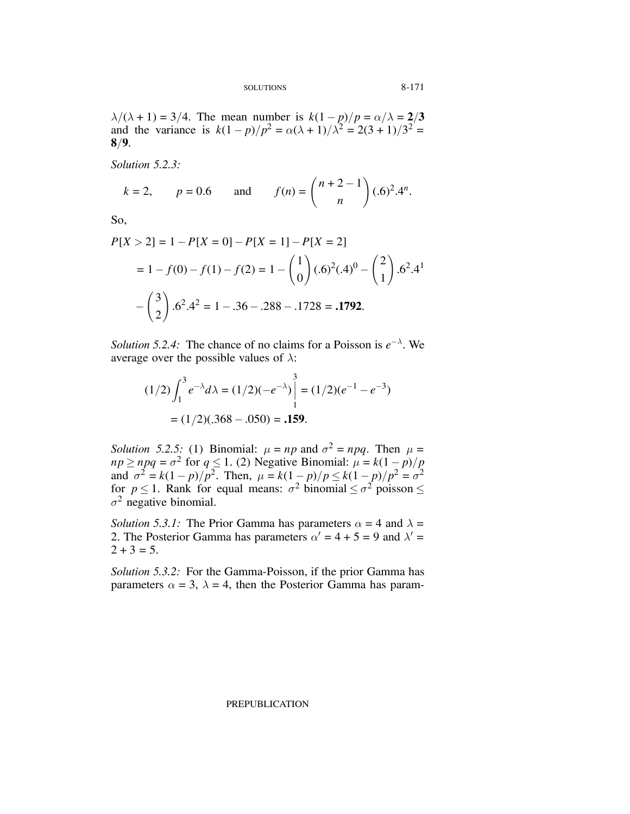$\lambda/(\lambda + 1) = 3/4$ . The mean number is  $k(1 - p)/p = \alpha/\lambda = 2/3$ and the variance is  $k(1-p)/p^2 = \alpha(\lambda + 1)/\lambda^2 = 2(3 + 1)/3^2 =$ **8**=**9**.

*Solution 5.2.3:*

$$
k = 2
$$
,  $p = 0.6$  and  $f(n) = {n + 2 - 1 \choose n} (.6)^2.4^n$ .

So,

$$
P[X > 2] = 1 - P[X = 0] - P[X = 1] - P[X = 2]
$$
  
= 1 - f(0) - f(1) - f(2) = 1 - {1 \choose 0} (.6)<sup>2</sup> (.4)<sup>0</sup> - {2 \choose 1} .6<sup>2</sup> .4<sup>1</sup>  
- {3 \choose 2} .6<sup>2</sup> .4<sup>2</sup> = 1 - .36 - .288 - .1728 = **.1792**.

*Solution 5.2.4:* The chance of no claims for a Poisson is  $e^{-\lambda}$ . We average over the possible values of  $\lambda$ :

$$
(1/2)\int_1^3 e^{-\lambda} d\lambda = (1/2)(-e^{-\lambda})\Big|_1^3 = (1/2)(e^{-1} - e^{-3})
$$
  
= (1/2)(.368 - .050) = **.159**.

*Solution 5.2.5:* (1) Binomial:  $\mu = np$  and  $\sigma^2 = npq$ . Then  $\mu =$  $np \ge npq = \sigma^2$  for  $q \le 1$ . (2) Negative Binomial:  $\mu = k(1-p)/p$ and  $\sigma^2 = k(1-p)/p^2$ . Then,  $\mu = k(1-p)/p \leq k(1-p)/p^2 = \sigma^2$ for  $p \le 1$ . Rank for equal means:  $\sigma^2$  binomial  $\le \sigma^2$  poisson  $\le$  $\sigma^2$  negative binomial.

*Solution 5.3.1:* The Prior Gamma has parameters  $\alpha = 4$  and  $\lambda =$ 2. The Posterior Gamma has parameters  $\alpha' = 4 + 5 = 9$  and  $\lambda' =$  $2 + 3 = 5$ .

*Solution 5.3.2:* For the Gamma-Poisson, if the prior Gamma has parameters  $\alpha = 3$ ,  $\lambda = 4$ , then the Posterior Gamma has param-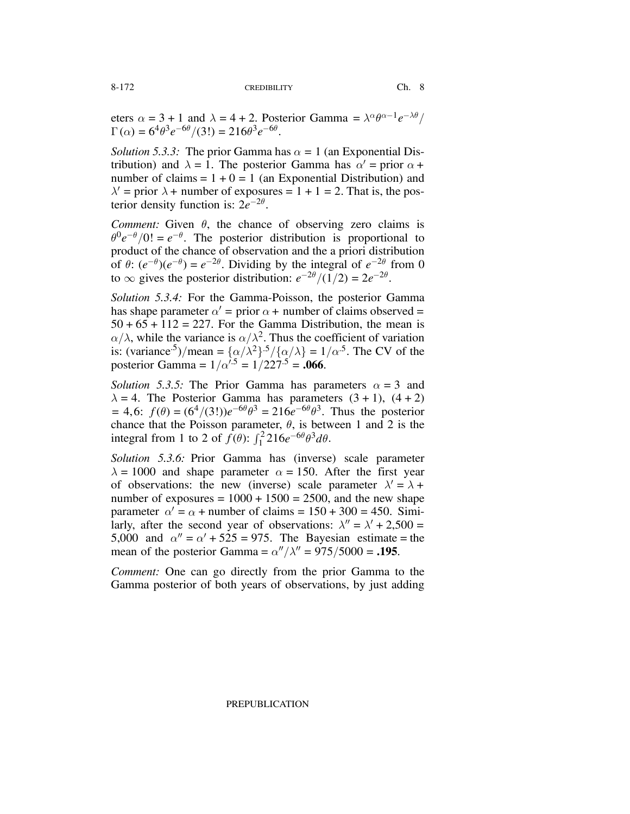eters  $\alpha = 3 + 1$  and  $\lambda = 4 + 2$ . Posterior Gamma =  $\lambda^{\alpha} \theta^{\alpha-1} e^{-\lambda \theta}$  $\Gamma(\alpha) = 6^4 \theta^3 e^{-6\theta} / (3!) = 216 \theta^3 e^{-6\theta}.$ 

*Solution 5.3.3:* The prior Gamma has  $\alpha = 1$  (an Exponential Distribution) and  $\lambda = 1$ . The posterior Gamma has  $\alpha' = \text{prior } \alpha +$ number of claims =  $1 + 0 = 1$  (an Exponential Distribution) and  $\lambda'$  = prior  $\lambda$  + number of exposures = 1 + 1 = 2. That is, the posterior density function is:  $2e^{-2\theta}$ .

*Comment:* Given  $\theta$ , the chance of observing zero claims is  $\theta^0 e^{-\theta}/0! = e^{-\theta}$ . The posterior distribution is proportional to product of the chance of observation and the a priori distribution of  $\theta$ :  $(e^{-\theta})(e^{-\theta}) = e^{-2\theta}$ . Dividing by the integral of  $e^{-2\theta}$  from 0 to  $\infty$  gives the posterior distribution:  $e^{-2\theta}/(1/2) = 2e^{-2\theta}$ .

*Solution 5.3.4:* For the Gamma-Poisson, the posterior Gamma has shape parameter  $\alpha'$  = prior  $\alpha$  + number of claims observed =  $50 + 65 + 112 = 227$ . For the Gamma Distribution, the mean is  $\alpha/\lambda$ , while the variance is  $\alpha/\lambda^2$ . Thus the coefficient of variation is: (variance  $\frac{5}{2}$ )/mean =  $\frac{\{\alpha}{\lambda^2} \cdot \frac{5}{\{\alpha/\lambda\}} = 1/\alpha^5$ . The CV of the posterior Gamma =  $1/\alpha^{5} = 1/227.5 = .066$ .

*Solution 5.3.5:* The Prior Gamma has parameters  $\alpha = 3$  and  $\lambda = 4$ . The Posterior Gamma has parameters  $(3 + 1)$ ,  $(4 + 2)$ = 4,6:  $f(\theta) = (6^4/(3!))e^{-6\theta} \theta^3 = 216e^{-6\theta} \theta^3$ . Thus the posterior chance that the Poisson parameter,  $\theta$ , is between 1 and 2 is the integral from 1 to 2 of  $\hat{f}(\theta)$ :  $\int_1^2 216e^{-6\theta} \theta^3 d\theta$ .

*Solution 5.3.6:* Prior Gamma has (inverse) scale parameter  $\lambda = 1000$  and shape parameter  $\alpha = 150$ . After the first year of observations: the new (inverse) scale parameter  $\lambda' = \lambda +$ number of exposures  $= 1000 + 1500 = 2500$ , and the new shape parameter  $\alpha' = \alpha +$  number of claims = 150 + 300 = 450. Similarly, after the second year of observations:  $\lambda'' = \lambda' + 2,500 =$ 5,000 and  $\alpha'' = \alpha' + 525 = 975$ . The Bayesian estimate = the mean of the posterior Gamma =  $\alpha''/\lambda''$  = 975/5000 = **.195**.

*Comment:* One can go directly from the prior Gamma to the Gamma posterior of both years of observations, by just adding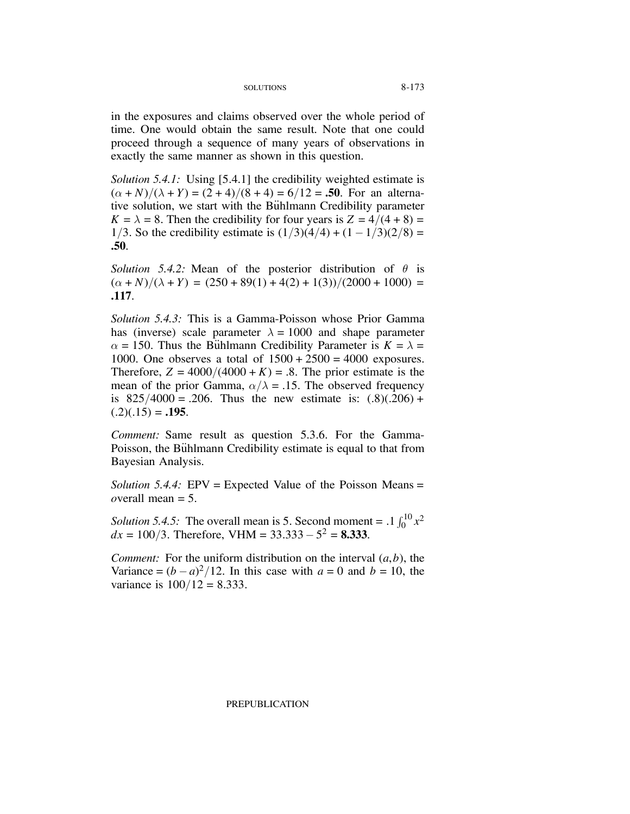in the exposures and claims observed over the whole period of time. One would obtain the same result. Note that one could proceed through a sequence of many years of observations in exactly the same manner as shown in this question.

*Solution 5.4.1:* Using [5.4.1] the credibility weighted estimate is  $(\alpha + N)/(\lambda + Y) = (2 + 4)/(8 + 4) = 6/12 = .50$ . For an alternative solution, we start with the Buhlmann Credibility parameter  $K = \lambda = 8$ . Then the credibility for four years is  $Z = 4/(4 + 8) =$ 1/3. So the credibility estimate is  $(1/3)(4/4) + (1 - 1/3)(2/8) =$ **.50**.

*Solution 5.4.2:* Mean of the posterior distribution of  $\theta$  is  $(\alpha + N)/(\lambda + Y) = (250 + 89(1) + 4(2) + 1(3))/(2000 + 1000) =$ **.117**.

*Solution 5.4.3:* This is a Gamma-Poisson whose Prior Gamma has (inverse) scale parameter  $\lambda = 1000$  and shape parameter  $\alpha = 150$ . Thus the Bühlmann Credibility Parameter is  $K = \lambda =$ 1000. One observes a total of  $1500 + 2500 = 4000$  exposures. Therefore,  $Z = 4000/(4000 + K) = .8$ . The prior estimate is the mean of the prior Gamma,  $\alpha/\lambda = .15$ . The observed frequency is  $825/4000 = .206$ . Thus the new estimate is:  $(.8)(.206) +$  $(.2)(.15) = .195.$ 

*Comment:* Same result as question 5.3.6. For the Gamma-Poisson, the Bühlmann Credibility estimate is equal to that from Bayesian Analysis.

*Solution 5.4.4:* EPV = Expected Value of the Poisson Means = *overall* mean  $= 5$ .

*Solution 5.4.5:* The overall mean is 5. Second moment =  $.1 \int_0^{10} x^2 dx$  $dx = 100/3$ . Therefore, VHM = 33.333 -  $5^2 = 8.333$ .

*Comment:* For the uniform distribution on the interval  $(a,b)$ , the Variance =  $(b-a)^2/12$ . In this case with  $a = 0$  and  $b = 10$ , the variance is  $100/12 = 8.333$ .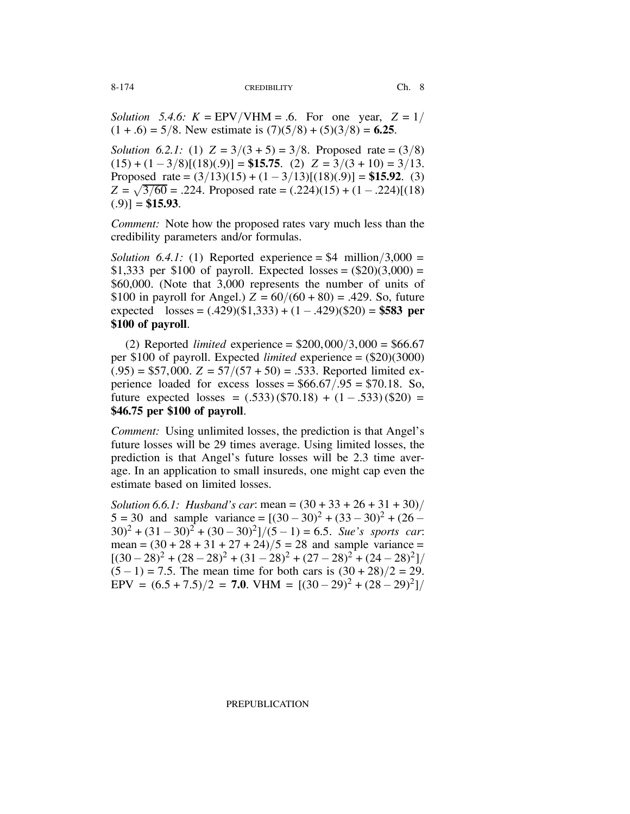*Solution* 5.4.6:  $K = \text{EPV/VHM} = .6$ . For one year,  $Z = 1/2$  $(1 + .6) = 5/8$ . New estimate is  $(7)(5/8) + (5)(3/8) = 6.25$ .

*Solution 6.2.1:* (1)  $Z = 3/(3 + 5) = 3/8$ . Proposed rate = (3/8)  $(15) + (1 - 3/8)[(18)(.9)] = $15.75.$  (2)  $Z = 3/(3 + 10) = 3/13.$ Proposed rate =  $(3/13)(15) + (1 - 3/13)[(18)(.9)] = $15.92$ . (3)  $Z = \sqrt{3/60} = .224$ . Proposed rate =  $(.224)(15) + (1 - .224)[(18)$  $(.9)$ ] = \$15.93.

*Comment:* Note how the proposed rates vary much less than the credibility parameters and/or formulas.

*Solution 6.4.1:* (1) Reported experience =  $$4$  million/3,000 = \$1,333 per \$100 of payroll. Expected losses =  $(\$20)(3,000)$  = \$60,000. (Note that 3,000 represents the number of units of \$100 in payroll for Angel.)  $Z = 60/(60 + 80) = .429$ . So, future expected  $losses = (.429)(\$1,333) + (1 - .429)(\$20) = \$583$  per **\$100 of payroll**.

(2) Reported *limited* experience =  $$200,000/3,000 = $66.67$ per \$100 of payroll. Expected *limited* experience = (\$20)(3000)  $(.95) = $57,000$ .  $Z = 57/(57 + 50) = .533$ . Reported limited experience loaded for excess losses =  $$66.67/.95 = $70.18$ . So, future expected losses =  $(.533)(\$70.18) + (1 – .533)(\$20) =$ **\$46.75 per \$100 of payroll**.

*Comment:* Using unlimited losses, the prediction is that Angel's future losses will be 29 times average. Using limited losses, the prediction is that Angel's future losses will be 2.3 time average. In an application to small insureds, one might cap even the estimate based on limited losses.

*Solution 6.6.1: Husband's car:* mean =  $(30 + 33 + 26 + 31 + 30)/$  $5 = 30$  and sample variance =  $[(30 - 30)^2 + (33 - 30)^2 + (26 (30)^{2} + (31 - 30)^{2} + (30 - 30)^{2}$ ]/(5 - 1) = 6.5. *Sue's sports car*: mean =  $(30 + 28 + 31 + 27 + 24)/5 = 28$  and sample variance =  $[(30-28)^{2} + (28-28)^{2} + (31-28)^{2} + (27-28)^{2} + (24-28)^{2}]/$  $(5 - 1) = 7.5$ . The mean time for both cars is  $(30 + 28)/2 = 29$ . EPV =  $(6.5 + 7.5)/2 = 7.0$ . VHM =  $[(30 - 29)^2 + (28 - 29)^2]/2$